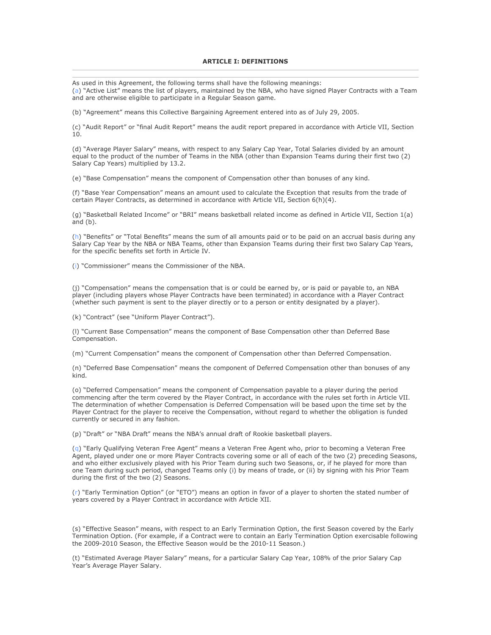# ARTICLE I: DEFINITIONS

As used in this Agreement, the following terms shall have the following meanings: (a) "Active List" means the list of players, maintained by the NBA, who have signed Player Contracts with a Team and are otherwise eligible to participate in a Regular Season game.

(b) "Agreement" means this Collective Bargaining Agreement entered into as of July 29, 2005.

(c) "Audit Report" or "final Audit Report" means the audit report prepared in accordance with Article VII, Section 10.

(d) "Average Player Salary" means, with respect to any Salary Cap Year, Total Salaries divided by an amount equal to the product of the number of Teams in the NBA (other than Expansion Teams during their first two (2) Salary Cap Years) multiplied by 13.2.

(e) "Base Compensation" means the component of Compensation other than bonuses of any kind.

(f) "Base Year Compensation" means an amount used to calculate the Exception that results from the trade of certain Player Contracts, as determined in accordance with Article VII, Section 6(h)(4).

(g) "Basketball Related Income" or "BRI" means basketball related income as defined in Article VII, Section 1(a) and (b).

(h) "Benefits" or "Total Benefits" means the sum of all amounts paid or to be paid on an accrual basis during any Salary Cap Year by the NBA or NBA Teams, other than Expansion Teams during their first two Salary Cap Years, for the specific benefits set forth in Article IV.

(i) "Commissioner" means the Commissioner of the NBA.

(j) "Compensation" means the compensation that is or could be earned by, or is paid or payable to, an NBA player (including players whose Player Contracts have been terminated) in accordance with a Player Contract (whether such payment is sent to the player directly or to a person or entity designated by a player).

(k) "Contract" (see "Uniform Player Contract").

(l) "Current Base Compensation" means the component of Base Compensation other than Deferred Base Compensation.

(m) "Current Compensation" means the component of Compensation other than Deferred Compensation.

(n) "Deferred Base Compensation" means the component of Deferred Compensation other than bonuses of any kind.

(o) "Deferred Compensation" means the component of Compensation payable to a player during the period commencing after the term covered by the Player Contract, in accordance with the rules set forth in Article VII. The determination of whether Compensation is Deferred Compensation will be based upon the time set by the Player Contract for the player to receive the Compensation, without regard to whether the obligation is funded currently or secured in any fashion.

(p) "Draft" or "NBA Draft" means the NBA's annual draft of Rookie basketball players.

(q) "Early Qualifying Veteran Free Agent" means a Veteran Free Agent who, prior to becoming a Veteran Free Agent, played under one or more Player Contracts covering some or all of each of the two (2) preceding Seasons, and who either exclusively played with his Prior Team during such two Seasons, or, if he played for more than one Team during such period, changed Teams only (i) by means of trade, or (ii) by signing with his Prior Team during the first of the two (2) Seasons.

(r) "Early Termination Option" (or "ETO") means an option in favor of a player to shorten the stated number of years covered by a Player Contract in accordance with Article XII.

(s) "Effective Season" means, with respect to an Early Termination Option, the first Season covered by the Early Termination Option. (For example, if a Contract were to contain an Early Termination Option exercisable following the 2009-2010 Season, the Effective Season would be the 2010-11 Season.)

(t) "Estimated Average Player Salary" means, for a particular Salary Cap Year, 108% of the prior Salary Cap Year's Average Player Salary.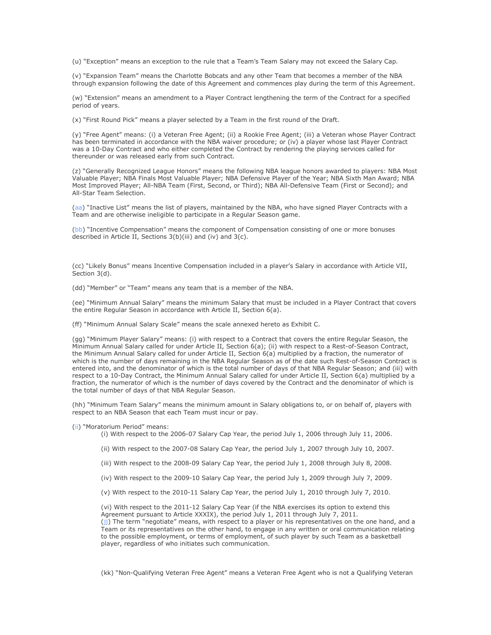(u) "Exception" means an exception to the rule that a Team's Team Salary may not exceed the Salary Cap.

(v) "Expansion Team" means the Charlotte Bobcats and any other Team that becomes a member of the NBA through expansion following the date of this Agreement and commences play during the term of this Agreement.

(w) "Extension" means an amendment to a Player Contract lengthening the term of the Contract for a specified period of years.

(x) "First Round Pick" means a player selected by a Team in the first round of the Draft.

(y) "Free Agent" means: (i) a Veteran Free Agent; (ii) a Rookie Free Agent; (iii) a Veteran whose Player Contract has been terminated in accordance with the NBA waiver procedure; or (iv) a player whose last Player Contract was a 10-Day Contract and who either completed the Contract by rendering the playing services called for thereunder or was released early from such Contract.

(z) "Generally Recognized League Honors" means the following NBA league honors awarded to players: NBA Most Valuable Player; NBA Finals Most Valuable Player; NBA Defensive Player of the Year; NBA Sixth Man Award; NBA Most Improved Player; All-NBA Team (First, Second, or Third); NBA All-Defensive Team (First or Second); and All-Star Team Selection.

(aa) "Inactive List" means the list of players, maintained by the NBA, who have signed Player Contracts with a Team and are otherwise ineligible to participate in a Regular Season game.

(bb) "Incentive Compensation" means the component of Compensation consisting of one or more bonuses described in Article II, Sections 3(b)(iii) and (iv) and 3(c).

(cc) "Likely Bonus" means Incentive Compensation included in a player's Salary in accordance with Article VII, Section 3(d).

(dd) "Member" or "Team" means any team that is a member of the NBA.

(ee) "Minimum Annual Salary" means the minimum Salary that must be included in a Player Contract that covers the entire Regular Season in accordance with Article II, Section 6(a).

(ff) "Minimum Annual Salary Scale" means the scale annexed hereto as Exhibit C.

(gg) "Minimum Player Salary" means: (i) with respect to a Contract that covers the entire Regular Season, the Minimum Annual Salary called for under Article II, Section 6(a); (ii) with respect to a Rest-of-Season Contract, the Minimum Annual Salary called for under Article II, Section 6(a) multiplied by a fraction, the numerator of which is the number of days remaining in the NBA Regular Season as of the date such Rest-of-Season Contract is entered into, and the denominator of which is the total number of days of that NBA Regular Season; and (iii) with respect to a 10-Day Contract, the Minimum Annual Salary called for under Article II, Section 6(a) multiplied by a fraction, the numerator of which is the number of days covered by the Contract and the denominator of which is the total number of days of that NBA Regular Season.

(hh) "Minimum Team Salary" means the minimum amount in Salary obligations to, or on behalf of, players with respect to an NBA Season that each Team must incur or pay.

(ii) "Moratorium Period" means:

(i) With respect to the 2006-07 Salary Cap Year, the period July 1, 2006 through July 11, 2006.

(ii) With respect to the 2007-08 Salary Cap Year, the period July 1, 2007 through July 10, 2007.

(iii) With respect to the 2008-09 Salary Cap Year, the period July 1, 2008 through July 8, 2008.

(iv) With respect to the 2009-10 Salary Cap Year, the period July 1, 2009 through July 7, 2009.

(v) With respect to the 2010-11 Salary Cap Year, the period July 1, 2010 through July 7, 2010.

(vi) With respect to the 2011-12 Salary Cap Year (if the NBA exercises its option to extend this Agreement pursuant to Article XXXIX), the period July 1, 2011 through July 7, 2011.

 $(i)$ ) The term "negotiate" means, with respect to a player or his representatives on the one hand, and a Team or its representatives on the other hand, to engage in any written or oral communication relating to the possible employment, or terms of employment, of such player by such Team as a basketball player, regardless of who initiates such communication.

(kk) "Non-Qualifying Veteran Free Agent" means a Veteran Free Agent who is not a Qualifying Veteran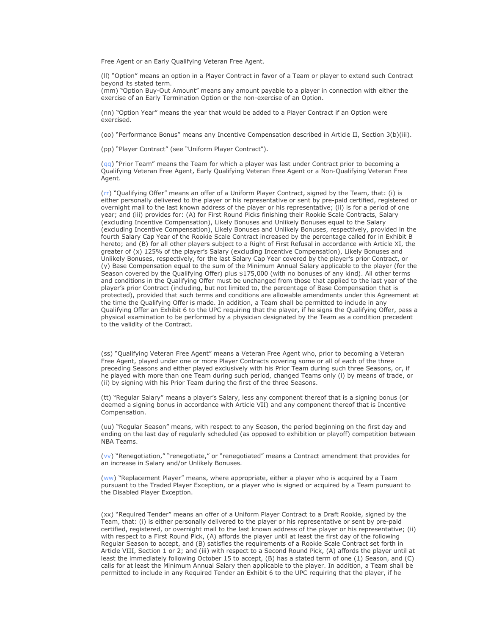Free Agent or an Early Qualifying Veteran Free Agent.

(ll) "Option" means an option in a Player Contract in favor of a Team or player to extend such Contract beyond its stated term.

(mm) "Option Buy-Out Amount" means any amount payable to a player in connection with either the exercise of an Early Termination Option or the non-exercise of an Option.

(nn) "Option Year" means the year that would be added to a Player Contract if an Option were exercised.

(oo) "Performance Bonus" means any Incentive Compensation described in Article II, Section 3(b)(iii).

(pp) "Player Contract" (see "Uniform Player Contract").

(qq) "Prior Team" means the Team for which a player was last under Contract prior to becoming a Qualifying Veteran Free Agent, Early Qualifying Veteran Free Agent or a Non-Qualifying Veteran Free Agent.

(rr) "Qualifying Offer" means an offer of a Uniform Player Contract, signed by the Team, that: (i) is either personally delivered to the player or his representative or sent by pre-paid certified, registered or overnight mail to the last known address of the player or his representative; (ii) is for a period of one year; and (iii) provides for: (A) for First Round Picks finishing their Rookie Scale Contracts, Salary (excluding Incentive Compensation), Likely Bonuses and Unlikely Bonuses equal to the Salary (excluding Incentive Compensation), Likely Bonuses and Unlikely Bonuses, respectively, provided in the fourth Salary Cap Year of the Rookie Scale Contract increased by the percentage called for in Exhibit B hereto; and (B) for all other players subject to a Right of First Refusal in accordance with Article XI, the greater of (x) 125% of the player's Salary (excluding Incentive Compensation), Likely Bonuses and Unlikely Bonuses, respectively, for the last Salary Cap Year covered by the player's prior Contract, or (y) Base Compensation equal to the sum of the Minimum Annual Salary applicable to the player (for the Season covered by the Qualifying Offer) plus \$175,000 (with no bonuses of any kind). All other terms and conditions in the Qualifying Offer must be unchanged from those that applied to the last year of the player's prior Contract (including, but not limited to, the percentage of Base Compensation that is protected), provided that such terms and conditions are allowable amendments under this Agreement at the time the Qualifying Offer is made. In addition, a Team shall be permitted to include in any Qualifying Offer an Exhibit 6 to the UPC requiring that the player, if he signs the Qualifying Offer, pass a physical examination to be performed by a physician designated by the Team as a condition precedent to the validity of the Contract.

(ss) "Qualifying Veteran Free Agent" means a Veteran Free Agent who, prior to becoming a Veteran Free Agent, played under one or more Player Contracts covering some or all of each of the three preceding Seasons and either played exclusively with his Prior Team during such three Seasons, or, if he played with more than one Team during such period, changed Teams only (i) by means of trade, or (ii) by signing with his Prior Team during the first of the three Seasons.

(tt) "Regular Salary" means a player's Salary, less any component thereof that is a signing bonus (or deemed a signing bonus in accordance with Article VII) and any component thereof that is Incentive Compensation.

(uu) "Regular Season" means, with respect to any Season, the period beginning on the first day and ending on the last day of regularly scheduled (as opposed to exhibition or playoff) competition between NBA Teams.

(vv) "Renegotiation," "renegotiate," or "renegotiated" means a Contract amendment that provides for an increase in Salary and/or Unlikely Bonuses.

(ww) "Replacement Player" means, where appropriate, either a player who is acquired by a Team pursuant to the Traded Player Exception, or a player who is signed or acquired by a Team pursuant to the Disabled Player Exception.

(xx) "Required Tender" means an offer of a Uniform Player Contract to a Draft Rookie, signed by the Team, that: (i) is either personally delivered to the player or his representative or sent by pre-paid certified, registered, or overnight mail to the last known address of the player or his representative; (ii) with respect to a First Round Pick, (A) affords the player until at least the first day of the following Regular Season to accept, and (B) satisfies the requirements of a Rookie Scale Contract set forth in Article VIII, Section 1 or 2; and (iii) with respect to a Second Round Pick, (A) affords the player until at least the immediately following October 15 to accept, (B) has a stated term of one (1) Season, and (C) calls for at least the Minimum Annual Salary then applicable to the player. In addition, a Team shall be permitted to include in any Required Tender an Exhibit 6 to the UPC requiring that the player, if he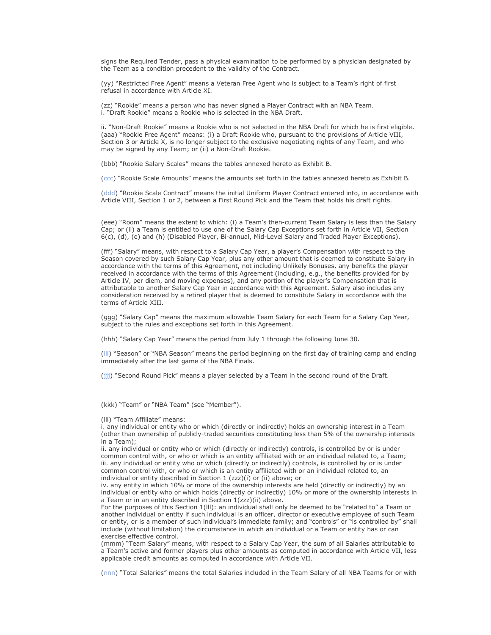signs the Required Tender, pass a physical examination to be performed by a physician designated by the Team as a condition precedent to the validity of the Contract.

(yy) "Restricted Free Agent" means a Veteran Free Agent who is subject to a Team's right of first refusal in accordance with Article XI.

(zz) "Rookie" means a person who has never signed a Player Contract with an NBA Team. i. "Draft Rookie" means a Rookie who is selected in the NBA Draft.

ii. "Non-Draft Rookie" means a Rookie who is not selected in the NBA Draft for which he is first eligible. (aaa) "Rookie Free Agent" means: (i) a Draft Rookie who, pursuant to the provisions of Article VIII, Section 3 or Article  $X<sub>i</sub>$  is no longer subject to the exclusive negotiating rights of any Team, and who may be signed by any Team; or (ii) a Non-Draft Rookie.

(bbb) "Rookie Salary Scales" means the tables annexed hereto as Exhibit B.

(ccc) "Rookie Scale Amounts" means the amounts set forth in the tables annexed hereto as Exhibit B.

(ddd) "Rookie Scale Contract" means the initial Uniform Player Contract entered into, in accordance with Article VIII, Section 1 or 2, between a First Round Pick and the Team that holds his draft rights.

(eee) "Room" means the extent to which: (i) a Team's then-current Team Salary is less than the Salary Cap; or (ii) a Team is entitled to use one of the Salary Cap Exceptions set forth in Article VII, Section 6(c), (d), (e) and (h) (Disabled Player, Bi-annual, Mid-Level Salary and Traded Player Exceptions).

(fff) "Salary" means, with respect to a Salary Cap Year, a player's Compensation with respect to the Season covered by such Salary Cap Year, plus any other amount that is deemed to constitute Salary in accordance with the terms of this Agreement, not including Unlikely Bonuses, any benefits the player received in accordance with the terms of this Agreement (including, e.g., the benefits provided for by Article IV, per diem, and moving expenses), and any portion of the player's Compensation that is attributable to another Salary Cap Year in accordance with this Agreement. Salary also includes any consideration received by a retired player that is deemed to constitute Salary in accordance with the terms of Article XIII.

(ggg) "Salary Cap" means the maximum allowable Team Salary for each Team for a Salary Cap Year, subject to the rules and exceptions set forth in this Agreement.

(hhh) "Salary Cap Year" means the period from July 1 through the following June 30.

(iii) "Season" or "NBA Season" means the period beginning on the first day of training camp and ending immediately after the last game of the NBA Finals.

(jjj) "Second Round Pick" means a player selected by a Team in the second round of the Draft.

(kkk) "Team" or "NBA Team" (see "Member").

(lll) "Team Affiliate" means:

i. any individual or entity who or which (directly or indirectly) holds an ownership interest in a Team (other than ownership of publicly-traded securities constituting less than 5% of the ownership interests in a Team);

ii. any individual or entity who or which (directly or indirectly) controls, is controlled by or is under common control with, or who or which is an entity affiliated with or an individual related to, a Team; iii. any individual or entity who or which (directly or indirectly) controls, is controlled by or is under common control with, or who or which is an entity affiliated with or an individual related to, an individual or entity described in Section 1 (zzz)(i) or (ii) above; or

iv. any entity in which 10% or more of the ownership interests are held (directly or indirectly) by an individual or entity who or which holds (directly or indirectly) 10% or more of the ownership interests in a Team or in an entity described in Section 1(zzz)(ii) above.

For the purposes of this Section 1(lll): an individual shall only be deemed to be "related to" a Team or another individual or entity if such individual is an officer, director or executive employee of such Team or entity, or is a member of such individual's immediate family; and "controls" or "is controlled by" shall include (without limitation) the circumstance in which an individual or a Team or entity has or can exercise effective control.

(mmm) "Team Salary" means, with respect to a Salary Cap Year, the sum of all Salaries attributable to a Team's active and former players plus other amounts as computed in accordance with Article VII, less applicable credit amounts as computed in accordance with Article VII.

(nnn) "Total Salaries" means the total Salaries included in the Team Salary of all NBA Teams for or with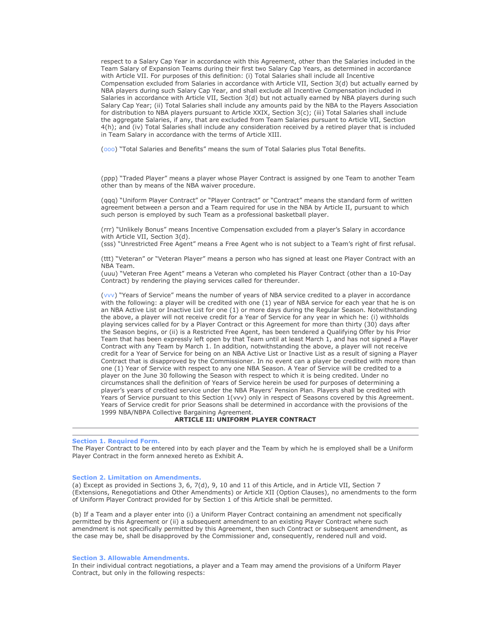respect to a Salary Cap Year in accordance with this Agreement, other than the Salaries included in the Team Salary of Expansion Teams during their first two Salary Cap Years, as determined in accordance with Article VII. For purposes of this definition: (i) Total Salaries shall include all Incentive Compensation excluded from Salaries in accordance with Article VII, Section 3(d) but actually earned by NBA players during such Salary Cap Year, and shall exclude all Incentive Compensation included in Salaries in accordance with Article VII, Section 3(d) but not actually earned by NBA players during such Salary Cap Year; (ii) Total Salaries shall include any amounts paid by the NBA to the Players Association for distribution to NBA players pursuant to Article XXIX, Section 3(c); (iii) Total Salaries shall include the aggregate Salaries, if any, that are excluded from Team Salaries pursuant to Article VII, Section 4(h); and (iv) Total Salaries shall include any consideration received by a retired player that is included in Team Salary in accordance with the terms of Article XIII.

(ooo) "Total Salaries and Benefits" means the sum of Total Salaries plus Total Benefits.

(ppp) "Traded Player" means a player whose Player Contract is assigned by one Team to another Team other than by means of the NBA waiver procedure.

(qqq) "Uniform Player Contract" or "Player Contract" or "Contract" means the standard form of written agreement between a person and a Team required for use in the NBA by Article II, pursuant to which such person is employed by such Team as a professional basketball player.

(rrr) "Unlikely Bonus" means Incentive Compensation excluded from a player's Salary in accordance with Article VII, Section 3(d).

(sss) "Unrestricted Free Agent" means a Free Agent who is not subject to a Team's right of first refusal.

(ttt) "Veteran" or "Veteran Player" means a person who has signed at least one Player Contract with an NBA Team.

(uuu) "Veteran Free Agent" means a Veteran who completed his Player Contract (other than a 10-Day Contract) by rendering the playing services called for thereunder.

(vvv) "Years of Service" means the number of years of NBA service credited to a player in accordance with the following: a player will be credited with one (1) year of NBA service for each year that he is on an NBA Active List or Inactive List for one (1) or more days during the Regular Season. Notwithstanding the above, a player will not receive credit for a Year of Service for any year in which he: (i) withholds playing services called for by a Player Contract or this Agreement for more than thirty (30) days after the Season begins, or (ii) is a Restricted Free Agent, has been tendered a Qualifying Offer by his Prior Team that has been expressly left open by that Team until at least March 1, and has not signed a Player Contract with any Team by March 1. In addition, notwithstanding the above, a player will not receive credit for a Year of Service for being on an NBA Active List or Inactive List as a result of signing a Player Contract that is disapproved by the Commissioner. In no event can a player be credited with more than one (1) Year of Service with respect to any one NBA Season. A Year of Service will be credited to a player on the June 30 following the Season with respect to which it is being credited. Under no circumstances shall the definition of Years of Service herein be used for purposes of determining a player's years of credited service under the NBA Players' Pension Plan. Players shall be credited with Years of Service pursuant to this Section 1(vvv) only in respect of Seasons covered by this Agreement. Years of Service credit for prior Seasons shall be determined in accordance with the provisions of the 1999 NBA/NBPA Collective Bargaining Agreement.

ARTICLE II: UNIFORM PLAYER CONTRACT

### Section 1. Required Form.

The Player Contract to be entered into by each player and the Team by which he is employed shall be a Uniform Player Contract in the form annexed hereto as Exhibit A.

#### Section 2. Limitation on Amendments.

(a) Except as provided in Sections 3, 6, 7(d), 9, 10 and 11 of this Article, and in Article VII, Section 7 (Extensions, Renegotiations and Other Amendments) or Article XII (Option Clauses), no amendments to the form of Uniform Player Contract provided for by Section 1 of this Article shall be permitted.

(b) If a Team and a player enter into (i) a Uniform Player Contract containing an amendment not specifically permitted by this Agreement or (ii) a subsequent amendment to an existing Player Contract where such amendment is not specifically permitted by this Agreement, then such Contract or subsequent amendment, as the case may be, shall be disapproved by the Commissioner and, consequently, rendered null and void.

### Section 3. Allowable Amendments.

In their individual contract negotiations, a player and a Team may amend the provisions of a Uniform Player Contract, but only in the following respects: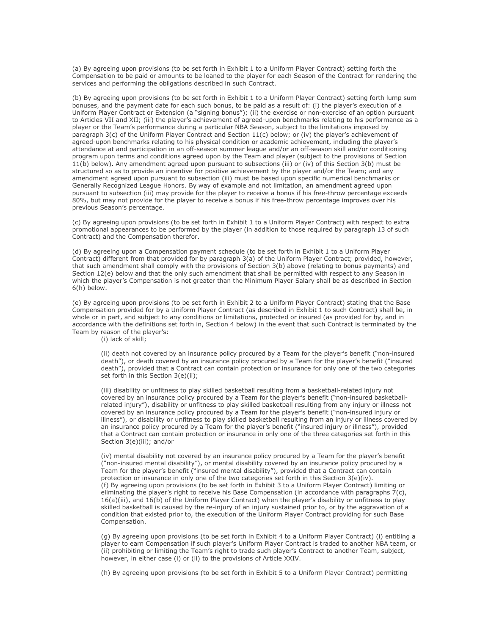(a) By agreeing upon provisions (to be set forth in Exhibit 1 to a Uniform Player Contract) setting forth the Compensation to be paid or amounts to be loaned to the player for each Season of the Contract for rendering the services and performing the obligations described in such Contract.

(b) By agreeing upon provisions (to be set forth in Exhibit 1 to a Uniform Player Contract) setting forth lump sum bonuses, and the payment date for each such bonus, to be paid as a result of: (i) the player's execution of a Uniform Player Contract or Extension (a "signing bonus"); (ii) the exercise or non-exercise of an option pursuant to Articles VII and XII; (iii) the player's achievement of agreed-upon benchmarks relating to his performance as a player or the Team's performance during a particular NBA Season, subject to the limitations imposed by paragraph 3(c) of the Uniform Player Contract and Section 11(c) below; or (iv) the player's achievement of agreed-upon benchmarks relating to his physical condition or academic achievement, including the player's attendance at and participation in an off-season summer league and/or an off-season skill and/or conditioning program upon terms and conditions agreed upon by the Team and player (subject to the provisions of Section 11(b) below). Any amendment agreed upon pursuant to subsections (iii) or (iv) of this Section 3(b) must be structured so as to provide an incentive for positive achievement by the player and/or the Team; and any amendment agreed upon pursuant to subsection (iii) must be based upon specific numerical benchmarks or Generally Recognized League Honors. By way of example and not limitation, an amendment agreed upon pursuant to subsection (iii) may provide for the player to receive a bonus if his free-throw percentage exceeds 80%, but may not provide for the player to receive a bonus if his free-throw percentage improves over his previous Season's percentage.

(c) By agreeing upon provisions (to be set forth in Exhibit 1 to a Uniform Player Contract) with respect to extra promotional appearances to be performed by the player (in addition to those required by paragraph 13 of such Contract) and the Compensation therefor.

(d) By agreeing upon a Compensation payment schedule (to be set forth in Exhibit 1 to a Uniform Player Contract) different from that provided for by paragraph 3(a) of the Uniform Player Contract; provided, however, that such amendment shall comply with the provisions of Section 3(b) above (relating to bonus payments) and Section 12(e) below and that the only such amendment that shall be permitted with respect to any Season in which the player's Compensation is not greater than the Minimum Player Salary shall be as described in Section 6(h) below.

(e) By agreeing upon provisions (to be set forth in Exhibit 2 to a Uniform Player Contract) stating that the Base Compensation provided for by a Uniform Player Contract (as described in Exhibit 1 to such Contract) shall be, in whole or in part, and subject to any conditions or limitations, protected or insured (as provided for by, and in accordance with the definitions set forth in, Section 4 below) in the event that such Contract is terminated by the Team by reason of the player's:

(i) lack of skill;

(ii) death not covered by an insurance policy procured by a Team for the player's benefit ("non-insured death"), or death covered by an insurance policy procured by a Team for the player's benefit ("insured death"), provided that a Contract can contain protection or insurance for only one of the two categories set forth in this Section 3(e)(ii);

(iii) disability or unfitness to play skilled basketball resulting from a basketball-related injury not covered by an insurance policy procured by a Team for the player's benefit ("non-insured basketballrelated injury"), disability or unfitness to play skilled basketball resulting from any injury or illness not covered by an insurance policy procured by a Team for the player's benefit ("non-insured injury or illness"), or disability or unfitness to play skilled basketball resulting from an injury or illness covered by an insurance policy procured by a Team for the player's benefit ("insured injury or illness"), provided that a Contract can contain protection or insurance in only one of the three categories set forth in this Section 3(e)(iii); and/or

(iv) mental disability not covered by an insurance policy procured by a Team for the player's benefit ("non-insured mental disability"), or mental disability covered by an insurance policy procured by a Team for the player's benefit ("insured mental disability"), provided that a Contract can contain protection or insurance in only one of the two categories set forth in this Section 3(e)(iv). (f) By agreeing upon provisions (to be set forth in Exhibit 3 to a Uniform Player Contract) limiting or eliminating the player's right to receive his Base Compensation (in accordance with paragraphs  $7(c)$ , 16(a)(iii), and 16(b) of the Uniform Player Contract) when the player's disability or unfitness to play skilled basketball is caused by the re-injury of an injury sustained prior to, or by the aggravation of a condition that existed prior to, the execution of the Uniform Player Contract providing for such Base Compensation.

(g) By agreeing upon provisions (to be set forth in Exhibit 4 to a Uniform Player Contract) (i) entitling a player to earn Compensation if such player's Uniform Player Contract is traded to another NBA team, or (ii) prohibiting or limiting the Team's right to trade such player's Contract to another Team, subject, however, in either case (i) or (ii) to the provisions of Article XXIV.

(h) By agreeing upon provisions (to be set forth in Exhibit 5 to a Uniform Player Contract) permitting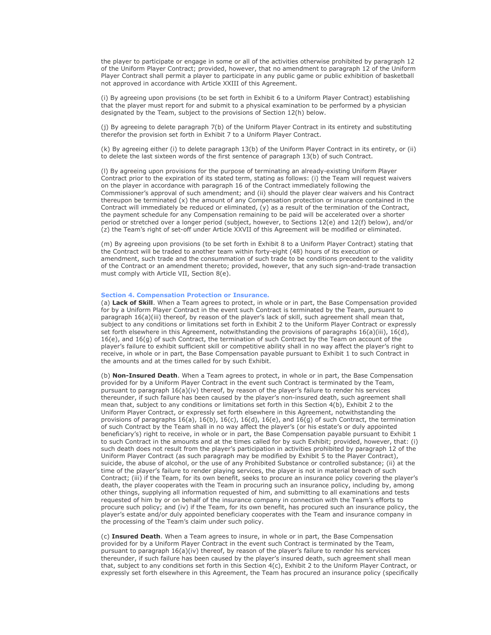the player to participate or engage in some or all of the activities otherwise prohibited by paragraph 12 of the Uniform Player Contract; provided, however, that no amendment to paragraph 12 of the Uniform Player Contract shall permit a player to participate in any public game or public exhibition of basketball not approved in accordance with Article XXIII of this Agreement.

(i) By agreeing upon provisions (to be set forth in Exhibit 6 to a Uniform Player Contract) establishing that the player must report for and submit to a physical examination to be performed by a physician designated by the Team, subject to the provisions of Section 12(h) below.

(j) By agreeing to delete paragraph 7(b) of the Uniform Player Contract in its entirety and substituting therefor the provision set forth in Exhibit 7 to a Uniform Player Contract.

(k) By agreeing either (i) to delete paragraph 13(b) of the Uniform Player Contract in its entirety, or (ii) to delete the last sixteen words of the first sentence of paragraph 13(b) of such Contract.

(l) By agreeing upon provisions for the purpose of terminating an already-existing Uniform Player Contract prior to the expiration of its stated term, stating as follows: (i) the Team will request waivers on the player in accordance with paragraph 16 of the Contract immediately following the Commissioner's approval of such amendment; and (ii) should the player clear waivers and his Contract thereupon be terminated (x) the amount of any Compensation protection or insurance contained in the Contract will immediately be reduced or eliminated, (y) as a result of the termination of the Contract, the payment schedule for any Compensation remaining to be paid will be accelerated over a shorter period or stretched over a longer period (subject, however, to Sections 12(e) and 12(f) below), and/or (z) the Team's right of set-off under Article XXVII of this Agreement will be modified or eliminated.

(m) By agreeing upon provisions (to be set forth in Exhibit 8 to a Uniform Player Contract) stating that the Contract will be traded to another team within forty-eight (48) hours of its execution or amendment, such trade and the consummation of such trade to be conditions precedent to the validity of the Contract or an amendment thereto; provided, however, that any such sign-and-trade transaction must comply with Article VII, Section 8(e).

# Section 4. Compensation Protection or Insurance.

(a) Lack of Skill. When a Team agrees to protect, in whole or in part, the Base Compensation provided for by a Uniform Player Contract in the event such Contract is terminated by the Team, pursuant to paragraph 16(a)(iii) thereof, by reason of the player's lack of skill, such agreement shall mean that, subject to any conditions or limitations set forth in Exhibit 2 to the Uniform Player Contract or expressly set forth elsewhere in this Agreement, notwithstanding the provisions of paragraphs 16(a)(iii), 16(d), 16(e), and 16(g) of such Contract, the termination of such Contract by the Team on account of the player's failure to exhibit sufficient skill or competitive ability shall in no way affect the player's right to receive, in whole or in part, the Base Compensation payable pursuant to Exhibit 1 to such Contract in the amounts and at the times called for by such Exhibit.

(b) Non-Insured Death. When a Team agrees to protect, in whole or in part, the Base Compensation provided for by a Uniform Player Contract in the event such Contract is terminated by the Team, pursuant to paragraph 16(a)(iv) thereof, by reason of the player's failure to render his services thereunder, if such failure has been caused by the player's non-insured death, such agreement shall mean that, subject to any conditions or limitations set forth in this Section 4(b), Exhibit 2 to the Uniform Player Contract, or expressly set forth elsewhere in this Agreement, notwithstanding the provisions of paragraphs  $16(a)$ ,  $16(b)$ ,  $16(c)$ ,  $16(d)$ ,  $16(e)$ , and  $16(g)$  of such Contract, the termination of such Contract by the Team shall in no way affect the player's (or his estate's or duly appointed beneficiary's) right to receive, in whole or in part, the Base Compensation payable pursuant to Exhibit 1 to such Contract in the amounts and at the times called for by such Exhibit; provided, however, that: (i) such death does not result from the player's participation in activities prohibited by paragraph 12 of the Uniform Player Contract (as such paragraph may be modified by Exhibit 5 to the Player Contract), suicide, the abuse of alcohol, or the use of any Prohibited Substance or controlled substance; (ii) at the time of the player's failure to render playing services, the player is not in material breach of such Contract; (iii) if the Team, for its own benefit, seeks to procure an insurance policy covering the player's death, the player cooperates with the Team in procuring such an insurance policy, including by, among other things, supplying all information requested of him, and submitting to all examinations and tests requested of him by or on behalf of the insurance company in connection with the Team's efforts to procure such policy; and (iv) if the Team, for its own benefit, has procured such an insurance policy, the player's estate and/or duly appointed beneficiary cooperates with the Team and insurance company in the processing of the Team's claim under such policy.

(c) Insured Death. When a Team agrees to insure, in whole or in part, the Base Compensation provided for by a Uniform Player Contract in the event such Contract is terminated by the Team, pursuant to paragraph 16(a)(iv) thereof, by reason of the player's failure to render his services thereunder, if such failure has been caused by the player's insured death, such agreement shall mean that, subject to any conditions set forth in this Section 4(c), Exhibit 2 to the Uniform Player Contract, or expressly set forth elsewhere in this Agreement, the Team has procured an insurance policy (specifically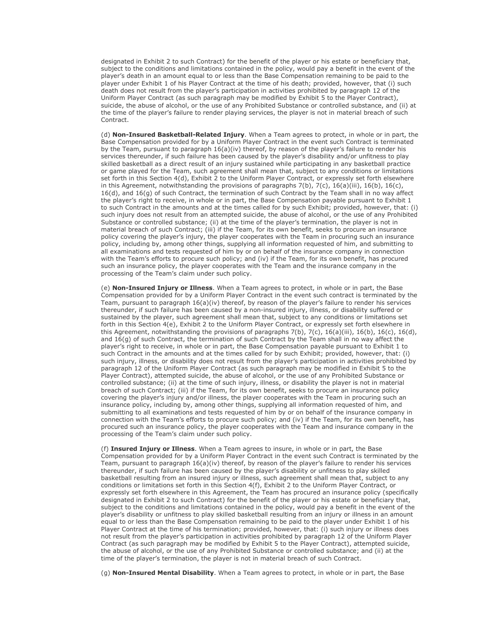designated in Exhibit 2 to such Contract) for the benefit of the player or his estate or beneficiary that, subject to the conditions and limitations contained in the policy, would pay a benefit in the event of the player's death in an amount equal to or less than the Base Compensation remaining to be paid to the player under Exhibit 1 of his Player Contract at the time of his death; provided, however, that (i) such death does not result from the player's participation in activities prohibited by paragraph 12 of the Uniform Player Contract (as such paragraph may be modified by Exhibit 5 to the Player Contract), suicide, the abuse of alcohol, or the use of any Prohibited Substance or controlled substance, and (ii) at the time of the player's failure to render playing services, the player is not in material breach of such Contract.

(d) Non-Insured Basketball-Related Injury. When a Team agrees to protect, in whole or in part, the Base Compensation provided for by a Uniform Player Contract in the event such Contract is terminated by the Team, pursuant to paragraph 16(a)(iv) thereof, by reason of the player's failure to render his services thereunder, if such failure has been caused by the player's disability and/or unfitness to play skilled basketball as a direct result of an injury sustained while participating in any basketball practice or game played for the Team, such agreement shall mean that, subject to any conditions or limitations set forth in this Section 4(d), Exhibit 2 to the Uniform Player Contract, or expressly set forth elsewhere in this Agreement, notwithstanding the provisions of paragraphs  $7(b)$ ,  $7(c)$ ,  $16(a)(iii)$ ,  $16(b)$ ,  $16(c)$ , 16(d), and 16(g) of such Contract, the termination of such Contract by the Team shall in no way affect the player's right to receive, in whole or in part, the Base Compensation payable pursuant to Exhibit 1 to such Contract in the amounts and at the times called for by such Exhibit; provided, however, that: (i) such injury does not result from an attempted suicide, the abuse of alcohol, or the use of any Prohibited Substance or controlled substance; (ii) at the time of the player's termination, the player is not in material breach of such Contract; (iii) if the Team, for its own benefit, seeks to procure an insurance policy covering the player's injury, the player cooperates with the Team in procuring such an insurance policy, including by, among other things, supplying all information requested of him, and submitting to all examinations and tests requested of him by or on behalf of the insurance company in connection with the Team's efforts to procure such policy; and (iv) if the Team, for its own benefit, has procured such an insurance policy, the player cooperates with the Team and the insurance company in the processing of the Team's claim under such policy.

(e) Non-Insured Injury or Illness. When a Team agrees to protect, in whole or in part, the Base Compensation provided for by a Uniform Player Contract in the event such contract is terminated by the Team, pursuant to paragraph 16(a)(iv) thereof, by reason of the player's failure to render his services thereunder, if such failure has been caused by a non-insured injury, illness, or disability suffered or sustained by the player, such agreement shall mean that, subject to any conditions or limitations set forth in this Section 4(e), Exhibit 2 to the Uniform Player Contract, or expressly set forth elsewhere in this Agreement, notwithstanding the provisions of paragraphs  $7(b)$ ,  $7(c)$ ,  $16(a)$ (iii),  $16(b)$ ,  $16(c)$ ,  $16(d)$ , and 16(g) of such Contract, the termination of such Contract by the Team shall in no way affect the player's right to receive, in whole or in part, the Base Compensation payable pursuant to Exhibit 1 to such Contract in the amounts and at the times called for by such Exhibit; provided, however, that: (i) such injury, illness, or disability does not result from the player's participation in activities prohibited by paragraph 12 of the Uniform Player Contract (as such paragraph may be modified in Exhibit 5 to the Player Contract), attempted suicide, the abuse of alcohol, or the use of any Prohibited Substance or controlled substance; (ii) at the time of such injury, illness, or disability the player is not in material breach of such Contract; (iii) if the Team, for its own benefit, seeks to procure an insurance policy covering the player's injury and/or illness, the player cooperates with the Team in procuring such an insurance policy, including by, among other things, supplying all information requested of him, and submitting to all examinations and tests requested of him by or on behalf of the insurance company in connection with the Team's efforts to procure such policy; and (iv) if the Team, for its own benefit, has procured such an insurance policy, the player cooperates with the Team and insurance company in the processing of the Team's claim under such policy.

(f) Insured Injury or Illness. When a Team agrees to insure, in whole or in part, the Base Compensation provided for by a Uniform Player Contract in the event such Contract is terminated by the Team, pursuant to paragraph 16(a)(iv) thereof, by reason of the player's failure to render his services thereunder, if such failure has been caused by the player's disability or unfitness to play skilled basketball resulting from an insured injury or illness, such agreement shall mean that, subject to any conditions or limitations set forth in this Section 4(f), Exhibit 2 to the Uniform Player Contract, or expressly set forth elsewhere in this Agreement, the Team has procured an insurance policy (specifically designated in Exhibit 2 to such Contract) for the benefit of the player or his estate or beneficiary that, subject to the conditions and limitations contained in the policy, would pay a benefit in the event of the player's disability or unfitness to play skilled basketball resulting from an injury or illness in an amount equal to or less than the Base Compensation remaining to be paid to the player under Exhibit 1 of his Player Contract at the time of his termination; provided, however, that: (i) such injury or illness does not result from the player's participation in activities prohibited by paragraph 12 of the Uniform Player Contract (as such paragraph may be modified by Exhibit 5 to the Player Contract), attempted suicide, the abuse of alcohol, or the use of any Prohibited Substance or controlled substance; and (ii) at the time of the player's termination, the player is not in material breach of such Contract.

(g) Non-Insured Mental Disability. When a Team agrees to protect, in whole or in part, the Base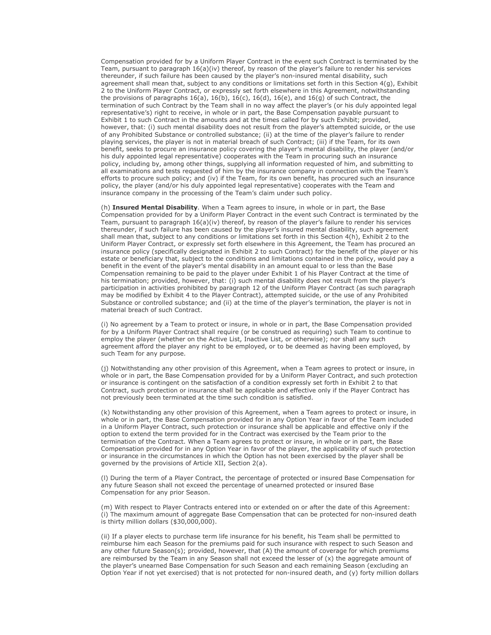Compensation provided for by a Uniform Player Contract in the event such Contract is terminated by the Team, pursuant to paragraph 16(a)(iv) thereof, by reason of the player's failure to render his services thereunder, if such failure has been caused by the player's non-insured mental disability, such agreement shall mean that, subject to any conditions or limitations set forth in this Section 4(g), Exhibit 2 to the Uniform Player Contract, or expressly set forth elsewhere in this Agreement, notwithstanding the provisions of paragraphs  $16(a)$ ,  $16(b)$ ,  $16(c)$ ,  $16(d)$ ,  $16(e)$ , and  $16(g)$  of such Contract, the termination of such Contract by the Team shall in no way affect the player's (or his duly appointed legal representative's) right to receive, in whole or in part, the Base Compensation payable pursuant to Exhibit 1 to such Contract in the amounts and at the times called for by such Exhibit; provided, however, that: (i) such mental disability does not result from the player's attempted suicide, or the use of any Prohibited Substance or controlled substance; (ii) at the time of the player's failure to render playing services, the player is not in material breach of such Contract; (iii) if the Team, for its own benefit, seeks to procure an insurance policy covering the player's mental disability, the player (and/or his duly appointed legal representative) cooperates with the Team in procuring such an insurance policy, including by, among other things, supplying all information requested of him, and submitting to all examinations and tests requested of him by the insurance company in connection with the Team's efforts to procure such policy; and (iv) if the Team, for its own benefit, has procured such an insurance policy, the player (and/or his duly appointed legal representative) cooperates with the Team and insurance company in the processing of the Team's claim under such policy.

(h) Insured Mental Disability. When a Team agrees to insure, in whole or in part, the Base Compensation provided for by a Uniform Player Contract in the event such Contract is terminated by the Team, pursuant to paragraph 16(a)(iv) thereof, by reason of the player's failure to render his services thereunder, if such failure has been caused by the player's insured mental disability, such agreement shall mean that, subject to any conditions or limitations set forth in this Section 4(h), Exhibit 2 to the Uniform Player Contract, or expressly set forth elsewhere in this Agreement, the Team has procured an insurance policy (specifically designated in Exhibit 2 to such Contract) for the benefit of the player or his estate or beneficiary that, subject to the conditions and limitations contained in the policy, would pay a benefit in the event of the player's mental disability in an amount equal to or less than the Base Compensation remaining to be paid to the player under Exhibit 1 of his Player Contract at the time of his termination; provided, however, that: (i) such mental disability does not result from the player's participation in activities prohibited by paragraph 12 of the Uniform Player Contract (as such paragraph may be modified by Exhibit 4 to the Player Contract), attempted suicide, or the use of any Prohibited Substance or controlled substance; and (ii) at the time of the player's termination, the player is not in material breach of such Contract.

(i) No agreement by a Team to protect or insure, in whole or in part, the Base Compensation provided for by a Uniform Player Contract shall require (or be construed as requiring) such Team to continue to employ the player (whether on the Active List, Inactive List, or otherwise); nor shall any such agreement afford the player any right to be employed, or to be deemed as having been employed, by such Team for any purpose.

(j) Notwithstanding any other provision of this Agreement, when a Team agrees to protect or insure, in whole or in part, the Base Compensation provided for by a Uniform Player Contract, and such protection or insurance is contingent on the satisfaction of a condition expressly set forth in Exhibit 2 to that Contract, such protection or insurance shall be applicable and effective only if the Player Contract has not previously been terminated at the time such condition is satisfied.

(k) Notwithstanding any other provision of this Agreement, when a Team agrees to protect or insure, in whole or in part, the Base Compensation provided for in any Option Year in favor of the Team included in a Uniform Player Contract, such protection or insurance shall be applicable and effective only if the option to extend the term provided for in the Contract was exercised by the Team prior to the termination of the Contract. When a Team agrees to protect or insure, in whole or in part, the Base Compensation provided for in any Option Year in favor of the player, the applicability of such protection or insurance in the circumstances in which the Option has not been exercised by the player shall be governed by the provisions of Article XII, Section 2(a).

(l) During the term of a Player Contract, the percentage of protected or insured Base Compensation for any future Season shall not exceed the percentage of unearned protected or insured Base Compensation for any prior Season.

(m) With respect to Player Contracts entered into or extended on or after the date of this Agreement: (i) The maximum amount of aggregate Base Compensation that can be protected for non-insured death is thirty million dollars (\$30,000,000).

(ii) If a player elects to purchase term life insurance for his benefit, his Team shall be permitted to reimburse him each Season for the premiums paid for such insurance with respect to such Season and any other future Season(s); provided, however, that (A) the amount of coverage for which premiums are reimbursed by the Team in any Season shall not exceed the lesser of  $(x)$  the aggregate amount of the player's unearned Base Compensation for such Season and each remaining Season (excluding an Option Year if not yet exercised) that is not protected for non-insured death, and (y) forty million dollars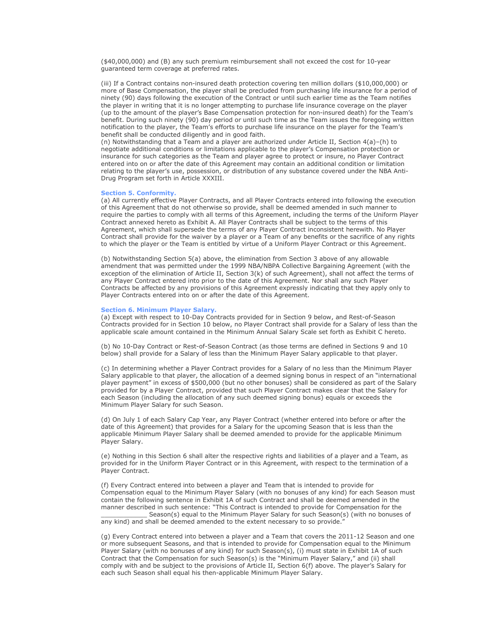(\$40,000,000) and (B) any such premium reimbursement shall not exceed the cost for 10-year guaranteed term coverage at preferred rates.

(iii) If a Contract contains non-insured death protection covering ten million dollars (\$10,000,000) or more of Base Compensation, the player shall be precluded from purchasing life insurance for a period of ninety (90) days following the execution of the Contract or until such earlier time as the Team notifies the player in writing that it is no longer attempting to purchase life insurance coverage on the player (up to the amount of the player's Base Compensation protection for non-insured death) for the Team's benefit. During such ninety (90) day period or until such time as the Team issues the foregoing written notification to the player, the Team's efforts to purchase life insurance on the player for the Team's benefit shall be conducted diligently and in good faith.

(n) Notwithstanding that a Team and a player are authorized under Article II, Section 4(a)–(h) to negotiate additional conditions or limitations applicable to the player's Compensation protection or insurance for such categories as the Team and player agree to protect or insure, no Player Contract entered into on or after the date of this Agreement may contain an additional condition or limitation relating to the player's use, possession, or distribution of any substance covered under the NBA Anti-Drug Program set forth in Article XXXIII.

# Section 5. Conformity.

(a) All currently effective Player Contracts, and all Player Contracts entered into following the execution of this Agreement that do not otherwise so provide, shall be deemed amended in such manner to require the parties to comply with all terms of this Agreement, including the terms of the Uniform Player Contract annexed hereto as Exhibit A. All Player Contracts shall be subject to the terms of this Agreement, which shall supersede the terms of any Player Contract inconsistent herewith. No Player Contract shall provide for the waiver by a player or a Team of any benefits or the sacrifice of any rights to which the player or the Team is entitled by virtue of a Uniform Player Contract or this Agreement.

(b) Notwithstanding Section 5(a) above, the elimination from Section 3 above of any allowable amendment that was permitted under the 1999 NBA/NBPA Collective Bargaining Agreement (with the exception of the elimination of Article II, Section 3(k) of such Agreement), shall not affect the terms of any Player Contract entered into prior to the date of this Agreement. Nor shall any such Player Contracts be affected by any provisions of this Agreement expressly indicating that they apply only to Player Contracts entered into on or after the date of this Agreement.

# Section 6. Minimum Player Salary.

(a) Except with respect to 10-Day Contracts provided for in Section 9 below, and Rest-of-Season Contracts provided for in Section 10 below, no Player Contract shall provide for a Salary of less than the applicable scale amount contained in the Minimum Annual Salary Scale set forth as Exhibit C hereto.

(b) No 10-Day Contract or Rest-of-Season Contract (as those terms are defined in Sections 9 and 10 below) shall provide for a Salary of less than the Minimum Player Salary applicable to that player.

(c) In determining whether a Player Contract provides for a Salary of no less than the Minimum Player Salary applicable to that player, the allocation of a deemed signing bonus in respect of an "international player payment" in excess of \$500,000 (but no other bonuses) shall be considered as part of the Salary provided for by a Player Contract, provided that such Player Contract makes clear that the Salary for each Season (including the allocation of any such deemed signing bonus) equals or exceeds the Minimum Player Salary for such Season.

(d) On July 1 of each Salary Cap Year, any Player Contract (whether entered into before or after the date of this Agreement) that provides for a Salary for the upcoming Season that is less than the applicable Minimum Player Salary shall be deemed amended to provide for the applicable Minimum Player Salary.

(e) Nothing in this Section 6 shall alter the respective rights and liabilities of a player and a Team, as provided for in the Uniform Player Contract or in this Agreement, with respect to the termination of a Player Contract.

(f) Every Contract entered into between a player and Team that is intended to provide for Compensation equal to the Minimum Player Salary (with no bonuses of any kind) for each Season must contain the following sentence in Exhibit 1A of such Contract and shall be deemed amended in the manner described in such sentence: "This Contract is intended to provide for Compensation for the Season(s) equal to the Minimum Player Salary for such Season(s) (with no bonuses of any kind) and shall be deemed amended to the extent necessary to so provide.

(g) Every Contract entered into between a player and a Team that covers the 2011-12 Season and one or more subsequent Seasons, and that is intended to provide for Compensation equal to the Minimum Player Salary (with no bonuses of any kind) for such Season(s), (i) must state in Exhibit 1A of such Contract that the Compensation for such Season(s) is the "Minimum Player Salary," and (ii) shall comply with and be subject to the provisions of Article II, Section 6(f) above. The player's Salary for each such Season shall equal his then-applicable Minimum Player Salary.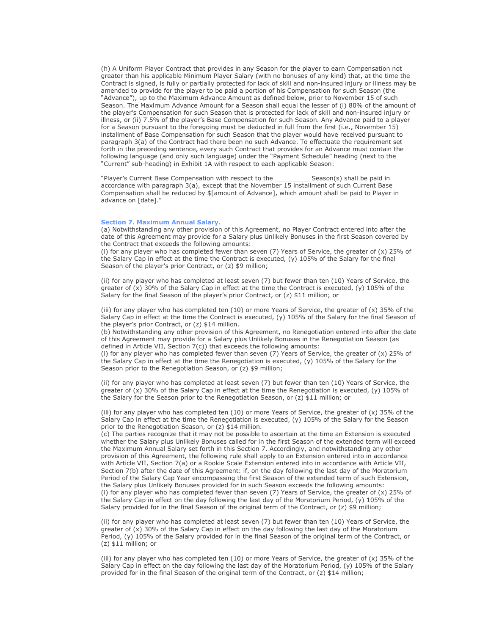(h) A Uniform Player Contract that provides in any Season for the player to earn Compensation not greater than his applicable Minimum Player Salary (with no bonuses of any kind) that, at the time the Contract is signed, is fully or partially protected for lack of skill and non-insured injury or illness may be amended to provide for the player to be paid a portion of his Compensation for such Season (the "Advance"), up to the Maximum Advance Amount as defined below, prior to November 15 of such Season. The Maximum Advance Amount for a Season shall equal the lesser of (i) 80% of the amount of the player's Compensation for such Season that is protected for lack of skill and non-insured injury or illness, or (ii) 7.5% of the player's Base Compensation for such Season. Any Advance paid to a player for a Season pursuant to the foregoing must be deducted in full from the first (i.e., November 15) installment of Base Compensation for such Season that the player would have received pursuant to paragraph 3(a) of the Contract had there been no such Advance. To effectuate the requirement set forth in the preceding sentence, every such Contract that provides for an Advance must contain the following language (and only such language) under the "Payment Schedule" heading (next to the "Current" sub-heading) in Exhibit 1A with respect to each applicable Season:

"Player's Current Base Compensation with respect to the \_\_\_\_\_\_\_\_\_ Season(s) shall be paid in accordance with paragraph 3(a), except that the November 15 installment of such Current Base Compensation shall be reduced by \$[amount of Advance], which amount shall be paid to Player in advance on [date]."

# Section 7. Maximum Annual Salary.

(a) Notwithstanding any other provision of this Agreement, no Player Contract entered into after the date of this Agreement may provide for a Salary plus Unlikely Bonuses in the first Season covered by the Contract that exceeds the following amounts:

(i) for any player who has completed fewer than seven (7) Years of Service, the greater of (x) 25% of the Salary Cap in effect at the time the Contract is executed, (y) 105% of the Salary for the final Season of the player's prior Contract, or (z) \$9 million;

(ii) for any player who has completed at least seven (7) but fewer than ten (10) Years of Service, the greater of (x) 30% of the Salary Cap in effect at the time the Contract is executed, (y) 105% of the Salary for the final Season of the player's prior Contract, or (z) \$11 million; or

(iii) for any player who has completed ten  $(10)$  or more Years of Service, the greater of  $(x)$  35% of the Salary Cap in effect at the time the Contract is executed, (y) 105% of the Salary for the final Season of the player's prior Contract, or (z) \$14 million.

(b) Notwithstanding any other provision of this Agreement, no Renegotiation entered into after the date of this Agreement may provide for a Salary plus Unlikely Bonuses in the Renegotiation Season (as defined in Article VII, Section  $7(c)$ ) that exceeds the following amounts:

(i) for any player who has completed fewer than seven (7) Years of Service, the greater of (x) 25% of the Salary Cap in effect at the time the Renegotiation is executed, (y) 105% of the Salary for the Season prior to the Renegotiation Season, or (z) \$9 million;

(ii) for any player who has completed at least seven (7) but fewer than ten (10) Years of Service, the greater of (x) 30% of the Salary Cap in effect at the time the Renegotiation is executed, (y) 105% of the Salary for the Season prior to the Renegotiation Season, or (z) \$11 million; or

(iii) for any player who has completed ten (10) or more Years of Service, the greater of (x) 35% of the Salary Cap in effect at the time the Renegotiation is executed, (y) 105% of the Salary for the Season prior to the Renegotiation Season, or (z) \$14 million.

(c) The parties recognize that it may not be possible to ascertain at the time an Extension is executed whether the Salary plus Unlikely Bonuses called for in the first Season of the extended term will exceed the Maximum Annual Salary set forth in this Section 7. Accordingly, and notwithstanding any other provision of this Agreement, the following rule shall apply to an Extension entered into in accordance with Article VII, Section 7(a) or a Rookie Scale Extension entered into in accordance with Article VII, Section 7(b) after the date of this Agreement: if, on the day following the last day of the Moratorium Period of the Salary Cap Year encompassing the first Season of the extended term of such Extension, the Salary plus Unlikely Bonuses provided for in such Season exceeds the following amounts: (i) for any player who has completed fewer than seven (7) Years of Service, the greater of (x) 25% of the Salary Cap in effect on the day following the last day of the Moratorium Period, (y) 105% of the Salary provided for in the final Season of the original term of the Contract, or (z) \$9 million;

(ii) for any player who has completed at least seven (7) but fewer than ten (10) Years of Service, the greater of (x) 30% of the Salary Cap in effect on the day following the last day of the Moratorium Period, (y) 105% of the Salary provided for in the final Season of the original term of the Contract, or (z) \$11 million; or

(iii) for any player who has completed ten  $(10)$  or more Years of Service, the greater of  $(x)$  35% of the Salary Cap in effect on the day following the last day of the Moratorium Period, (y) 105% of the Salary provided for in the final Season of the original term of the Contract, or (z) \$14 million;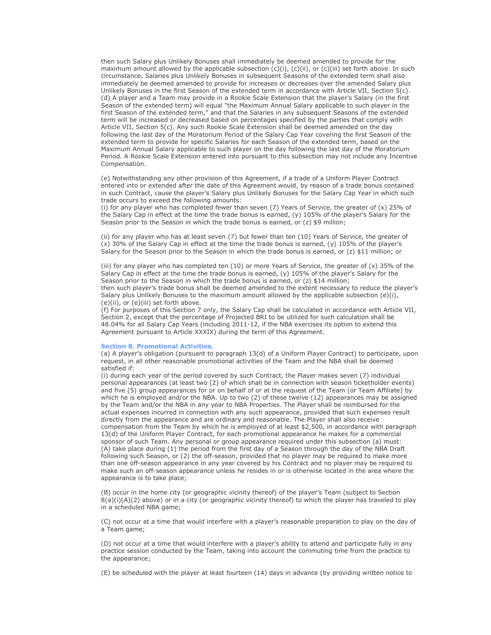then such Salary plus Unlikely Bonuses shall immediately be deemed amended to provide for the maximum amount allowed by the applicable subsection  $(c)(i)$ ,  $(c)(ii)$ , or  $(c)(iii)$  set forth above. In such circumstance, Salaries plus Unlikely Bonuses in subsequent Seasons of the extended term shall also immediately be deemed amended to provide for increases or decreases over the amended Salary plus Unlikely Bonuses in the first Season of the extended term in accordance with Article VII, Section 5(c). (d) A player and a Team may provide in a Rookie Scale Extension that the player's Salary (in the first Season of the extended term) will equal "the Maximum Annual Salary applicable to such player in the first Season of the extended term," and that the Salaries in any subsequent Seasons of the extended term will be increased or decreased based on percentages specified by the parties that comply with Article VII, Section 5(c). Any such Rookie Scale Extension shall be deemed amended on the day following the last day of the Moratorium Period of the Salary Cap Year covering the first Season of the extended term to provide for specific Salaries for each Season of the extended term, based on the Maximum Annual Salary applicable to such player on the day following the last day of the Moratorium Period. A Rookie Scale Extension entered into pursuant to this subsection may not include any Incentive Compensation.

(e) Notwithstanding any other provision of this Agreement, if a trade of a Uniform Player Contract entered into or extended after the date of this Agreement would, by reason of a trade bonus contained in such Contract, cause the player's Salary plus Unlikely Bonuses for the Salary Cap Year in which such trade occurs to exceed the following amounts:

(i) for any player who has completed fewer than seven (7) Years of Service, the greater of (x) 25% of the Salary Cap in effect at the time the trade bonus is earned, (y) 105% of the player's Salary for the Season prior to the Season in which the trade bonus is earned, or  $(z)$  \$9 million;

(ii) for any player who has at least seven (7) but fewer than ten (10) Years of Service, the greater of (x) 30% of the Salary Cap in effect at the time the trade bonus is earned, (y) 105% of the player's Salary for the Season prior to the Season in which the trade bonus is earned, or (z) \$11 million; or

(iii) for any player who has completed ten  $(10)$  or more Years of Service, the greater of  $(x)$  35% of the Salary Cap in effect at the time the trade bonus is earned,  $(y)$  105% of the player's Salary for the Season prior to the Season in which the trade bonus is earned, or (z) \$14 million; then such player's trade bonus shall be deemed amended to the extent necessary to reduce the player's Salary plus Unlikely Bonuses to the maximum amount allowed by the applicable subsection (e)(i), (e)(ii), or (e)(iii) set forth above.

(f) For purposes of this Section 7 only, the Salary Cap shall be calculated in accordance with Article VII, Section 2, except that the percentage of Projected BRI to be utilized for such calculation shall be 48.04% for all Salary Cap Years (including 2011-12, if the NBA exercises its option to extend this Agreement pursuant to Article XXXIX) during the term of this Agreement.

#### Section 8. Promotional Activities.

(a) A player's obligation (pursuant to paragraph 13(d) of a Uniform Player Contract) to participate, upon request, in all other reasonable promotional activities of the Team and the NBA shall be deemed satisfied if:

(i) during each year of the period covered by such Contract, the Player makes seven (7) individual personal appearances (at least two (2) of which shall be in connection with season ticketholder events) and five (5) group appearances for or on behalf of or at the request of the Team (or Team Affiliate) by which he is employed and/or the NBA. Up to two (2) of these twelve (12) appearances may be assigned by the Team and/or the NBA in any year to NBA Properties. The Player shall be reimbursed for the actual expenses incurred in connection with any such appearance, provided that such expenses result directly from the appearance and are ordinary and reasonable. The Player shall also receive compensation from the Team by which he is employed of at least \$2,500, in accordance with paragraph 13(d) of the Uniform Player Contract, for each promotional appearance he makes for a commercial sponsor of such Team. Any personal or group appearance required under this subsection (a) must: (A) take place during (1) the period from the first day of a Season through the day of the NBA Draft following such Season, or (2) the off-season, provided that no player may be required to make more than one off-season appearance in any year covered by his Contract and no player may be required to make such an off-season appearance unless he resides in or is otherwise located in the area where the appearance is to take place;

(B) occur in the home city (or geographic vicinity thereof) of the player's Team (subject to Section  $8(a)(i)(A)(2)$  above) or in a city (or geographic vicinity thereof) to which the player has traveled to play in a scheduled NBA game;

(C) not occur at a time that would interfere with a player's reasonable preparation to play on the day of a Team game;

(D) not occur at a time that would interfere with a player's ability to attend and participate fully in any practice session conducted by the Team, taking into account the commuting time from the practice to the appearance;

(E) be scheduled with the player at least fourteen (14) days in advance (by providing written notice to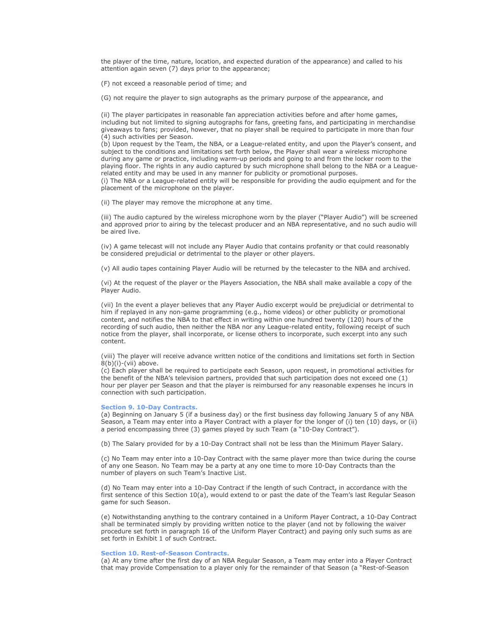the player of the time, nature, location, and expected duration of the appearance) and called to his attention again seven (7) days prior to the appearance;

(F) not exceed a reasonable period of time; and

(G) not require the player to sign autographs as the primary purpose of the appearance, and

(ii) The player participates in reasonable fan appreciation activities before and after home games, including but not limited to signing autographs for fans, greeting fans, and participating in merchandise giveaways to fans; provided, however, that no player shall be required to participate in more than four (4) such activities per Season.

(b) Upon request by the Team, the NBA, or a League-related entity, and upon the Player's consent, and subject to the conditions and limitations set forth below, the Player shall wear a wireless microphone during any game or practice, including warm-up periods and going to and from the locker room to the playing floor. The rights in any audio captured by such microphone shall belong to the NBA or a Leaguerelated entity and may be used in any manner for publicity or promotional purposes.

(i) The NBA or a League-related entity will be responsible for providing the audio equipment and for the placement of the microphone on the player.

(ii) The player may remove the microphone at any time.

(iii) The audio captured by the wireless microphone worn by the player ("Player Audio") will be screened and approved prior to airing by the telecast producer and an NBA representative, and no such audio will be aired live.

(iv) A game telecast will not include any Player Audio that contains profanity or that could reasonably be considered prejudicial or detrimental to the player or other players.

(v) All audio tapes containing Player Audio will be returned by the telecaster to the NBA and archived.

(vi) At the request of the player or the Players Association, the NBA shall make available a copy of the Player Audio.

(vii) In the event a player believes that any Player Audio excerpt would be prejudicial or detrimental to him if replayed in any non-game programming (e.g., home videos) or other publicity or promotional content, and notifies the NBA to that effect in writing within one hundred twenty (120) hours of the recording of such audio, then neither the NBA nor any League-related entity, following receipt of such notice from the player, shall incorporate, or license others to incorporate, such excerpt into any such content.

(viii) The player will receive advance written notice of the conditions and limitations set forth in Section  $8(b)(i)-(vii)$  above.

(c) Each player shall be required to participate each Season, upon request, in promotional activities for the benefit of the NBA's television partners, provided that such participation does not exceed one (1) hour per player per Season and that the player is reimbursed for any reasonable expenses he incurs in connection with such participation.

# Section 9. 10-Day Contracts.

(a) Beginning on January 5 (if a business day) or the first business day following January 5 of any NBA Season, a Team may enter into a Player Contract with a player for the longer of (i) ten (10) days, or (ii) a period encompassing three (3) games played by such Team (a "10-Day Contract").

(b) The Salary provided for by a 10-Day Contract shall not be less than the Minimum Player Salary.

(c) No Team may enter into a 10-Day Contract with the same player more than twice during the course of any one Season. No Team may be a party at any one time to more 10-Day Contracts than the number of players on such Team's Inactive List.

(d) No Team may enter into a 10-Day Contract if the length of such Contract, in accordance with the first sentence of this Section 10(a), would extend to or past the date of the Team's last Regular Season game for such Season.

(e) Notwithstanding anything to the contrary contained in a Uniform Player Contract, a 10-Day Contract shall be terminated simply by providing written notice to the player (and not by following the waiver procedure set forth in paragraph 16 of the Uniform Player Contract) and paying only such sums as are set forth in Exhibit 1 of such Contract.

# Section 10. Rest-of-Season Contracts.

(a) At any time after the first day of an NBA Regular Season, a Team may enter into a Player Contract that may provide Compensation to a player only for the remainder of that Season (a "Rest-of-Season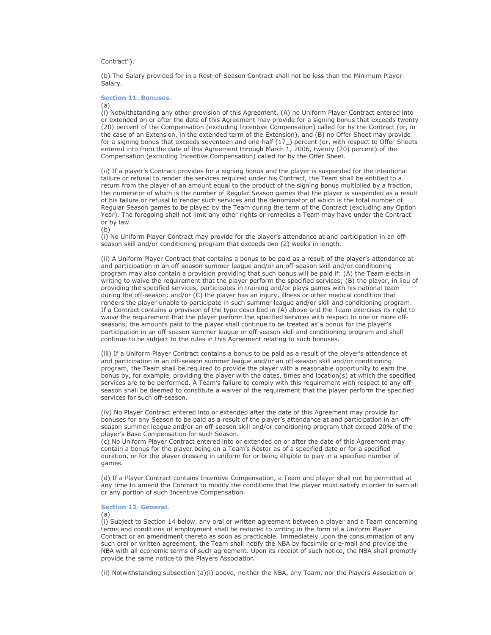# Contract").

(b) The Salary provided for in a Rest-of-Season Contract shall not be less than the Minimum Player Salary.

# Section 11. Bonuses.

(a)

(i) Notwithstanding any other provision of this Agreement, (A) no Uniform Player Contract entered into or extended on or after the date of this Agreement may provide for a signing bonus that exceeds twenty (20) percent of the Compensation (excluding Incentive Compensation) called for by the Contract (or, in the case of an Extension, in the extended term of the Extension), and (B) no Offer Sheet may provide for a signing bonus that exceeds seventeen and one-half (17\_) percent (or, with respect to Offer Sheets entered into from the date of this Agreement through March 1, 2006, twenty (20) percent) of the Compensation (excluding Incentive Compensation) called for by the Offer Sheet.

(ii) If a player's Contract provides for a signing bonus and the player is suspended for the intentional failure or refusal to render the services required under his Contract, the Team shall be entitled to a return from the player of an amount equal to the product of the signing bonus multiplied by a fraction, the numerator of which is the number of Regular Season games that the player is suspended as a result of his failure or refusal to render such services and the denominator of which is the total number of Regular Season games to be played by the Team during the term of the Contract (excluding any Option Year). The foregoing shall not limit any other rights or remedies a Team may have under the Contract or by law. (b)

(i) No Uniform Player Contract may provide for the player's attendance at and participation in an offseason skill and/or conditioning program that exceeds two (2) weeks in length.

(ii) A Uniform Player Contract that contains a bonus to be paid as a result of the player's attendance at and participation in an off-season summer league and/or an off-season skill and/or conditioning program may also contain a provision providing that such bonus will be paid if: (A) the Team elects in writing to waive the requirement that the player perform the specified services; (B) the player, in lieu of providing the specified services, participates in training and/or plays games with his national team during the off-season; and/or (C) the player has an injury, illness or other medical condition that renders the player unable to participate in such summer league and/or skill and conditioning program. If a Contract contains a provision of the type described in (A) above and the Team exercises its right to waive the requirement that the player perform the specified services with respect to one or more offseasons, the amounts paid to the player shall continue to be treated as a bonus for the player's participation in an off-season summer league or off-season skill and conditioning program and shall continue to be subject to the rules in this Agreement relating to such bonuses.

(iii) If a Uniform Player Contract contains a bonus to be paid as a result of the player's attendance at and participation in an off-season summer league and/or an off-season skill and/or conditioning program, the Team shall be required to provide the player with a reasonable opportunity to earn the bonus by, for example, providing the player with the dates, times and location(s) at which the specified services are to be performed. A Team's failure to comply with this requirement with respect to any offseason shall be deemed to constitute a waiver of the requirement that the player perform the specified services for such off-season.

(iv) No Player Contract entered into or extended after the date of this Agreement may provide for bonuses for any Season to be paid as a result of the player's attendance at and participation in an offseason summer league and/or an off-season skill and/or conditioning program that exceed 20% of the player's Base Compensation for such Season.

(c) No Uniform Player Contract entered into or extended on or after the date of this Agreement may contain a bonus for the player being on a Team's Roster as of a specified date or for a specified duration, or for the player dressing in uniform for or being eligible to play in a specified number of games.

(d) If a Player Contract contains Incentive Compensation, a Team and player shall not be permitted at any time to amend the Contract to modify the conditions that the player must satisfy in order to earn all or any portion of such Incentive Compensation.

### Section 12. General.

(a)

(i) Subject to Section 14 below, any oral or written agreement between a player and a Team concerning terms and conditions of employment shall be reduced to writing in the form of a Uniform Player Contract or an amendment thereto as soon as practicable. Immediately upon the consummation of any such oral or written agreement, the Team shall notify the NBA by facsimile or e-mail and provide the NBA with all economic terms of such agreement. Upon its receipt of such notice, the NBA shall promptly provide the same notice to the Players Association.

(ii) Notwithstanding subsection (a)(i) above, neither the NBA, any Team, nor the Players Association or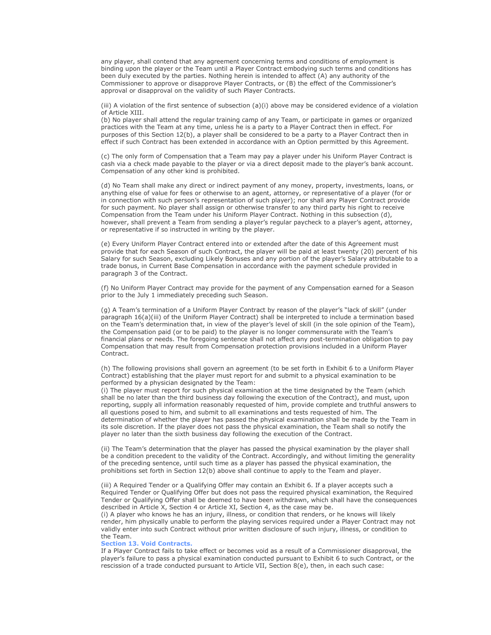any player, shall contend that any agreement concerning terms and conditions of employment is binding upon the player or the Team until a Player Contract embodying such terms and conditions has been duly executed by the parties. Nothing herein is intended to affect (A) any authority of the Commissioner to approve or disapprove Player Contracts, or (B) the effect of the Commissioner's approval or disapproval on the validity of such Player Contracts.

(iii) A violation of the first sentence of subsection (a)(i) above may be considered evidence of a violation of Article XIII.

(b) No player shall attend the regular training camp of any Team, or participate in games or organized practices with the Team at any time, unless he is a party to a Player Contract then in effect. For purposes of this Section 12(b), a player shall be considered to be a party to a Player Contract then in effect if such Contract has been extended in accordance with an Option permitted by this Agreement.

(c) The only form of Compensation that a Team may pay a player under his Uniform Player Contract is cash via a check made payable to the player or via a direct deposit made to the player's bank account. Compensation of any other kind is prohibited.

(d) No Team shall make any direct or indirect payment of any money, property, investments, loans, or anything else of value for fees or otherwise to an agent, attorney, or representative of a player (for or in connection with such person's representation of such player); nor shall any Player Contract provide for such payment. No player shall assign or otherwise transfer to any third party his right to receive Compensation from the Team under his Uniform Player Contract. Nothing in this subsection (d), however, shall prevent a Team from sending a player's regular paycheck to a player's agent, attorney, or representative if so instructed in writing by the player.

(e) Every Uniform Player Contract entered into or extended after the date of this Agreement must provide that for each Season of such Contract, the player will be paid at least twenty (20) percent of his Salary for such Season, excluding Likely Bonuses and any portion of the player's Salary attributable to a trade bonus, in Current Base Compensation in accordance with the payment schedule provided in paragraph 3 of the Contract.

(f) No Uniform Player Contract may provide for the payment of any Compensation earned for a Season prior to the July 1 immediately preceding such Season.

(g) A Team's termination of a Uniform Player Contract by reason of the player's "lack of skill" (under paragraph 16(a)(iii) of the Uniform Player Contract) shall be interpreted to include a termination based on the Team's determination that, in view of the player's level of skill (in the sole opinion of the Team), the Compensation paid (or to be paid) to the player is no longer commensurate with the Team's financial plans or needs. The foregoing sentence shall not affect any post-termination obligation to pay Compensation that may result from Compensation protection provisions included in a Uniform Player Contract.

(h) The following provisions shall govern an agreement (to be set forth in Exhibit 6 to a Uniform Player Contract) establishing that the player must report for and submit to a physical examination to be performed by a physician designated by the Team:

(i) The player must report for such physical examination at the time designated by the Team (which shall be no later than the third business day following the execution of the Contract), and must, upon reporting, supply all information reasonably requested of him, provide complete and truthful answers to all questions posed to him, and submit to all examinations and tests requested of him. The determination of whether the player has passed the physical examination shall be made by the Team in its sole discretion. If the player does not pass the physical examination, the Team shall so notify the player no later than the sixth business day following the execution of the Contract.

(ii) The Team's determination that the player has passed the physical examination by the player shall be a condition precedent to the validity of the Contract. Accordingly, and without limiting the generality of the preceding sentence, until such time as a player has passed the physical examination, the prohibitions set forth in Section 12(b) above shall continue to apply to the Team and player.

(iii) A Required Tender or a Qualifying Offer may contain an Exhibit 6. If a player accepts such a Required Tender or Qualifying Offer but does not pass the required physical examination, the Required Tender or Qualifying Offer shall be deemed to have been withdrawn, which shall have the consequences described in Article X, Section 4 or Article XI, Section 4, as the case may be.

(i) A player who knows he has an injury, illness, or condition that renders, or he knows will likely render, him physically unable to perform the playing services required under a Player Contract may not validly enter into such Contract without prior written disclosure of such injury, illness, or condition to the Team.

## Section 13. Void Contracts.

If a Player Contract fails to take effect or becomes void as a result of a Commissioner disapproval, the player's failure to pass a physical examination conducted pursuant to Exhibit 6 to such Contract, or the rescission of a trade conducted pursuant to Article VII, Section 8(e), then, in each such case: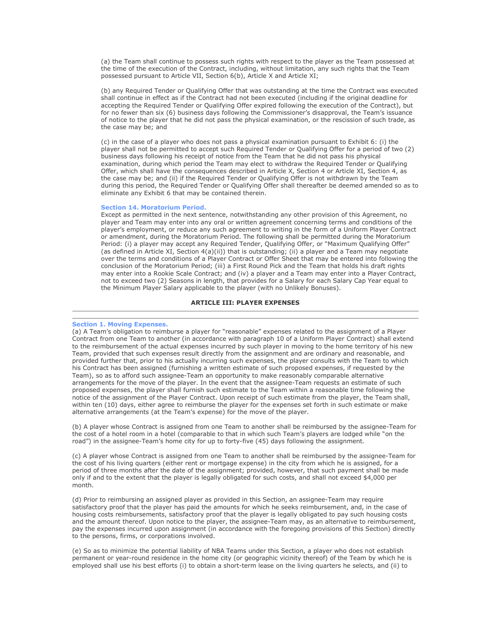(a) the Team shall continue to possess such rights with respect to the player as the Team possessed at the time of the execution of the Contract, including, without limitation, any such rights that the Team possessed pursuant to Article VII, Section 6(b), Article X and Article XI;

(b) any Required Tender or Qualifying Offer that was outstanding at the time the Contract was executed shall continue in effect as if the Contract had not been executed (including if the original deadline for accepting the Required Tender or Qualifying Offer expired following the execution of the Contract), but for no fewer than six (6) business days following the Commissioner's disapproval, the Team's issuance of notice to the player that he did not pass the physical examination, or the rescission of such trade, as the case may be; and

(c) in the case of a player who does not pass a physical examination pursuant to Exhibit 6: (i) the player shall not be permitted to accept such Required Tender or Qualifying Offer for a period of two (2) business days following his receipt of notice from the Team that he did not pass his physical examination, during which period the Team may elect to withdraw the Required Tender or Qualifying Offer, which shall have the consequences described in Article X, Section 4 or Article XI, Section 4, as the case may be; and (ii) if the Required Tender or Qualifying Offer is not withdrawn by the Team during this period, the Required Tender or Qualifying Offer shall thereafter be deemed amended so as to eliminate any Exhibit 6 that may be contained therein.

# Section 14. Moratorium Period.

Except as permitted in the next sentence, notwithstanding any other provision of this Agreement, no player and Team may enter into any oral or written agreement concerning terms and conditions of the player's employment, or reduce any such agreement to writing in the form of a Uniform Player Contract or amendment, during the Moratorium Period. The following shall be permitted during the Moratorium Period: (i) a player may accept any Required Tender, Qualifying Offer, or "Maximum Qualifying Offer" (as defined in Article XI, Section 4(a)(ii)) that is outstanding; (ii) a player and a Team may negotiate over the terms and conditions of a Player Contract or Offer Sheet that may be entered into following the conclusion of the Moratorium Period; (iii) a First Round Pick and the Team that holds his draft rights may enter into a Rookie Scale Contract; and (iv) a player and a Team may enter into a Player Contract, not to exceed two (2) Seasons in length, that provides for a Salary for each Salary Cap Year equal to the Minimum Player Salary applicable to the player (with no Unlikely Bonuses).

### ARTICLE III: PLAYER EXPENSES

#### Section 1. Moving Expenses.

(a) A Team's obligation to reimburse a player for "reasonable" expenses related to the assignment of a Player Contract from one Team to another (in accordance with paragraph 10 of a Uniform Player Contract) shall extend to the reimbursement of the actual expenses incurred by such player in moving to the home territory of his new Team, provided that such expenses result directly from the assignment and are ordinary and reasonable, and provided further that, prior to his actually incurring such expenses, the player consults with the Team to which his Contract has been assigned (furnishing a written estimate of such proposed expenses, if requested by the Team), so as to afford such assignee-Team an opportunity to make reasonably comparable alternative arrangements for the move of the player. In the event that the assignee-Team requests an estimate of such proposed expenses, the player shall furnish such estimate to the Team within a reasonable time following the notice of the assignment of the Player Contract. Upon receipt of such estimate from the player, the Team shall, within ten (10) days, either agree to reimburse the player for the expenses set forth in such estimate or make alternative arrangements (at the Team's expense) for the move of the player.

(b) A player whose Contract is assigned from one Team to another shall be reimbursed by the assignee-Team for the cost of a hotel room in a hotel (comparable to that in which such Team's players are lodged while "on the road") in the assignee-Team's home city for up to forty-five (45) days following the assignment.

(c) A player whose Contract is assigned from one Team to another shall be reimbursed by the assignee-Team for the cost of his living quarters (either rent or mortgage expense) in the city from which he is assigned, for a period of three months after the date of the assignment; provided, however, that such payment shall be made only if and to the extent that the player is legally obligated for such costs, and shall not exceed \$4,000 per month.

(d) Prior to reimbursing an assigned player as provided in this Section, an assignee-Team may require satisfactory proof that the player has paid the amounts for which he seeks reimbursement, and, in the case of housing costs reimbursements, satisfactory proof that the player is legally obligated to pay such housing costs and the amount thereof. Upon notice to the player, the assignee-Team may, as an alternative to reimbursement, pay the expenses incurred upon assignment (in accordance with the foregoing provisions of this Section) directly to the persons, firms, or corporations involved.

(e) So as to minimize the potential liability of NBA Teams under this Section, a player who does not establish permanent or year-round residence in the home city (or geographic vicinity thereof) of the Team by which he is employed shall use his best efforts (i) to obtain a short-term lease on the living quarters he selects, and (ii) to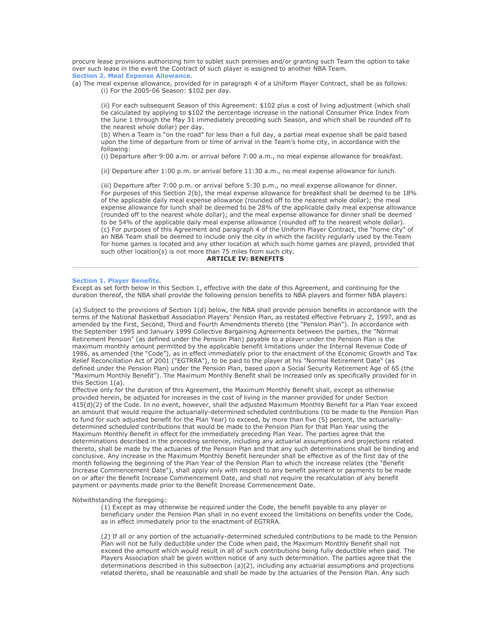procure lease provisions authorizing him to sublet such premises and/or granting such Team the option to take over such lease in the event the Contract of such player is assigned to another NBA Team. Section 2. Meal Expense Allowance.

(a) The meal expense allowance, provided for in paragraph 4 of a Uniform Player Contract, shall be as follows: (i) For the 2005-06 Season: \$102 per day.

(ii) For each subsequent Season of this Agreement: \$102 plus a cost of living adjustment (which shall be calculated by applying to \$102 the percentage increase in the national Consumer Price Index from the June 1 through the May 31 immediately preceding such Season, and which shall be rounded off to the nearest whole dollar) per day.

(b) When a Team is "on the road" for less than a full day, a partial meal expense shall be paid based upon the time of departure from or time of arrival in the Team's home city, in accordance with the following:

(i) Departure after 9:00 a.m. or arrival before 7:00 a.m., no meal expense allowance for breakfast.

(ii) Departure after 1:00 p.m. or arrival before 11:30 a.m., no meal expense allowance for lunch.

(iii) Departure after 7:00 p.m. or arrival before 5:30 p.m., no meal expense allowance for dinner. For purposes of this Section 2(b), the meal expense allowance for breakfast shall be deemed to be 18% of the applicable daily meal expense allowance (rounded off to the nearest whole dollar); the meal expense allowance for lunch shall be deemed to be 28% of the applicable daily meal expense allowance (rounded off to the nearest whole dollar); and the meal expense allowance for dinner shall be deemed to be 54% of the applicable daily meal expense allowance (rounded off to the nearest whole dollar). (c) For purposes of this Agreement and paragraph 4 of the Uniform Player Contract, the "home city" of an NBA Team shall be deemed to include only the city in which the facility regularly used by the Team for home games is located and any other location at which such home games are played, provided that such other location(s) is not more than 75 miles from such city.

#### ARTICLE IV: BENEFITS

#### Section 1. Player Benefits.

Except as set forth below in this Section 1, effective with the date of this Agreement, and continuing for the duration thereof, the NBA shall provide the following pension benefits to NBA players and former NBA players:

(a) Subject to the provisions of Section 1(d) below, the NBA shall provide pension benefits in accordance with the terms of the National Basketball Association Players' Pension Plan, as restated effective February 2, 1997, and as amended by the First, Second, Third and Fourth Amendments thereto (the "Pension Plan"). In accordance with the September 1995 and January 1999 Collective Bargaining Agreements between the parties, the "Normal Retirement Pension" (as defined under the Pension Plan) payable to a player under the Pension Plan is the maximum monthly amount permitted by the applicable benefit limitations under the Internal Revenue Code of 1986, as amended (the "Code"), as in effect immediately prior to the enactment of the Economic Growth and Tax Relief Reconciliation Act of 2001 ("EGTRRA"), to be paid to the player at his "Normal Retirement Date" (as defined under the Pension Plan) under the Pension Plan, based upon a Social Security Retirement Age of 65 (the "Maximum Monthly Benefit"). The Maximum Monthly Benefit shall be increased only as specifically provided for in this Section 1(a).

Effective only for the duration of this Agreement, the Maximum Monthly Benefit shall, except as otherwise provided herein, be adjusted for increases in the cost of living in the manner provided for under Section 415(d)(2) of the Code. In no event, however, shall the adjusted Maximum Monthly Benefit for a Plan Year exceed an amount that would require the actuarially-determined scheduled contributions (to be made to the Pension Plan to fund for such adjusted benefit for the Plan Year) to exceed, by more than five (5) percent, the actuariallydetermined scheduled contributions that would be made to the Pension Plan for that Plan Year using the Maximum Monthly Benefit in effect for the immediately preceding Plan Year. The parties agree that the determinations described in the preceding sentence, including any actuarial assumptions and projections related thereto, shall be made by the actuaries of the Pension Plan and that any such determinations shall be binding and conclusive. Any increase in the Maximum Monthly Benefit hereunder shall be effective as of the first day of the month following the beginning of the Plan Year of the Pension Plan to which the increase relates (the "Benefit Increase Commencement Date"), shall apply only with respect to any benefit payment or payments to be made on or after the Benefit Increase Commencement Date, and shall not require the recalculation of any benefit payment or payments made prior to the Benefit Increase Commencement Date.

Notwithstanding the foregoing:

(1) Except as may otherwise be required under the Code, the benefit payable to any player or beneficiary under the Pension Plan shall in no event exceed the limitations on benefits under the Code, as in effect immediately prior to the enactment of EGTRRA.

(2) If all or any portion of the actuarially-determined scheduled contributions to be made to the Pension Plan will not be fully deductible under the Code when paid, the Maximum Monthly Benefit shall not exceed the amount which would result in all of such contributions being fully deductible when paid. The Players Association shall be given written notice of any such determination. The parties agree that the determinations described in this subsection (a)(2), including any actuarial assumptions and projections related thereto, shall be reasonable and shall be made by the actuaries of the Pension Plan. Any such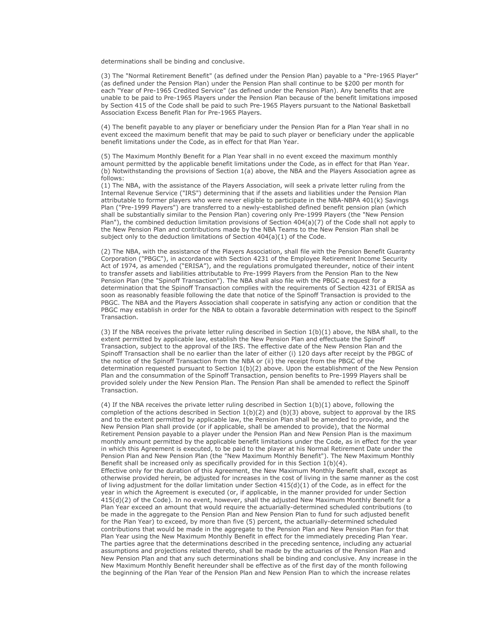determinations shall be binding and conclusive.

(3) The "Normal Retirement Benefit" (as defined under the Pension Plan) payable to a "Pre-1965 Player" (as defined under the Pension Plan) under the Pension Plan shall continue to be \$200 per month for each "Year of Pre-1965 Credited Service" (as defined under the Pension Plan). Any benefits that are unable to be paid to Pre-1965 Players under the Pension Plan because of the benefit limitations imposed by Section 415 of the Code shall be paid to such Pre-1965 Players pursuant to the National Basketball Association Excess Benefit Plan for Pre-1965 Players.

(4) The benefit payable to any player or beneficiary under the Pension Plan for a Plan Year shall in no event exceed the maximum benefit that may be paid to such player or beneficiary under the applicable benefit limitations under the Code, as in effect for that Plan Year.

(5) The Maximum Monthly Benefit for a Plan Year shall in no event exceed the maximum monthly amount permitted by the applicable benefit limitations under the Code, as in effect for that Plan Year. (b) Notwithstanding the provisions of Section 1(a) above, the NBA and the Players Association agree as follows:

(1) The NBA, with the assistance of the Players Association, will seek a private letter ruling from the Internal Revenue Service ("IRS") determining that if the assets and liabilities under the Pension Plan attributable to former players who were never eligible to participate in the NBA-NBPA 401(k) Savings Plan ("Pre-1999 Players") are transferred to a newly-established defined benefit pension plan (which shall be substantially similar to the Pension Plan) covering only Pre-1999 Players (the "New Pension Plan"), the combined deduction limitation provisions of Section 404(a)(7) of the Code shall not apply to the New Pension Plan and contributions made by the NBA Teams to the New Pension Plan shall be subject only to the deduction limitations of Section 404(a)(1) of the Code.

(2) The NBA, with the assistance of the Players Association, shall file with the Pension Benefit Guaranty Corporation ("PBGC"), in accordance with Section 4231 of the Employee Retirement Income Security Act of 1974, as amended ("ERISA"), and the regulations promulgated thereunder, notice of their intent to transfer assets and liabilities attributable to Pre-1999 Players from the Pension Plan to the New Pension Plan (the "Spinoff Transaction"). The NBA shall also file with the PBGC a request for a determination that the Spinoff Transaction complies with the requirements of Section 4231 of ERISA as soon as reasonably feasible following the date that notice of the Spinoff Transaction is provided to the PBGC. The NBA and the Players Association shall cooperate in satisfying any action or condition that the PBGC may establish in order for the NBA to obtain a favorable determination with respect to the Spinoff Transaction.

(3) If the NBA receives the private letter ruling described in Section  $1(b)(1)$  above, the NBA shall, to the extent permitted by applicable law, establish the New Pension Plan and effectuate the Spinoff Transaction, subject to the approval of the IRS. The effective date of the New Pension Plan and the Spinoff Transaction shall be no earlier than the later of either (i) 120 days after receipt by the PBGC of the notice of the Spinoff Transaction from the NBA or (ii) the receipt from the PBGC of the determination requested pursuant to Section 1(b)(2) above. Upon the establishment of the New Pension Plan and the consummation of the Spinoff Transaction, pension benefits to Pre-1999 Players shall be provided solely under the New Pension Plan. The Pension Plan shall be amended to reflect the Spinoff Transaction.

(4) If the NBA receives the private letter ruling described in Section  $1(b)(1)$  above, following the completion of the actions described in Section  $1(b)(2)$  and  $(b)(3)$  above, subject to approval by the IRS and to the extent permitted by applicable law, the Pension Plan shall be amended to provide, and the New Pension Plan shall provide (or if applicable, shall be amended to provide), that the Normal Retirement Pension payable to a player under the Pension Plan and New Pension Plan is the maximum monthly amount permitted by the applicable benefit limitations under the Code, as in effect for the year in which this Agreement is executed, to be paid to the player at his Normal Retirement Date under the Pension Plan and New Pension Plan (the "New Maximum Monthly Benefit"). The New Maximum Monthly Benefit shall be increased only as specifically provided for in this Section 1(b)(4). Effective only for the duration of this Agreement, the New Maximum Monthly Benefit shall, except as otherwise provided herein, be adjusted for increases in the cost of living in the same manner as the cost of living adjustment for the dollar limitation under Section 415(d)(1) of the Code, as in effect for the year in which the Agreement is executed (or, if applicable, in the manner provided for under Section 415(d)(2) of the Code). In no event, however, shall the adjusted New Maximum Monthly Benefit for a Plan Year exceed an amount that would require the actuarially-determined scheduled contributions (to be made in the aggregate to the Pension Plan and New Pension Plan to fund for such adjusted benefit for the Plan Year) to exceed, by more than five (5) percent, the actuarially-determined scheduled contributions that would be made in the aggregate to the Pension Plan and New Pension Plan for that Plan Year using the New Maximum Monthly Benefit in effect for the immediately preceding Plan Year. The parties agree that the determinations described in the preceding sentence, including any actuarial assumptions and projections related thereto, shall be made by the actuaries of the Pension Plan and New Pension Plan and that any such determinations shall be binding and conclusive. Any increase in the New Maximum Monthly Benefit hereunder shall be effective as of the first day of the month following the beginning of the Plan Year of the Pension Plan and New Pension Plan to which the increase relates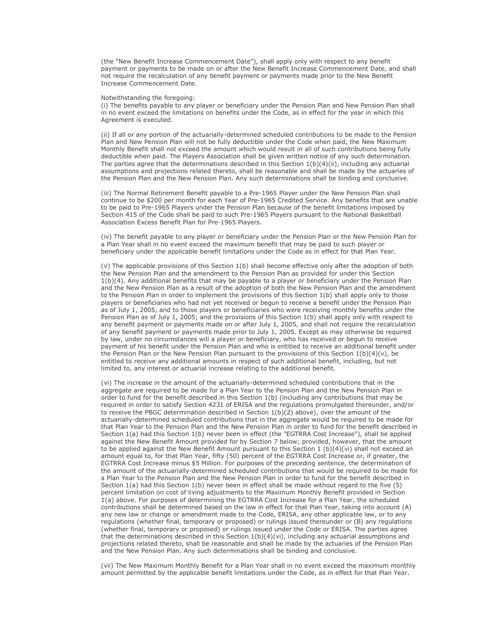(the "New Benefit Increase Commencement Date"), shall apply only with respect to any benefit payment or payments to be made on or after the New Benefit Increase Commencement Date, and shall not require the recalculation of any benefit payment or payments made prior to the New Benefit Increase Commencement Date.

#### Notwithstanding the foregoing:

(i) The benefits payable to any player or beneficiary under the Pension Plan and New Pension Plan shall in no event exceed the limitations on benefits under the Code, as in effect for the year in which this Agreement is executed.

(ii) If all or any portion of the actuarially-determined scheduled contributions to be made to the Pension Plan and New Pension Plan will not be fully deductible under the Code when paid, the New Maximum Monthly Benefit shall not exceed the amount which would result in all of such contributions being fully deductible when paid. The Players Association shall be given written notice of any such determination. The parties agree that the determinations described in this Section  $1(b)(4)(ii)$ , including any actuarial assumptions and projections related thereto, shall be reasonable and shall be made by the actuaries of the Pension Plan and the New Pension Plan. Any such determinations shall be binding and conclusive.

(iii) The Normal Retirement Benefit payable to a Pre-1965 Player under the New Pension Plan shall continue to be \$200 per month for each Year of Pre-1965 Credited Service. Any benefits that are unable to be paid to Pre-1965 Players under the Pension Plan because of the benefit limitations imposed by Section 415 of the Code shall be paid to such Pre-1965 Players pursuant to the National Basketball Association Excess Benefit Plan for Pre-1965 Players.

(iv) The benefit payable to any player or beneficiary under the Pension Plan or the New Pension Plan for a Plan Year shall in no event exceed the maximum benefit that may be paid to such player or beneficiary under the applicable benefit limitations under the Code as in effect for that Plan Year.

(v) The applicable provisions of this Section 1(b) shall become effective only after the adoption of both the New Pension Plan and the amendment to the Pension Plan as provided for under this Section 1(b)(4). Any additional benefits that may be payable to a player or beneficiary under the Pension Plan and the New Pension Plan as a result of the adoption of both the New Pension Plan and the amendment to the Pension Plan in order to implement the provisions of this Section 1(b) shall apply only to those players or beneficiaries who had not yet received or begun to receive a benefit under the Pension Plan as of July 1, 2005, and to those players or beneficiaries who were receiving monthly benefits under the Pension Plan as of July 1, 2005; and the provisions of this Section 1(b) shall apply only with respect to any benefit payment or payments made on or after July 1, 2005, and shall not require the recalculation of any benefit payment or payments made prior to July 1, 2005. Except as may otherwise be required by law, under no circumstances will a player or beneficiary, who has received or begun to receive payment of his benefit under the Pension Plan and who is entitled to receive an additional benefit under the Pension Plan or the New Pension Plan pursuant to the provisions of this Section  $1(b)(4)(v)$ , be entitled to receive any additional amounts in respect of such additional benefit, including, but not limited to, any interest or actuarial increase relating to the additional benefit.

(vi) The increase in the amount of the actuarially-determined scheduled contributions that in the aggregate are required to be made for a Plan Year to the Pension Plan and the New Pension Plan in order to fund for the benefit described in this Section 1(b) (including any contributions that may be required in order to satisfy Section 4231 of ERISA and the regulations promulgated thereunder, and/or to receive the PBGC determination described in Section 1(b)(2) above), over the amount of the actuarially-determined scheduled contributions that in the aggregate would be required to be made for that Plan Year to the Pension Plan and the New Pension Plan in order to fund for the benefit described in Section 1(a) had this Section 1(b) never been in effect (the "EGTRRA Cost Increase"), shall be applied against the New Benefit Amount provided for by Section 7 below; provided, however, that the amount to be applied against the New Benefit Amount pursuant to this Section 1 (b)(4)(vi) shall not exceed an amount equal to, for that Plan Year, fifty (50) percent of the EGTRRA Cost Increase or, if greater, the EGTRRA Cost Increase minus \$5 Million. For purposes of the preceding sentence, the determination of the amount of the actuarially-determined scheduled contributions that would be required to be made for a Plan Year to the Pension Plan and the New Pension Plan in order to fund for the benefit described in Section 1(a) had this Section 1(b) never been in effect shall be made without regard to the five (5) percent limitation on cost of living adjustments to the Maximum Monthly Benefit provided in Section 1(a) above. For purposes of determining the EGTRRA Cost Increase for a Plan Year, the scheduled contributions shall be determined based on the law in effect for that Plan Year, taking into account (A) any new law or change or amendment made to the Code, ERISA, any other applicable law, or to any regulations (whether final, temporary or proposed) or rulings issued thereunder or (B) any regulations (whether final, temporary or proposed) or rulings issued under the Code or ERISA. The parties agree that the determinations described in this Section  $1(b)(4)(vi)$ , including any actuarial assumptions and projections related thereto, shall be reasonable and shall be made by the actuaries of the Pension Plan and the New Pension Plan. Any such determinations shall be binding and conclusive.

(vii) The New Maximum Monthly Benefit for a Plan Year shall in no event exceed the maximum monthly amount permitted by the applicable benefit limitations under the Code, as in effect for that Plan Year.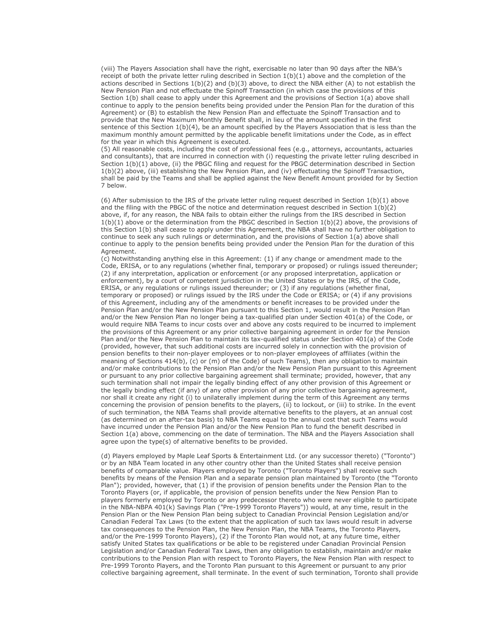(viii) The Players Association shall have the right, exercisable no later than 90 days after the NBA's receipt of both the private letter ruling described in Section  $1(b)(1)$  above and the completion of the actions described in Sections 1(b)(2) and (b)(3) above, to direct the NBA either (A) to not establish the New Pension Plan and not effectuate the Spinoff Transaction (in which case the provisions of this Section 1(b) shall cease to apply under this Agreement and the provisions of Section 1(a) above shall continue to apply to the pension benefits being provided under the Pension Plan for the duration of this Agreement) or (B) to establish the New Pension Plan and effectuate the Spinoff Transaction and to provide that the New Maximum Monthly Benefit shall, in lieu of the amount specified in the first sentence of this Section 1(b)(4), be an amount specified by the Players Association that is less than the maximum monthly amount permitted by the applicable benefit limitations under the Code, as in effect for the year in which this Agreement is executed.

(5) All reasonable costs, including the cost of professional fees (e.g., attorneys, accountants, actuaries and consultants), that are incurred in connection with (i) requesting the private letter ruling described in Section 1(b)(1) above, (ii) the PBGC filing and request for the PBGC determination described in Section 1(b)(2) above, (iii) establishing the New Pension Plan, and (iv) effectuating the Spinoff Transaction, shall be paid by the Teams and shall be applied against the New Benefit Amount provided for by Section 7 below.

(6) After submission to the IRS of the private letter ruling request described in Section 1(b)(1) above and the filing with the PBGC of the notice and determination request described in Section  $1(b)(2)$ above, if, for any reason, the NBA fails to obtain either the rulings from the IRS described in Section 1(b)(1) above or the determination from the PBGC described in Section 1(b)(2) above, the provisions of this Section 1(b) shall cease to apply under this Agreement, the NBA shall have no further obligation to continue to seek any such rulings or determination, and the provisions of Section 1(a) above shall continue to apply to the pension benefits being provided under the Pension Plan for the duration of this Agreement.

(c) Notwithstanding anything else in this Agreement: (1) if any change or amendment made to the Code, ERISA, or to any regulations (whether final, temporary or proposed) or rulings issued thereunder; (2) if any interpretation, application or enforcement (or any proposed interpretation, application or enforcement), by a court of competent jurisdiction in the United States or by the IRS, of the Code, ERISA, or any regulations or rulings issued thereunder; or (3) if any regulations (whether final, temporary or proposed) or rulings issued by the IRS under the Code or ERISA; or (4) if any provisions of this Agreement, including any of the amendments or benefit increases to be provided under the Pension Plan and/or the New Pension Plan pursuant to this Section 1, would result in the Pension Plan and/or the New Pension Plan no longer being a tax-qualified plan under Section 401(a) of the Code, or would require NBA Teams to incur costs over and above any costs required to be incurred to implement the provisions of this Agreement or any prior collective bargaining agreement in order for the Pension Plan and/or the New Pension Plan to maintain its tax-qualified status under Section 401(a) of the Code (provided, however, that such additional costs are incurred solely in connection with the provision of pension benefits to their non-player employees or to non-player employees of affiliates (within the meaning of Sections 414(b), (c) or (m) of the Code) of such Teams), then any obligation to maintain and/or make contributions to the Pension Plan and/or the New Pension Plan pursuant to this Agreement or pursuant to any prior collective bargaining agreement shall terminate; provided, however, that any such termination shall not impair the legally binding effect of any other provision of this Agreement or the legally binding effect (if any) of any other provision of any prior collective bargaining agreement, nor shall it create any right (i) to unilaterally implement during the term of this Agreement any terms concerning the provision of pension benefits to the players, (ii) to lockout, or (iii) to strike. In the event of such termination, the NBA Teams shall provide alternative benefits to the players, at an annual cost (as determined on an after-tax basis) to NBA Teams equal to the annual cost that such Teams would have incurred under the Pension Plan and/or the New Pension Plan to fund the benefit described in Section 1(a) above, commencing on the date of termination. The NBA and the Players Association shall agree upon the type(s) of alternative benefits to be provided.

(d) Players employed by Maple Leaf Sports & Entertainment Ltd. (or any successor thereto) ("Toronto") or by an NBA Team located in any other country other than the United States shall receive pension benefits of comparable value. Players employed by Toronto ("Toronto Players") shall receive such benefits by means of the Pension Plan and a separate pension plan maintained by Toronto (the "Toronto Plan"); provided, however, that (1) if the provision of pension benefits under the Pension Plan to the Toronto Players (or, if applicable, the provision of pension benefits under the New Pension Plan to players formerly employed by Toronto or any predecessor thereto who were never eligible to participate in the NBA-NBPA 401(k) Savings Plan ("Pre-1999 Toronto Players")) would, at any time, result in the Pension Plan or the New Pension Plan being subject to Canadian Provincial Pension Legislation and/or Canadian Federal Tax Laws (to the extent that the application of such tax laws would result in adverse tax consequences to the Pension Plan, the New Pension Plan, the NBA Teams, the Toronto Players, and/or the Pre-1999 Toronto Players), (2) if the Toronto Plan would not, at any future time, either satisfy United States tax qualifications or be able to be registered under Canadian Provincial Pension Legislation and/or Canadian Federal Tax Laws, then any obligation to establish, maintain and/or make contributions to the Pension Plan with respect to Toronto Players, the New Pension Plan with respect to Pre-1999 Toronto Players, and the Toronto Plan pursuant to this Agreement or pursuant to any prior collective bargaining agreement, shall terminate. In the event of such termination, Toronto shall provide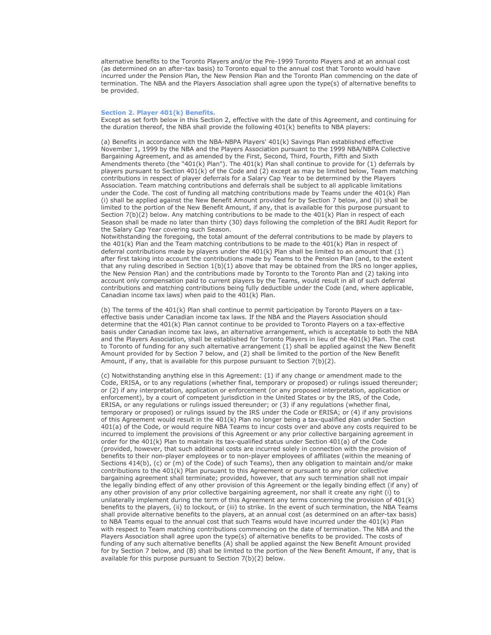alternative benefits to the Toronto Players and/or the Pre-1999 Toronto Players and at an annual cost (as determined on an after-tax basis) to Toronto equal to the annual cost that Toronto would have incurred under the Pension Plan, the New Pension Plan and the Toronto Plan commencing on the date of termination. The NBA and the Players Association shall agree upon the type(s) of alternative benefits to be provided.

#### Section 2. Player 401(k) Benefits.

Except as set forth below in this Section 2, effective with the date of this Agreement, and continuing for the duration thereof, the NBA shall provide the following 401(k) benefits to NBA players:

(a) Benefits in accordance with the NBA-NBPA Players' 401(k) Savings Plan established effective November 1, 1999 by the NBA and the Players Association pursuant to the 1999 NBA/NBPA Collective Bargaining Agreement, and as amended by the First, Second, Third, Fourth, Fifth and Sixth Amendments thereto (the "401(k) Plan"). The 401(k) Plan shall continue to provide for (1) deferrals by players pursuant to Section 401(k) of the Code and (2) except as may be limited below, Team matching contributions in respect of player deferrals for a Salary Cap Year to be determined by the Players Association. Team matching contributions and deferrals shall be subject to all applicable limitations under the Code. The cost of funding all matching contributions made by Teams under the 401(k) Plan (i) shall be applied against the New Benefit Amount provided for by Section 7 below, and (ii) shall be limited to the portion of the New Benefit Amount, if any, that is available for this purpose pursuant to Section  $7(b)(2)$  below. Any matching contributions to be made to the  $401(k)$  Plan in respect of each Season shall be made no later than thirty (30) days following the completion of the BRI Audit Report for the Salary Cap Year covering such Season.

Notwithstanding the foregoing, the total amount of the deferral contributions to be made by players to the 401(k) Plan and the Team matching contributions to be made to the 401(k) Plan in respect of deferral contributions made by players under the 401(k) Plan shall be limited to an amount that (1) after first taking into account the contributions made by Teams to the Pension Plan (and, to the extent that any ruling described in Section 1(b)(1) above that may be obtained from the IRS no longer applies, the New Pension Plan) and the contributions made by Toronto to the Toronto Plan and (2) taking into account only compensation paid to current players by the Teams, would result in all of such deferral contributions and matching contributions being fully deductible under the Code (and, where applicable, Canadian income tax laws) when paid to the 401(k) Plan.

(b) The terms of the 401(k) Plan shall continue to permit participation by Toronto Players on a taxeffective basis under Canadian income tax laws. If the NBA and the Players Association should determine that the 401(k) Plan cannot continue to be provided to Toronto Players on a tax-effective basis under Canadian income tax laws, an alternative arrangement, which is acceptable to both the NBA and the Players Association, shall be established for Toronto Players in lieu of the 401(k) Plan. The cost to Toronto of funding for any such alternative arrangement (1) shall be applied against the New Benefit Amount provided for by Section 7 below, and (2) shall be limited to the portion of the New Benefit Amount, if any, that is available for this purpose pursuant to Section 7(b)(2).

(c) Notwithstanding anything else in this Agreement: (1) if any change or amendment made to the Code, ERISA, or to any regulations (whether final, temporary or proposed) or rulings issued thereunder; or (2) if any interpretation, application or enforcement (or any proposed interpretation, application or enforcement), by a court of competent jurisdiction in the United States or by the IRS, of the Code, ERISA, or any regulations or rulings issued thereunder; or (3) if any regulations (whether final, temporary or proposed) or rulings issued by the IRS under the Code or ERISA; or (4) if any provisions of this Agreement would result in the 401(k) Plan no longer being a tax-qualified plan under Section 401(a) of the Code, or would require NBA Teams to incur costs over and above any costs required to be incurred to implement the provisions of this Agreement or any prior collective bargaining agreement in order for the 401(k) Plan to maintain its tax-qualified status under Section 401(a) of the Code (provided, however, that such additional costs are incurred solely in connection with the provision of benefits to their non-player employees or to non-player employees of affiliates (within the meaning of Sections 414(b), (c) or (m) of the Code) of such Teams), then any obligation to maintain and/or make contributions to the 401(k) Plan pursuant to this Agreement or pursuant to any prior collective bargaining agreement shall terminate; provided, however, that any such termination shall not impair the legally binding effect of any other provision of this Agreement or the legally binding effect (if any) of any other provision of any prior collective bargaining agreement, nor shall it create any right (i) to unilaterally implement during the term of this Agreement any terms concerning the provision of 401(k) benefits to the players, (ii) to lockout, or (iii) to strike. In the event of such termination, the NBA Teams shall provide alternative benefits to the players, at an annual cost (as determined on an after-tax basis) to NBA Teams equal to the annual cost that such Teams would have incurred under the 401(k) Plan with respect to Team matching contributions commencing on the date of termination. The NBA and the Players Association shall agree upon the type(s) of alternative benefits to be provided. The costs of funding of any such alternative benefits (A) shall be applied against the New Benefit Amount provided for by Section 7 below, and (B) shall be limited to the portion of the New Benefit Amount, if any, that is available for this purpose pursuant to Section 7(b)(2) below.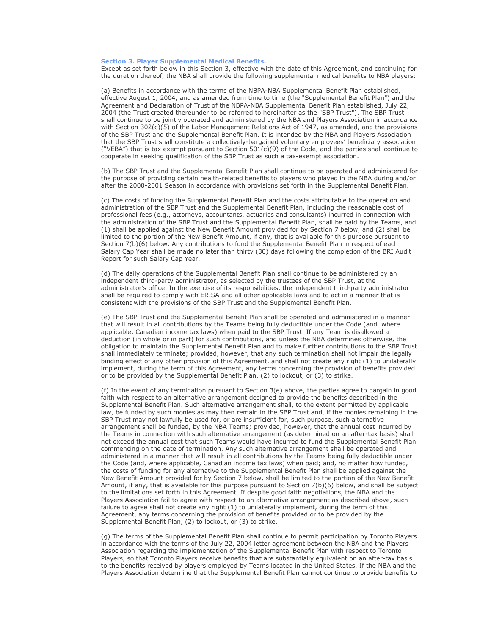### Section 3. Player Supplemental Medical Benefits.

Except as set forth below in this Section 3, effective with the date of this Agreement, and continuing for the duration thereof, the NBA shall provide the following supplemental medical benefits to NBA players:

(a) Benefits in accordance with the terms of the NBPA-NBA Supplemental Benefit Plan established, effective August 1, 2004, and as amended from time to time (the "Supplemental Benefit Plan") and the Agreement and Declaration of Trust of the NBPA-NBA Supplemental Benefit Plan established, July 22, 2004 (the Trust created thereunder to be referred to hereinafter as the "SBP Trust"). The SBP Trust shall continue to be jointly operated and administered by the NBA and Players Association in accordance with Section 302(c)(5) of the Labor Management Relations Act of 1947, as amended, and the provisions of the SBP Trust and the Supplemental Benefit Plan. It is intended by the NBA and Players Association that the SBP Trust shall constitute a collectively-bargained voluntary employees' beneficiary association ("VEBA") that is tax exempt pursuant to Section 501(c)(9) of the Code, and the parties shall continue to cooperate in seeking qualification of the SBP Trust as such a tax-exempt association.

(b) The SBP Trust and the Supplemental Benefit Plan shall continue to be operated and administered for the purpose of providing certain health-related benefits to players who played in the NBA during and/or after the 2000-2001 Season in accordance with provisions set forth in the Supplemental Benefit Plan.

(c) The costs of funding the Supplemental Benefit Plan and the costs attributable to the operation and administration of the SBP Trust and the Supplemental Benefit Plan, including the reasonable cost of professional fees (e.g., attorneys, accountants, actuaries and consultants) incurred in connection with the administration of the SBP Trust and the Supplemental Benefit Plan, shall be paid by the Teams, and (1) shall be applied against the New Benefit Amount provided for by Section 7 below, and (2) shall be limited to the portion of the New Benefit Amount, if any, that is available for this purpose pursuant to Section 7(b)(6) below. Any contributions to fund the Supplemental Benefit Plan in respect of each Salary Cap Year shall be made no later than thirty (30) days following the completion of the BRI Audit Report for such Salary Cap Year.

(d) The daily operations of the Supplemental Benefit Plan shall continue to be administered by an independent third-party administrator, as selected by the trustees of the SBP Trust, at the administrator's office. In the exercise of its responsibilities, the independent third-party administrator shall be required to comply with ERISA and all other applicable laws and to act in a manner that is consistent with the provisions of the SBP Trust and the Supplemental Benefit Plan.

(e) The SBP Trust and the Supplemental Benefit Plan shall be operated and administered in a manner that will result in all contributions by the Teams being fully deductible under the Code (and, where applicable, Canadian income tax laws) when paid to the SBP Trust. If any Team is disallowed a deduction (in whole or in part) for such contributions, and unless the NBA determines otherwise, the obligation to maintain the Supplemental Benefit Plan and to make further contributions to the SBP Trust shall immediately terminate; provided, however, that any such termination shall not impair the legally binding effect of any other provision of this Agreement, and shall not create any right (1) to unilaterally implement, during the term of this Agreement, any terms concerning the provision of benefits provided or to be provided by the Supplemental Benefit Plan, (2) to lockout, or (3) to strike.

(f) In the event of any termination pursuant to Section 3(e) above, the parties agree to bargain in good faith with respect to an alternative arrangement designed to provide the benefits described in the Supplemental Benefit Plan. Such alternative arrangement shall, to the extent permitted by applicable law, be funded by such monies as may then remain in the SBP Trust and, if the monies remaining in the SBP Trust may not lawfully be used for, or are insufficient for, such purpose, such alternative arrangement shall be funded, by the NBA Teams; provided, however, that the annual cost incurred by the Teams in connection with such alternative arrangement (as determined on an after-tax basis) shall not exceed the annual cost that such Teams would have incurred to fund the Supplemental Benefit Plan commencing on the date of termination. Any such alternative arrangement shall be operated and administered in a manner that will result in all contributions by the Teams being fully deductible under the Code (and, where applicable, Canadian income tax laws) when paid; and, no matter how funded, the costs of funding for any alternative to the Supplemental Benefit Plan shall be applied against the New Benefit Amount provided for by Section 7 below, shall be limited to the portion of the New Benefit Amount, if any, that is available for this purpose pursuant to Section 7(b)(6) below, and shall be subject to the limitations set forth in this Agreement. If despite good faith negotiations, the NBA and the Players Association fail to agree with respect to an alternative arrangement as described above, such failure to agree shall not create any right (1) to unilaterally implement, during the term of this Agreement, any terms concerning the provision of benefits provided or to be provided by the Supplemental Benefit Plan, (2) to lockout, or (3) to strike.

(g) The terms of the Supplemental Benefit Plan shall continue to permit participation by Toronto Players in accordance with the terms of the July 22, 2004 letter agreement between the NBA and the Players Association regarding the implementation of the Supplemental Benefit Plan with respect to Toronto Players, so that Toronto Players receive benefits that are substantially equivalent on an after-tax basis to the benefits received by players employed by Teams located in the United States. If the NBA and the Players Association determine that the Supplemental Benefit Plan cannot continue to provide benefits to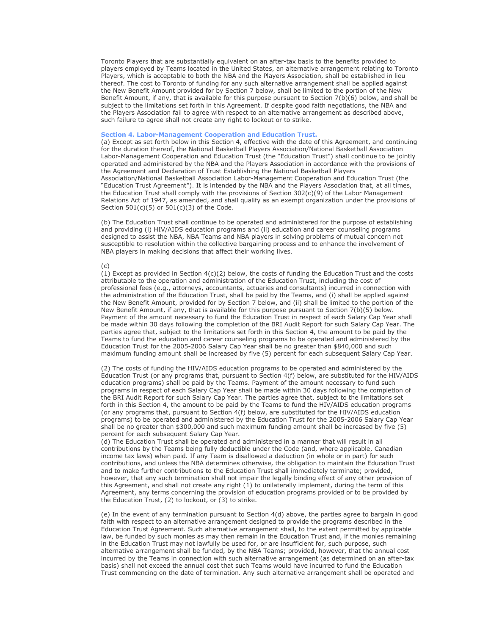Toronto Players that are substantially equivalent on an after-tax basis to the benefits provided to players employed by Teams located in the United States, an alternative arrangement relating to Toronto Players, which is acceptable to both the NBA and the Players Association, shall be established in lieu thereof. The cost to Toronto of funding for any such alternative arrangement shall be applied against the New Benefit Amount provided for by Section 7 below, shall be limited to the portion of the New Benefit Amount, if any, that is available for this purpose pursuant to Section 7(b)(6) below, and shall be subject to the limitations set forth in this Agreement. If despite good faith negotiations, the NBA and the Players Association fail to agree with respect to an alternative arrangement as described above, such failure to agree shall not create any right to lockout or to strike.

### Section 4. Labor-Management Cooperation and Education Trust.

(a) Except as set forth below in this Section 4, effective with the date of this Agreement, and continuing for the duration thereof, the National Basketball Players Association/National Basketball Association Labor-Management Cooperation and Education Trust (the "Education Trust") shall continue to be jointly operated and administered by the NBA and the Players Association in accordance with the provisions of the Agreement and Declaration of Trust Establishing the National Basketball Players Association/National Basketball Association Labor-Management Cooperation and Education Trust (the "Education Trust Agreement"). It is intended by the NBA and the Players Association that, at all times, the Education Trust shall comply with the provisions of Section 302(c)(9) of the Labor Management Relations Act of 1947, as amended, and shall qualify as an exempt organization under the provisions of Section  $501(c)(5)$  or  $501(c)(3)$  of the Code.

(b) The Education Trust shall continue to be operated and administered for the purpose of establishing and providing (i) HIV/AIDS education programs and (ii) education and career counseling programs designed to assist the NBA, NBA Teams and NBA players in solving problems of mutual concern not susceptible to resolution within the collective bargaining process and to enhance the involvement of NBA players in making decisions that affect their working lives.

### (c)

(1) Except as provided in Section 4(c)(2) below, the costs of funding the Education Trust and the costs attributable to the operation and administration of the Education Trust, including the cost of professional fees (e.g., attorneys, accountants, actuaries and consultants) incurred in connection with the administration of the Education Trust, shall be paid by the Teams, and (i) shall be applied against the New Benefit Amount, provided for by Section 7 below, and (ii) shall be limited to the portion of the New Benefit Amount, if any, that is available for this purpose pursuant to Section 7(b)(5) below. Payment of the amount necessary to fund the Education Trust in respect of each Salary Cap Year shall be made within 30 days following the completion of the BRI Audit Report for such Salary Cap Year. The parties agree that, subject to the limitations set forth in this Section 4, the amount to be paid by the Teams to fund the education and career counseling programs to be operated and administered by the Education Trust for the 2005-2006 Salary Cap Year shall be no greater than \$840,000 and such maximum funding amount shall be increased by five (5) percent for each subsequent Salary Cap Year.

(2) The costs of funding the HIV/AIDS education programs to be operated and administered by the Education Trust (or any programs that, pursuant to Section 4(f) below, are substituted for the HIV/AIDS education programs) shall be paid by the Teams. Payment of the amount necessary to fund such programs in respect of each Salary Cap Year shall be made within 30 days following the completion of the BRI Audit Report for such Salary Cap Year. The parties agree that, subject to the limitations set forth in this Section 4, the amount to be paid by the Teams to fund the HIV/AIDS education programs (or any programs that, pursuant to Section 4(f) below, are substituted for the HIV/AIDS education programs) to be operated and administered by the Education Trust for the 2005-2006 Salary Cap Year shall be no greater than \$300,000 and such maximum funding amount shall be increased by five (5) percent for each subsequent Salary Cap Year.

(d) The Education Trust shall be operated and administered in a manner that will result in all contributions by the Teams being fully deductible under the Code (and, where applicable, Canadian income tax laws) when paid. If any Team is disallowed a deduction (in whole or in part) for such contributions, and unless the NBA determines otherwise, the obligation to maintain the Education Trust and to make further contributions to the Education Trust shall immediately terminate; provided, however, that any such termination shall not impair the legally binding effect of any other provision of this Agreement, and shall not create any right (1) to unilaterally implement, during the term of this Agreement, any terms concerning the provision of education programs provided or to be provided by the Education Trust, (2) to lockout, or (3) to strike.

(e) In the event of any termination pursuant to Section 4(d) above, the parties agree to bargain in good faith with respect to an alternative arrangement designed to provide the programs described in the Education Trust Agreement. Such alternative arrangement shall, to the extent permitted by applicable law, be funded by such monies as may then remain in the Education Trust and, if the monies remaining in the Education Trust may not lawfully be used for, or are insufficient for, such purpose, such alternative arrangement shall be funded, by the NBA Teams; provided, however, that the annual cost incurred by the Teams in connection with such alternative arrangement (as determined on an after-tax basis) shall not exceed the annual cost that such Teams would have incurred to fund the Education Trust commencing on the date of termination. Any such alternative arrangement shall be operated and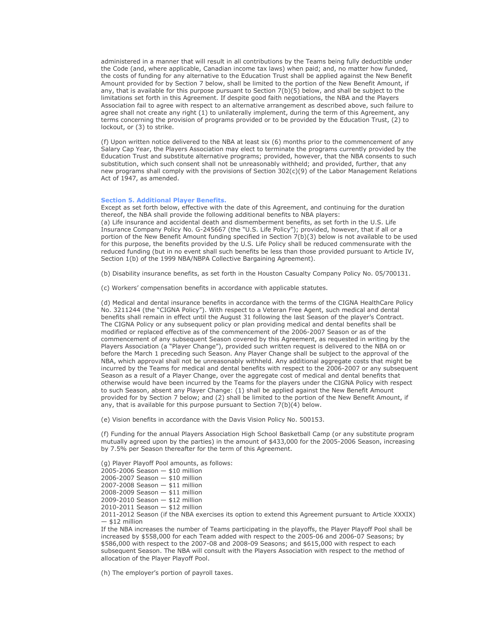administered in a manner that will result in all contributions by the Teams being fully deductible under the Code (and, where applicable, Canadian income tax laws) when paid; and, no matter how funded, the costs of funding for any alternative to the Education Trust shall be applied against the New Benefit Amount provided for by Section 7 below, shall be limited to the portion of the New Benefit Amount, if any, that is available for this purpose pursuant to Section 7(b)(5) below, and shall be subject to the limitations set forth in this Agreement. If despite good faith negotiations, the NBA and the Players Association fail to agree with respect to an alternative arrangement as described above, such failure to agree shall not create any right (1) to unilaterally implement, during the term of this Agreement, any terms concerning the provision of programs provided or to be provided by the Education Trust, (2) to lockout, or (3) to strike.

(f) Upon written notice delivered to the NBA at least six (6) months prior to the commencement of any Salary Cap Year, the Players Association may elect to terminate the programs currently provided by the Education Trust and substitute alternative programs; provided, however, that the NBA consents to such substitution, which such consent shall not be unreasonably withheld; and provided, further, that any new programs shall comply with the provisions of Section 302(c)(9) of the Labor Management Relations Act of 1947, as amended.

#### Section 5. Additional Player Benefits.

Except as set forth below, effective with the date of this Agreement, and continuing for the duration thereof, the NBA shall provide the following additional benefits to NBA players: (a) Life insurance and accidental death and dismemberment benefits, as set forth in the U.S. Life Insurance Company Policy No. G-245667 (the "U.S. Life Policy"); provided, however, that if all or a portion of the New Benefit Amount funding specified in Section 7(b)(3) below is not available to be used for this purpose, the benefits provided by the U.S. Life Policy shall be reduced commensurate with the reduced funding (but in no event shall such benefits be less than those provided pursuant to Article IV, Section 1(b) of the 1999 NBA/NBPA Collective Bargaining Agreement).

(b) Disability insurance benefits, as set forth in the Houston Casualty Company Policy No. 05/700131.

(c) Workers' compensation benefits in accordance with applicable statutes.

(d) Medical and dental insurance benefits in accordance with the terms of the CIGNA HealthCare Policy No. 3211244 (the "CIGNA Policy"). With respect to a Veteran Free Agent, such medical and dental benefits shall remain in effect until the August 31 following the last Season of the player's Contract. The CIGNA Policy or any subsequent policy or plan providing medical and dental benefits shall be modified or replaced effective as of the commencement of the 2006-2007 Season or as of the commencement of any subsequent Season covered by this Agreement, as requested in writing by the Players Association (a "Player Change"), provided such written request is delivered to the NBA on or before the March 1 preceding such Season. Any Player Change shall be subject to the approval of the NBA, which approval shall not be unreasonably withheld. Any additional aggregate costs that might be incurred by the Teams for medical and dental benefits with respect to the 2006-2007 or any subsequent Season as a result of a Player Change, over the aggregate cost of medical and dental benefits that otherwise would have been incurred by the Teams for the players under the CIGNA Policy with respect to such Season, absent any Player Change: (1) shall be applied against the New Benefit Amount provided for by Section 7 below; and (2) shall be limited to the portion of the New Benefit Amount, if any, that is available for this purpose pursuant to Section 7(b)(4) below.

(e) Vision benefits in accordance with the Davis Vision Policy No. 500153.

(f) Funding for the annual Players Association High School Basketball Camp (or any substitute program mutually agreed upon by the parties) in the amount of \$433,000 for the 2005-2006 Season, increasing by 7.5% per Season thereafter for the term of this Agreement.

(g) Player Playoff Pool amounts, as follows:

2005-2006 Season — \$10 million

2006-2007 Season — \$10 million

2007-2008 Season — \$11 million

2008-2009 Season — \$11 million

2009-2010 Season — \$12 million

2010-2011 Season — \$12 million

2011-2012 Season (if the NBA exercises its option to extend this Agreement pursuant to Article XXXIX) — \$12 million

If the NBA increases the number of Teams participating in the playoffs, the Player Playoff Pool shall be increased by \$558,000 for each Team added with respect to the 2005-06 and 2006-07 Seasons; by \$586,000 with respect to the 2007-08 and 2008-09 Seasons; and \$615,000 with respect to each subsequent Season. The NBA will consult with the Players Association with respect to the method of allocation of the Player Playoff Pool.

(h) The employer's portion of payroll taxes.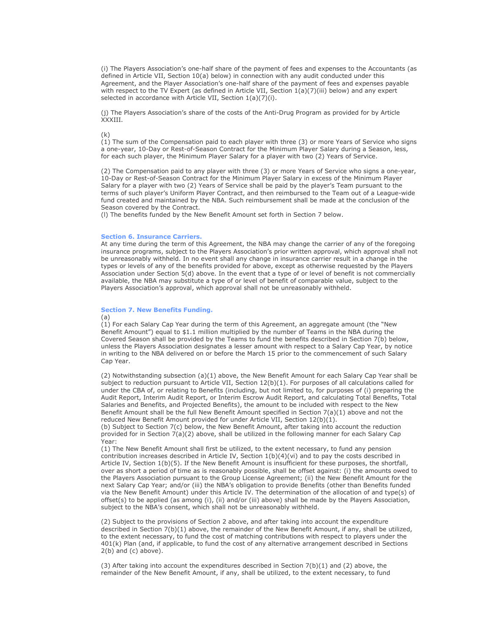(i) The Players Association's one-half share of the payment of fees and expenses to the Accountants (as defined in Article VII, Section 10(a) below) in connection with any audit conducted under this Agreement, and the Player Association's one-half share of the payment of fees and expenses payable with respect to the TV Expert (as defined in Article VII, Section 1(a)(7)(iii) below) and any expert selected in accordance with Article VII, Section 1(a)(7)(i).

(j) The Players Association's share of the costs of the Anti-Drug Program as provided for by Article XXXIII.

(k)

(1) The sum of the Compensation paid to each player with three (3) or more Years of Service who signs a one-year, 10-Day or Rest-of-Season Contract for the Minimum Player Salary during a Season, less, for each such player, the Minimum Player Salary for a player with two (2) Years of Service.

(2) The Compensation paid to any player with three (3) or more Years of Service who signs a one-year, 10-Day or Rest-of-Season Contract for the Minimum Player Salary in excess of the Minimum Player Salary for a player with two (2) Years of Service shall be paid by the player's Team pursuant to the terms of such player's Uniform Player Contract, and then reimbursed to the Team out of a League-wide fund created and maintained by the NBA. Such reimbursement shall be made at the conclusion of the Season covered by the Contract.

(l) The benefits funded by the New Benefit Amount set forth in Section 7 below.

### Section 6. Insurance Carriers.

At any time during the term of this Agreement, the NBA may change the carrier of any of the foregoing insurance programs, subject to the Players Association's prior written approval, which approval shall not be unreasonably withheld. In no event shall any change in insurance carrier result in a change in the types or levels of any of the benefits provided for above, except as otherwise requested by the Players Association under Section 5(d) above. In the event that a type of or level of benefit is not commercially available, the NBA may substitute a type of or level of benefit of comparable value, subject to the Players Association's approval, which approval shall not be unreasonably withheld.

# Section 7. New Benefits Funding.

(a)

(1) For each Salary Cap Year during the term of this Agreement, an aggregate amount (the "New Benefit Amount") equal to \$1.1 million multiplied by the number of Teams in the NBA during the Covered Season shall be provided by the Teams to fund the benefits described in Section 7(b) below, unless the Players Association designates a lesser amount with respect to a Salary Cap Year, by notice in writing to the NBA delivered on or before the March 15 prior to the commencement of such Salary Cap Year.

(2) Notwithstanding subsection (a)(1) above, the New Benefit Amount for each Salary Cap Year shall be subject to reduction pursuant to Article VII, Section 12(b)(1). For purposes of all calculations called for under the CBA of, or relating to Benefits (including, but not limited to, for purposes of (i) preparing the Audit Report, Interim Audit Report, or Interim Escrow Audit Report, and calculating Total Benefits, Total Salaries and Benefits, and Projected Benefits), the amount to be included with respect to the New Benefit Amount shall be the full New Benefit Amount specified in Section 7(a)(1) above and not the reduced New Benefit Amount provided for under Article VII, Section 12(b)(1).

(b) Subject to Section 7(c) below, the New Benefit Amount, after taking into account the reduction provided for in Section 7(a)(2) above, shall be utilized in the following manner for each Salary Cap Year:

(1) The New Benefit Amount shall first be utilized, to the extent necessary, to fund any pension contribution increases described in Article IV, Section 1(b)(4)(vi) and to pay the costs described in Article IV, Section 1(b)(5). If the New Benefit Amount is insufficient for these purposes, the shortfall, over as short a period of time as is reasonably possible, shall be offset against: (i) the amounts owed to the Players Association pursuant to the Group License Agreement; (ii) the New Benefit Amount for the next Salary Cap Year; and/or (iii) the NBA's obligation to provide Benefits (other than Benefits funded via the New Benefit Amount) under this Article IV. The determination of the allocation of and type(s) of offset(s) to be applied (as among (i), (ii) and/or (iii) above) shall be made by the Players Association, subject to the NBA's consent, which shall not be unreasonably withheld.

(2) Subject to the provisions of Section 2 above, and after taking into account the expenditure described in Section 7(b)(1) above, the remainder of the New Benefit Amount, if any, shall be utilized, to the extent necessary, to fund the cost of matching contributions with respect to players under the 401(k) Plan (and, if applicable, to fund the cost of any alternative arrangement described in Sections  $2(b)$  and  $(c)$  above).

(3) After taking into account the expenditures described in Section  $7(b)(1)$  and (2) above, the remainder of the New Benefit Amount, if any, shall be utilized, to the extent necessary, to fund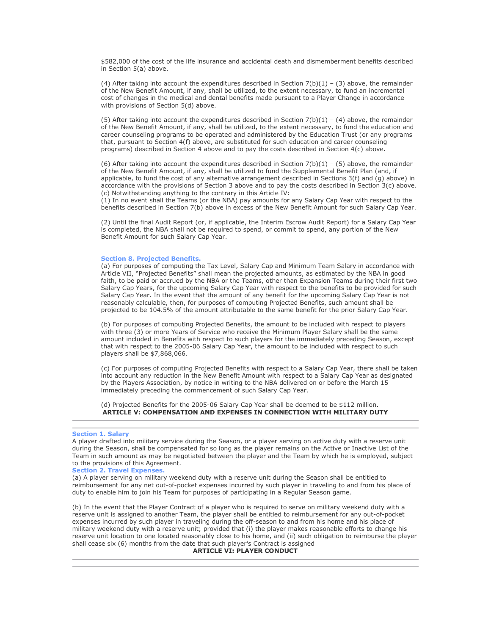\$582,000 of the cost of the life insurance and accidental death and dismemberment benefits described in Section 5(a) above.

(4) After taking into account the expenditures described in Section  $7(b)(1) - (3)$  above, the remainder of the New Benefit Amount, if any, shall be utilized, to the extent necessary, to fund an incremental cost of changes in the medical and dental benefits made pursuant to a Player Change in accordance with provisions of Section 5(d) above.

(5) After taking into account the expenditures described in Section  $7(b)(1) - (4)$  above, the remainder of the New Benefit Amount, if any, shall be utilized, to the extent necessary, to fund the education and career counseling programs to be operated and administered by the Education Trust (or any programs that, pursuant to Section 4(f) above, are substituted for such education and career counseling programs) described in Section 4 above and to pay the costs described in Section 4(c) above.

(6) After taking into account the expenditures described in Section  $7(b)(1) - (5)$  above, the remainder of the New Benefit Amount, if any, shall be utilized to fund the Supplemental Benefit Plan (and, if applicable, to fund the cost of any alternative arrangement described in Sections 3(f) and (g) above) in accordance with the provisions of Section 3 above and to pay the costs described in Section 3(c) above. (c) Notwithstanding anything to the contrary in this Article IV:

(1) In no event shall the Teams (or the NBA) pay amounts for any Salary Cap Year with respect to the benefits described in Section 7(b) above in excess of the New Benefit Amount for such Salary Cap Year.

(2) Until the final Audit Report (or, if applicable, the Interim Escrow Audit Report) for a Salary Cap Year is completed, the NBA shall not be required to spend, or commit to spend, any portion of the New Benefit Amount for such Salary Cap Year.

### Section 8. Projected Benefits.

(a) For purposes of computing the Tax Level, Salary Cap and Minimum Team Salary in accordance with Article VII, "Projected Benefits" shall mean the projected amounts, as estimated by the NBA in good faith, to be paid or accrued by the NBA or the Teams, other than Expansion Teams during their first two Salary Cap Years, for the upcoming Salary Cap Year with respect to the benefits to be provided for such Salary Cap Year. In the event that the amount of any benefit for the upcoming Salary Cap Year is not reasonably calculable, then, for purposes of computing Projected Benefits, such amount shall be projected to be 104.5% of the amount attributable to the same benefit for the prior Salary Cap Year.

(b) For purposes of computing Projected Benefits, the amount to be included with respect to players with three (3) or more Years of Service who receive the Minimum Player Salary shall be the same amount included in Benefits with respect to such players for the immediately preceding Season, except that with respect to the 2005-06 Salary Cap Year, the amount to be included with respect to such players shall be \$7,868,066.

(c) For purposes of computing Projected Benefits with respect to a Salary Cap Year, there shall be taken into account any reduction in the New Benefit Amount with respect to a Salary Cap Year as designated by the Players Association, by notice in writing to the NBA delivered on or before the March 15 immediately preceding the commencement of such Salary Cap Year.

(d) Projected Benefits for the 2005-06 Salary Cap Year shall be deemed to be \$112 million. ARTICLE V: COMPENSATION AND EXPENSES IN CONNECTION WITH MILITARY DUTY

## Section 1. Salary

A player drafted into military service during the Season, or a player serving on active duty with a reserve unit during the Season, shall be compensated for so long as the player remains on the Active or Inactive List of the Team in such amount as may be negotiated between the player and the Team by which he is employed, subject to the provisions of this Agreement.

### Section 2. Travel Expenses.

(a) A player serving on military weekend duty with a reserve unit during the Season shall be entitled to reimbursement for any net out-of-pocket expenses incurred by such player in traveling to and from his place of duty to enable him to join his Team for purposes of participating in a Regular Season game.

(b) In the event that the Player Contract of a player who is required to serve on military weekend duty with a reserve unit is assigned to another Team, the player shall be entitled to reimbursement for any out-of-pocket expenses incurred by such player in traveling during the off-season to and from his home and his place of military weekend duty with a reserve unit; provided that (i) the player makes reasonable efforts to change his reserve unit location to one located reasonably close to his home, and (ii) such obligation to reimburse the player shall cease six (6) months from the date that such player's Contract is assigned

# ARTICLE VI: PLAYER CONDUCT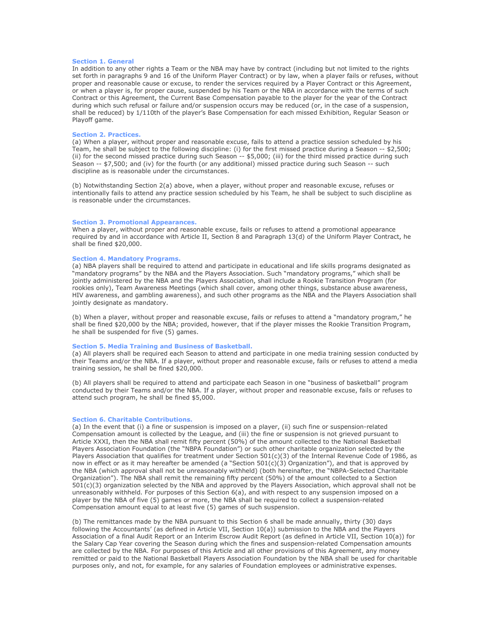#### Section 1. General

In addition to any other rights a Team or the NBA may have by contract (including but not limited to the rights set forth in paragraphs 9 and 16 of the Uniform Player Contract) or by law, when a player fails or refuses, without proper and reasonable cause or excuse, to render the services required by a Player Contract or this Agreement, or when a player is, for proper cause, suspended by his Team or the NBA in accordance with the terms of such Contract or this Agreement, the Current Base Compensation payable to the player for the year of the Contract during which such refusal or failure and/or suspension occurs may be reduced (or, in the case of a suspension, shall be reduced) by 1/110th of the player's Base Compensation for each missed Exhibition, Regular Season or Playoff game.

#### Section 2. Practices.

(a) When a player, without proper and reasonable excuse, fails to attend a practice session scheduled by his Team, he shall be subject to the following discipline: (i) for the first missed practice during a Season -- \$2,500; (ii) for the second missed practice during such Season -- \$5,000; (iii) for the third missed practice during such Season -- \$7,500; and (iv) for the fourth (or any additional) missed practice during such Season -- such discipline as is reasonable under the circumstances.

(b) Notwithstanding Section 2(a) above, when a player, without proper and reasonable excuse, refuses or intentionally fails to attend any practice session scheduled by his Team, he shall be subject to such discipline as is reasonable under the circumstances.

#### Section 3. Promotional Appearances.

When a player, without proper and reasonable excuse, fails or refuses to attend a promotional appearance required by and in accordance with Article II, Section 8 and Paragraph 13(d) of the Uniform Player Contract, he shall be fined \$20,000.

#### Section 4. Mandatory Programs.

(a) NBA players shall be required to attend and participate in educational and life skills programs designated as "mandatory programs" by the NBA and the Players Association. Such "mandatory programs," which shall be jointly administered by the NBA and the Players Association, shall include a Rookie Transition Program (for rookies only), Team Awareness Meetings (which shall cover, among other things, substance abuse awareness, HIV awareness, and gambling awareness), and such other programs as the NBA and the Players Association shall jointly designate as mandatory.

(b) When a player, without proper and reasonable excuse, fails or refuses to attend a "mandatory program," he shall be fined \$20,000 by the NBA; provided, however, that if the player misses the Rookie Transition Program, he shall be suspended for five (5) games.

#### Section 5. Media Training and Business of Basketball.

(a) All players shall be required each Season to attend and participate in one media training session conducted by their Teams and/or the NBA. If a player, without proper and reasonable excuse, fails or refuses to attend a media training session, he shall be fined \$20,000.

(b) All players shall be required to attend and participate each Season in one "business of basketball" program conducted by their Teams and/or the NBA. If a player, without proper and reasonable excuse, fails or refuses to attend such program, he shall be fined \$5,000.

# Section 6. Charitable Contributions.

(a) In the event that (i) a fine or suspension is imposed on a player, (ii) such fine or suspension-related Compensation amount is collected by the League, and (iii) the fine or suspension is not grieved pursuant to Article XXXI, then the NBA shall remit fifty percent (50%) of the amount collected to the National Basketball Players Association Foundation (the "NBPA Foundation") or such other charitable organization selected by the Players Association that qualifies for treatment under Section 501(c)(3) of the Internal Revenue Code of 1986, as now in effect or as it may hereafter be amended (a "Section  $501(c)(3)$  Organization"), and that is approved by the NBA (which approval shall not be unreasonably withheld) (both hereinafter, the "NBPA-Selected Charitable Organization"). The NBA shall remit the remaining fifty percent (50%) of the amount collected to a Section 501(c)(3) organization selected by the NBA and approved by the Players Association, which approval shall not be unreasonably withheld. For purposes of this Section 6(a), and with respect to any suspension imposed on a player by the NBA of five (5) games or more, the NBA shall be required to collect a suspension-related Compensation amount equal to at least five (5) games of such suspension.

(b) The remittances made by the NBA pursuant to this Section 6 shall be made annually, thirty (30) days following the Accountants' (as defined in Article VII, Section 10(a)) submission to the NBA and the Players Association of a final Audit Report or an Interim Escrow Audit Report (as defined in Article VII, Section 10(a)) for the Salary Cap Year covering the Season during which the fines and suspension-related Compensation amounts are collected by the NBA. For purposes of this Article and all other provisions of this Agreement, any money remitted or paid to the National Basketball Players Association Foundation by the NBA shall be used for charitable purposes only, and not, for example, for any salaries of Foundation employees or administrative expenses.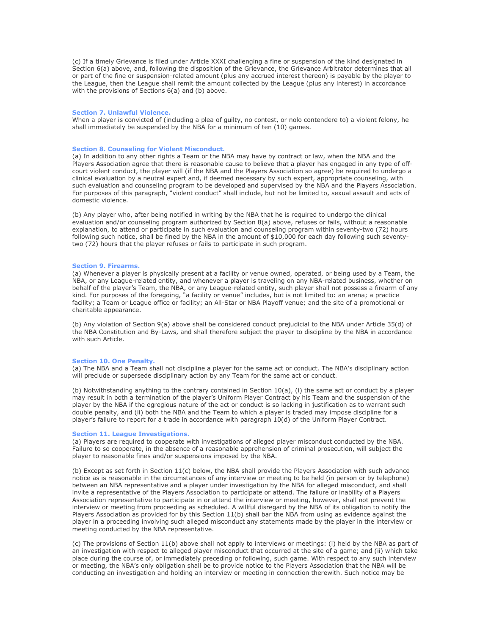(c) If a timely Grievance is filed under Article XXXI challenging a fine or suspension of the kind designated in Section 6(a) above, and, following the disposition of the Grievance, the Grievance Arbitrator determines that all or part of the fine or suspension-related amount (plus any accrued interest thereon) is payable by the player to the League, then the League shall remit the amount collected by the League (plus any interest) in accordance with the provisions of Sections 6(a) and (b) above.

### Section 7. Unlawful Violence.

When a player is convicted of (including a plea of guilty, no contest, or nolo contendere to) a violent felony, he shall immediately be suspended by the NBA for a minimum of ten (10) games.

# Section 8. Counseling for Violent Misconduct.

(a) In addition to any other rights a Team or the NBA may have by contract or law, when the NBA and the Players Association agree that there is reasonable cause to believe that a player has engaged in any type of offcourt violent conduct, the player will (if the NBA and the Players Association so agree) be required to undergo a clinical evaluation by a neutral expert and, if deemed necessary by such expert, appropriate counseling, with such evaluation and counseling program to be developed and supervised by the NBA and the Players Association. For purposes of this paragraph, "violent conduct" shall include, but not be limited to, sexual assault and acts of domestic violence.

(b) Any player who, after being notified in writing by the NBA that he is required to undergo the clinical evaluation and/or counseling program authorized by Section 8(a) above, refuses or fails, without a reasonable explanation, to attend or participate in such evaluation and counseling program within seventy-two (72) hours following such notice, shall be fined by the NBA in the amount of \$10,000 for each day following such seventytwo (72) hours that the player refuses or fails to participate in such program.

#### Section 9. Firearms.

(a) Whenever a player is physically present at a facility or venue owned, operated, or being used by a Team, the NBA, or any League-related entity, and whenever a player is traveling on any NBA-related business, whether on behalf of the player's Team, the NBA, or any League-related entity, such player shall not possess a firearm of any kind. For purposes of the foregoing, "a facility or venue" includes, but is not limited to: an arena; a practice facility; a Team or League office or facility; an All-Star or NBA Playoff venue; and the site of a promotional or charitable appearance.

(b) Any violation of Section 9(a) above shall be considered conduct prejudicial to the NBA under Article 35(d) of the NBA Constitution and By-Laws, and shall therefore subject the player to discipline by the NBA in accordance with such Article.

### Section 10. One Penalty.

(a) The NBA and a Team shall not discipline a player for the same act or conduct. The NBA's disciplinary action will preclude or supersede disciplinary action by any Team for the same act or conduct.

(b) Notwithstanding anything to the contrary contained in Section 10(a), (i) the same act or conduct by a player may result in both a termination of the player's Uniform Player Contract by his Team and the suspension of the player by the NBA if the egregious nature of the act or conduct is so lacking in justification as to warrant such double penalty, and (ii) both the NBA and the Team to which a player is traded may impose discipline for a player's failure to report for a trade in accordance with paragraph 10(d) of the Uniform Player Contract.

### Section 11. League Investigations.

(a) Players are required to cooperate with investigations of alleged player misconduct conducted by the NBA. Failure to so cooperate, in the absence of a reasonable apprehension of criminal prosecution, will subject the player to reasonable fines and/or suspensions imposed by the NBA.

(b) Except as set forth in Section 11(c) below, the NBA shall provide the Players Association with such advance notice as is reasonable in the circumstances of any interview or meeting to be held (in person or by telephone) between an NBA representative and a player under investigation by the NBA for alleged misconduct, and shall invite a representative of the Players Association to participate or attend. The failure or inability of a Players Association representative to participate in or attend the interview or meeting, however, shall not prevent the interview or meeting from proceeding as scheduled. A willful disregard by the NBA of its obligation to notify the Players Association as provided for by this Section 11(b) shall bar the NBA from using as evidence against the player in a proceeding involving such alleged misconduct any statements made by the player in the interview or meeting conducted by the NBA representative.

(c) The provisions of Section 11(b) above shall not apply to interviews or meetings: (i) held by the NBA as part of an investigation with respect to alleged player misconduct that occurred at the site of a game; and (ii) which take place during the course of, or immediately preceding or following, such game. With respect to any such interview or meeting, the NBA's only obligation shall be to provide notice to the Players Association that the NBA will be conducting an investigation and holding an interview or meeting in connection therewith. Such notice may be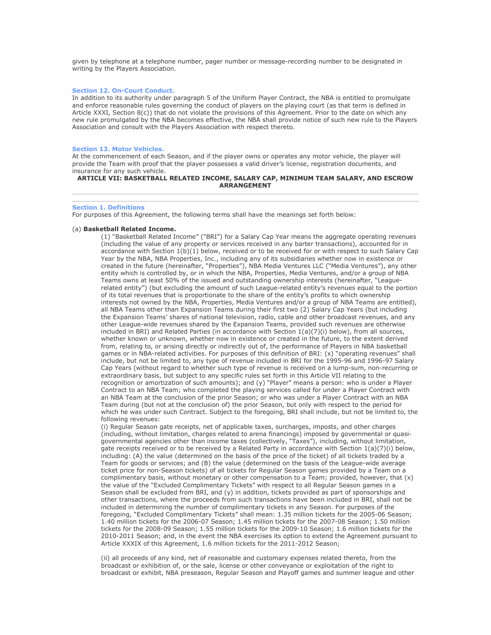given by telephone at a telephone number, pager number or message-recording number to be designated in writing by the Players Association.

#### Section 12. On-Court Conduct.

In addition to its authority under paragraph 5 of the Uniform Player Contract, the NBA is entitled to promulgate and enforce reasonable rules governing the conduct of players on the playing court (as that term is defined in Article XXXI, Section 8(c)) that do not violate the provisions of this Agreement. Prior to the date on which any new rule promulgated by the NBA becomes effective, the NBA shall provide notice of such new rule to the Players Association and consult with the Players Association with respect thereto.

### Section 13. Motor Vehicles.

At the commencement of each Season, and if the player owns or operates any motor vehicle, the player will provide the Team with proof that the player possesses a valid driver's license, registration documents, and insurance for any such vehicle.

## ARTICLE VII: BASKETBALL RELATED INCOME, SALARY CAP, MINIMUM TEAM SALARY, AND ESCROW ARRANGEMENT

### Section 1. Definitions

For purposes of this Agreement, the following terms shall have the meanings set forth below:

# (a) Basketball Related Income.

(1) "Basketball Related Income" ("BRI") for a Salary Cap Year means the aggregate operating revenues (including the value of any property or services received in any barter transactions), accounted for in accordance with Section 1(b)(1) below, received or to be received for or with respect to such Salary Cap Year by the NBA, NBA Properties, Inc., including any of its subsidiaries whether now in existence or created in the future (hereinafter, "Properties"), NBA Media Ventures LLC ("Media Ventures"), any other entity which is controlled by, or in which the NBA, Properties, Media Ventures, and/or a group of NBA Teams owns at least 50% of the issued and outstanding ownership interests (hereinafter, "Leaguerelated entity") (but excluding the amount of such League-related entity's revenues equal to the portion of its total revenues that is proportionate to the share of the entity's profits to which ownership interests not owned by the NBA, Properties, Media Ventures and/or a group of NBA Teams are entitled), all NBA Teams other than Expansion Teams during their first two (2) Salary Cap Years (but including the Expansion Teams' shares of national television, radio, cable and other broadcast revenues, and any other League-wide revenues shared by the Expansion Teams, provided such revenues are otherwise included in BRI) and Related Parties (in accordance with Section  $1(a)(7)(i)$  below), from all sources, whether known or unknown, whether now in existence or created in the future, to the extent derived from, relating to, or arising directly or indirectly out of, the performance of Players in NBA basketball games or in NBA-related activities. For purposes of this definition of BRI: (x) "operating revenues" shall include, but not be limited to, any type of revenue included in BRI for the 1995-96 and 1996-97 Salary Cap Years (without regard to whether such type of revenue is received on a lump-sum, non-recurring or extraordinary basis, but subject to any specific rules set forth in this Article VII relating to the recognition or amortization of such amounts); and (y) "Player" means a person: who is under a Player Contract to an NBA Team; who completed the playing services called for under a Player Contract with an NBA Team at the conclusion of the prior Season; or who was under a Player Contract with an NBA Team during (but not at the conclusion of) the prior Season, but only with respect to the period for which he was under such Contract. Subject to the foregoing, BRI shall include, but not be limited to, the following revenues:

(i) Regular Season gate receipts, net of applicable taxes, surcharges, imposts, and other charges (including, without limitation, charges related to arena financings) imposed by governmental or quasigovernmental agencies other than income taxes (collectively, "Taxes"), including, without limitation, gate receipts received or to be received by a Related Party in accordance with Section 1(a)(7)(i) below, including: (A) the value (determined on the basis of the price of the ticket) of all tickets traded by a Team for goods or services; and (B) the value (determined on the basis of the League-wide average ticket price for non-Season tickets) of all tickets for Regular Season games provided by a Team on a complimentary basis, without monetary or other compensation to a Team; provided, however, that (x) the value of the "Excluded Complimentary Tickets" with respect to all Regular Season games in a Season shall be excluded from BRI, and (y) in addition, tickets provided as part of sponsorships and other transactions, where the proceeds from such transactions have been included in BRI, shall not be included in determining the number of complimentary tickets in any Season. For purposes of the foregoing, "Excluded Complimentary Tickets" shall mean: 1.35 million tickets for the 2005-06 Season; 1.40 million tickets for the 2006-07 Season; 1.45 million tickets for the 2007-08 Season; 1.50 million tickets for the 2008-09 Season; 1.55 million tickets for the 2009-10 Season; 1.6 million tickets for the 2010-2011 Season; and, in the event the NBA exercises its option to extend the Agreement pursuant to Article XXXIX of this Agreement, 1.6 million tickets for the 2011-2012 Season;

(ii) all proceeds of any kind, net of reasonable and customary expenses related thereto, from the broadcast or exhibition of, or the sale, license or other conveyance or exploitation of the right to broadcast or exhibit, NBA preseason, Regular Season and Playoff games and summer league and other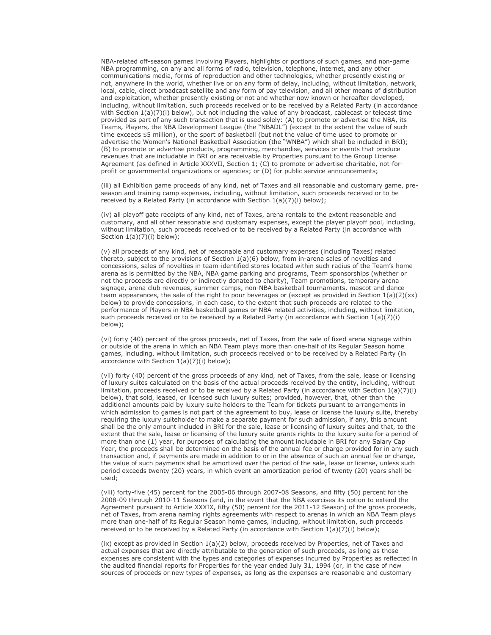NBA-related off-season games involving Players, highlights or portions of such games, and non-game NBA programming, on any and all forms of radio, television, telephone, internet, and any other communications media, forms of reproduction and other technologies, whether presently existing or not, anywhere in the world, whether live or on any form of delay, including, without limitation, network, local, cable, direct broadcast satellite and any form of pay television, and all other means of distribution and exploitation, whether presently existing or not and whether now known or hereafter developed, including, without limitation, such proceeds received or to be received by a Related Party (in accordance with Section 1(a)(7)(i) below), but not including the value of any broadcast, cablecast or telecast time provided as part of any such transaction that is used solely: (A) to promote or advertise the NBA, its Teams, Players, the NBA Development League (the "NBADL") (except to the extent the value of such time exceeds \$5 million), or the sport of basketball (but not the value of time used to promote or advertise the Women's National Basketball Association (the "WNBA") which shall be included in BRI); (B) to promote or advertise products, programming, merchandise, services or events that produce revenues that are includable in BRI or are receivable by Properties pursuant to the Group License Agreement (as defined in Article XXXVII, Section 1; (C) to promote or advertise charitable, not-forprofit or governmental organizations or agencies; or (D) for public service announcements;

(iii) all Exhibition game proceeds of any kind, net of Taxes and all reasonable and customary game, preseason and training camp expenses, including, without limitation, such proceeds received or to be received by a Related Party (in accordance with Section 1(a)(7)(i) below);

(iv) all playoff gate receipts of any kind, net of Taxes, arena rentals to the extent reasonable and customary, and all other reasonable and customary expenses, except the player playoff pool, including, without limitation, such proceeds received or to be received by a Related Party (in accordance with Section  $1(a)(7)(i)$  below);

(v) all proceeds of any kind, net of reasonable and customary expenses (including Taxes) related thereto, subject to the provisions of Section 1(a)(6) below, from in-arena sales of novelties and concessions, sales of novelties in team-identified stores located within such radius of the Team's home arena as is permitted by the NBA, NBA game parking and programs, Team sponsorships (whether or not the proceeds are directly or indirectly donated to charity), Team promotions, temporary arena signage, arena club revenues, summer camps, non-NBA basketball tournaments, mascot and dance team appearances, the sale of the right to pour beverages or (except as provided in Section  $1(a)(2)(xx)$ below) to provide concessions, in each case, to the extent that such proceeds are related to the performance of Players in NBA basketball games or NBA-related activities, including, without limitation, such proceeds received or to be received by a Related Party (in accordance with Section  $1(a)(7)(i)$ below);

(vi) forty (40) percent of the gross proceeds, net of Taxes, from the sale of fixed arena signage within or outside of the arena in which an NBA Team plays more than one-half of its Regular Season home games, including, without limitation, such proceeds received or to be received by a Related Party (in accordance with Section 1(a)(7)(i) below);

(vii) forty (40) percent of the gross proceeds of any kind, net of Taxes, from the sale, lease or licensing of luxury suites calculated on the basis of the actual proceeds received by the entity, including, without limitation, proceeds received or to be received by a Related Party (in accordance with Section 1(a)(7)(i) below), that sold, leased, or licensed such luxury suites; provided, however, that, other than the additional amounts paid by luxury suite holders to the Team for tickets pursuant to arrangements in which admission to games is not part of the agreement to buy, lease or license the luxury suite, thereby requiring the luxury suiteholder to make a separate payment for such admission, if any, this amount shall be the only amount included in BRI for the sale, lease or licensing of luxury suites and that, to the extent that the sale, lease or licensing of the luxury suite grants rights to the luxury suite for a period of more than one (1) year, for purposes of calculating the amount includable in BRI for any Salary Cap Year, the proceeds shall be determined on the basis of the annual fee or charge provided for in any such transaction and, if payments are made in addition to or in the absence of such an annual fee or charge, the value of such payments shall be amortized over the period of the sale, lease or license, unless such period exceeds twenty (20) years, in which event an amortization period of twenty (20) years shall be used;

(viii) forty-five (45) percent for the 2005-06 through 2007-08 Seasons, and fifty (50) percent for the 2008-09 through 2010-11 Seasons (and, in the event that the NBA exercises its option to extend the Agreement pursuant to Article XXXIX, fifty (50) percent for the 2011-12 Season) of the gross proceeds, net of Taxes, from arena naming rights agreements with respect to arenas in which an NBA Team plays more than one-half of its Regular Season home games, including, without limitation, such proceeds received or to be received by a Related Party (in accordance with Section  $1(a)(7)(i)$  below);

 $(ix)$  except as provided in Section  $1(a)(2)$  below, proceeds received by Properties, net of Taxes and actual expenses that are directly attributable to the generation of such proceeds, as long as those expenses are consistent with the types and categories of expenses incurred by Properties as reflected in the audited financial reports for Properties for the year ended July 31, 1994 (or, in the case of new sources of proceeds or new types of expenses, as long as the expenses are reasonable and customary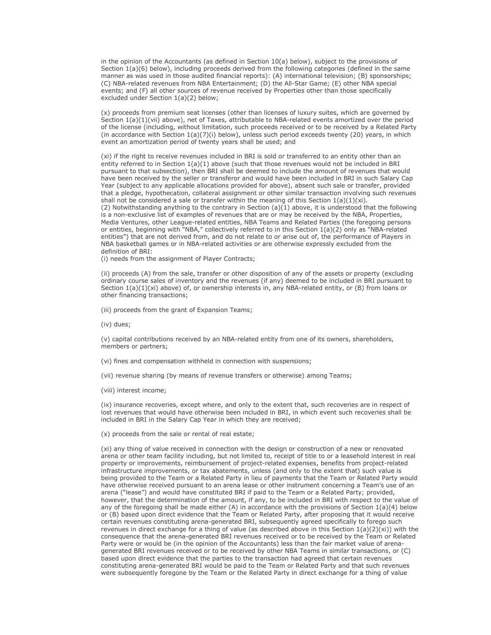in the opinion of the Accountants (as defined in Section 10(a) below), subject to the provisions of Section 1(a)(6) below), including proceeds derived from the following categories (defined in the same manner as was used in those audited financial reports): (A) international television; (B) sponsorships; (C) NBA-related revenues from NBA Entertainment; (D) the All-Star Game; (E) other NBA special events; and (F) all other sources of revenue received by Properties other than those specifically excluded under Section 1(a)(2) below;

(x) proceeds from premium seat licenses (other than licenses of luxury suites, which are governed by Section 1(a)(1)(vii) above), net of Taxes, attributable to NBA-related events amortized over the period of the license (including, without limitation, such proceeds received or to be received by a Related Party (in accordance with Section  $1(a)(7)(i)$  below), unless such period exceeds twenty (20) years, in which event an amortization period of twenty years shall be used; and

(xi) if the right to receive revenues included in BRI is sold or transferred to an entity other than an entity referred to in Section  $1(a)(1)$  above (such that those revenues would not be included in BRI pursuant to that subsection), then BRI shall be deemed to include the amount of revenues that would have been received by the seller or transferor and would have been included in BRI in such Salary Cap Year (subject to any applicable allocations provided for above), absent such sale or transfer, provided that a pledge, hypothecation, collateral assignment or other similar transaction involving such revenues shall not be considered a sale or transfer within the meaning of this Section  $1(a)(1)(xi)$ . (2) Notwithstanding anything to the contrary in Section  $(a)(1)$  above, it is understood that the following is a non-exclusive list of examples of revenues that are or may be received by the NBA, Properties, Media Ventures, other League-related entities, NBA Teams and Related Parties (the foregoing persons or entities, beginning with "NBA," collectively referred to in this Section 1(a)(2) only as "NBA-related entities") that are not derived from, and do not relate to or arise out of, the performance of Players in NBA basketball games or in NBA-related activities or are otherwise expressly excluded from the definition of BRI:

(i) needs from the assignment of Player Contracts;

(ii) proceeds (A) from the sale, transfer or other disposition of any of the assets or property (excluding ordinary course sales of inventory and the revenues (if any) deemed to be included in BRI pursuant to Section 1(a)(1)(xi) above) of, or ownership interests in, any NBA-related entity, or (B) from loans or other financing transactions;

(iii) proceeds from the grant of Expansion Teams;

(iv) dues;

(v) capital contributions received by an NBA-related entity from one of its owners, shareholders, members or partners;

(vi) fines and compensation withheld in connection with suspensions;

(vii) revenue sharing (by means of revenue transfers or otherwise) among Teams;

(viii) interest income;

(ix) insurance recoveries, except where, and only to the extent that, such recoveries are in respect of lost revenues that would have otherwise been included in BRI, in which event such recoveries shall be included in BRI in the Salary Cap Year in which they are received;

(x) proceeds from the sale or rental of real estate;

(xi) any thing of value received in connection with the design or construction of a new or renovated arena or other team facility including, but not limited to, receipt of title to or a leasehold interest in real property or improvements, reimbursement of project-related expenses, benefits from project-related infrastructure improvements, or tax abatements, unless (and only to the extent that) such value is being provided to the Team or a Related Party in lieu of payments that the Team or Related Party would have otherwise received pursuant to an arena lease or other instrument concerning a Team's use of an arena ("lease") and would have constituted BRI if paid to the Team or a Related Party; provided, however, that the determination of the amount, if any, to be included in BRI with respect to the value of any of the foregoing shall be made either (A) in accordance with the provisions of Section 1(a)(4) below or (B) based upon direct evidence that the Team or Related Party, after proposing that it would receive certain revenues constituting arena-generated BRI, subsequently agreed specifically to forego such revenues in direct exchange for a thing of value (as described above in this Section  $1(a)(2)(xi)$ ) with the consequence that the arena-generated BRI revenues received or to be received by the Team or Related Party were or would be (in the opinion of the Accountants) less than the fair market value of arenagenerated BRI revenues received or to be received by other NBA Teams in similar transactions, or (C) based upon direct evidence that the parties to the transaction had agreed that certain revenues constituting arena-generated BRI would be paid to the Team or Related Party and that such revenues were subsequently foregone by the Team or the Related Party in direct exchange for a thing of value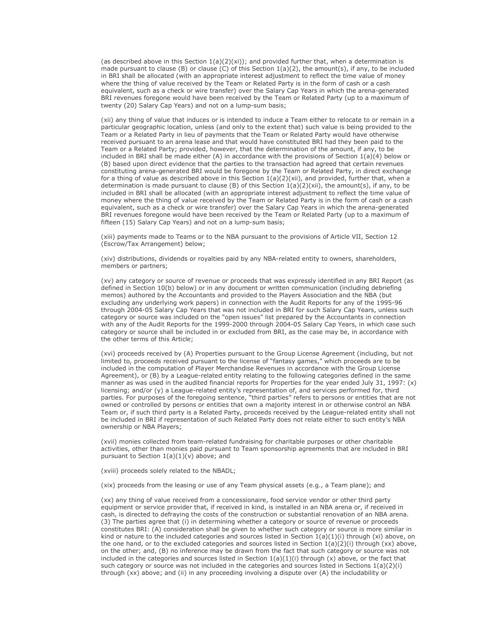(as described above in this Section  $1(a)(2)(xi))$ ; and provided further that, when a determination is made pursuant to clause (B) or clause (C) of this Section  $1(a)(2)$ , the amount(s), if any, to be included in BRI shall be allocated (with an appropriate interest adjustment to reflect the time value of money where the thing of value received by the Team or Related Party is in the form of cash or a cash equivalent, such as a check or wire transfer) over the Salary Cap Years in which the arena-generated BRI revenues foregone would have been received by the Team or Related Party (up to a maximum of twenty (20) Salary Cap Years) and not on a lump-sum basis;

(xii) any thing of value that induces or is intended to induce a Team either to relocate to or remain in a particular geographic location, unless (and only to the extent that) such value is being provided to the Team or a Related Party in lieu of payments that the Team or Related Party would have otherwise received pursuant to an arena lease and that would have constituted BRI had they been paid to the Team or a Related Party; provided, however, that the determination of the amount, if any, to be included in BRI shall be made either (A) in accordance with the provisions of Section  $1(a)(4)$  below or (B) based upon direct evidence that the parties to the transaction had agreed that certain revenues constituting arena-generated BRI would be foregone by the Team or Related Party, in direct exchange for a thing of value as described above in this Section  $1(a)(2)(xii)$ , and provided, further that, when a determination is made pursuant to clause (B) of this Section  $1(a)(2)(xii)$ , the amount(s), if any, to be included in BRI shall be allocated (with an appropriate interest adjustment to reflect the time value of money where the thing of value received by the Team or Related Party is in the form of cash or a cash equivalent, such as a check or wire transfer) over the Salary Cap Years in which the arena-generated BRI revenues foregone would have been received by the Team or Related Party (up to a maximum of fifteen (15) Salary Cap Years) and not on a lump-sum basis;

(xiii) payments made to Teams or to the NBA pursuant to the provisions of Article VII, Section 12 (Escrow/Tax Arrangement) below;

(xiv) distributions, dividends or royalties paid by any NBA-related entity to owners, shareholders, members or partners;

(xv) any category or source of revenue or proceeds that was expressly identified in any BRI Report (as defined in Section 10(b) below) or in any document or written communication (including debriefing memos) authored by the Accountants and provided to the Players Association and the NBA (but excluding any underlying work papers) in connection with the Audit Reports for any of the 1995-96 through 2004-05 Salary Cap Years that was not included in BRI for such Salary Cap Years, unless such category or source was included on the "open issues" list prepared by the Accountants in connection with any of the Audit Reports for the 1999-2000 through 2004-05 Salary Cap Years, in which case such category or source shall be included in or excluded from BRI, as the case may be, in accordance with the other terms of this Article;

(xvi) proceeds received by (A) Properties pursuant to the Group License Agreement (including, but not limited to, proceeds received pursuant to the license of "fantasy games," which proceeds are to be included in the computation of Player Merchandise Revenues in accordance with the Group License Agreement), or (B) by a League-related entity relating to the following categories defined in the same manner as was used in the audited financial reports for Properties for the year ended July 31, 1997: (x) licensing; and/or (y) a League-related entity's representation of, and services performed for, third parties. For purposes of the foregoing sentence, "third parties" refers to persons or entities that are not owned or controlled by persons or entities that own a majority interest in or otherwise control an NBA Team or, if such third party is a Related Party, proceeds received by the League-related entity shall not be included in BRI if representation of such Related Party does not relate either to such entity's NBA ownership or NBA Players;

(xvii) monies collected from team-related fundraising for charitable purposes or other charitable activities, other than monies paid pursuant to Team sponsorship agreements that are included in BRI pursuant to Section  $1(a)(1)(v)$  above; and

(xviii) proceeds solely related to the NBADL;

(xix) proceeds from the leasing or use of any Team physical assets (e.g., a Team plane); and

(xx) any thing of value received from a concessionaire, food service vendor or other third party equipment or service provider that, if received in kind, is installed in an NBA arena or, if received in cash, is directed to defraying the costs of the construction or substantial renovation of an NBA arena. (3) The parties agree that (i) in determining whether a category or source of revenue or proceeds constitutes BRI: (A) consideration shall be given to whether such category or source is more similar in kind or nature to the included categories and sources listed in Section 1(a)(1)(i) through (xi) above, on the one hand, or to the excluded categories and sources listed in Section  $1(a)(2)(i)$  through (xx) above, on the other; and, (B) no inference may be drawn from the fact that such category or source was not included in the categories and sources listed in Section  $1(a)(1)(i)$  through  $(x)$  above, or the fact that such category or source was not included in the categories and sources listed in Sections 1(a)(2)(i) through (xx) above; and (ii) in any proceeding involving a dispute over (A) the includability or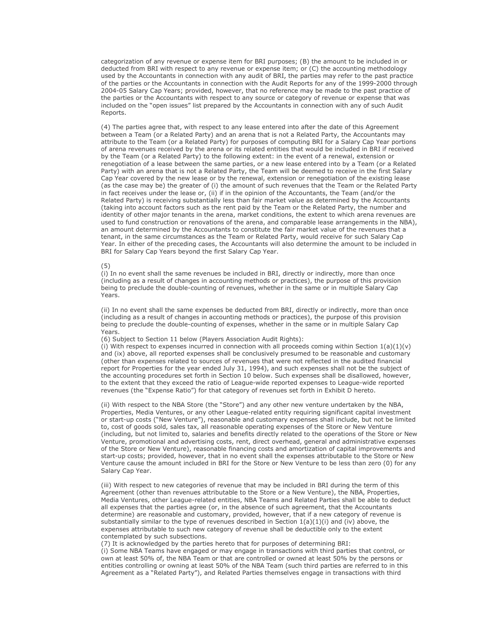categorization of any revenue or expense item for BRI purposes; (B) the amount to be included in or deducted from BRI with respect to any revenue or expense item; or (C) the accounting methodology used by the Accountants in connection with any audit of BRI, the parties may refer to the past practice of the parties or the Accountants in connection with the Audit Reports for any of the 1999-2000 through 2004-05 Salary Cap Years; provided, however, that no reference may be made to the past practice of the parties or the Accountants with respect to any source or category of revenue or expense that was included on the "open issues" list prepared by the Accountants in connection with any of such Audit Reports.

(4) The parties agree that, with respect to any lease entered into after the date of this Agreement between a Team (or a Related Party) and an arena that is not a Related Party, the Accountants may attribute to the Team (or a Related Party) for purposes of computing BRI for a Salary Cap Year portions of arena revenues received by the arena or its related entities that would be included in BRI if received by the Team (or a Related Party) to the following extent: in the event of a renewal, extension or renegotiation of a lease between the same parties, or a new lease entered into by a Team (or a Related Party) with an arena that is not a Related Party, the Team will be deemed to receive in the first Salary Cap Year covered by the new lease or by the renewal, extension or renegotiation of the existing lease (as the case may be) the greater of (i) the amount of such revenues that the Team or the Related Party in fact receives under the lease or, (ii) if in the opinion of the Accountants, the Team (and/or the Related Party) is receiving substantially less than fair market value as determined by the Accountants (taking into account factors such as the rent paid by the Team or the Related Party, the number and identity of other major tenants in the arena, market conditions, the extent to which arena revenues are used to fund construction or renovations of the arena, and comparable lease arrangements in the NBA), an amount determined by the Accountants to constitute the fair market value of the revenues that a tenant, in the same circumstances as the Team or Related Party, would receive for such Salary Cap Year. In either of the preceding cases, the Accountants will also determine the amount to be included in BRI for Salary Cap Years beyond the first Salary Cap Year.

## (5)

(i) In no event shall the same revenues be included in BRI, directly or indirectly, more than once (including as a result of changes in accounting methods or practices), the purpose of this provision being to preclude the double-counting of revenues, whether in the same or in multiple Salary Cap Years.

(ii) In no event shall the same expenses be deducted from BRI, directly or indirectly, more than once (including as a result of changes in accounting methods or practices), the purpose of this provision being to preclude the double-counting of expenses, whether in the same or in multiple Salary Cap Years.

(6) Subject to Section 11 below (Players Association Audit Rights):

(i) With respect to expenses incurred in connection with all proceeds coming within Section  $1(a)(1)(v)$ and (ix) above, all reported expenses shall be conclusively presumed to be reasonable and customary (other than expenses related to sources of revenues that were not reflected in the audited financial report for Properties for the year ended July 31, 1994), and such expenses shall not be the subject of the accounting procedures set forth in Section 10 below. Such expenses shall be disallowed, however, to the extent that they exceed the ratio of League-wide reported expenses to League-wide reported revenues (the "Expense Ratio") for that category of revenues set forth in Exhibit D hereto.

(ii) With respect to the NBA Store (the "Store") and any other new venture undertaken by the NBA, Properties, Media Ventures, or any other League-related entity requiring significant capital investment or start-up costs ("New Venture"), reasonable and customary expenses shall include, but not be limited to, cost of goods sold, sales tax, all reasonable operating expenses of the Store or New Venture (including, but not limited to, salaries and benefits directly related to the operations of the Store or New Venture, promotional and advertising costs, rent, direct overhead, general and administrative expenses of the Store or New Venture), reasonable financing costs and amortization of capital improvements and start-up costs; provided, however, that in no event shall the expenses attributable to the Store or New Venture cause the amount included in BRI for the Store or New Venture to be less than zero (0) for any Salary Cap Year.

(iii) With respect to new categories of revenue that may be included in BRI during the term of this Agreement (other than revenues attributable to the Store or a New Venture), the NBA, Properties, Media Ventures, other League-related entities, NBA Teams and Related Parties shall be able to deduct all expenses that the parties agree (or, in the absence of such agreement, that the Accountants determine) are reasonable and customary, provided, however, that if a new category of revenue is substantially similar to the type of revenues described in Section 1(a)(1)(i) and (iv) above, the expenses attributable to such new category of revenue shall be deductible only to the extent contemplated by such subsections.

(7) It is acknowledged by the parties hereto that for purposes of determining BRI:

(i) Some NBA Teams have engaged or may engage in transactions with third parties that control, or own at least 50% of, the NBA Team or that are controlled or owned at least 50% by the persons or entities controlling or owning at least 50% of the NBA Team (such third parties are referred to in this Agreement as a "Related Party"), and Related Parties themselves engage in transactions with third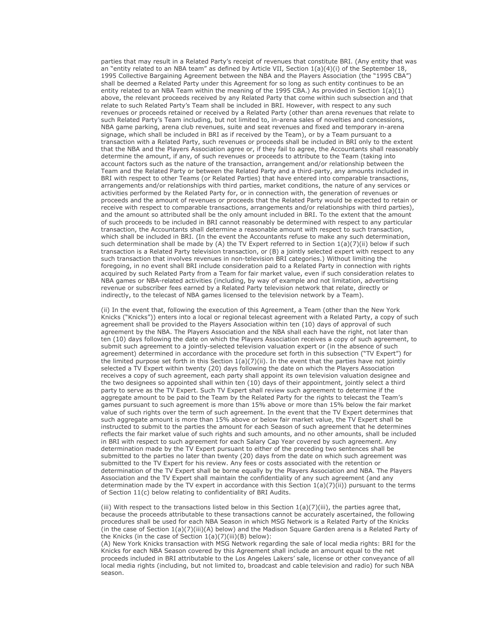parties that may result in a Related Party's receipt of revenues that constitute BRI. (Any entity that was an "entity related to an NBA team" as defined by Article VII, Section 1(a)(4)(i) of the September 18, 1995 Collective Bargaining Agreement between the NBA and the Players Association (the "1995 CBA") shall be deemed a Related Party under this Agreement for so long as such entity continues to be an entity related to an NBA Team within the meaning of the 1995 CBA.) As provided in Section  $1(a)(1)$ above, the relevant proceeds received by any Related Party that come within such subsection and that relate to such Related Party's Team shall be included in BRI. However, with respect to any such revenues or proceeds retained or received by a Related Party (other than arena revenues that relate to such Related Party's Team including, but not limited to, in-arena sales of novelties and concessions, NBA game parking, arena club revenues, suite and seat revenues and fixed and temporary in-arena signage, which shall be included in BRI as if received by the Team), or by a Team pursuant to a transaction with a Related Party, such revenues or proceeds shall be included in BRI only to the extent that the NBA and the Players Association agree or, if they fail to agree, the Accountants shall reasonably determine the amount, if any, of such revenues or proceeds to attribute to the Team (taking into account factors such as the nature of the transaction, arrangement and/or relationship between the Team and the Related Party or between the Related Party and a third-party, any amounts included in BRI with respect to other Teams (or Related Parties) that have entered into comparable transactions, arrangements and/or relationships with third parties, market conditions, the nature of any services or activities performed by the Related Party for, or in connection with, the generation of revenues or proceeds and the amount of revenues or proceeds that the Related Party would be expected to retain or receive with respect to comparable transactions, arrangements and/or relationships with third parties), and the amount so attributed shall be the only amount included in BRI. To the extent that the amount of such proceeds to be included in BRI cannot reasonably be determined with respect to any particular transaction, the Accountants shall determine a reasonable amount with respect to such transaction, which shall be included in BRI. (In the event the Accountants refuse to make any such determination, such determination shall be made by (A) the TV Expert referred to in Section 1(a)(7)(ii) below if such transaction is a Related Party television transaction, or (B) a jointly selected expert with respect to any such transaction that involves revenues in non-television BRI categories.) Without limiting the foregoing, in no event shall BRI include consideration paid to a Related Party in connection with rights acquired by such Related Party from a Team for fair market value, even if such consideration relates to NBA games or NBA-related activities (including, by way of example and not limitation, advertising revenue or subscriber fees earned by a Related Party television network that relate, directly or indirectly, to the telecast of NBA games licensed to the television network by a Team).

(ii) In the event that, following the execution of this Agreement, a Team (other than the New York Knicks ("Knicks")) enters into a local or regional telecast agreement with a Related Party, a copy of such agreement shall be provided to the Players Association within ten (10) days of approval of such agreement by the NBA. The Players Association and the NBA shall each have the right, not later than ten (10) days following the date on which the Players Association receives a copy of such agreement, to submit such agreement to a jointly-selected television valuation expert or (in the absence of such agreement) determined in accordance with the procedure set forth in this subsection ("TV Expert") for the limited purpose set forth in this Section  $1(a)(7)(ii)$ . In the event that the parties have not jointly selected a TV Expert within twenty (20) days following the date on which the Players Association receives a copy of such agreement, each party shall appoint its own television valuation designee and the two designees so appointed shall within ten (10) days of their appointment, jointly select a third party to serve as the TV Expert. Such TV Expert shall review such agreement to determine if the aggregate amount to be paid to the Team by the Related Party for the rights to telecast the Team's games pursuant to such agreement is more than 15% above or more than 15% below the fair market value of such rights over the term of such agreement. In the event that the TV Expert determines that such aggregate amount is more than 15% above or below fair market value, the TV Expert shall be instructed to submit to the parties the amount for each Season of such agreement that he determines reflects the fair market value of such rights and such amounts, and no other amounts, shall be included in BRI with respect to such agreement for each Salary Cap Year covered by such agreement. Any determination made by the TV Expert pursuant to either of the preceding two sentences shall be submitted to the parties no later than twenty (20) days from the date on which such agreement was submitted to the TV Expert for his review. Any fees or costs associated with the retention or determination of the TV Expert shall be borne equally by the Players Association and NBA. The Players Association and the TV Expert shall maintain the confidentiality of any such agreement (and any determination made by the TV expert in accordance with this Section  $1(a)(7)(ii)$ ) pursuant to the terms of Section 11(c) below relating to confidentiality of BRI Audits.

(iii) With respect to the transactions listed below in this Section  $1(a)(7)(iii)$ , the parties agree that, because the proceeds attributable to these transactions cannot be accurately ascertained, the following procedures shall be used for each NBA Season in which MSG Network is a Related Party of the Knicks (in the case of Section 1(a)(7)(iii)(A) below) and the Madison Square Garden arena is a Related Party of the Knicks (in the case of Section 1(a)(7)(iii)(B) below):

(A) New York Knicks transaction with MSG Network regarding the sale of local media rights: BRI for the Knicks for each NBA Season covered by this Agreement shall include an amount equal to the net proceeds included in BRI attributable to the Los Angeles Lakers' sale, license or other conveyance of all local media rights (including, but not limited to, broadcast and cable television and radio) for such NBA season.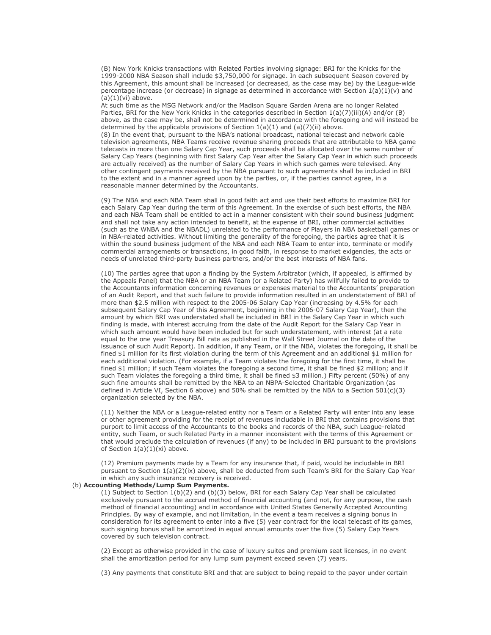(B) New York Knicks transactions with Related Parties involving signage: BRI for the Knicks for the 1999-2000 NBA Season shall include \$3,750,000 for signage. In each subsequent Season covered by this Agreement, this amount shall be increased (or decreased, as the case may be) by the League-wide percentage increase (or decrease) in signage as determined in accordance with Section  $1(a)(1)(v)$  and  $(a)(1)(vi)$  above.

At such time as the MSG Network and/or the Madison Square Garden Arena are no longer Related Parties, BRI for the New York Knicks in the categories described in Section 1(a)(7)(iii)(A) and/or (B) above, as the case may be, shall not be determined in accordance with the foregoing and will instead be determined by the applicable provisions of Section  $1(a)(1)$  and  $(a)(7)(ii)$  above.

(8) In the event that, pursuant to the NBA's national broadcast, national telecast and network cable television agreements, NBA Teams receive revenue sharing proceeds that are attributable to NBA game telecasts in more than one Salary Cap Year, such proceeds shall be allocated over the same number of Salary Cap Years (beginning with first Salary Cap Year after the Salary Cap Year in which such proceeds are actually received) as the number of Salary Cap Years in which such games were televised. Any other contingent payments received by the NBA pursuant to such agreements shall be included in BRI to the extent and in a manner agreed upon by the parties, or, if the parties cannot agree, in a reasonable manner determined by the Accountants.

(9) The NBA and each NBA Team shall in good faith act and use their best efforts to maximize BRI for each Salary Cap Year during the term of this Agreement. In the exercise of such best efforts, the NBA and each NBA Team shall be entitled to act in a manner consistent with their sound business judgment and shall not take any action intended to benefit, at the expense of BRI, other commercial activities (such as the WNBA and the NBADL) unrelated to the performance of Players in NBA basketball games or in NBA-related activities. Without limiting the generality of the foregoing, the parties agree that it is within the sound business judgment of the NBA and each NBA Team to enter into, terminate or modify commercial arrangements or transactions, in good faith, in response to market exigencies, the acts or needs of unrelated third-party business partners, and/or the best interests of NBA fans.

(10) The parties agree that upon a finding by the System Arbitrator (which, if appealed, is affirmed by the Appeals Panel) that the NBA or an NBA Team (or a Related Party) has willfully failed to provide to the Accountants information concerning revenues or expenses material to the Accountants' preparation of an Audit Report, and that such failure to provide information resulted in an understatement of BRI of more than \$2.5 million with respect to the 2005-06 Salary Cap Year (increasing by 4.5% for each subsequent Salary Cap Year of this Agreement, beginning in the 2006-07 Salary Cap Year), then the amount by which BRI was understated shall be included in BRI in the Salary Cap Year in which such finding is made, with interest accruing from the date of the Audit Report for the Salary Cap Year in which such amount would have been included but for such understatement, with interest (at a rate equal to the one year Treasury Bill rate as published in the Wall Street Journal on the date of the issuance of such Audit Report). In addition, if any Team, or if the NBA, violates the foregoing, it shall be fined \$1 million for its first violation during the term of this Agreement and an additional \$1 million for each additional violation. (For example, if a Team violates the foregoing for the first time, it shall be fined \$1 million; if such Team violates the foregoing a second time, it shall be fined \$2 million; and if such Team violates the foregoing a third time, it shall be fined \$3 million.) Fifty percent (50%) of any such fine amounts shall be remitted by the NBA to an NBPA-Selected Charitable Organization (as defined in Article VI, Section 6 above) and 50% shall be remitted by the NBA to a Section  $501(c)(3)$ organization selected by the NBA.

(11) Neither the NBA or a League-related entity nor a Team or a Related Party will enter into any lease or other agreement providing for the receipt of revenues includable in BRI that contains provisions that purport to limit access of the Accountants to the books and records of the NBA, such League-related entity, such Team, or such Related Party in a manner inconsistent with the terms of this Agreement or that would preclude the calculation of revenues (if any) to be included in BRI pursuant to the provisions of Section  $1(a)(1)(x)$  above.

(12) Premium payments made by a Team for any insurance that, if paid, would be includable in BRI pursuant to Section 1(a)(2)(ix) above, shall be deducted from such Team's BRI for the Salary Cap Year in which any such insurance recovery is received.

# (b) Accounting Methods/Lump Sum Payments.

(1) Subject to Section 1(b)(2) and (b)(3) below, BRI for each Salary Cap Year shall be calculated exclusively pursuant to the accrual method of financial accounting (and not, for any purpose, the cash method of financial accounting) and in accordance with United States Generally Accepted Accounting Principles. By way of example, and not limitation, in the event a team receives a signing bonus in consideration for its agreement to enter into a five (5) year contract for the local telecast of its games, such signing bonus shall be amortized in equal annual amounts over the five (5) Salary Cap Years covered by such television contract.

(2) Except as otherwise provided in the case of luxury suites and premium seat licenses, in no event shall the amortization period for any lump sum payment exceed seven (7) years.

(3) Any payments that constitute BRI and that are subject to being repaid to the payor under certain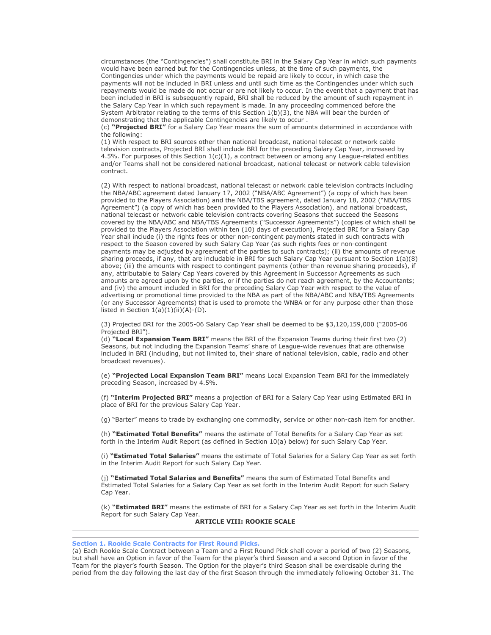circumstances (the "Contingencies") shall constitute BRI in the Salary Cap Year in which such payments would have been earned but for the Contingencies unless, at the time of such payments, the Contingencies under which the payments would be repaid are likely to occur, in which case the payments will not be included in BRI unless and until such time as the Contingencies under which such repayments would be made do not occur or are not likely to occur. In the event that a payment that has been included in BRI is subsequently repaid, BRI shall be reduced by the amount of such repayment in the Salary Cap Year in which such repayment is made. In any proceeding commenced before the System Arbitrator relating to the terms of this Section  $1(b)(3)$ , the NBA will bear the burden of demonstrating that the applicable Contingencies are likely to occur .

(c) "Projected BRI" for a Salary Cap Year means the sum of amounts determined in accordance with the following:

(1) With respect to BRI sources other than national broadcast, national telecast or network cable television contracts, Projected BRI shall include BRI for the preceding Salary Cap Year, increased by 4.5%. For purposes of this Section  $1(c)(1)$ , a contract between or among any League-related entities and/or Teams shall not be considered national broadcast, national telecast or network cable television contract.

(2) With respect to national broadcast, national telecast or network cable television contracts including the NBA/ABC agreement dated January 17, 2002 ("NBA/ABC Agreement") (a copy of which has been provided to the Players Association) and the NBA/TBS agreement, dated January 18, 2002 ("NBA/TBS Agreement") (a copy of which has been provided to the Players Association), and national broadcast, national telecast or network cable television contracts covering Seasons that succeed the Seasons covered by the NBA/ABC and NBA/TBS Agreements ("Successor Agreements") (copies of which shall be provided to the Players Association within ten (10) days of execution), Projected BRI for a Salary Cap Year shall include (i) the rights fees or other non-contingent payments stated in such contracts with respect to the Season covered by such Salary Cap Year (as such rights fees or non-contingent payments may be adjusted by agreement of the parties to such contracts); (ii) the amounts of revenue sharing proceeds, if any, that are includable in BRI for such Salary Cap Year pursuant to Section  $1(a)(8)$ above; (iii) the amounts with respect to contingent payments (other than revenue sharing proceeds), if any, attributable to Salary Cap Years covered by this Agreement in Successor Agreements as such amounts are agreed upon by the parties, or if the parties do not reach agreement, by the Accountants; and (iv) the amount included in BRI for the preceding Salary Cap Year with respect to the value of advertising or promotional time provided to the NBA as part of the NBA/ABC and NBA/TBS Agreements (or any Successor Agreements) that is used to promote the WNBA or for any purpose other than those listed in Section  $1(a)(1)(ii)(A)-(D)$ .

(3) Projected BRI for the 2005-06 Salary Cap Year shall be deemed to be \$3,120,159,000 ("2005-06 Projected BRI").

(d) "Local Expansion Team BRI" means the BRI of the Expansion Teams during their first two (2) Seasons, but not including the Expansion Teams' share of League-wide revenues that are otherwise included in BRI (including, but not limited to, their share of national television, cable, radio and other broadcast revenues).

(e) "Projected Local Expansion Team BRI" means Local Expansion Team BRI for the immediately preceding Season, increased by 4.5%.

(f) "Interim Projected BRI" means a projection of BRI for a Salary Cap Year using Estimated BRI in place of BRI for the previous Salary Cap Year.

(g) "Barter" means to trade by exchanging one commodity, service or other non-cash item for another.

(h) "**Estimated Total Benefits"** means the estimate of Total Benefits for a Salary Cap Year as set forth in the Interim Audit Report (as defined in Section 10(a) below) for such Salary Cap Year.

(i) "Estimated Total Salaries" means the estimate of Total Salaries for a Salary Cap Year as set forth in the Interim Audit Report for such Salary Cap Year.

(j) "Estimated Total Salaries and Benefits" means the sum of Estimated Total Benefits and Estimated Total Salaries for a Salary Cap Year as set forth in the Interim Audit Report for such Salary Cap Year.

(k) "Estimated BRI" means the estimate of BRI for a Salary Cap Year as set forth in the Interim Audit Report for such Salary Cap Year.

### ARTICLE VIII: ROOKIE SCALE

### Section 1. Rookie Scale Contracts for First Round Picks.

(a) Each Rookie Scale Contract between a Team and a First Round Pick shall cover a period of two (2) Seasons, but shall have an Option in favor of the Team for the player's third Season and a second Option in favor of the Team for the player's fourth Season. The Option for the player's third Season shall be exercisable during the period from the day following the last day of the first Season through the immediately following October 31. The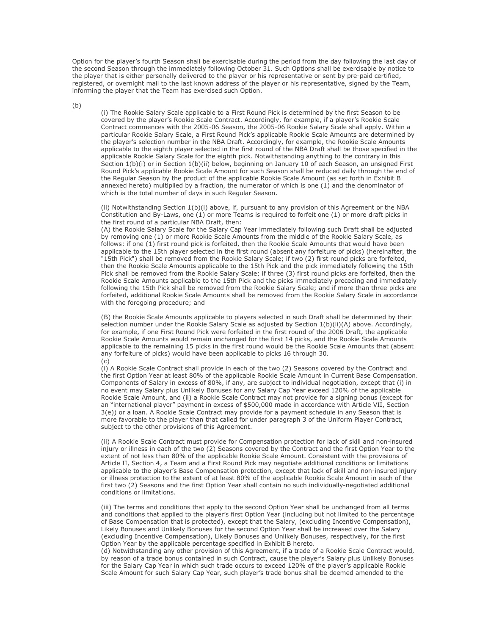Option for the player's fourth Season shall be exercisable during the period from the day following the last day of the second Season through the immediately following October 31. Such Options shall be exercisable by notice to the player that is either personally delivered to the player or his representative or sent by pre-paid certified, registered, or overnight mail to the last known address of the player or his representative, signed by the Team, informing the player that the Team has exercised such Option.

(b)

(i) The Rookie Salary Scale applicable to a First Round Pick is determined by the first Season to be covered by the player's Rookie Scale Contract. Accordingly, for example, if a player's Rookie Scale Contract commences with the 2005-06 Season, the 2005-06 Rookie Salary Scale shall apply. Within a particular Rookie Salary Scale, a First Round Pick's applicable Rookie Scale Amounts are determined by the player's selection number in the NBA Draft. Accordingly, for example, the Rookie Scale Amounts applicable to the eighth player selected in the first round of the NBA Draft shall be those specified in the applicable Rookie Salary Scale for the eighth pick. Notwithstanding anything to the contrary in this Section 1(b)(i) or in Section 1(b)(ii) below, beginning on January 10 of each Season, an unsigned First Round Pick's applicable Rookie Scale Amount for such Season shall be reduced daily through the end of the Regular Season by the product of the applicable Rookie Scale Amount (as set forth in Exhibit B annexed hereto) multiplied by a fraction, the numerator of which is one (1) and the denominator of which is the total number of days in such Regular Season.

(ii) Notwithstanding Section 1(b)(i) above, if, pursuant to any provision of this Agreement or the NBA Constitution and By-Laws, one (1) or more Teams is required to forfeit one (1) or more draft picks in the first round of a particular NBA Draft, then:

(A) the Rookie Salary Scale for the Salary Cap Year immediately following such Draft shall be adjusted by removing one (1) or more Rookie Scale Amounts from the middle of the Rookie Salary Scale, as follows: if one (1) first round pick is forfeited, then the Rookie Scale Amounts that would have been applicable to the 15th player selected in the first round (absent any forfeiture of picks) (hereinafter, the "15th Pick") shall be removed from the Rookie Salary Scale; if two (2) first round picks are forfeited, then the Rookie Scale Amounts applicable to the 15th Pick and the pick immediately following the 15th Pick shall be removed from the Rookie Salary Scale; if three (3) first round picks are forfeited, then the Rookie Scale Amounts applicable to the 15th Pick and the picks immediately preceding and immediately following the 15th Pick shall be removed from the Rookie Salary Scale; and if more than three picks are forfeited, additional Rookie Scale Amounts shall be removed from the Rookie Salary Scale in accordance with the foregoing procedure; and

(B) the Rookie Scale Amounts applicable to players selected in such Draft shall be determined by their selection number under the Rookie Salary Scale as adjusted by Section 1(b)(ii)(A) above. Accordingly, for example, if one First Round Pick were forfeited in the first round of the 2006 Draft, the applicable Rookie Scale Amounts would remain unchanged for the first 14 picks, and the Rookie Scale Amounts applicable to the remaining 15 picks in the first round would be the Rookie Scale Amounts that (absent any forfeiture of picks) would have been applicable to picks 16 through 30. (c)

(i) A Rookie Scale Contract shall provide in each of the two (2) Seasons covered by the Contract and the first Option Year at least 80% of the applicable Rookie Scale Amount in Current Base Compensation. Components of Salary in excess of 80%, if any, are subject to individual negotiation, except that (i) in no event may Salary plus Unlikely Bonuses for any Salary Cap Year exceed 120% of the applicable Rookie Scale Amount, and (ii) a Rookie Scale Contract may not provide for a signing bonus (except for an "international player" payment in excess of \$500,000 made in accordance with Article VII, Section 3(e)) or a loan. A Rookie Scale Contract may provide for a payment schedule in any Season that is more favorable to the player than that called for under paragraph 3 of the Uniform Player Contract, subject to the other provisions of this Agreement.

(ii) A Rookie Scale Contract must provide for Compensation protection for lack of skill and non-insured injury or illness in each of the two (2) Seasons covered by the Contract and the first Option Year to the extent of not less than 80% of the applicable Rookie Scale Amount. Consistent with the provisions of Article II, Section 4, a Team and a First Round Pick may negotiate additional conditions or limitations applicable to the player's Base Compensation protection, except that lack of skill and non-insured injury or illness protection to the extent of at least 80% of the applicable Rookie Scale Amount in each of the first two (2) Seasons and the first Option Year shall contain no such individually-negotiated additional conditions or limitations.

(iii) The terms and conditions that apply to the second Option Year shall be unchanged from all terms and conditions that applied to the player's first Option Year (including but not limited to the percentage of Base Compensation that is protected), except that the Salary, (excluding Incentive Compensation), Likely Bonuses and Unlikely Bonuses for the second Option Year shall be increased over the Salary (excluding Incentive Compensation), Likely Bonuses and Unlikely Bonuses, respectively, for the first Option Year by the applicable percentage specified in Exhibit B hereto.

(d) Notwithstanding any other provision of this Agreement, if a trade of a Rookie Scale Contract would, by reason of a trade bonus contained in such Contract, cause the player's Salary plus Unlikely Bonuses for the Salary Cap Year in which such trade occurs to exceed 120% of the player's applicable Rookie Scale Amount for such Salary Cap Year, such player's trade bonus shall be deemed amended to the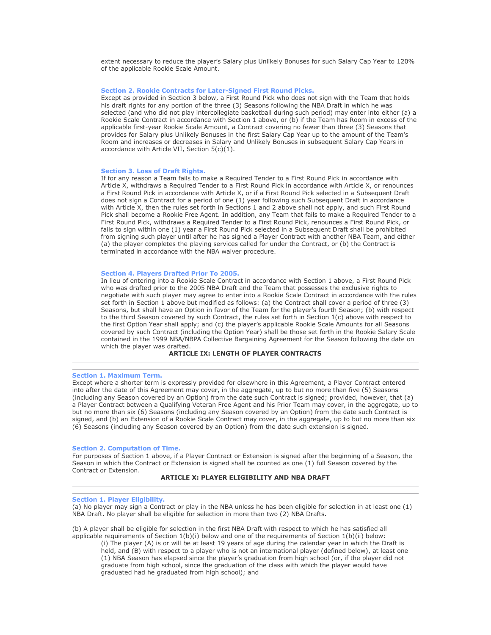extent necessary to reduce the player's Salary plus Unlikely Bonuses for such Salary Cap Year to 120% of the applicable Rookie Scale Amount.

#### Section 2. Rookie Contracts for Later-Signed First Round Picks.

Except as provided in Section 3 below, a First Round Pick who does not sign with the Team that holds his draft rights for any portion of the three (3) Seasons following the NBA Draft in which he was selected (and who did not play intercollegiate basketball during such period) may enter into either (a) a Rookie Scale Contract in accordance with Section 1 above, or (b) if the Team has Room in excess of the applicable first-year Rookie Scale Amount, a Contract covering no fewer than three (3) Seasons that provides for Salary plus Unlikely Bonuses in the first Salary Cap Year up to the amount of the Team's Room and increases or decreases in Salary and Unlikely Bonuses in subsequent Salary Cap Years in accordance with Article VII, Section  $5(c)(1)$ .

#### Section 3. Loss of Draft Rights.

If for any reason a Team fails to make a Required Tender to a First Round Pick in accordance with Article X, withdraws a Required Tender to a First Round Pick in accordance with Article X, or renounces a First Round Pick in accordance with Article X, or if a First Round Pick selected in a Subsequent Draft does not sign a Contract for a period of one (1) year following such Subsequent Draft in accordance with Article X, then the rules set forth in Sections 1 and 2 above shall not apply, and such First Round Pick shall become a Rookie Free Agent. In addition, any Team that fails to make a Required Tender to a First Round Pick, withdraws a Required Tender to a First Round Pick, renounces a First Round Pick, or fails to sign within one (1) year a First Round Pick selected in a Subsequent Draft shall be prohibited from signing such player until after he has signed a Player Contract with another NBA Team, and either (a) the player completes the playing services called for under the Contract, or (b) the Contract is terminated in accordance with the NBA waiver procedure.

# Section 4. Players Drafted Prior To 2005.

In lieu of entering into a Rookie Scale Contract in accordance with Section 1 above, a First Round Pick who was drafted prior to the 2005 NBA Draft and the Team that possesses the exclusive rights to negotiate with such player may agree to enter into a Rookie Scale Contract in accordance with the rules set forth in Section 1 above but modified as follows: (a) the Contract shall cover a period of three (3) Seasons, but shall have an Option in favor of the Team for the player's fourth Season; (b) with respect to the third Season covered by such Contract, the rules set forth in Section 1(c) above with respect to the first Option Year shall apply; and (c) the player's applicable Rookie Scale Amounts for all Seasons covered by such Contract (including the Option Year) shall be those set forth in the Rookie Salary Scale contained in the 1999 NBA/NBPA Collective Bargaining Agreement for the Season following the date on which the player was drafted.

# ARTICLE IX: LENGTH OF PLAYER CONTRACTS

#### Section 1. Maximum Term.

Except where a shorter term is expressly provided for elsewhere in this Agreement, a Player Contract entered into after the date of this Agreement may cover, in the aggregate, up to but no more than five (5) Seasons (including any Season covered by an Option) from the date such Contract is signed; provided, however, that (a) a Player Contract between a Qualifying Veteran Free Agent and his Prior Team may cover, in the aggregate, up to but no more than six (6) Seasons (including any Season covered by an Option) from the date such Contract is signed, and (b) an Extension of a Rookie Scale Contract may cover, in the aggregate, up to but no more than six (6) Seasons (including any Season covered by an Option) from the date such extension is signed.

# Section 2. Computation of Time.

For purposes of Section 1 above, if a Player Contract or Extension is signed after the beginning of a Season, the Season in which the Contract or Extension is signed shall be counted as one (1) full Season covered by the Contract or Extension.

# ARTICLE X: PLAYER ELIGIBILITY AND NBA DRAFT

### Section 1. Player Eligibility.

(a) No player may sign a Contract or play in the NBA unless he has been eligible for selection in at least one (1) NBA Draft. No player shall be eligible for selection in more than two (2) NBA Drafts.

(b) A player shall be eligible for selection in the first NBA Draft with respect to which he has satisfied all applicable requirements of Section 1(b)(i) below and one of the requirements of Section 1(b)(ii) below:

(i) The player (A) is or will be at least 19 years of age during the calendar year in which the Draft is held, and (B) with respect to a player who is not an international player (defined below), at least one (1) NBA Season has elapsed since the player's graduation from high school (or, if the player did not graduate from high school, since the graduation of the class with which the player would have graduated had he graduated from high school); and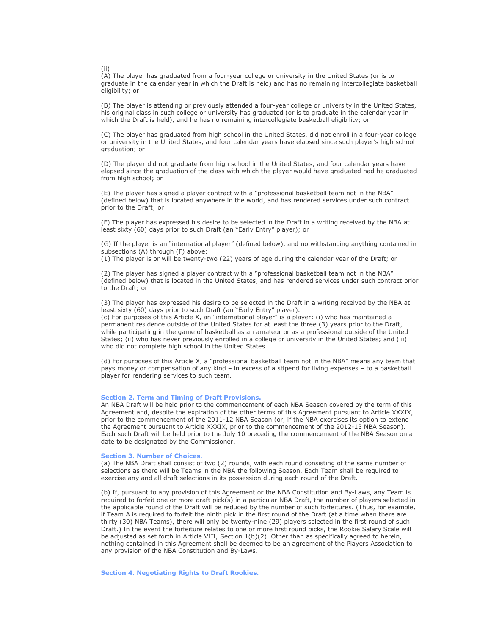(A) The player has graduated from a four-year college or university in the United States (or is to graduate in the calendar year in which the Draft is held) and has no remaining intercollegiate basketball eligibility; or

(B) The player is attending or previously attended a four-year college or university in the United States, his original class in such college or university has graduated (or is to graduate in the calendar year in which the Draft is held), and he has no remaining intercollegiate basketball eligibility; or

(C) The player has graduated from high school in the United States, did not enroll in a four-year college or university in the United States, and four calendar years have elapsed since such player's high school graduation; or

(D) The player did not graduate from high school in the United States, and four calendar years have elapsed since the graduation of the class with which the player would have graduated had he graduated from high school; or

(E) The player has signed a player contract with a "professional basketball team not in the NBA" (defined below) that is located anywhere in the world, and has rendered services under such contract prior to the Draft; or

(F) The player has expressed his desire to be selected in the Draft in a writing received by the NBA at least sixty (60) days prior to such Draft (an "Early Entry" player); or

(G) If the player is an "international player" (defined below), and notwithstanding anything contained in subsections (A) through (F) above:

(1) The player is or will be twenty-two (22) years of age during the calendar year of the Draft; or

(2) The player has signed a player contract with a "professional basketball team not in the NBA" (defined below) that is located in the United States, and has rendered services under such contract prior to the Draft; or

(3) The player has expressed his desire to be selected in the Draft in a writing received by the NBA at least sixty (60) days prior to such Draft (an "Early Entry" player).

(c) For purposes of this Article X, an "international player" is a player: (i) who has maintained a permanent residence outside of the United States for at least the three (3) years prior to the Draft, while participating in the game of basketball as an amateur or as a professional outside of the United States; (ii) who has never previously enrolled in a college or university in the United States; and (iii) who did not complete high school in the United States.

(d) For purposes of this Article X, a "professional basketball team not in the NBA" means any team that pays money or compensation of any kind – in excess of a stipend for living expenses – to a basketball player for rendering services to such team.

### Section 2. Term and Timing of Draft Provisions.

An NBA Draft will be held prior to the commencement of each NBA Season covered by the term of this Agreement and, despite the expiration of the other terms of this Agreement pursuant to Article XXXIX, prior to the commencement of the 2011-12 NBA Season (or, if the NBA exercises its option to extend the Agreement pursuant to Article XXXIX, prior to the commencement of the 2012-13 NBA Season). Each such Draft will be held prior to the July 10 preceding the commencement of the NBA Season on a date to be designated by the Commissioner.

#### Section 3. Number of Choices.

(a) The NBA Draft shall consist of two (2) rounds, with each round consisting of the same number of selections as there will be Teams in the NBA the following Season. Each Team shall be required to exercise any and all draft selections in its possession during each round of the Draft.

(b) If, pursuant to any provision of this Agreement or the NBA Constitution and By-Laws, any Team is required to forfeit one or more draft pick(s) in a particular NBA Draft, the number of players selected in the applicable round of the Draft will be reduced by the number of such forfeitures. (Thus, for example, if Team A is required to forfeit the ninth pick in the first round of the Draft (at a time when there are thirty (30) NBA Teams), there will only be twenty-nine (29) players selected in the first round of such Draft.) In the event the forfeiture relates to one or more first round picks, the Rookie Salary Scale will be adjusted as set forth in Article VIII, Section 1(b)(2). Other than as specifically agreed to herein, nothing contained in this Agreement shall be deemed to be an agreement of the Players Association to any provision of the NBA Constitution and By-Laws.

#### Section 4. Negotiating Rights to Draft Rookies.

(ii)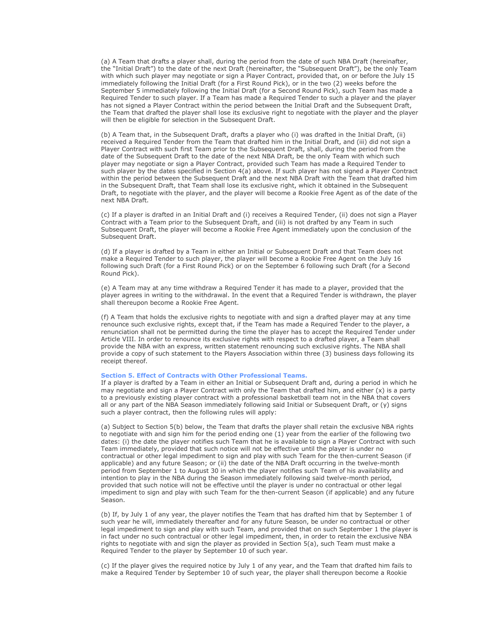(a) A Team that drafts a player shall, during the period from the date of such NBA Draft (hereinafter, the "Initial Draft") to the date of the next Draft (hereinafter, the "Subsequent Draft"), be the only Team with which such player may negotiate or sign a Player Contract, provided that, on or before the July 15 immediately following the Initial Draft (for a First Round Pick), or in the two (2) weeks before the September 5 immediately following the Initial Draft (for a Second Round Pick), such Team has made a Required Tender to such player. If a Team has made a Required Tender to such a player and the player has not signed a Player Contract within the period between the Initial Draft and the Subsequent Draft, the Team that drafted the player shall lose its exclusive right to negotiate with the player and the player will then be eligible for selection in the Subsequent Draft.

(b) A Team that, in the Subsequent Draft, drafts a player who (i) was drafted in the Initial Draft, (ii) received a Required Tender from the Team that drafted him in the Initial Draft, and (iii) did not sign a Player Contract with such first Team prior to the Subsequent Draft, shall, during the period from the date of the Subsequent Draft to the date of the next NBA Draft, be the only Team with which such player may negotiate or sign a Player Contract, provided such Team has made a Required Tender to such player by the dates specified in Section 4(a) above. If such player has not signed a Player Contract within the period between the Subsequent Draft and the next NBA Draft with the Team that drafted him in the Subsequent Draft, that Team shall lose its exclusive right, which it obtained in the Subsequent Draft, to negotiate with the player, and the player will become a Rookie Free Agent as of the date of the next NBA Draft.

(c) If a player is drafted in an Initial Draft and (i) receives a Required Tender, (ii) does not sign a Player Contract with a Team prior to the Subsequent Draft, and (iii) is not drafted by any Team in such Subsequent Draft, the player will become a Rookie Free Agent immediately upon the conclusion of the Subsequent Draft.

(d) If a player is drafted by a Team in either an Initial or Subsequent Draft and that Team does not make a Required Tender to such player, the player will become a Rookie Free Agent on the July 16 following such Draft (for a First Round Pick) or on the September 6 following such Draft (for a Second Round Pick).

(e) A Team may at any time withdraw a Required Tender it has made to a player, provided that the player agrees in writing to the withdrawal. In the event that a Required Tender is withdrawn, the player shall thereupon become a Rookie Free Agent.

(f) A Team that holds the exclusive rights to negotiate with and sign a drafted player may at any time renounce such exclusive rights, except that, if the Team has made a Required Tender to the player, a renunciation shall not be permitted during the time the player has to accept the Required Tender under Article VIII. In order to renounce its exclusive rights with respect to a drafted player, a Team shall provide the NBA with an express, written statement renouncing such exclusive rights. The NBA shall provide a copy of such statement to the Players Association within three (3) business days following its receipt thereof.

# Section 5. Effect of Contracts with Other Professional Teams.

If a player is drafted by a Team in either an Initial or Subsequent Draft and, during a period in which he may negotiate and sign a Player Contract with only the Team that drafted him, and either (x) is a party to a previously existing player contract with a professional basketball team not in the NBA that covers all or any part of the NBA Season immediately following said Initial or Subsequent Draft, or (y) signs such a player contract, then the following rules will apply:

(a) Subject to Section 5(b) below, the Team that drafts the player shall retain the exclusive NBA rights to negotiate with and sign him for the period ending one (1) year from the earlier of the following two dates: (i) the date the player notifies such Team that he is available to sign a Player Contract with such Team immediately, provided that such notice will not be effective until the player is under no contractual or other legal impediment to sign and play with such Team for the then-current Season (if applicable) and any future Season; or (ii) the date of the NBA Draft occurring in the twelve-month period from September 1 to August 30 in which the player notifies such Team of his availability and intention to play in the NBA during the Season immediately following said twelve-month period, provided that such notice will not be effective until the player is under no contractual or other legal impediment to sign and play with such Team for the then-current Season (if applicable) and any future Season.

(b) If, by July 1 of any year, the player notifies the Team that has drafted him that by September 1 of such year he will, immediately thereafter and for any future Season, be under no contractual or other legal impediment to sign and play with such Team, and provided that on such September 1 the player is in fact under no such contractual or other legal impediment, then, in order to retain the exclusive NBA rights to negotiate with and sign the player as provided in Section 5(a), such Team must make a Required Tender to the player by September 10 of such year.

(c) If the player gives the required notice by July 1 of any year, and the Team that drafted him fails to make a Required Tender by September 10 of such year, the player shall thereupon become a Rookie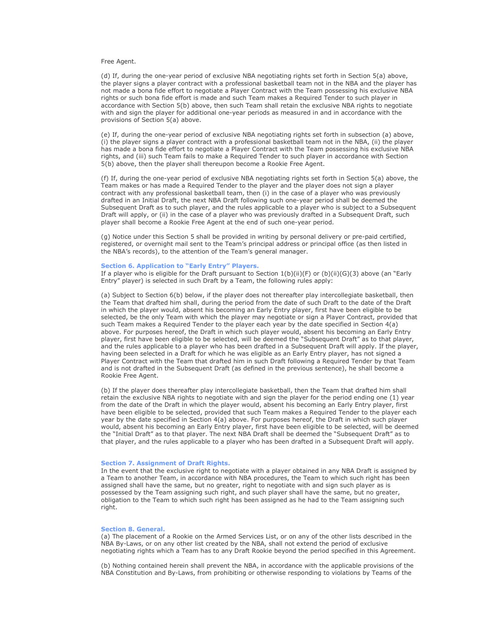# Free Agent.

(d) If, during the one-year period of exclusive NBA negotiating rights set forth in Section 5(a) above, the player signs a player contract with a professional basketball team not in the NBA and the player has not made a bona fide effort to negotiate a Player Contract with the Team possessing his exclusive NBA rights or such bona fide effort is made and such Team makes a Required Tender to such player in accordance with Section 5(b) above, then such Team shall retain the exclusive NBA rights to negotiate with and sign the player for additional one-year periods as measured in and in accordance with the provisions of Section 5(a) above.

(e) If, during the one-year period of exclusive NBA negotiating rights set forth in subsection (a) above, (i) the player signs a player contract with a professional basketball team not in the NBA, (ii) the player has made a bona fide effort to negotiate a Player Contract with the Team possessing his exclusive NBA rights, and (iii) such Team fails to make a Required Tender to such player in accordance with Section 5(b) above, then the player shall thereupon become a Rookie Free Agent.

(f) If, during the one-year period of exclusive NBA negotiating rights set forth in Section 5(a) above, the Team makes or has made a Required Tender to the player and the player does not sign a player contract with any professional basketball team, then (i) in the case of a player who was previously drafted in an Initial Draft, the next NBA Draft following such one-year period shall be deemed the Subsequent Draft as to such player, and the rules applicable to a player who is subject to a Subsequent Draft will apply, or (ii) in the case of a player who was previously drafted in a Subsequent Draft, such player shall become a Rookie Free Agent at the end of such one-year period.

(g) Notice under this Section 5 shall be provided in writing by personal delivery or pre-paid certified, registered, or overnight mail sent to the Team's principal address or principal office (as then listed in the NBA's records), to the attention of the Team's general manager.

### Section 6. Application to "Early Entry" Players.

If a player who is eligible for the Draft pursuant to Section 1(b)(ii)(F) or (b)(ii)(G)(3) above (an "Early Entry" player) is selected in such Draft by a Team, the following rules apply:

(a) Subject to Section 6(b) below, if the player does not thereafter play intercollegiate basketball, then the Team that drafted him shall, during the period from the date of such Draft to the date of the Draft in which the player would, absent his becoming an Early Entry player, first have been eligible to be selected, be the only Team with which the player may negotiate or sign a Player Contract, provided that such Team makes a Required Tender to the player each year by the date specified in Section 4(a) above. For purposes hereof, the Draft in which such player would, absent his becoming an Early Entry player, first have been eligible to be selected, will be deemed the "Subsequent Draft" as to that player, and the rules applicable to a player who has been drafted in a Subsequent Draft will apply. If the player, having been selected in a Draft for which he was eligible as an Early Entry player, has not signed a Player Contract with the Team that drafted him in such Draft following a Required Tender by that Team and is not drafted in the Subsequent Draft (as defined in the previous sentence), he shall become a Rookie Free Agent.

(b) If the player does thereafter play intercollegiate basketball, then the Team that drafted him shall retain the exclusive NBA rights to negotiate with and sign the player for the period ending one (1) year from the date of the Draft in which the player would, absent his becoming an Early Entry player, first have been eligible to be selected, provided that such Team makes a Required Tender to the player each year by the date specified in Section 4(a) above. For purposes hereof, the Draft in which such player would, absent his becoming an Early Entry player, first have been eligible to be selected, will be deemed the "Initial Draft" as to that player. The next NBA Draft shall be deemed the "Subsequent Draft" as to that player, and the rules applicable to a player who has been drafted in a Subsequent Draft will apply.

### Section 7. Assignment of Draft Rights.

In the event that the exclusive right to negotiate with a player obtained in any NBA Draft is assigned by a Team to another Team, in accordance with NBA procedures, the Team to which such right has been assigned shall have the same, but no greater, right to negotiate with and sign such player as is possessed by the Team assigning such right, and such player shall have the same, but no greater, obligation to the Team to which such right has been assigned as he had to the Team assigning such right.

#### Section 8. General.

(a) The placement of a Rookie on the Armed Services List, or on any of the other lists described in the NBA By-Laws, or on any other list created by the NBA, shall not extend the period of exclusive negotiating rights which a Team has to any Draft Rookie beyond the period specified in this Agreement.

(b) Nothing contained herein shall prevent the NBA, in accordance with the applicable provisions of the NBA Constitution and By-Laws, from prohibiting or otherwise responding to violations by Teams of the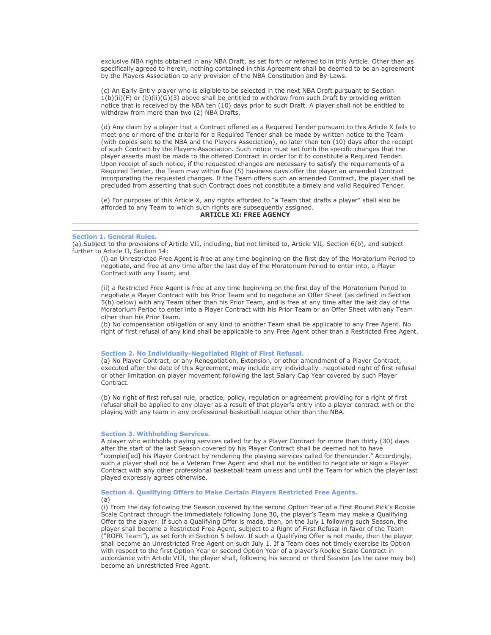exclusive NBA rights obtained in any NBA Draft, as set forth or referred to in this Article. Other than as specifically agreed to herein, nothing contained in this Agreement shall be deemed to be an agreement by the Players Association to any provision of the NBA Constitution and By-Laws.

(c) An Early Entry player who is eligible to be selected in the next NBA Draft pursuant to Section  $1(b)(ii)(F)$  or  $(b)(ii)(G)(3)$  above shall be entitled to withdraw from such Draft by providing written notice that is received by the NBA ten (10) days prior to such Draft. A player shall not be entitled to withdraw from more than two (2) NBA Drafts.

(d) Any claim by a player that a Contract offered as a Required Tender pursuant to this Article X fails to meet one or more of the criteria for a Required Tender shall be made by written notice to the Team (with copies sent to the NBA and the Players Association), no later than ten (10) days after the receipt of such Contract by the Players Association. Such notice must set forth the specific changes that the player asserts must be made to the offered Contract in order for it to constitute a Required Tender. Upon receipt of such notice, if the requested changes are necessary to satisfy the requirements of a Required Tender, the Team may within five (5) business days offer the player an amended Contract incorporating the requested changes. If the Team offers such an amended Contract, the player shall be precluded from asserting that such Contract does not constitute a timely and valid Required Tender.

(e) For purposes of this Article X, any rights afforded to "a Team that drafts a player" shall also be afforded to any Team to which such rights are subsequently assigned. ARTICLE XI: FREE AGENCY

#### Section 1. General Rules.

(a) Subject to the provisions of Article VII, including, but not limited to, Article VII, Section 6(b), and subject further to Article II, Section 14:

(i) an Unrestricted Free Agent is free at any time beginning on the first day of the Moratorium Period to negotiate, and free at any time after the last day of the Moratorium Period to enter into, a Player Contract with any Team; and

(ii) a Restricted Free Agent is free at any time beginning on the first day of the Moratorium Period to negotiate a Player Contract with his Prior Team and to negotiate an Offer Sheet (as defined in Section 5(b) below) with any Team other than his Prior Team, and is free at any time after the last day of the Moratorium Period to enter into a Player Contract with his Prior Team or an Offer Sheet with any Team other than his Prior Team.

(b) No compensation obligation of any kind to another Team shall be applicable to any Free Agent. No right of first refusal of any kind shall be applicable to any Free Agent other than a Restricted Free Agent.

# Section 2. No Individually-Negotiated Right of First Refusal.

(a) No Player Contract, or any Renegotiation, Extension, or other amendment of a Player Contract, executed after the date of this Agreement, may include any individually- negotiated right of first refusal or other limitation on player movement following the last Salary Cap Year covered by such Player Contract.

(b) No right of first refusal rule, practice, policy, regulation or agreement providing for a right of first refusal shall be applied to any player as a result of that player's entry into a player contract with or the playing with any team in any professional basketball league other than the NBA.

### Section 3. Withholding Services.

A player who withholds playing services called for by a Player Contract for more than thirty (30) days after the start of the last Season covered by his Player Contract shall be deemed not to have "complet[ed] his Player Contract by rendering the playing services called for thereunder." Accordingly, such a player shall not be a Veteran Free Agent and shall not be entitled to negotiate or sign a Player Contract with any other professional basketball team unless and until the Team for which the player last played expressly agrees otherwise.

# Section 4. Qualifying Offers to Make Certain Players Restricted Free Agents. (a)

(i) From the day following the Season covered by the second Option Year of a First Round Pick's Rookie Scale Contract through the immediately following June 30, the player's Team may make a Qualifying Offer to the player. If such a Qualifying Offer is made, then, on the July 1 following such Season, the player shall become a Restricted Free Agent, subject to a Right of First Refusal in favor of the Team ("ROFR Team"), as set forth in Section 5 below. If such a Qualifying Offer is not made, then the player shall become an Unrestricted Free Agent on such July 1. If a Team does not timely exercise its Option with respect to the first Option Year or second Option Year of a player's Rookie Scale Contract in accordance with Article VIII, the player shall, following his second or third Season (as the case may be) become an Unrestricted Free Agent.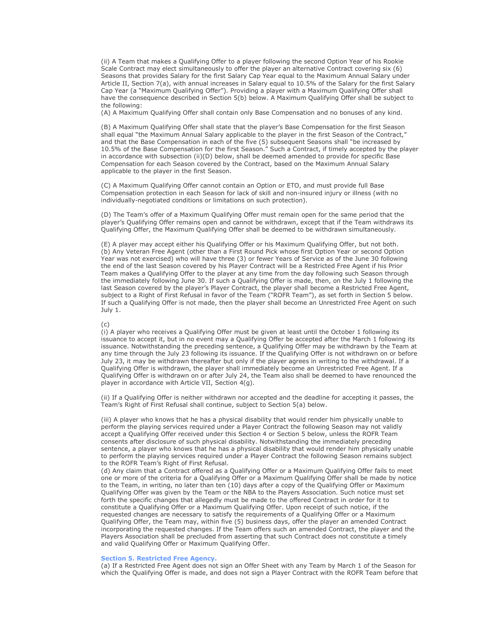(ii) A Team that makes a Qualifying Offer to a player following the second Option Year of his Rookie Scale Contract may elect simultaneously to offer the player an alternative Contract covering six (6) Seasons that provides Salary for the first Salary Cap Year equal to the Maximum Annual Salary under Article II, Section 7(a), with annual increases in Salary equal to 10.5% of the Salary for the first Salary Cap Year (a "Maximum Qualifying Offer"). Providing a player with a Maximum Qualifying Offer shall have the consequence described in Section 5(b) below. A Maximum Qualifying Offer shall be subject to the following:

(A) A Maximum Qualifying Offer shall contain only Base Compensation and no bonuses of any kind.

(B) A Maximum Qualifying Offer shall state that the player's Base Compensation for the first Season shall equal "the Maximum Annual Salary applicable to the player in the first Season of the Contract," and that the Base Compensation in each of the five (5) subsequent Seasons shall "be increased by 10.5% of the Base Compensation for the first Season." Such a Contract, if timely accepted by the player in accordance with subsection (ii)(D) below, shall be deemed amended to provide for specific Base Compensation for each Season covered by the Contract, based on the Maximum Annual Salary applicable to the player in the first Season.

(C) A Maximum Qualifying Offer cannot contain an Option or ETO, and must provide full Base Compensation protection in each Season for lack of skill and non-insured injury or illness (with no individually-negotiated conditions or limitations on such protection).

(D) The Team's offer of a Maximum Qualifying Offer must remain open for the same period that the player's Qualifying Offer remains open and cannot be withdrawn, except that if the Team withdraws its Qualifying Offer, the Maximum Qualifying Offer shall be deemed to be withdrawn simultaneously.

(E) A player may accept either his Qualifying Offer or his Maximum Qualifying Offer, but not both. (b) Any Veteran Free Agent (other than a First Round Pick whose first Option Year or second Option Year was not exercised) who will have three (3) or fewer Years of Service as of the June 30 following the end of the last Season covered by his Player Contract will be a Restricted Free Agent if his Prior Team makes a Qualifying Offer to the player at any time from the day following such Season through the immediately following June 30. If such a Qualifying Offer is made, then, on the July 1 following the last Season covered by the player's Player Contract, the player shall become a Restricted Free Agent, subject to a Right of First Refusal in favor of the Team ("ROFR Team"), as set forth in Section 5 below. If such a Qualifying Offer is not made, then the player shall become an Unrestricted Free Agent on such July 1.

#### $(c)$

(i) A player who receives a Qualifying Offer must be given at least until the October 1 following its issuance to accept it, but in no event may a Qualifying Offer be accepted after the March 1 following its issuance. Notwithstanding the preceding sentence, a Qualifying Offer may be withdrawn by the Team at any time through the July 23 following its issuance. If the Qualifying Offer is not withdrawn on or before July 23, it may be withdrawn thereafter but only if the player agrees in writing to the withdrawal. If a Qualifying Offer is withdrawn, the player shall immediately become an Unrestricted Free Agent. If a Qualifying Offer is withdrawn on or after July 24, the Team also shall be deemed to have renounced the player in accordance with Article VII, Section 4(g).

(ii) If a Qualifying Offer is neither withdrawn nor accepted and the deadline for accepting it passes, the Team's Right of First Refusal shall continue, subject to Section 5(a) below.

(iii) A player who knows that he has a physical disability that would render him physically unable to perform the playing services required under a Player Contract the following Season may not validly accept a Qualifying Offer received under this Section 4 or Section 5 below, unless the ROFR Team consents after disclosure of such physical disability. Notwithstanding the immediately preceding sentence, a player who knows that he has a physical disability that would render him physically unable to perform the playing services required under a Player Contract the following Season remains subject to the ROFR Team's Right of First Refusal.

(d) Any claim that a Contract offered as a Qualifying Offer or a Maximum Qualifying Offer fails to meet one or more of the criteria for a Qualifying Offer or a Maximum Qualifying Offer shall be made by notice to the Team, in writing, no later than ten (10) days after a copy of the Qualifying Offer or Maximum Qualifying Offer was given by the Team or the NBA to the Players Association. Such notice must set forth the specific changes that allegedly must be made to the offered Contract in order for it to constitute a Qualifying Offer or a Maximum Qualifying Offer. Upon receipt of such notice, if the requested changes are necessary to satisfy the requirements of a Qualifying Offer or a Maximum Qualifying Offer, the Team may, within five (5) business days, offer the player an amended Contract incorporating the requested changes. If the Team offers such an amended Contract, the player and the Players Association shall be precluded from asserting that such Contract does not constitute a timely and valid Qualifying Offer or Maximum Qualifying Offer.

### Section 5. Restricted Free Agency.

(a) If a Restricted Free Agent does not sign an Offer Sheet with any Team by March 1 of the Season for which the Qualifying Offer is made, and does not sign a Player Contract with the ROFR Team before that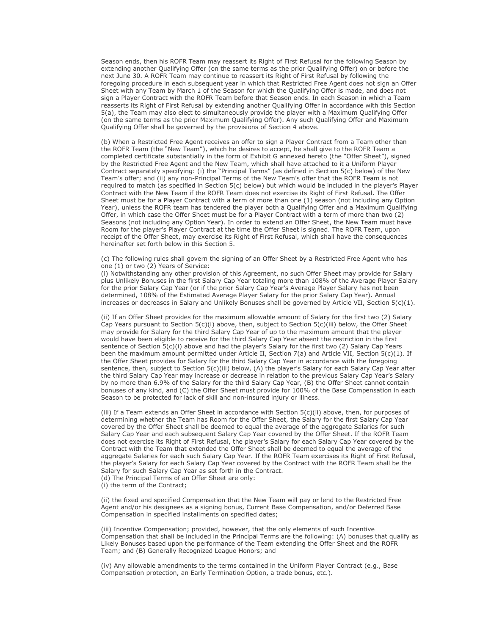Season ends, then his ROFR Team may reassert its Right of First Refusal for the following Season by extending another Qualifying Offer (on the same terms as the prior Qualifying Offer) on or before the next June 30. A ROFR Team may continue to reassert its Right of First Refusal by following the foregoing procedure in each subsequent year in which that Restricted Free Agent does not sign an Offer Sheet with any Team by March 1 of the Season for which the Qualifying Offer is made, and does not sign a Player Contract with the ROFR Team before that Season ends. In each Season in which a Team reasserts its Right of First Refusal by extending another Qualifying Offer in accordance with this Section 5(a), the Team may also elect to simultaneously provide the player with a Maximum Qualifying Offer (on the same terms as the prior Maximum Qualifying Offer). Any such Qualifying Offer and Maximum Qualifying Offer shall be governed by the provisions of Section 4 above.

(b) When a Restricted Free Agent receives an offer to sign a Player Contract from a Team other than the ROFR Team (the "New Team"), which he desires to accept, he shall give to the ROFR Team a completed certificate substantially in the form of Exhibit G annexed hereto (the "Offer Sheet"), signed by the Restricted Free Agent and the New Team, which shall have attached to it a Uniform Player Contract separately specifying: (i) the "Principal Terms" (as defined in Section 5(c) below) of the New Team's offer; and (ii) any non-Principal Terms of the New Team's offer that the ROFR Team is not required to match (as specified in Section 5(c) below) but which would be included in the player's Player Contract with the New Team if the ROFR Team does not exercise its Right of First Refusal. The Offer Sheet must be for a Player Contract with a term of more than one (1) season (not including any Option Year), unless the ROFR team has tendered the player both a Qualifying Offer and a Maximum Qualifying Offer, in which case the Offer Sheet must be for a Player Contract with a term of more than two (2) Seasons (not including any Option Year). In order to extend an Offer Sheet, the New Team must have Room for the player's Player Contract at the time the Offer Sheet is signed. The ROFR Team, upon receipt of the Offer Sheet, may exercise its Right of First Refusal, which shall have the consequences hereinafter set forth below in this Section 5.

(c) The following rules shall govern the signing of an Offer Sheet by a Restricted Free Agent who has one (1) or two (2) Years of Service:

(i) Notwithstanding any other provision of this Agreement, no such Offer Sheet may provide for Salary plus Unlikely Bonuses in the first Salary Cap Year totaling more than 108% of the Average Player Salary for the prior Salary Cap Year (or if the prior Salary Cap Year's Average Player Salary has not been determined, 108% of the Estimated Average Player Salary for the prior Salary Cap Year). Annual increases or decreases in Salary and Unlikely Bonuses shall be governed by Article VII, Section 5(c)(1).

(ii) If an Offer Sheet provides for the maximum allowable amount of Salary for the first two (2) Salary Cap Years pursuant to Section 5(c)(i) above, then, subject to Section 5(c)(iii) below, the Offer Sheet may provide for Salary for the third Salary Cap Year of up to the maximum amount that the player would have been eligible to receive for the third Salary Cap Year absent the restriction in the first sentence of Section 5(c)(i) above and had the player's Salary for the first two (2) Salary Cap Years been the maximum amount permitted under Article II, Section 7(a) and Article VII, Section 5(c)(1). If the Offer Sheet provides for Salary for the third Salary Cap Year in accordance with the foregoing sentence, then, subject to Section 5(c)(iii) below, (A) the player's Salary for each Salary Cap Year after the third Salary Cap Year may increase or decrease in relation to the previous Salary Cap Year's Salary by no more than 6.9% of the Salary for the third Salary Cap Year, (B) the Offer Sheet cannot contain bonuses of any kind, and (C) the Offer Sheet must provide for 100% of the Base Compensation in each Season to be protected for lack of skill and non-insured injury or illness.

(iii) If a Team extends an Offer Sheet in accordance with Section 5(c)(ii) above, then, for purposes of determining whether the Team has Room for the Offer Sheet, the Salary for the first Salary Cap Year covered by the Offer Sheet shall be deemed to equal the average of the aggregate Salaries for such Salary Cap Year and each subsequent Salary Cap Year covered by the Offer Sheet. If the ROFR Team does not exercise its Right of First Refusal, the player's Salary for each Salary Cap Year covered by the Contract with the Team that extended the Offer Sheet shall be deemed to equal the average of the aggregate Salaries for each such Salary Cap Year. If the ROFR Team exercises its Right of First Refusal, the player's Salary for each Salary Cap Year covered by the Contract with the ROFR Team shall be the Salary for such Salary Cap Year as set forth in the Contract.

(d) The Principal Terms of an Offer Sheet are only:

(i) the term of the Contract;

(ii) the fixed and specified Compensation that the New Team will pay or lend to the Restricted Free Agent and/or his designees as a signing bonus, Current Base Compensation, and/or Deferred Base Compensation in specified installments on specified dates;

(iii) Incentive Compensation; provided, however, that the only elements of such Incentive Compensation that shall be included in the Principal Terms are the following: (A) bonuses that qualify as Likely Bonuses based upon the performance of the Team extending the Offer Sheet and the ROFR Team; and (B) Generally Recognized League Honors; and

(iv) Any allowable amendments to the terms contained in the Uniform Player Contract (e.g., Base Compensation protection, an Early Termination Option, a trade bonus, etc.).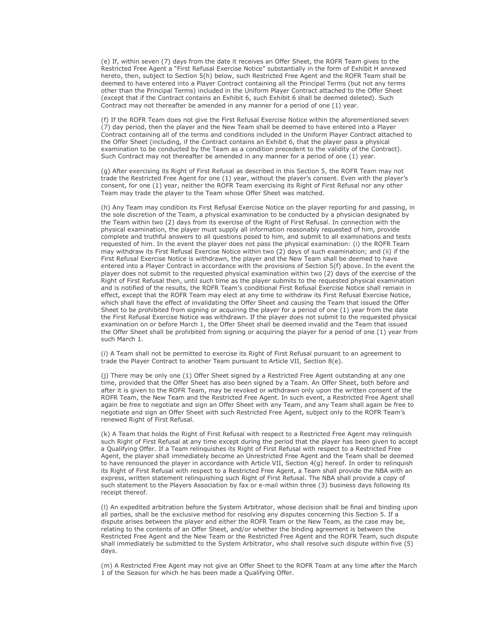(e) If, within seven (7) days from the date it receives an Offer Sheet, the ROFR Team gives to the Restricted Free Agent a "First Refusal Exercise Notice" substantially in the form of Exhibit H annexed hereto, then, subject to Section 5(h) below, such Restricted Free Agent and the ROFR Team shall be deemed to have entered into a Player Contract containing all the Principal Terms (but not any terms other than the Principal Terms) included in the Uniform Player Contract attached to the Offer Sheet (except that if the Contract contains an Exhibit 6, such Exhibit 6 shall be deemed deleted). Such Contract may not thereafter be amended in any manner for a period of one (1) year.

(f) If the ROFR Team does not give the First Refusal Exercise Notice within the aforementioned seven  $(7)$  day period, then the player and the New Team shall be deemed to have entered into a Player Contract containing all of the terms and conditions included in the Uniform Player Contract attached to the Offer Sheet (including, if the Contract contains an Exhibit 6, that the player pass a physical examination to be conducted by the Team as a condition precedent to the validity of the Contract). Such Contract may not thereafter be amended in any manner for a period of one (1) year.

(g) After exercising its Right of First Refusal as described in this Section 5, the ROFR Team may not trade the Restricted Free Agent for one (1) year, without the player's consent. Even with the player's consent, for one (1) year, neither the ROFR Team exercising its Right of First Refusal nor any other Team may trade the player to the Team whose Offer Sheet was matched.

(h) Any Team may condition its First Refusal Exercise Notice on the player reporting for and passing, in the sole discretion of the Team, a physical examination to be conducted by a physician designated by the Team within two (2) days from its exercise of the Right of First Refusal. In connection with the physical examination, the player must supply all information reasonably requested of him, provide complete and truthful answers to all questions posed to him, and submit to all examinations and tests requested of him. In the event the player does not pass the physical examination: (i) the ROFR Team may withdraw its First Refusal Exercise Notice within two (2) days of such examination; and (ii) if the First Refusal Exercise Notice is withdrawn, the player and the New Team shall be deemed to have entered into a Player Contract in accordance with the provisions of Section 5(f) above. In the event the player does not submit to the requested physical examination within two (2) days of the exercise of the Right of First Refusal then, until such time as the player submits to the requested physical examination and is notified of the results, the ROFR Team's conditional First Refusal Exercise Notice shall remain in effect, except that the ROFR Team may elect at any time to withdraw its First Refusal Exercise Notice, which shall have the effect of invalidating the Offer Sheet and causing the Team that issued the Offer Sheet to be prohibited from signing or acquiring the player for a period of one (1) year from the date the First Refusal Exercise Notice was withdrawn. If the player does not submit to the requested physical examination on or before March 1, the Offer Sheet shall be deemed invalid and the Team that issued the Offer Sheet shall be prohibited from signing or acquiring the player for a period of one (1) year from such March 1.

(i) A Team shall not be permitted to exercise its Right of First Refusal pursuant to an agreement to trade the Player Contract to another Team pursuant to Article VII, Section 8(e).

(j) There may be only one (1) Offer Sheet signed by a Restricted Free Agent outstanding at any one time, provided that the Offer Sheet has also been signed by a Team. An Offer Sheet, both before and after it is given to the ROFR Team, may be revoked or withdrawn only upon the written consent of the ROFR Team, the New Team and the Restricted Free Agent. In such event, a Restricted Free Agent shall again be free to negotiate and sign an Offer Sheet with any Team, and any Team shall again be free to negotiate and sign an Offer Sheet with such Restricted Free Agent, subject only to the ROFR Team's renewed Right of First Refusal.

(k) A Team that holds the Right of First Refusal with respect to a Restricted Free Agent may relinquish such Right of First Refusal at any time except during the period that the player has been given to accept a Qualifying Offer. If a Team relinquishes its Right of First Refusal with respect to a Restricted Free Agent, the player shall immediately become an Unrestricted Free Agent and the Team shall be deemed to have renounced the player in accordance with Article VII, Section 4(g) hereof. In order to relinquish its Right of First Refusal with respect to a Restricted Free Agent, a Team shall provide the NBA with an express, written statement relinquishing such Right of First Refusal. The NBA shall provide a copy of such statement to the Players Association by fax or e-mail within three (3) business days following its receipt thereof.

(l) An expedited arbitration before the System Arbitrator, whose decision shall be final and binding upon all parties, shall be the exclusive method for resolving any disputes concerning this Section 5. If a dispute arises between the player and either the ROFR Team or the New Team, as the case may be, relating to the contents of an Offer Sheet, and/or whether the binding agreement is between the Restricted Free Agent and the New Team or the Restricted Free Agent and the ROFR Team, such dispute shall immediately be submitted to the System Arbitrator, who shall resolve such dispute within five (5) days.

(m) A Restricted Free Agent may not give an Offer Sheet to the ROFR Team at any time after the March 1 of the Season for which he has been made a Qualifying Offer.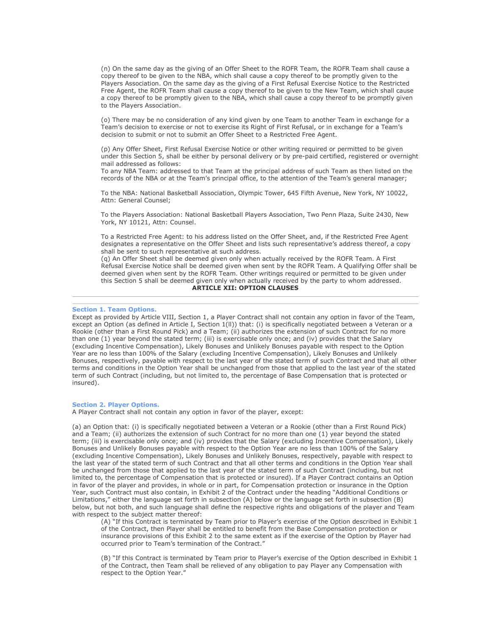(n) On the same day as the giving of an Offer Sheet to the ROFR Team, the ROFR Team shall cause a copy thereof to be given to the NBA, which shall cause a copy thereof to be promptly given to the Players Association. On the same day as the giving of a First Refusal Exercise Notice to the Restricted Free Agent, the ROFR Team shall cause a copy thereof to be given to the New Team, which shall cause a copy thereof to be promptly given to the NBA, which shall cause a copy thereof to be promptly given to the Players Association.

(o) There may be no consideration of any kind given by one Team to another Team in exchange for a Team's decision to exercise or not to exercise its Right of First Refusal, or in exchange for a Team's decision to submit or not to submit an Offer Sheet to a Restricted Free Agent.

(p) Any Offer Sheet, First Refusal Exercise Notice or other writing required or permitted to be given under this Section 5, shall be either by personal delivery or by pre-paid certified, registered or overnight mail addressed as follows:

To any NBA Team: addressed to that Team at the principal address of such Team as then listed on the records of the NBA or at the Team's principal office, to the attention of the Team's general manager;

To the NBA: National Basketball Association, Olympic Tower, 645 Fifth Avenue, New York, NY 10022, Attn: General Counsel;

To the Players Association: National Basketball Players Association, Two Penn Plaza, Suite 2430, New York, NY 10121, Attn: Counsel.

To a Restricted Free Agent: to his address listed on the Offer Sheet, and, if the Restricted Free Agent designates a representative on the Offer Sheet and lists such representative's address thereof, a copy shall be sent to such representative at such address.

(q) An Offer Sheet shall be deemed given only when actually received by the ROFR Team. A First Refusal Exercise Notice shall be deemed given when sent by the ROFR Team. A Qualifying Offer shall be deemed given when sent by the ROFR Team. Other writings required or permitted to be given under this Section 5 shall be deemed given only when actually received by the party to whom addressed.

# ARTICLE XII: OPTION CLAUSES

# Section 1. Team Options.

Except as provided by Article VIII, Section 1, a Player Contract shall not contain any option in favor of the Team, except an Option (as defined in Article I, Section 1(ll)) that: (i) is specifically negotiated between a Veteran or a Rookie (other than a First Round Pick) and a Team; (ii) authorizes the extension of such Contract for no more than one (1) year beyond the stated term; (iii) is exercisable only once; and (iv) provides that the Salary (excluding Incentive Compensation), Likely Bonuses and Unlikely Bonuses payable with respect to the Option Year are no less than 100% of the Salary (excluding Incentive Compensation), Likely Bonuses and Unlikely Bonuses, respectively, payable with respect to the last year of the stated term of such Contract and that all other terms and conditions in the Option Year shall be unchanged from those that applied to the last year of the stated term of such Contract (including, but not limited to, the percentage of Base Compensation that is protected or insured).

# Section 2. Player Options.

A Player Contract shall not contain any option in favor of the player, except:

(a) an Option that: (i) is specifically negotiated between a Veteran or a Rookie (other than a First Round Pick) and a Team; (ii) authorizes the extension of such Contract for no more than one (1) year beyond the stated term; (iii) is exercisable only once; and (iv) provides that the Salary (excluding Incentive Compensation), Likely Bonuses and Unlikely Bonuses payable with respect to the Option Year are no less than 100% of the Salary (excluding Incentive Compensation), Likely Bonuses and Unlikely Bonuses, respectively, payable with respect to the last year of the stated term of such Contract and that all other terms and conditions in the Option Year shall be unchanged from those that applied to the last year of the stated term of such Contract (including, but not limited to, the percentage of Compensation that is protected or insured). If a Player Contract contains an Option in favor of the player and provides, in whole or in part, for Compensation protection or insurance in the Option Year, such Contract must also contain, in Exhibit 2 of the Contract under the heading "Additional Conditions or Limitations," either the language set forth in subsection (A) below or the language set forth in subsection (B) below, but not both, and such language shall define the respective rights and obligations of the player and Team with respect to the subject matter thereof:

(A) "If this Contract is terminated by Team prior to Player's exercise of the Option described in Exhibit 1 of the Contract, then Player shall be entitled to benefit from the Base Compensation protection or insurance provisions of this Exhibit 2 to the same extent as if the exercise of the Option by Player had occurred prior to Team's termination of the Contract."

(B) "If this Contract is terminated by Team prior to Player's exercise of the Option described in Exhibit 1 of the Contract, then Team shall be relieved of any obligation to pay Player any Compensation with respect to the Option Year."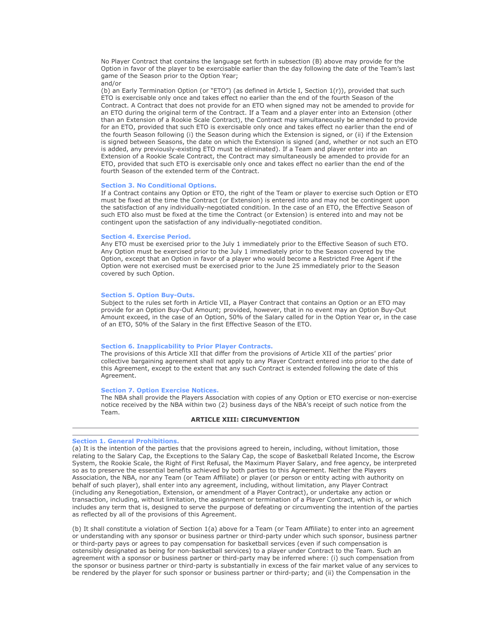No Player Contract that contains the language set forth in subsection (B) above may provide for the Option in favor of the player to be exercisable earlier than the day following the date of the Team's last game of the Season prior to the Option Year; and/or

(b) an Early Termination Option (or "ETO") (as defined in Article I, Section  $1(r)$ ), provided that such ETO is exercisable only once and takes effect no earlier than the end of the fourth Season of the Contract. A Contract that does not provide for an ETO when signed may not be amended to provide for an ETO during the original term of the Contract. If a Team and a player enter into an Extension (other than an Extension of a Rookie Scale Contract), the Contract may simultaneously be amended to provide for an ETO, provided that such ETO is exercisable only once and takes effect no earlier than the end of the fourth Season following (i) the Season during which the Extension is signed, or (ii) if the Extension is signed between Seasons, the date on which the Extension is signed (and, whether or not such an ETO is added, any previously-existing ETO must be eliminated). If a Team and player enter into an Extension of a Rookie Scale Contract, the Contract may simultaneously be amended to provide for an ETO, provided that such ETO is exercisable only once and takes effect no earlier than the end of the fourth Season of the extended term of the Contract.

# Section 3. No Conditional Options.

If a Contract contains any Option or ETO, the right of the Team or player to exercise such Option or ETO must be fixed at the time the Contract (or Extension) is entered into and may not be contingent upon the satisfaction of any individually-negotiated condition. In the case of an ETO, the Effective Season of such ETO also must be fixed at the time the Contract (or Extension) is entered into and may not be contingent upon the satisfaction of any individually-negotiated condition.

# Section 4. Exercise Period.

Any ETO must be exercised prior to the July 1 immediately prior to the Effective Season of such ETO. Any Option must be exercised prior to the July 1 immediately prior to the Season covered by the Option, except that an Option in favor of a player who would become a Restricted Free Agent if the Option were not exercised must be exercised prior to the June 25 immediately prior to the Season covered by such Option.

# Section 5. Option Buy-Outs.

Subject to the rules set forth in Article VII, a Player Contract that contains an Option or an ETO may provide for an Option Buy-Out Amount; provided, however, that in no event may an Option Buy-Out Amount exceed, in the case of an Option, 50% of the Salary called for in the Option Year or, in the case of an ETO, 50% of the Salary in the first Effective Season of the ETO.

#### Section 6. Inapplicability to Prior Player Contracts.

The provisions of this Article XII that differ from the provisions of Article XII of the parties' prior collective bargaining agreement shall not apply to any Player Contract entered into prior to the date of this Agreement, except to the extent that any such Contract is extended following the date of this Agreement.

#### Section 7. Option Exercise Notices.

The NBA shall provide the Players Association with copies of any Option or ETO exercise or non-exercise notice received by the NBA within two (2) business days of the NBA's receipt of such notice from the Team.

# ARTICLE XIII: CIRCUMVENTION

# Section 1. General Prohibitions.

(a) It is the intention of the parties that the provisions agreed to herein, including, without limitation, those relating to the Salary Cap, the Exceptions to the Salary Cap, the scope of Basketball Related Income, the Escrow System, the Rookie Scale, the Right of First Refusal, the Maximum Player Salary, and free agency, be interpreted so as to preserve the essential benefits achieved by both parties to this Agreement. Neither the Players Association, the NBA, nor any Team (or Team Affiliate) or player (or person or entity acting with authority on behalf of such player), shall enter into any agreement, including, without limitation, any Player Contract (including any Renegotiation, Extension, or amendment of a Player Contract), or undertake any action or transaction, including, without limitation, the assignment or termination of a Player Contract, which is, or which includes any term that is, designed to serve the purpose of defeating or circumventing the intention of the parties as reflected by all of the provisions of this Agreement.

(b) It shall constitute a violation of Section 1(a) above for a Team (or Team Affiliate) to enter into an agreement or understanding with any sponsor or business partner or third-party under which such sponsor, business partner or third-party pays or agrees to pay compensation for basketball services (even if such compensation is ostensibly designated as being for non-basketball services) to a player under Contract to the Team. Such an agreement with a sponsor or business partner or third-party may be inferred where: (i) such compensation from the sponsor or business partner or third-party is substantially in excess of the fair market value of any services to be rendered by the player for such sponsor or business partner or third-party; and (ii) the Compensation in the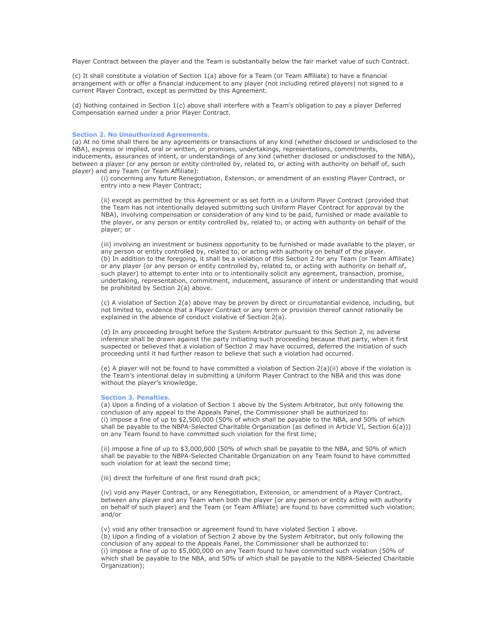Player Contract between the player and the Team is substantially below the fair market value of such Contract.

(c) It shall constitute a violation of Section 1(a) above for a Team (or Team Affiliate) to have a financial arrangement with or offer a financial inducement to any player (not including retired players) not signed to a current Player Contract, except as permitted by this Agreement.

(d) Nothing contained in Section 1(c) above shall interfere with a Team's obligation to pay a player Deferred Compensation earned under a prior Player Contract.

#### Section 2. No Unauthorized Agreements.

(a) At no time shall there be any agreements or transactions of any kind (whether disclosed or undisclosed to the NBA), express or implied, oral or written, or promises, undertakings, representations, commitments, inducements, assurances of intent, or understandings of any kind (whether disclosed or undisclosed to the NBA), between a player (or any person or entity controlled by, related to, or acting with authority on behalf of, such player) and any Team (or Team Affiliate):

(i) concerning any future Renegotiation, Extension, or amendment of an existing Player Contract, or entry into a new Player Contract;

(ii) except as permitted by this Agreement or as set forth in a Uniform Player Contract (provided that the Team has not intentionally delayed submitting such Uniform Player Contract for approval by the NBA), involving compensation or consideration of any kind to be paid, furnished or made available to the player, or any person or entity controlled by, related to, or acting with authority on behalf of the player; or

(iii) involving an investment or business opportunity to be furnished or made available to the player, or any person or entity controlled by, related to, or acting with authority on behalf of the player. (b) In addition to the foregoing, it shall be a violation of this Section 2 for any Team (or Team Affiliate) or any player (or any person or entity controlled by, related to, or acting with authority on behalf of, such player) to attempt to enter into or to intentionally solicit any agreement, transaction, promise, undertaking, representation, commitment, inducement, assurance of intent or understanding that would be prohibited by Section 2(a) above.

(c) A violation of Section 2(a) above may be proven by direct or circumstantial evidence, including, but not limited to, evidence that a Player Contract or any term or provision thereof cannot rationally be explained in the absence of conduct violative of Section 2(a).

(d) In any proceeding brought before the System Arbitrator pursuant to this Section 2, no adverse inference shall be drawn against the party initiating such proceeding because that party, when it first suspected or believed that a violation of Section 2 may have occurred, deferred the initiation of such proceeding until it had further reason to believe that such a violation had occurred.

(e) A player will not be found to have committed a violation of Section 2(a)(ii) above if the violation is the Team's intentional delay in submitting a Uniform Player Contract to the NBA and this was done without the player's knowledge.

#### Section 3. Penalties.

(a) Upon a finding of a violation of Section 1 above by the System Arbitrator, but only following the conclusion of any appeal to the Appeals Panel, the Commissioner shall be authorized to: (i) impose a fine of up to \$2,500,000 (50% of which shall be payable to the NBA, and 50% of which shall be payable to the NBPA-Selected Charitable Organization (as defined in Article VI, Section 6(a))) on any Team found to have committed such violation for the first time;

(ii) impose a fine of up to \$3,000,000 (50% of which shall be payable to the NBA, and 50% of which shall be payable to the NBPA-Selected Charitable Organization on any Team found to have committed such violation for at least the second time;

(iii) direct the forfeiture of one first round draft pick;

(iv) void any Player Contract, or any Renegotiation, Extension, or amendment of a Player Contract, between any player and any Team when both the player (or any person or entity acting with authority on behalf of such player) and the Team (or Team Affiliate) are found to have committed such violation; and/or

(v) void any other transaction or agreement found to have violated Section 1 above. (b) Upon a finding of a violation of Section 2 above by the System Arbitrator, but only following the conclusion of any appeal to the Appeals Panel, the Commissioner shall be authorized to: (i) impose a fine of up to \$5,000,000 on any Team found to have committed such violation (50% of which shall be payable to the NBA, and 50% of which shall be payable to the NBPA-Selected Charitable Organization);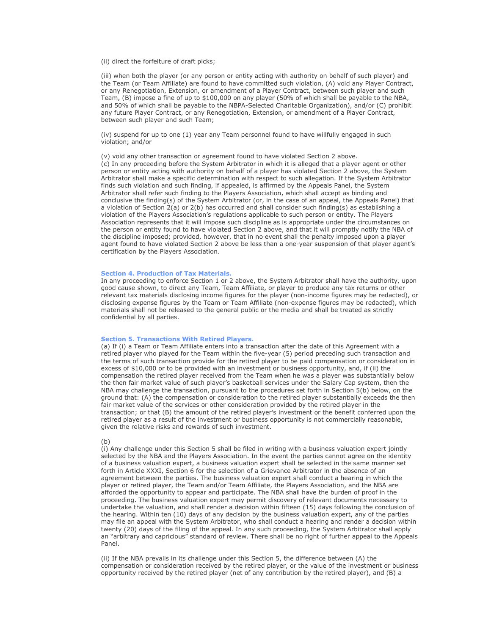(ii) direct the forfeiture of draft picks;

(iii) when both the player (or any person or entity acting with authority on behalf of such player) and the Team (or Team Affiliate) are found to have committed such violation, (A) void any Player Contract, or any Renegotiation, Extension, or amendment of a Player Contract, between such player and such Team, (B) impose a fine of up to \$100,000 on any player (50% of which shall be payable to the NBA, and 50% of which shall be payable to the NBPA-Selected Charitable Organization), and/or (C) prohibit any future Player Contract, or any Renegotiation, Extension, or amendment of a Player Contract, between such player and such Team;

(iv) suspend for up to one (1) year any Team personnel found to have willfully engaged in such violation; and/or

(v) void any other transaction or agreement found to have violated Section 2 above. (c) In any proceeding before the System Arbitrator in which it is alleged that a player agent or other person or entity acting with authority on behalf of a player has violated Section 2 above, the System Arbitrator shall make a specific determination with respect to such allegation. If the System Arbitrator finds such violation and such finding, if appealed, is affirmed by the Appeals Panel, the System Arbitrator shall refer such finding to the Players Association, which shall accept as binding and conclusive the finding(s) of the System Arbitrator (or, in the case of an appeal, the Appeals Panel) that a violation of Section 2(a) or 2(b) has occurred and shall consider such finding(s) as establishing a violation of the Players Association's regulations applicable to such person or entity. The Players Association represents that it will impose such discipline as is appropriate under the circumstances on the person or entity found to have violated Section 2 above, and that it will promptly notify the NBA of the discipline imposed; provided, however, that in no event shall the penalty imposed upon a player agent found to have violated Section 2 above be less than a one-year suspension of that player agent's certification by the Players Association.

# Section 4. Production of Tax Materials.

In any proceeding to enforce Section 1 or 2 above, the System Arbitrator shall have the authority, upon good cause shown, to direct any Team, Team Affiliate, or player to produce any tax returns or other relevant tax materials disclosing income figures for the player (non-income figures may be redacted), or disclosing expense figures by the Team or Team Affiliate (non-expense figures may be redacted), which materials shall not be released to the general public or the media and shall be treated as strictly confidential by all parties.

# Section 5. Transactions With Retired Players.

(a) If (i) a Team or Team Affiliate enters into a transaction after the date of this Agreement with a retired player who played for the Team within the five-year (5) period preceding such transaction and the terms of such transaction provide for the retired player to be paid compensation or consideration in excess of \$10,000 or to be provided with an investment or business opportunity, and, if (ii) the compensation the retired player received from the Team when he was a player was substantially below the then fair market value of such player's basketball services under the Salary Cap system, then the NBA may challenge the transaction, pursuant to the procedures set forth in Section 5(b) below, on the ground that: (A) the compensation or consideration to the retired player substantially exceeds the then fair market value of the services or other consideration provided by the retired player in the transaction; or that (B) the amount of the retired player's investment or the benefit conferred upon the retired player as a result of the investment or business opportunity is not commercially reasonable, given the relative risks and rewards of such investment.

#### (b)

(i) Any challenge under this Section 5 shall be filed in writing with a business valuation expert jointly selected by the NBA and the Players Association. In the event the parties cannot agree on the identity of a business valuation expert, a business valuation expert shall be selected in the same manner set forth in Article XXXI, Section 6 for the selection of a Grievance Arbitrator in the absence of an agreement between the parties. The business valuation expert shall conduct a hearing in which the player or retired player, the Team and/or Team Affiliate, the Players Association, and the NBA are afforded the opportunity to appear and participate. The NBA shall have the burden of proof in the proceeding. The business valuation expert may permit discovery of relevant documents necessary to undertake the valuation, and shall render a decision within fifteen (15) days following the conclusion of the hearing. Within ten (10) days of any decision by the business valuation expert, any of the parties may file an appeal with the System Arbitrator, who shall conduct a hearing and render a decision within twenty (20) days of the filing of the appeal. In any such proceeding, the System Arbitrator shall apply an "arbitrary and capricious" standard of review. There shall be no right of further appeal to the Appeals Panel.

(ii) If the NBA prevails in its challenge under this Section 5, the difference between (A) the compensation or consideration received by the retired player, or the value of the investment or business opportunity received by the retired player (net of any contribution by the retired player), and (B) a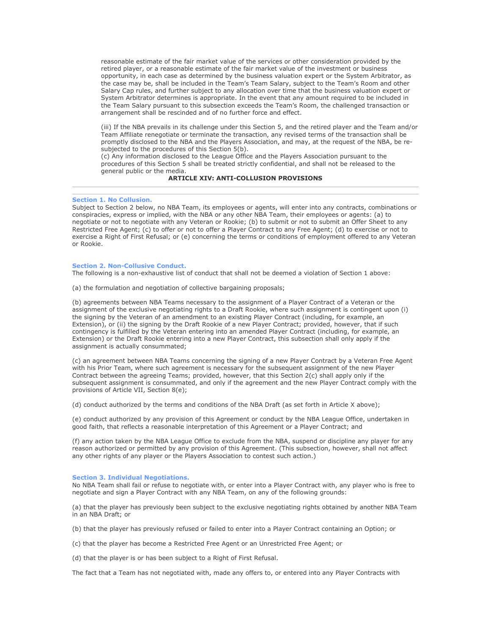reasonable estimate of the fair market value of the services or other consideration provided by the retired player, or a reasonable estimate of the fair market value of the investment or business opportunity, in each case as determined by the business valuation expert or the System Arbitrator, as the case may be, shall be included in the Team's Team Salary, subject to the Team's Room and other Salary Cap rules, and further subject to any allocation over time that the business valuation expert or System Arbitrator determines is appropriate. In the event that any amount required to be included in the Team Salary pursuant to this subsection exceeds the Team's Room, the challenged transaction or arrangement shall be rescinded and of no further force and effect.

(iii) If the NBA prevails in its challenge under this Section 5, and the retired player and the Team and/or Team Affiliate renegotiate or terminate the transaction, any revised terms of the transaction shall be promptly disclosed to the NBA and the Players Association, and may, at the request of the NBA, be resubjected to the procedures of this Section 5(b).

(c) Any information disclosed to the League Office and the Players Association pursuant to the procedures of this Section 5 shall be treated strictly confidential, and shall not be released to the general public or the media.

ARTICLE XIV: ANTI-COLLUSION PROVISIONS

### Section 1. No Collusion.

Subject to Section 2 below, no NBA Team, its employees or agents, will enter into any contracts, combinations or conspiracies, express or implied, with the NBA or any other NBA Team, their employees or agents: (a) to negotiate or not to negotiate with any Veteran or Rookie; (b) to submit or not to submit an Offer Sheet to any Restricted Free Agent; (c) to offer or not to offer a Player Contract to any Free Agent; (d) to exercise or not to exercise a Right of First Refusal; or (e) concerning the terms or conditions of employment offered to any Veteran or Rookie.

#### Section 2. Non-Collusive Conduct.

The following is a non-exhaustive list of conduct that shall not be deemed a violation of Section 1 above:

(a) the formulation and negotiation of collective bargaining proposals;

(b) agreements between NBA Teams necessary to the assignment of a Player Contract of a Veteran or the assignment of the exclusive negotiating rights to a Draft Rookie, where such assignment is contingent upon (i) the signing by the Veteran of an amendment to an existing Player Contract (including, for example, an Extension), or (ii) the signing by the Draft Rookie of a new Player Contract; provided, however, that if such contingency is fulfilled by the Veteran entering into an amended Player Contract (including, for example, an Extension) or the Draft Rookie entering into a new Player Contract, this subsection shall only apply if the assignment is actually consummated;

(c) an agreement between NBA Teams concerning the signing of a new Player Contract by a Veteran Free Agent with his Prior Team, where such agreement is necessary for the subsequent assignment of the new Player Contract between the agreeing Teams; provided, however, that this Section 2(c) shall apply only if the subsequent assignment is consummated, and only if the agreement and the new Player Contract comply with the provisions of Article VII, Section 8(e);

(d) conduct authorized by the terms and conditions of the NBA Draft (as set forth in Article X above);

(e) conduct authorized by any provision of this Agreement or conduct by the NBA League Office, undertaken in good faith, that reflects a reasonable interpretation of this Agreement or a Player Contract; and

(f) any action taken by the NBA League Office to exclude from the NBA, suspend or discipline any player for any reason authorized or permitted by any provision of this Agreement. (This subsection, however, shall not affect any other rights of any player or the Players Association to contest such action.)

### Section 3. Individual Negotiations.

No NBA Team shall fail or refuse to negotiate with, or enter into a Player Contract with, any player who is free to negotiate and sign a Player Contract with any NBA Team, on any of the following grounds:

(a) that the player has previously been subject to the exclusive negotiating rights obtained by another NBA Team in an NBA Draft; or

(b) that the player has previously refused or failed to enter into a Player Contract containing an Option; or

(c) that the player has become a Restricted Free Agent or an Unrestricted Free Agent; or

(d) that the player is or has been subject to a Right of First Refusal.

The fact that a Team has not negotiated with, made any offers to, or entered into any Player Contracts with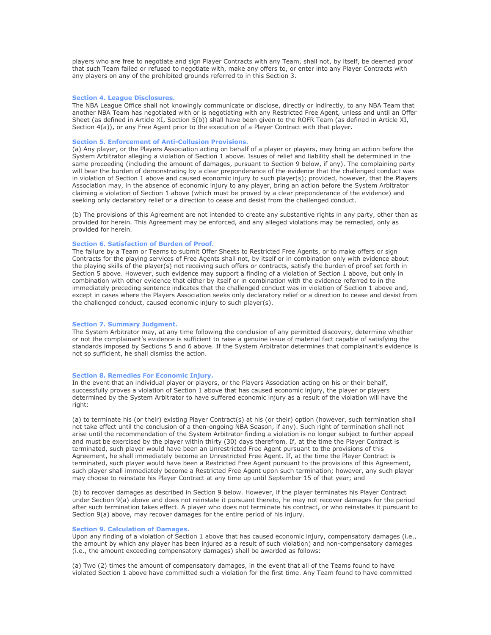players who are free to negotiate and sign Player Contracts with any Team, shall not, by itself, be deemed proof that such Team failed or refused to negotiate with, make any offers to, or enter into any Player Contracts with any players on any of the prohibited grounds referred to in this Section 3.

#### Section 4. League Disclosures.

The NBA League Office shall not knowingly communicate or disclose, directly or indirectly, to any NBA Team that another NBA Team has negotiated with or is negotiating with any Restricted Free Agent, unless and until an Offer Sheet (as defined in Article XI, Section 5(b)) shall have been given to the ROFR Team (as defined in Article XI, Section 4(a)), or any Free Agent prior to the execution of a Player Contract with that player.

### Section 5. Enforcement of Anti-Collusion Provisions.

(a) Any player, or the Players Association acting on behalf of a player or players, may bring an action before the System Arbitrator alleging a violation of Section 1 above. Issues of relief and liability shall be determined in the same proceeding (including the amount of damages, pursuant to Section 9 below, if any). The complaining party will bear the burden of demonstrating by a clear preponderance of the evidence that the challenged conduct was in violation of Section 1 above and caused economic injury to such player(s); provided, however, that the Players Association may, in the absence of economic injury to any player, bring an action before the System Arbitrator claiming a violation of Section 1 above (which must be proved by a clear preponderance of the evidence) and seeking only declaratory relief or a direction to cease and desist from the challenged conduct.

(b) The provisions of this Agreement are not intended to create any substantive rights in any party, other than as provided for herein. This Agreement may be enforced, and any alleged violations may be remedied, only as provided for herein.

# Section 6. Satisfaction of Burden of Proof.

The failure by a Team or Teams to submit Offer Sheets to Restricted Free Agents, or to make offers or sign Contracts for the playing services of Free Agents shall not, by itself or in combination only with evidence about the playing skills of the player(s) not receiving such offers or contracts, satisfy the burden of proof set forth in Section 5 above. However, such evidence may support a finding of a violation of Section 1 above, but only in combination with other evidence that either by itself or in combination with the evidence referred to in the immediately preceding sentence indicates that the challenged conduct was in violation of Section 1 above and, except in cases where the Players Association seeks only declaratory relief or a direction to cease and desist from the challenged conduct, caused economic injury to such player(s).

#### Section 7. Summary Judgment.

The System Arbitrator may, at any time following the conclusion of any permitted discovery, determine whether or not the complainant's evidence is sufficient to raise a genuine issue of material fact capable of satisfying the standards imposed by Sections 5 and 6 above. If the System Arbitrator determines that complainant's evidence is not so sufficient, he shall dismiss the action.

### Section 8. Remedies For Economic Injury.

In the event that an individual player or players, or the Players Association acting on his or their behalf, successfully proves a violation of Section 1 above that has caused economic injury, the player or players determined by the System Arbitrator to have suffered economic injury as a result of the violation will have the right:

(a) to terminate his (or their) existing Player Contract(s) at his (or their) option (however, such termination shall not take effect until the conclusion of a then-ongoing NBA Season, if any). Such right of termination shall not arise until the recommendation of the System Arbitrator finding a violation is no longer subject to further appeal and must be exercised by the player within thirty (30) days therefrom. If, at the time the Player Contract is terminated, such player would have been an Unrestricted Free Agent pursuant to the provisions of this Agreement, he shall immediately become an Unrestricted Free Agent. If, at the time the Player Contract is terminated, such player would have been a Restricted Free Agent pursuant to the provisions of this Agreement, such player shall immediately become a Restricted Free Agent upon such termination; however, any such player may choose to reinstate his Player Contract at any time up until September 15 of that year; and

(b) to recover damages as described in Section 9 below. However, if the player terminates his Player Contract under Section 9(a) above and does not reinstate it pursuant thereto, he may not recover damages for the period after such termination takes effect. A player who does not terminate his contract, or who reinstates it pursuant to Section 9(a) above, may recover damages for the entire period of his injury.

### Section 9. Calculation of Damages.

Upon any finding of a violation of Section 1 above that has caused economic injury, compensatory damages (i.e., the amount by which any player has been injured as a result of such violation) and non-compensatory damages (i.e., the amount exceeding compensatory damages) shall be awarded as follows:

(a) Two (2) times the amount of compensatory damages, in the event that all of the Teams found to have violated Section 1 above have committed such a violation for the first time. Any Team found to have committed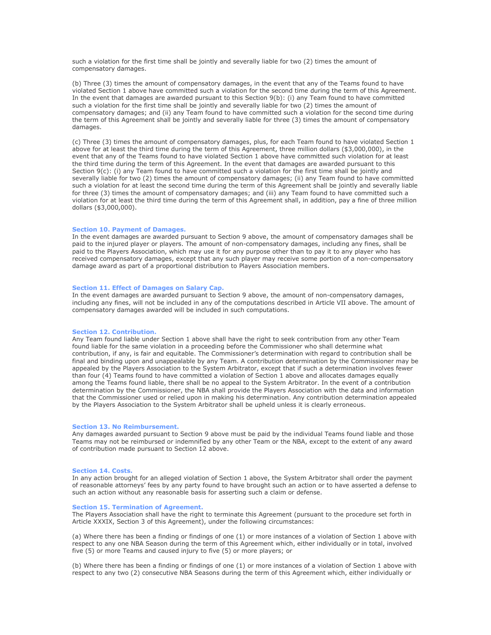such a violation for the first time shall be jointly and severally liable for two (2) times the amount of compensatory damages.

(b) Three (3) times the amount of compensatory damages, in the event that any of the Teams found to have violated Section 1 above have committed such a violation for the second time during the term of this Agreement. In the event that damages are awarded pursuant to this Section 9(b): (i) any Team found to have committed such a violation for the first time shall be jointly and severally liable for two (2) times the amount of compensatory damages; and (ii) any Team found to have committed such a violation for the second time during the term of this Agreement shall be jointly and severally liable for three (3) times the amount of compensatory damages.

(c) Three (3) times the amount of compensatory damages, plus, for each Team found to have violated Section 1 above for at least the third time during the term of this Agreement, three million dollars (\$3,000,000), in the event that any of the Teams found to have violated Section 1 above have committed such violation for at least the third time during the term of this Agreement. In the event that damages are awarded pursuant to this Section 9(c): (i) any Team found to have committed such a violation for the first time shall be jointly and severally liable for two (2) times the amount of compensatory damages; (ii) any Team found to have committed such a violation for at least the second time during the term of this Agreement shall be jointly and severally liable for three (3) times the amount of compensatory damages; and (iii) any Team found to have committed such a violation for at least the third time during the term of this Agreement shall, in addition, pay a fine of three million dollars (\$3,000,000).

# Section 10. Payment of Damages.

In the event damages are awarded pursuant to Section 9 above, the amount of compensatory damages shall be paid to the injured player or players. The amount of non-compensatory damages, including any fines, shall be paid to the Players Association, which may use it for any purpose other than to pay it to any player who has received compensatory damages, except that any such player may receive some portion of a non-compensatory damage award as part of a proportional distribution to Players Association members.

#### Section 11. Effect of Damages on Salary Cap.

In the event damages are awarded pursuant to Section 9 above, the amount of non-compensatory damages, including any fines, will not be included in any of the computations described in Article VII above. The amount of compensatory damages awarded will be included in such computations.

#### Section 12. Contribution.

Any Team found liable under Section 1 above shall have the right to seek contribution from any other Team found liable for the same violation in a proceeding before the Commissioner who shall determine what contribution, if any, is fair and equitable. The Commissioner's determination with regard to contribution shall be final and binding upon and unappealable by any Team. A contribution determination by the Commissioner may be appealed by the Players Association to the System Arbitrator, except that if such a determination involves fewer than four (4) Teams found to have committed a violation of Section 1 above and allocates damages equally among the Teams found liable, there shall be no appeal to the System Arbitrator. In the event of a contribution determination by the Commissioner, the NBA shall provide the Players Association with the data and information that the Commissioner used or relied upon in making his determination. Any contribution determination appealed by the Players Association to the System Arbitrator shall be upheld unless it is clearly erroneous.

# Section 13. No Reimbursement.

Any damages awarded pursuant to Section 9 above must be paid by the individual Teams found liable and those Teams may not be reimbursed or indemnified by any other Team or the NBA, except to the extent of any award of contribution made pursuant to Section 12 above.

#### Section 14. Costs.

In any action brought for an alleged violation of Section 1 above, the System Arbitrator shall order the payment of reasonable attorneys' fees by any party found to have brought such an action or to have asserted a defense to such an action without any reasonable basis for asserting such a claim or defense.

#### Section 15. Termination of Agreement.

The Players Association shall have the right to terminate this Agreement (pursuant to the procedure set forth in Article XXXIX, Section 3 of this Agreement), under the following circumstances:

(a) Where there has been a finding or findings of one (1) or more instances of a violation of Section 1 above with respect to any one NBA Season during the term of this Agreement which, either individually or in total, involved five (5) or more Teams and caused injury to five (5) or more players; or

(b) Where there has been a finding or findings of one (1) or more instances of a violation of Section 1 above with respect to any two (2) consecutive NBA Seasons during the term of this Agreement which, either individually or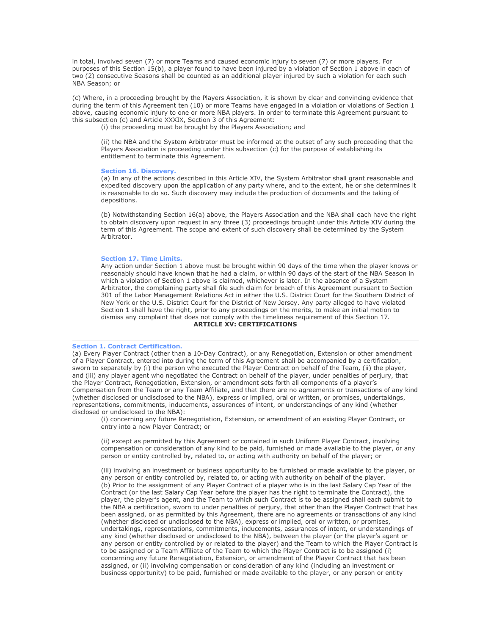in total, involved seven (7) or more Teams and caused economic injury to seven (7) or more players. For purposes of this Section 15(b), a player found to have been injured by a violation of Section 1 above in each of two (2) consecutive Seasons shall be counted as an additional player injured by such a violation for each such NBA Season; or

(c) Where, in a proceeding brought by the Players Association, it is shown by clear and convincing evidence that during the term of this Agreement ten (10) or more Teams have engaged in a violation or violations of Section 1 above, causing economic injury to one or more NBA players. In order to terminate this Agreement pursuant to this subsection (c) and Article XXXIX, Section 3 of this Agreement:

(i) the proceeding must be brought by the Players Association; and

(ii) the NBA and the System Arbitrator must be informed at the outset of any such proceeding that the Players Association is proceeding under this subsection (c) for the purpose of establishing its entitlement to terminate this Agreement.

### Section 16. Discovery.

(a) In any of the actions described in this Article XIV, the System Arbitrator shall grant reasonable and expedited discovery upon the application of any party where, and to the extent, he or she determines it is reasonable to do so. Such discovery may include the production of documents and the taking of depositions.

(b) Notwithstanding Section 16(a) above, the Players Association and the NBA shall each have the right to obtain discovery upon request in any three (3) proceedings brought under this Article XIV during the term of this Agreement. The scope and extent of such discovery shall be determined by the System Arbitrator.

### Section 17. Time Limits.

Any action under Section 1 above must be brought within 90 days of the time when the player knows or reasonably should have known that he had a claim, or within 90 days of the start of the NBA Season in which a violation of Section 1 above is claimed, whichever is later. In the absence of a System Arbitrator, the complaining party shall file such claim for breach of this Agreement pursuant to Section 301 of the Labor Management Relations Act in either the U.S. District Court for the Southern District of New York or the U.S. District Court for the District of New Jersey. Any party alleged to have violated Section 1 shall have the right, prior to any proceedings on the merits, to make an initial motion to dismiss any complaint that does not comply with the timeliness requirement of this Section 17. ARTICLE XV: CERTIFICATIONS

## Section 1. Contract Certification.

(a) Every Player Contract (other than a 10-Day Contract), or any Renegotiation, Extension or other amendment of a Player Contract, entered into during the term of this Agreement shall be accompanied by a certification, sworn to separately by (i) the person who executed the Player Contract on behalf of the Team, (ii) the player, and (iii) any player agent who negotiated the Contract on behalf of the player, under penalties of perjury, that the Player Contract, Renegotiation, Extension, or amendment sets forth all components of a player's Compensation from the Team or any Team Affiliate, and that there are no agreements or transactions of any kind (whether disclosed or undisclosed to the NBA), express or implied, oral or written, or promises, undertakings, representations, commitments, inducements, assurances of intent, or understandings of any kind (whether disclosed or undisclosed to the NBA):

(i) concerning any future Renegotiation, Extension, or amendment of an existing Player Contract, or entry into a new Player Contract; or

(ii) except as permitted by this Agreement or contained in such Uniform Player Contract, involving compensation or consideration of any kind to be paid, furnished or made available to the player, or any person or entity controlled by, related to, or acting with authority on behalf of the player; or

(iii) involving an investment or business opportunity to be furnished or made available to the player, or any person or entity controlled by, related to, or acting with authority on behalf of the player. (b) Prior to the assignment of any Player Contract of a player who is in the last Salary Cap Year of the Contract (or the last Salary Cap Year before the player has the right to terminate the Contract), the player, the player's agent, and the Team to which such Contract is to be assigned shall each submit to the NBA a certification, sworn to under penalties of perjury, that other than the Player Contract that has been assigned, or as permitted by this Agreement, there are no agreements or transactions of any kind (whether disclosed or undisclosed to the NBA), express or implied, oral or written, or promises, undertakings, representations, commitments, inducements, assurances of intent, or understandings of any kind (whether disclosed or undisclosed to the NBA), between the player (or the player's agent or any person or entity controlled by or related to the player) and the Team to which the Player Contract is to be assigned or a Team Affiliate of the Team to which the Player Contract is to be assigned (i) concerning any future Renegotiation, Extension, or amendment of the Player Contract that has been assigned, or (ii) involving compensation or consideration of any kind (including an investment or business opportunity) to be paid, furnished or made available to the player, or any person or entity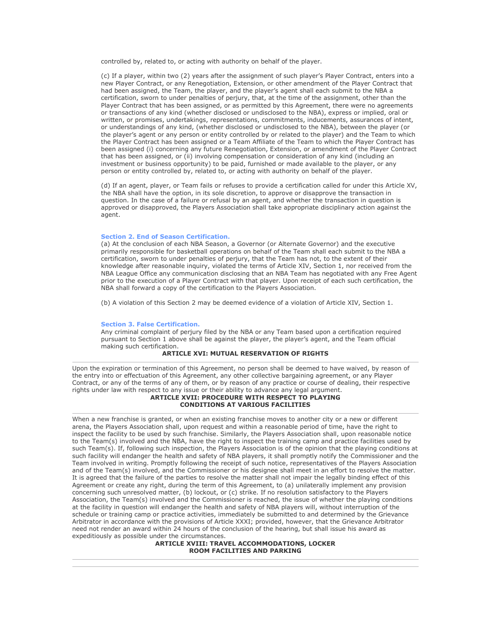controlled by, related to, or acting with authority on behalf of the player.

(c) If a player, within two (2) years after the assignment of such player's Player Contract, enters into a new Player Contract, or any Renegotiation, Extension, or other amendment of the Player Contract that had been assigned, the Team, the player, and the player's agent shall each submit to the NBA a certification, sworn to under penalties of perjury, that, at the time of the assignment, other than the Player Contract that has been assigned, or as permitted by this Agreement, there were no agreements or transactions of any kind (whether disclosed or undisclosed to the NBA), express or implied, oral or written, or promises, undertakings, representations, commitments, inducements, assurances of intent, or understandings of any kind, (whether disclosed or undisclosed to the NBA), between the player (or the player's agent or any person or entity controlled by or related to the player) and the Team to which the Player Contract has been assigned or a Team Affiliate of the Team to which the Player Contract has been assigned (i) concerning any future Renegotiation, Extension, or amendment of the Player Contract that has been assigned, or (ii) involving compensation or consideration of any kind (including an investment or business opportunity) to be paid, furnished or made available to the player, or any person or entity controlled by, related to, or acting with authority on behalf of the player.

(d) If an agent, player, or Team fails or refuses to provide a certification called for under this Article XV, the NBA shall have the option, in its sole discretion, to approve or disapprove the transaction in question. In the case of a failure or refusal by an agent, and whether the transaction in question is approved or disapproved, the Players Association shall take appropriate disciplinary action against the agent.

# Section 2. End of Season Certification.

(a) At the conclusion of each NBA Season, a Governor (or Alternate Governor) and the executive primarily responsible for basketball operations on behalf of the Team shall each submit to the NBA a certification, sworn to under penalties of perjury, that the Team has not, to the extent of their knowledge after reasonable inquiry, violated the terms of Article XIV, Section 1, nor received from the NBA League Office any communication disclosing that an NBA Team has negotiated with any Free Agent prior to the execution of a Player Contract with that player. Upon receipt of each such certification, the NBA shall forward a copy of the certification to the Players Association.

(b) A violation of this Section 2 may be deemed evidence of a violation of Article XIV, Section 1.

#### Section 3. False Certification.

Any criminal complaint of perjury filed by the NBA or any Team based upon a certification required pursuant to Section 1 above shall be against the player, the player's agent, and the Team official making such certification.

# ARTICLE XVI: MUTUAL RESERVATION OF RIGHTS

Upon the expiration or termination of this Agreement, no person shall be deemed to have waived, by reason of the entry into or effectuation of this Agreement, any other collective bargaining agreement, or any Player Contract, or any of the terms of any of them, or by reason of any practice or course of dealing, their respective rights under law with respect to any issue or their ability to advance any legal argument.

# ARTICLE XVII: PROCEDURE WITH RESPECT TO PLAYING CONDITIONS AT VARIOUS FACILITIES

When a new franchise is granted, or when an existing franchise moves to another city or a new or different arena, the Players Association shall, upon request and within a reasonable period of time, have the right to inspect the facility to be used by such franchise. Similarly, the Players Association shall, upon reasonable notice to the Team(s) involved and the NBA, have the right to inspect the training camp and practice facilities used by such Team(s). If, following such inspection, the Players Association is of the opinion that the playing conditions at such facility will endanger the health and safety of NBA players, it shall promptly notify the Commissioner and the Team involved in writing. Promptly following the receipt of such notice, representatives of the Players Association and of the Team(s) involved, and the Commissioner or his designee shall meet in an effort to resolve the matter. It is agreed that the failure of the parties to resolve the matter shall not impair the legally binding effect of this Agreement or create any right, during the term of this Agreement, to (a) unilaterally implement any provision concerning such unresolved matter, (b) lockout, or (c) strike. If no resolution satisfactory to the Players Association, the Team(s) involved and the Commissioner is reached, the issue of whether the playing conditions at the facility in question will endanger the health and safety of NBA players will, without interruption of the schedule or training camp or practice activities, immediately be submitted to and determined by the Grievance Arbitrator in accordance with the provisions of Article XXXI; provided, however, that the Grievance Arbitrator need not render an award within 24 hours of the conclusion of the hearing, but shall issue his award as expeditiously as possible under the circumstances.

> ARTICLE XVIII: TRAVEL ACCOMMODATIONS, LOCKER ROOM FACILITIES AND PARKING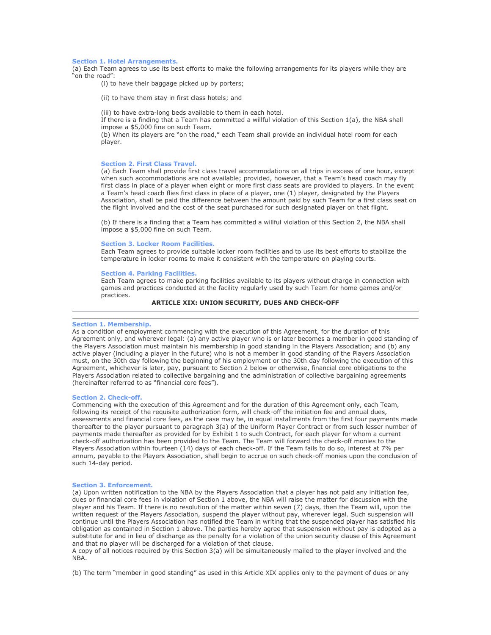### Section 1. Hotel Arrangements.

(a) Each Team agrees to use its best efforts to make the following arrangements for its players while they are "on the road":

(i) to have their baggage picked up by porters;

(ii) to have them stay in first class hotels; and

(iii) to have extra-long beds available to them in each hotel.

If there is a finding that a Team has committed a willful violation of this Section 1(a), the NBA shall impose a \$5,000 fine on such Team.

(b) When its players are "on the road," each Team shall provide an individual hotel room for each player.

### Section 2. First Class Travel.

(a) Each Team shall provide first class travel accommodations on all trips in excess of one hour, except when such accommodations are not available; provided, however, that a Team's head coach may fly first class in place of a player when eight or more first class seats are provided to players. In the event a Team's head coach flies first class in place of a player, one (1) player, designated by the Players Association, shall be paid the difference between the amount paid by such Team for a first class seat on the flight involved and the cost of the seat purchased for such designated player on that flight.

(b) If there is a finding that a Team has committed a willful violation of this Section 2, the NBA shall impose a \$5,000 fine on such Team.

### Section 3. Locker Room Facilities.

Each Team agrees to provide suitable locker room facilities and to use its best efforts to stabilize the temperature in locker rooms to make it consistent with the temperature on playing courts.

#### Section 4. Parking Facilities.

Each Team agrees to make parking facilities available to its players without charge in connection with games and practices conducted at the facility regularly used by such Team for home games and/or practices.

### ARTICLE XIX: UNION SECURITY, DUES AND CHECK-OFF

#### Section 1. Membership.

As a condition of employment commencing with the execution of this Agreement, for the duration of this Agreement only, and wherever legal: (a) any active player who is or later becomes a member in good standing of the Players Association must maintain his membership in good standing in the Players Association; and (b) any active player (including a player in the future) who is not a member in good standing of the Players Association must, on the 30th day following the beginning of his employment or the 30th day following the execution of this Agreement, whichever is later, pay, pursuant to Section 2 below or otherwise, financial core obligations to the Players Association related to collective bargaining and the administration of collective bargaining agreements (hereinafter referred to as "financial core fees").

#### Section 2. Check-off.

Commencing with the execution of this Agreement and for the duration of this Agreement only, each Team, following its receipt of the requisite authorization form, will check-off the initiation fee and annual dues, assessments and financial core fees, as the case may be, in equal installments from the first four payments made thereafter to the player pursuant to paragraph 3(a) of the Uniform Player Contract or from such lesser number of payments made thereafter as provided for by Exhibit 1 to such Contract, for each player for whom a current check-off authorization has been provided to the Team. The Team will forward the check-off monies to the Players Association within fourteen (14) days of each check-off. If the Team fails to do so, interest at 7% per annum, payable to the Players Association, shall begin to accrue on such check-off monies upon the conclusion of such 14-day period.

#### Section 3. Enforcement.

(a) Upon written notification to the NBA by the Players Association that a player has not paid any initiation fee, dues or financial core fees in violation of Section 1 above, the NBA will raise the matter for discussion with the player and his Team. If there is no resolution of the matter within seven (7) days, then the Team will, upon the written request of the Players Association, suspend the player without pay, wherever legal. Such suspension will continue until the Players Association has notified the Team in writing that the suspended player has satisfied his obligation as contained in Section 1 above. The parties hereby agree that suspension without pay is adopted as a substitute for and in lieu of discharge as the penalty for a violation of the union security clause of this Agreement and that no player will be discharged for a violation of that clause.

A copy of all notices required by this Section 3(a) will be simultaneously mailed to the player involved and the NBA.

(b) The term "member in good standing" as used in this Article XIX applies only to the payment of dues or any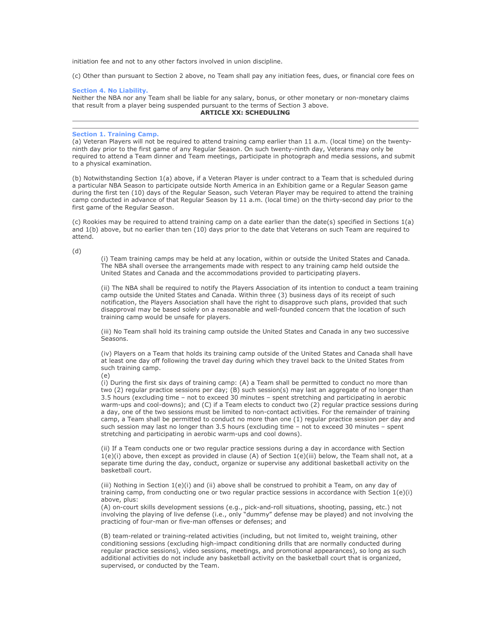initiation fee and not to any other factors involved in union discipline.

(c) Other than pursuant to Section 2 above, no Team shall pay any initiation fees, dues, or financial core fees on

### Section 4. No Liability.

Neither the NBA nor any Team shall be liable for any salary, bonus, or other monetary or non-monetary claims that result from a player being suspended pursuant to the terms of Section 3 above. ARTICLE XX: SCHEDULING

### Section 1. Training Camp.

(a) Veteran Players will not be required to attend training camp earlier than 11 a.m. (local time) on the twentyninth day prior to the first game of any Regular Season. On such twenty-ninth day, Veterans may only be required to attend a Team dinner and Team meetings, participate in photograph and media sessions, and submit to a physical examination.

(b) Notwithstanding Section 1(a) above, if a Veteran Player is under contract to a Team that is scheduled during a particular NBA Season to participate outside North America in an Exhibition game or a Regular Season game during the first ten (10) days of the Regular Season, such Veteran Player may be required to attend the training camp conducted in advance of that Regular Season by 11 a.m. (local time) on the thirty-second day prior to the first game of the Regular Season.

(c) Rookies may be required to attend training camp on a date earlier than the date(s) specified in Sections 1(a) and 1(b) above, but no earlier than ten (10) days prior to the date that Veterans on such Team are required to attend.

(d)

(i) Team training camps may be held at any location, within or outside the United States and Canada. The NBA shall oversee the arrangements made with respect to any training camp held outside the United States and Canada and the accommodations provided to participating players.

(ii) The NBA shall be required to notify the Players Association of its intention to conduct a team training camp outside the United States and Canada. Within three (3) business days of its receipt of such notification, the Players Association shall have the right to disapprove such plans, provided that such disapproval may be based solely on a reasonable and well-founded concern that the location of such training camp would be unsafe for players.

(iii) No Team shall hold its training camp outside the United States and Canada in any two successive Seasons.

(iv) Players on a Team that holds its training camp outside of the United States and Canada shall have at least one day off following the travel day during which they travel back to the United States from such training camp.

(i) During the first six days of training camp: (A) a Team shall be permitted to conduct no more than two (2) regular practice sessions per day; (B) such session(s) may last an aggregate of no longer than 3.5 hours (excluding time – not to exceed 30 minutes – spent stretching and participating in aerobic warm-ups and cool-downs); and (C) if a Team elects to conduct two (2) regular practice sessions during a day, one of the two sessions must be limited to non-contact activities. For the remainder of training camp, a Team shall be permitted to conduct no more than one (1) regular practice session per day and such session may last no longer than 3.5 hours (excluding time – not to exceed 30 minutes – spent stretching and participating in aerobic warm-ups and cool downs).

(ii) If a Team conducts one or two regular practice sessions during a day in accordance with Section  $1(e)(i)$  above, then except as provided in clause (A) of Section  $1(e)(iii)$  below, the Team shall not, at a separate time during the day, conduct, organize or supervise any additional basketball activity on the basketball court.

(iii) Nothing in Section 1(e)(i) and (ii) above shall be construed to prohibit a Team, on any day of training camp, from conducting one or two regular practice sessions in accordance with Section 1(e)(i) above, plus:

(A) on-court skills development sessions (e.g., pick-and-roll situations, shooting, passing, etc.) not involving the playing of live defense (i.e., only "dummy" defense may be played) and not involving the practicing of four-man or five-man offenses or defenses; and

(B) team-related or training-related activities (including, but not limited to, weight training, other conditioning sessions (excluding high-impact conditioning drills that are normally conducted during regular practice sessions), video sessions, meetings, and promotional appearances), so long as such additional activities do not include any basketball activity on the basketball court that is organized, supervised, or conducted by the Team.

<sup>(</sup>e)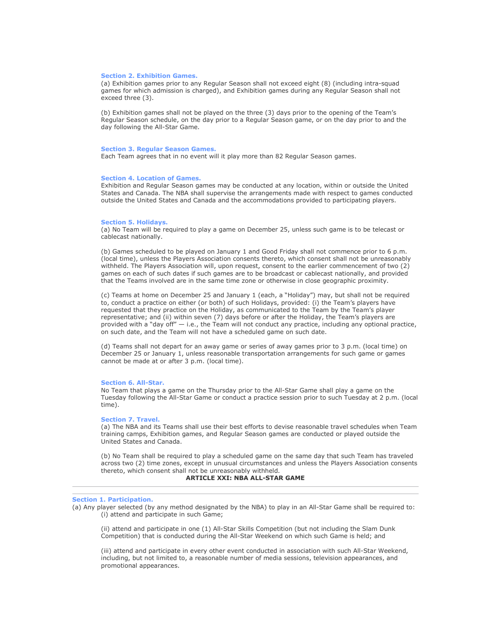### Section 2. Exhibition Games.

(a) Exhibition games prior to any Regular Season shall not exceed eight (8) (including intra-squad games for which admission is charged), and Exhibition games during any Regular Season shall not exceed three (3).

(b) Exhibition games shall not be played on the three (3) days prior to the opening of the Team's Regular Season schedule, on the day prior to a Regular Season game, or on the day prior to and the day following the All-Star Game.

#### Section 3. Regular Season Games.

Each Team agrees that in no event will it play more than 82 Regular Season games.

### Section 4. Location of Games.

Exhibition and Regular Season games may be conducted at any location, within or outside the United States and Canada. The NBA shall supervise the arrangements made with respect to games conducted outside the United States and Canada and the accommodations provided to participating players.

#### Section 5. Holidays.

(a) No Team will be required to play a game on December 25, unless such game is to be telecast or cablecast nationally.

(b) Games scheduled to be played on January 1 and Good Friday shall not commence prior to 6 p.m. (local time), unless the Players Association consents thereto, which consent shall not be unreasonably withheld. The Players Association will, upon request, consent to the earlier commencement of two (2) games on each of such dates if such games are to be broadcast or cablecast nationally, and provided that the Teams involved are in the same time zone or otherwise in close geographic proximity.

(c) Teams at home on December 25 and January 1 (each, a "Holiday") may, but shall not be required to, conduct a practice on either (or both) of such Holidays, provided: (i) the Team's players have requested that they practice on the Holiday, as communicated to the Team by the Team's player representative; and (ii) within seven (7) days before or after the Holiday, the Team's players are provided with a "day off" — i.e., the Team will not conduct any practice, including any optional practice, on such date, and the Team will not have a scheduled game on such date.

(d) Teams shall not depart for an away game or series of away games prior to 3 p.m. (local time) on December 25 or January 1, unless reasonable transportation arrangements for such game or games cannot be made at or after 3 p.m. (local time).

### Section 6. All-Star.

No Team that plays a game on the Thursday prior to the All-Star Game shall play a game on the Tuesday following the All-Star Game or conduct a practice session prior to such Tuesday at 2 p.m. (local time).

### Section 7. Travel.

(a) The NBA and its Teams shall use their best efforts to devise reasonable travel schedules when Team training camps, Exhibition games, and Regular Season games are conducted or played outside the United States and Canada.

(b) No Team shall be required to play a scheduled game on the same day that such Team has traveled across two (2) time zones, except in unusual circumstances and unless the Players Association consents thereto, which consent shall not be unreasonably withheld.

# ARTICLE XXI: NBA ALL-STAR GAME

#### Section 1. Participation.

(a) Any player selected (by any method designated by the NBA) to play in an All-Star Game shall be required to: (i) attend and participate in such Game;

(ii) attend and participate in one (1) All-Star Skills Competition (but not including the Slam Dunk Competition) that is conducted during the All-Star Weekend on which such Game is held; and

(iii) attend and participate in every other event conducted in association with such All-Star Weekend, including, but not limited to, a reasonable number of media sessions, television appearances, and promotional appearances.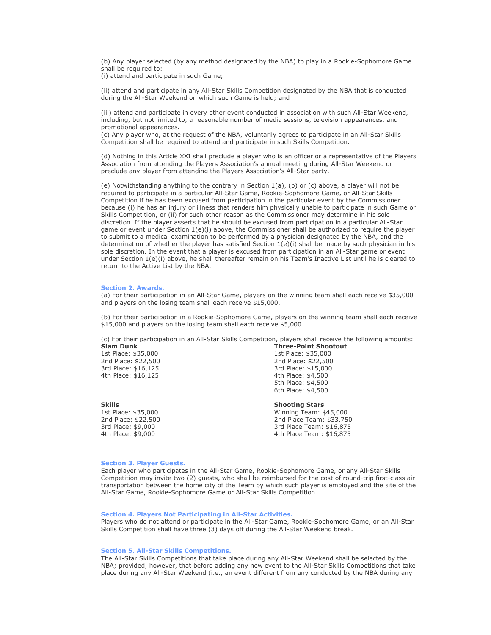(b) Any player selected (by any method designated by the NBA) to play in a Rookie-Sophomore Game shall be required to:

(i) attend and participate in such Game;

(ii) attend and participate in any All-Star Skills Competition designated by the NBA that is conducted during the All-Star Weekend on which such Game is held; and

(iii) attend and participate in every other event conducted in association with such All-Star Weekend, including, but not limited to, a reasonable number of media sessions, television appearances, and promotional appearances.

(c) Any player who, at the request of the NBA, voluntarily agrees to participate in an All-Star Skills Competition shall be required to attend and participate in such Skills Competition.

(d) Nothing in this Article XXI shall preclude a player who is an officer or a representative of the Players Association from attending the Players Association's annual meeting during All-Star Weekend or preclude any player from attending the Players Association's All-Star party.

(e) Notwithstanding anything to the contrary in Section 1(a), (b) or (c) above, a player will not be required to participate in a particular All-Star Game, Rookie-Sophomore Game, or All-Star Skills Competition if he has been excused from participation in the particular event by the Commissioner because (i) he has an injury or illness that renders him physically unable to participate in such Game or Skills Competition, or (ii) for such other reason as the Commissioner may determine in his sole discretion. If the player asserts that he should be excused from participation in a particular All-Star game or event under Section 1(e)(i) above, the Commissioner shall be authorized to require the player to submit to a medical examination to be performed by a physician designated by the NBA, and the determination of whether the player has satisfied Section 1(e)(i) shall be made by such physician in his sole discretion. In the event that a player is excused from participation in an All-Star game or event under Section 1(e)(i) above, he shall thereafter remain on his Team's Inactive List until he is cleared to return to the Active List by the NBA.

### Section 2. Awards.

(a) For their participation in an All-Star Game, players on the winning team shall each receive \$35,000 and players on the losing team shall each receive \$15,000.

(b) For their participation in a Rookie-Sophomore Game, players on the winning team shall each receive \$15,000 and players on the losing team shall each receive \$5,000.

(c) For their participation in an All-Star Skills Competition, players shall receive the following amounts: Slam Dunk Three-Point Shootout

3rd Place: \$15,000<br>4th Place: \$4,500

 5th Place: \$4,500 6th Place: \$4,500

1st Place: \$35,000<br>
2nd Place: \$22,500<br>
2nd Place: \$22,500 2nd Place: \$22,500<br>3rd Place: \$16,125 4th Place: \$16,125

**Skills** Skills Shooting Stars 1st Place: \$35,000 Winning Team: \$45,000 2nd Place: \$22,500 2nd Place Team: \$33,750 3rd Place: \$9,000 3rd Place Team: \$16,875 4th Place Team: \$16,875

### Section 3. Player Guests.

Each player who participates in the All-Star Game, Rookie-Sophomore Game, or any All-Star Skills Competition may invite two (2) guests, who shall be reimbursed for the cost of round-trip first-class air transportation between the home city of the Team by which such player is employed and the site of the All-Star Game, Rookie-Sophomore Game or All-Star Skills Competition.

#### Section 4. Players Not Participating in All-Star Activities.

Players who do not attend or participate in the All-Star Game, Rookie-Sophomore Game, or an All-Star Skills Competition shall have three (3) days off during the All-Star Weekend break.

# Section 5. All-Star Skills Competitions.

The All-Star Skills Competitions that take place during any All-Star Weekend shall be selected by the NBA; provided, however, that before adding any new event to the All-Star Skills Competitions that take place during any All-Star Weekend (i.e., an event different from any conducted by the NBA during any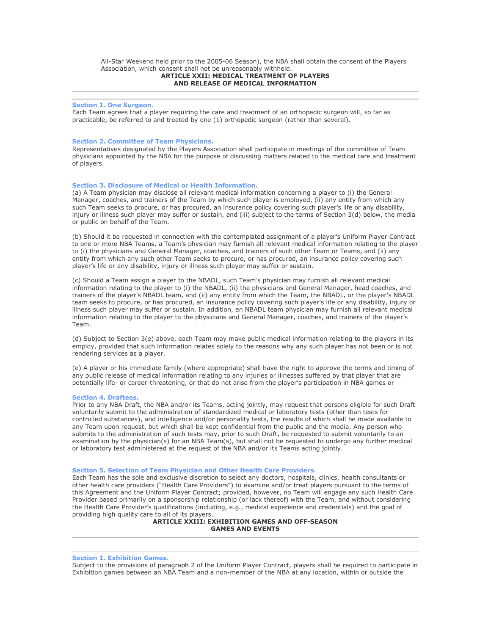All-Star Weekend held prior to the 2005-06 Season), the NBA shall obtain the consent of the Players Association, which consent shall not be unreasonably withheld.

# ARTICLE XXII: MEDICAL TREATMENT OF PLAYERS AND RELEASE OF MEDICAL INFORMATION

# Section 1. One Surgeon.

Each Team agrees that a player requiring the care and treatment of an orthopedic surgeon will, so far as practicable, be referred to and treated by one (1) orthopedic surgeon (rather than several).

#### Section 2. Committee of Team Physicians.

Representatives designated by the Players Association shall participate in meetings of the committee of Team physicians appointed by the NBA for the purpose of discussing matters related to the medical care and treatment of players.

# Section 3. Disclosure of Medical or Health Information.

(a) A Team physician may disclose all relevant medical information concerning a player to (i) the General Manager, coaches, and trainers of the Team by which such player is employed, (ii) any entity from which any such Team seeks to procure, or has procured, an insurance policy covering such player's life or any disability, injury or illness such player may suffer or sustain, and (iii) subject to the terms of Section 3(d) below, the media or public on behalf of the Team.

(b) Should it be requested in connection with the contemplated assignment of a player's Uniform Player Contract to one or more NBA Teams, a Team's physician may furnish all relevant medical information relating to the player to (i) the physicians and General Manager, coaches, and trainers of such other Team or Teams, and (ii) any entity from which any such other Team seeks to procure, or has procured, an insurance policy covering such player's life or any disability, injury or illness such player may suffer or sustain.

(c) Should a Team assign a player to the NBADL, such Team's physician may furnish all relevant medical information relating to the player to (i) the NBADL, (ii) the physicians and General Manager, head coaches, and trainers of the player's NBADL team, and (ii) any entity from which the Team, the NBADL, or the player's NBADL team seeks to procure, or has procured, an insurance policy covering such player's life or any disability, injury or illness such player may suffer or sustain. In addition, an NBADL team physician may furnish all relevant medical information relating to the player to the physicians and General Manager, coaches, and trainers of the player's Team.

(d) Subject to Section 3(e) above, each Team may make public medical information relating to the players in its employ, provided that such information relates solely to the reasons why any such player has not been or is not rendering services as a player.

(e) A player or his immediate family (where appropriate) shall have the right to approve the terms and timing of any public release of medical information relating to any injuries or illnesses suffered by that player that are potentially life- or career-threatening, or that do not arise from the player's participation in NBA games or

#### Section 4. Draftees.

Prior to any NBA Draft, the NBA and/or its Teams, acting jointly, may request that persons eligible for such Draft voluntarily submit to the administration of standardized medical or laboratory tests (other than tests for controlled substances), and intelligence and/or personality tests, the results of which shall be made available to any Team upon request, but which shall be kept confidential from the public and the media. Any person who submits to the administration of such tests may, prior to such Draft, be requested to submit voluntarily to an examination by the physician(s) for an NBA Team(s), but shall not be requested to undergo any further medical or laboratory test administered at the request of the NBA and/or its Teams acting jointly.

#### Section 5. Selection of Team Physician and Other Health Care Providers.

Each Team has the sole and exclusive discretion to select any doctors, hospitals, clinics, health consultants or other health care providers ("Health Care Providers") to examine and/or treat players pursuant to the terms of this Agreement and the Uniform Player Contract; provided, however, no Team will engage any such Health Care Provider based primarily on a sponsorship relationship (or lack thereof) with the Team, and without considering the Health Care Provider's qualifications (including, e.g., medical experience and credentials) and the goal of providing high quality care to all of its players.

# ARTICLE XXIII: EXHIBITION GAMES AND OFF-SEASON GAMES AND EVENTS

### Section 1. Exhibition Games.

Subject to the provisions of paragraph 2 of the Uniform Player Contract, players shall be required to participate in Exhibition games between an NBA Team and a non-member of the NBA at any location, within or outside the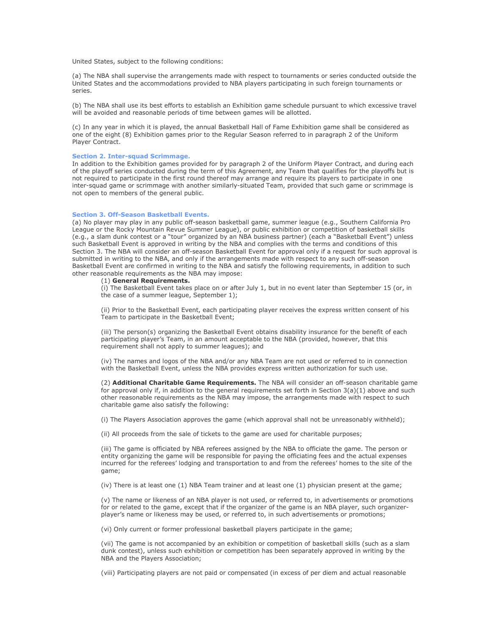United States, subject to the following conditions:

(a) The NBA shall supervise the arrangements made with respect to tournaments or series conducted outside the United States and the accommodations provided to NBA players participating in such foreign tournaments or series.

(b) The NBA shall use its best efforts to establish an Exhibition game schedule pursuant to which excessive travel will be avoided and reasonable periods of time between games will be allotted.

(c) In any year in which it is played, the annual Basketball Hall of Fame Exhibition game shall be considered as one of the eight (8) Exhibition games prior to the Regular Season referred to in paragraph 2 of the Uniform Player Contract.

### Section 2. Inter-squad Scrimmage.

In addition to the Exhibition games provided for by paragraph 2 of the Uniform Player Contract, and during each of the playoff series conducted during the term of this Agreement, any Team that qualifies for the playoffs but is not required to participate in the first round thereof may arrange and require its players to participate in one inter-squad game or scrimmage with another similarly-situated Team, provided that such game or scrimmage is not open to members of the general public.

### Section 3. Off-Season Basketball Events.

(a) No player may play in any public off-season basketball game, summer league (e.g., Southern California Pro League or the Rocky Mountain Revue Summer League), or public exhibition or competition of basketball skills (e.g., a slam dunk contest or a "tour" organized by an NBA business partner) (each a "Basketball Event") unless such Basketball Event is approved in writing by the NBA and complies with the terms and conditions of this Section 3. The NBA will consider an off-season Basketball Event for approval only if a request for such approval is submitted in writing to the NBA, and only if the arrangements made with respect to any such off-season Basketball Event are confirmed in writing to the NBA and satisfy the following requirements, in addition to such other reasonable requirements as the NBA may impose:

### (1) General Requirements.

(i) The Basketball Event takes place on or after July 1, but in no event later than September 15 (or, in the case of a summer league, September 1);

(ii) Prior to the Basketball Event, each participating player receives the express written consent of his Team to participate in the Basketball Event;

(iii) The person(s) organizing the Basketball Event obtains disability insurance for the benefit of each participating player's Team, in an amount acceptable to the NBA (provided, however, that this requirement shall not apply to summer leagues); and

(iv) The names and logos of the NBA and/or any NBA Team are not used or referred to in connection with the Basketball Event, unless the NBA provides express written authorization for such use.

(2) Additional Charitable Game Requirements. The NBA will consider an off-season charitable game for approval only if, in addition to the general requirements set forth in Section 3(a)(1) above and such other reasonable requirements as the NBA may impose, the arrangements made with respect to such charitable game also satisfy the following:

(i) The Players Association approves the game (which approval shall not be unreasonably withheld);

(ii) All proceeds from the sale of tickets to the game are used for charitable purposes;

(iii) The game is officiated by NBA referees assigned by the NBA to officiate the game. The person or entity organizing the game will be responsible for paying the officiating fees and the actual expenses incurred for the referees' lodging and transportation to and from the referees' homes to the site of the game;

(iv) There is at least one (1) NBA Team trainer and at least one (1) physician present at the game;

(v) The name or likeness of an NBA player is not used, or referred to, in advertisements or promotions for or related to the game, except that if the organizer of the game is an NBA player, such organizerplayer's name or likeness may be used, or referred to, in such advertisements or promotions;

(vi) Only current or former professional basketball players participate in the game;

(vii) The game is not accompanied by an exhibition or competition of basketball skills (such as a slam dunk contest), unless such exhibition or competition has been separately approved in writing by the NBA and the Players Association;

(viii) Participating players are not paid or compensated (in excess of per diem and actual reasonable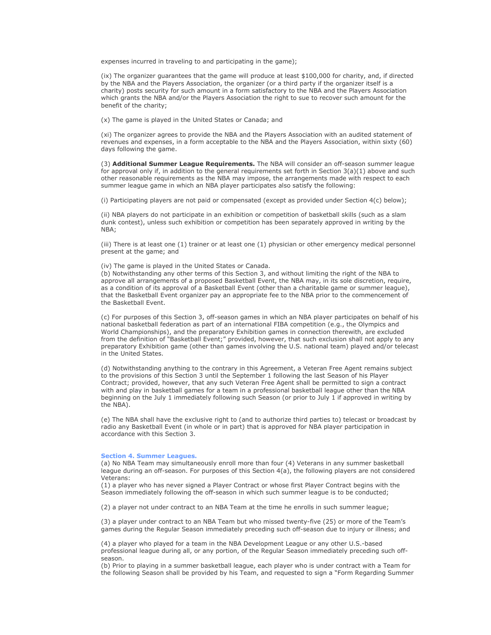expenses incurred in traveling to and participating in the game);

(ix) The organizer guarantees that the game will produce at least \$100,000 for charity, and, if directed by the NBA and the Players Association, the organizer (or a third party if the organizer itself is a charity) posts security for such amount in a form satisfactory to the NBA and the Players Association which grants the NBA and/or the Players Association the right to sue to recover such amount for the benefit of the charity;

(x) The game is played in the United States or Canada; and

(xi) The organizer agrees to provide the NBA and the Players Association with an audited statement of revenues and expenses, in a form acceptable to the NBA and the Players Association, within sixty (60) days following the game.

(3) Additional Summer League Requirements. The NBA will consider an off-season summer league for approval only if, in addition to the general requirements set forth in Section 3(a)(1) above and such other reasonable requirements as the NBA may impose, the arrangements made with respect to each summer league game in which an NBA player participates also satisfy the following:

(i) Participating players are not paid or compensated (except as provided under Section  $4(c)$  below);

(ii) NBA players do not participate in an exhibition or competition of basketball skills (such as a slam dunk contest), unless such exhibition or competition has been separately approved in writing by the NBA;

(iii) There is at least one (1) trainer or at least one (1) physician or other emergency medical personnel present at the game; and

(iv) The game is played in the United States or Canada.

(b) Notwithstanding any other terms of this Section 3, and without limiting the right of the NBA to approve all arrangements of a proposed Basketball Event, the NBA may, in its sole discretion, require, as a condition of its approval of a Basketball Event (other than a charitable game or summer league), that the Basketball Event organizer pay an appropriate fee to the NBA prior to the commencement of the Basketball Event.

(c) For purposes of this Section 3, off-season games in which an NBA player participates on behalf of his national basketball federation as part of an international FIBA competition (e.g., the Olympics and World Championships), and the preparatory Exhibition games in connection therewith, are excluded from the definition of "Basketball Event;" provided, however, that such exclusion shall not apply to any preparatory Exhibition game (other than games involving the U.S. national team) played and/or telecast in the United States.

(d) Notwithstanding anything to the contrary in this Agreement, a Veteran Free Agent remains subject to the provisions of this Section 3 until the September 1 following the last Season of his Player Contract; provided, however, that any such Veteran Free Agent shall be permitted to sign a contract with and play in basketball games for a team in a professional basketball league other than the NBA beginning on the July 1 immediately following such Season (or prior to July 1 if approved in writing by the NBA).

(e) The NBA shall have the exclusive right to (and to authorize third parties to) telecast or broadcast by radio any Basketball Event (in whole or in part) that is approved for NBA player participation in accordance with this Section 3.

#### Section 4. Summer Leagues.

(a) No NBA Team may simultaneously enroll more than four (4) Veterans in any summer basketball league during an off-season. For purposes of this Section 4(a), the following players are not considered Veterans:

(1) a player who has never signed a Player Contract or whose first Player Contract begins with the Season immediately following the off-season in which such summer league is to be conducted;

(2) a player not under contract to an NBA Team at the time he enrolls in such summer league;

(3) a player under contract to an NBA Team but who missed twenty-five (25) or more of the Team's games during the Regular Season immediately preceding such off-season due to injury or illness; and

(4) a player who played for a team in the NBA Development League or any other U.S.-based professional league during all, or any portion, of the Regular Season immediately preceding such offseason.

(b) Prior to playing in a summer basketball league, each player who is under contract with a Team for the following Season shall be provided by his Team, and requested to sign a "Form Regarding Summer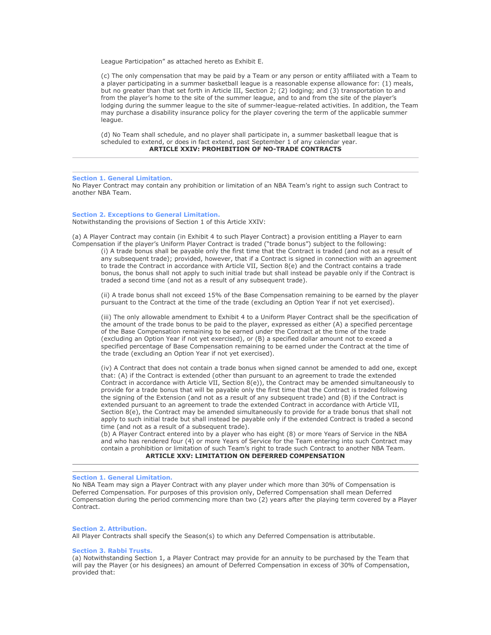League Participation" as attached hereto as Exhibit E.

(c) The only compensation that may be paid by a Team or any person or entity affiliated with a Team to a player participating in a summer basketball league is a reasonable expense allowance for: (1) meals, but no greater than that set forth in Article III, Section 2; (2) lodging; and (3) transportation to and from the player's home to the site of the summer league, and to and from the site of the player's lodging during the summer league to the site of summer-league-related activities. In addition, the Team may purchase a disability insurance policy for the player covering the term of the applicable summer league.

(d) No Team shall schedule, and no player shall participate in, a summer basketball league that is scheduled to extend, or does in fact extend, past September 1 of any calendar year. ARTICLE XXIV: PROHIBITION OF NO-TRADE CONTRACTS

#### Section 1. General Limitation.

No Player Contract may contain any prohibition or limitation of an NBA Team's right to assign such Contract to another NBA Team.

# Section 2. Exceptions to General Limitation.

Notwithstanding the provisions of Section 1 of this Article XXIV:

(a) A Player Contract may contain (in Exhibit 4 to such Player Contract) a provision entitling a Player to earn Compensation if the player's Uniform Player Contract is traded ("trade bonus") subject to the following:

(i) A trade bonus shall be payable only the first time that the Contract is traded (and not as a result of any subsequent trade); provided, however, that if a Contract is signed in connection with an agreement to trade the Contract in accordance with Article VII, Section 8(e) and the Contract contains a trade bonus, the bonus shall not apply to such initial trade but shall instead be payable only if the Contract is traded a second time (and not as a result of any subsequent trade).

(ii) A trade bonus shall not exceed 15% of the Base Compensation remaining to be earned by the player pursuant to the Contract at the time of the trade (excluding an Option Year if not yet exercised).

(iii) The only allowable amendment to Exhibit 4 to a Uniform Player Contract shall be the specification of the amount of the trade bonus to be paid to the player, expressed as either (A) a specified percentage of the Base Compensation remaining to be earned under the Contract at the time of the trade (excluding an Option Year if not yet exercised), or (B) a specified dollar amount not to exceed a specified percentage of Base Compensation remaining to be earned under the Contract at the time of the trade (excluding an Option Year if not yet exercised).

(iv) A Contract that does not contain a trade bonus when signed cannot be amended to add one, except that: (A) if the Contract is extended (other than pursuant to an agreement to trade the extended Contract in accordance with Article VII, Section 8(e)), the Contract may be amended simultaneously to provide for a trade bonus that will be payable only the first time that the Contract is traded following the signing of the Extension (and not as a result of any subsequent trade) and (B) if the Contract is extended pursuant to an agreement to trade the extended Contract in accordance with Article VII, Section 8(e), the Contract may be amended simultaneously to provide for a trade bonus that shall not apply to such initial trade but shall instead be payable only if the extended Contract is traded a second time (and not as a result of a subsequent trade).

(b) A Player Contract entered into by a player who has eight (8) or more Years of Service in the NBA and who has rendered four (4) or more Years of Service for the Team entering into such Contract may contain a prohibition or limitation of such Team's right to trade such Contract to another NBA Team. ARTICLE XXV: LIMITATION ON DEFERRED COMPENSATION

#### Section 1. General Limitation.

No NBA Team may sign a Player Contract with any player under which more than 30% of Compensation is Deferred Compensation. For purposes of this provision only, Deferred Compensation shall mean Deferred Compensation during the period commencing more than two (2) years after the playing term covered by a Player Contract.

### Section 2. Attribution.

All Player Contracts shall specify the Season(s) to which any Deferred Compensation is attributable.

# Section 3. Rabbi Trusts.

(a) Notwithstanding Section 1, a Player Contract may provide for an annuity to be purchased by the Team that will pay the Player (or his designees) an amount of Deferred Compensation in excess of 30% of Compensation, provided that: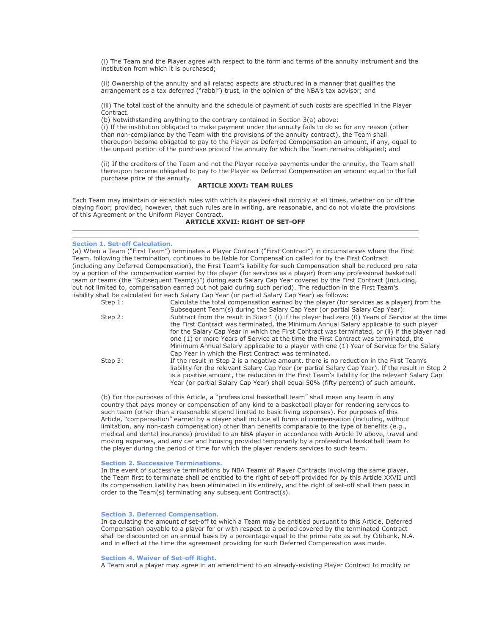(i) The Team and the Player agree with respect to the form and terms of the annuity instrument and the institution from which it is purchased;

(ii) Ownership of the annuity and all related aspects are structured in a manner that qualifies the arrangement as a tax deferred ("rabbi") trust, in the opinion of the NBA's tax advisor; and

(iii) The total cost of the annuity and the schedule of payment of such costs are specified in the Player Contract.

(b) Notwithstanding anything to the contrary contained in Section 3(a) above:

(i) If the institution obligated to make payment under the annuity fails to do so for any reason (other than non-compliance by the Team with the provisions of the annuity contract), the Team shall thereupon become obligated to pay to the Player as Deferred Compensation an amount, if any, equal to the unpaid portion of the purchase price of the annuity for which the Team remains obligated; and

(ii) If the creditors of the Team and not the Player receive payments under the annuity, the Team shall thereupon become obligated to pay to the Player as Deferred Compensation an amount equal to the full purchase price of the annuity.

# ARTICLE XXVI: TEAM RULES

Each Team may maintain or establish rules with which its players shall comply at all times, whether on or off the playing floor; provided, however, that such rules are in writing, are reasonable, and do not violate the provisions of this Agreement or the Uniform Player Contract.

# ARTICLE XXVII: RIGHT OF SET-OFF

#### Section 1. Set-off Calculation.

(a) When a Team ("First Team") terminates a Player Contract ("First Contract") in circumstances where the First Team, following the termination, continues to be liable for Compensation called for by the First Contract (including any Deferred Compensation), the First Team's liability for such Compensation shall be reduced pro rata by a portion of the compensation earned by the player (for services as a player) from any professional basketball team or teams (the "Subsequent Team(s)") during each Salary Cap Year covered by the First Contract (including, but not limited to, compensation earned but not paid during such period). The reduction in the First Team's liability shall be calculated for each Salary Cap Year (or partial Salary Cap Year) as follows:

| Step $1:$ | Calculate the total compensation earned by the player (for services as a player) from the                                                                                                |
|-----------|------------------------------------------------------------------------------------------------------------------------------------------------------------------------------------------|
|           | Subsequent Team(s) during the Salary Cap Year (or partial Salary Cap Year).                                                                                                              |
| Step 2:   | Subtract from the result in Step 1 (i) if the player had zero (0) Years of Service at the time<br>the First Contract was terminated, the Minimum Annual Salary applicable to such player |
|           | for the Salary Cap Year in which the First Contract was terminated, or (ii) if the player had                                                                                            |
|           | one (1) or more Years of Service at the time the First Contract was terminated, the                                                                                                      |
|           | Minimum Annual Salary applicable to a player with one (1) Year of Service for the Salary                                                                                                 |
|           | Cap Year in which the First Contract was terminated.                                                                                                                                     |
| Step 3:   | If the result in Step 2 is a negative amount, there is no reduction in the First Team's                                                                                                  |
|           | liability for the relevant Salary Cap Year (or partial Salary Cap Year). If the result in Step 2                                                                                         |
|           | is a positive amount, the reduction in the First Team's liability for the relevant Salary Cap                                                                                            |
|           | Year (or partial Salary Cap Year) shall equal 50% (fifty percent) of such amount.                                                                                                        |

(b) For the purposes of this Article, a "professional basketball team" shall mean any team in any country that pays money or compensation of any kind to a basketball player for rendering services to such team (other than a reasonable stipend limited to basic living expenses). For purposes of this Article, "compensation" earned by a player shall include all forms of compensation (including, without limitation, any non-cash compensation) other than benefits comparable to the type of benefits (e.g., medical and dental insurance) provided to an NBA player in accordance with Article IV above, travel and moving expenses, and any car and housing provided temporarily by a professional basketball team to the player during the period of time for which the player renders services to such team.

# Section 2. Successive Terminations.

In the event of successive terminations by NBA Teams of Player Contracts involving the same player, the Team first to terminate shall be entitled to the right of set-off provided for by this Article XXVII until its compensation liability has been eliminated in its entirety, and the right of set-off shall then pass in order to the Team(s) terminating any subsequent Contract(s).

#### Section 3. Deferred Compensation.

In calculating the amount of set-off to which a Team may be entitled pursuant to this Article, Deferred Compensation payable to a player for or with respect to a period covered by the terminated Contract shall be discounted on an annual basis by a percentage equal to the prime rate as set by Citibank, N.A. and in effect at the time the agreement providing for such Deferred Compensation was made.

# Section 4. Waiver of Set-off Right.

A Team and a player may agree in an amendment to an already-existing Player Contract to modify or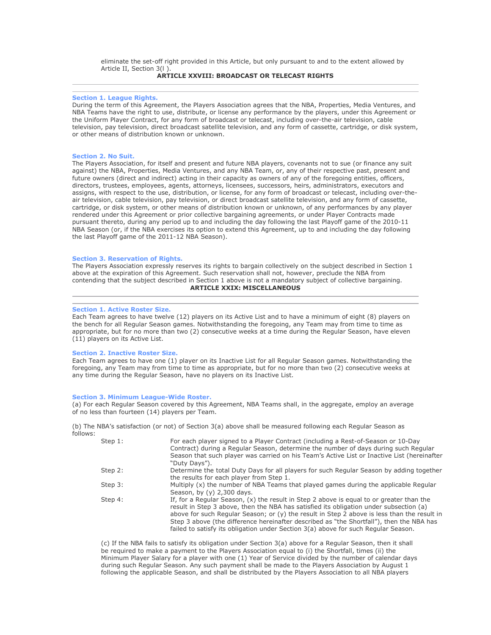eliminate the set-off right provided in this Article, but only pursuant to and to the extent allowed by Article II, Section 3(l ).

# ARTICLE XXVIII: BROADCAST OR TELECAST RIGHTS

# Section 1. League Rights.

During the term of this Agreement, the Players Association agrees that the NBA, Properties, Media Ventures, and NBA Teams have the right to use, distribute, or license any performance by the players, under this Agreement or the Uniform Player Contract, for any form of broadcast or telecast, including over-the-air television, cable television, pay television, direct broadcast satellite television, and any form of cassette, cartridge, or disk system, or other means of distribution known or unknown.

#### Section 2. No Suit.

The Players Association, for itself and present and future NBA players, covenants not to sue (or finance any suit against) the NBA, Properties, Media Ventures, and any NBA Team, or, any of their respective past, present and future owners (direct and indirect) acting in their capacity as owners of any of the foregoing entities, officers, directors, trustees, employees, agents, attorneys, licensees, successors, heirs, administrators, executors and assigns, with respect to the use, distribution, or license, for any form of broadcast or telecast, including over-theair television, cable television, pay television, or direct broadcast satellite television, and any form of cassette, cartridge, or disk system, or other means of distribution known or unknown, of any performances by any player rendered under this Agreement or prior collective bargaining agreements, or under Player Contracts made pursuant thereto, during any period up to and including the day following the last Playoff game of the 2010-11 NBA Season (or, if the NBA exercises its option to extend this Agreement, up to and including the day following the last Playoff game of the 2011-12 NBA Season).

### Section 3. Reservation of Rights.

The Players Association expressly reserves its rights to bargain collectively on the subject described in Section 1 above at the expiration of this Agreement. Such reservation shall not, however, preclude the NBA from contending that the subject described in Section 1 above is not a mandatory subject of collective bargaining. ARTICLE XXIX: MISCELLANEOUS

### Section 1. Active Roster Size.

Each Team agrees to have twelve (12) players on its Active List and to have a minimum of eight (8) players on the bench for all Regular Season games. Notwithstanding the foregoing, any Team may from time to time as appropriate, but for no more than two (2) consecutive weeks at a time during the Regular Season, have eleven (11) players on its Active List.

### Section 2. Inactive Roster Size.

Each Team agrees to have one (1) player on its Inactive List for all Regular Season games. Notwithstanding the foregoing, any Team may from time to time as appropriate, but for no more than two (2) consecutive weeks at any time during the Regular Season, have no players on its Inactive List.

# Section 3. Minimum League-Wide Roster.

(a) For each Regular Season covered by this Agreement, NBA Teams shall, in the aggregate, employ an average of no less than fourteen (14) players per Team.

(b) The NBA's satisfaction (or not) of Section 3(a) above shall be measured following each Regular Season as follows:

| Step 1: | For each player signed to a Player Contract (including a Rest-of-Season or 10-Day<br>Contract) during a Regular Season, determine the number of days during such Regular<br>Season that such player was carried on his Team's Active List or Inactive List (hereinafter<br>"Duty Days").                                                                                                                                                                                |
|---------|-------------------------------------------------------------------------------------------------------------------------------------------------------------------------------------------------------------------------------------------------------------------------------------------------------------------------------------------------------------------------------------------------------------------------------------------------------------------------|
| Step 2: | Determine the total Duty Days for all players for such Regular Season by adding together<br>the results for each player from Step 1.                                                                                                                                                                                                                                                                                                                                    |
| Step 3: | Multiply (x) the number of NBA Teams that played games during the applicable Regular<br>Season, by (y) 2,300 days.                                                                                                                                                                                                                                                                                                                                                      |
| Step 4: | If, for a Regular Season, $(x)$ the result in Step 2 above is equal to or greater than the<br>result in Step 3 above, then the NBA has satisfied its obligation under subsection (a)<br>above for such Regular Season; or $(y)$ the result in Step 2 above is less than the result in<br>Step 3 above (the difference hereinafter described as "the Shortfall"), then the NBA has<br>failed to satisfy its obligation under Section 3(a) above for such Regular Season. |

(c) If the NBA fails to satisfy its obligation under Section 3(a) above for a Regular Season, then it shall be required to make a payment to the Players Association equal to (i) the Shortfall, times (ii) the Minimum Player Salary for a player with one (1) Year of Service divided by the number of calendar days during such Regular Season. Any such payment shall be made to the Players Association by August 1 following the applicable Season, and shall be distributed by the Players Association to all NBA players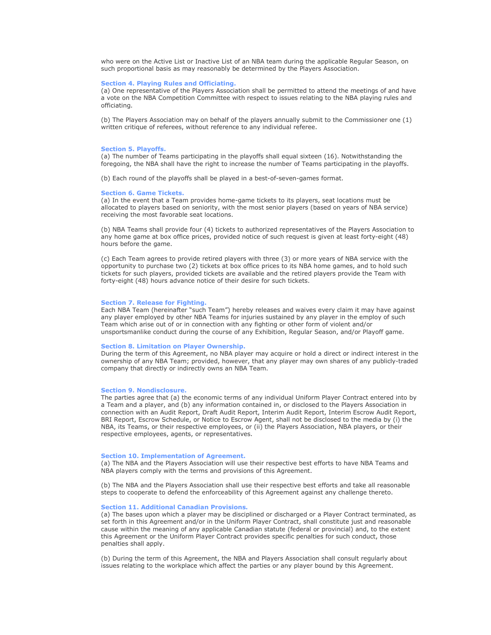who were on the Active List or Inactive List of an NBA team during the applicable Regular Season, on such proportional basis as may reasonably be determined by the Players Association.

# Section 4. Playing Rules and Officiating.

(a) One representative of the Players Association shall be permitted to attend the meetings of and have a vote on the NBA Competition Committee with respect to issues relating to the NBA playing rules and officiating.

(b) The Players Association may on behalf of the players annually submit to the Commissioner one (1) written critique of referees, without reference to any individual referee.

#### Section 5. Playoffs.

(a) The number of Teams participating in the playoffs shall equal sixteen (16). Notwithstanding the foregoing, the NBA shall have the right to increase the number of Teams participating in the playoffs.

(b) Each round of the playoffs shall be played in a best-of-seven-games format.

# Section 6. Game Tickets.

(a) In the event that a Team provides home-game tickets to its players, seat locations must be allocated to players based on seniority, with the most senior players (based on years of NBA service) receiving the most favorable seat locations.

(b) NBA Teams shall provide four (4) tickets to authorized representatives of the Players Association to any home game at box office prices, provided notice of such request is given at least forty-eight (48) hours before the game.

(c) Each Team agrees to provide retired players with three (3) or more years of NBA service with the opportunity to purchase two (2) tickets at box office prices to its NBA home games, and to hold such tickets for such players, provided tickets are available and the retired players provide the Team with forty-eight (48) hours advance notice of their desire for such tickets.

#### Section 7. Release for Fighting.

Each NBA Team (hereinafter "such Team") hereby releases and waives every claim it may have against any player employed by other NBA Teams for injuries sustained by any player in the employ of such Team which arise out of or in connection with any fighting or other form of violent and/or unsportsmanlike conduct during the course of any Exhibition, Regular Season, and/or Playoff game.

#### Section 8. Limitation on Player Ownership.

During the term of this Agreement, no NBA player may acquire or hold a direct or indirect interest in the ownership of any NBA Team; provided, however, that any player may own shares of any publicly-traded company that directly or indirectly owns an NBA Team.

#### Section 9. Nondisclosure.

The parties agree that (a) the economic terms of any individual Uniform Player Contract entered into by a Team and a player, and (b) any information contained in, or disclosed to the Players Association in connection with an Audit Report, Draft Audit Report, Interim Audit Report, Interim Escrow Audit Report, BRI Report, Escrow Schedule, or Notice to Escrow Agent, shall not be disclosed to the media by (i) the NBA, its Teams, or their respective employees, or (ii) the Players Association, NBA players, or their respective employees, agents, or representatives.

#### Section 10. Implementation of Agreement.

(a) The NBA and the Players Association will use their respective best efforts to have NBA Teams and NBA players comply with the terms and provisions of this Agreement.

(b) The NBA and the Players Association shall use their respective best efforts and take all reasonable steps to cooperate to defend the enforceability of this Agreement against any challenge thereto.

# Section 11. Additional Canadian Provisions.

(a) The bases upon which a player may be disciplined or discharged or a Player Contract terminated, as set forth in this Agreement and/or in the Uniform Player Contract, shall constitute just and reasonable cause within the meaning of any applicable Canadian statute (federal or provincial) and, to the extent this Agreement or the Uniform Player Contract provides specific penalties for such conduct, those penalties shall apply.

(b) During the term of this Agreement, the NBA and Players Association shall consult regularly about issues relating to the workplace which affect the parties or any player bound by this Agreement.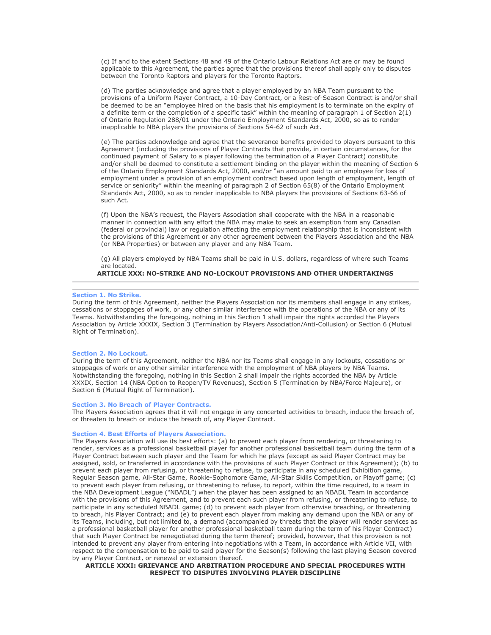(c) If and to the extent Sections 48 and 49 of the Ontario Labour Relations Act are or may be found applicable to this Agreement, the parties agree that the provisions thereof shall apply only to disputes between the Toronto Raptors and players for the Toronto Raptors.

(d) The parties acknowledge and agree that a player employed by an NBA Team pursuant to the provisions of a Uniform Player Contract, a 10-Day Contract, or a Rest-of-Season Contract is and/or shall be deemed to be an "employee hired on the basis that his employment is to terminate on the expiry of a definite term or the completion of a specific task" within the meaning of paragraph 1 of Section 2(1) of Ontario Regulation 288/01 under the Ontario Employment Standards Act, 2000, so as to render inapplicable to NBA players the provisions of Sections 54-62 of such Act.

(e) The parties acknowledge and agree that the severance benefits provided to players pursuant to this Agreement (including the provisions of Player Contracts that provide, in certain circumstances, for the continued payment of Salary to a player following the termination of a Player Contract) constitute and/or shall be deemed to constitute a settlement binding on the player within the meaning of Section 6 of the Ontario Employment Standards Act, 2000, and/or "an amount paid to an employee for loss of employment under a provision of an employment contract based upon length of employment, length of service or seniority" within the meaning of paragraph 2 of Section 65(8) of the Ontario Employment Standards Act, 2000, so as to render inapplicable to NBA players the provisions of Sections 63-66 of such Act.

(f) Upon the NBA's request, the Players Association shall cooperate with the NBA in a reasonable manner in connection with any effort the NBA may make to seek an exemption from any Canadian (federal or provincial) law or regulation affecting the employment relationship that is inconsistent with the provisions of this Agreement or any other agreement between the Players Association and the NBA (or NBA Properties) or between any player and any NBA Team.

(g) All players employed by NBA Teams shall be paid in U.S. dollars, regardless of where such Teams are located.

# ARTICLE XXX: NO-STRIKE AND NO-LOCKOUT PROVISIONS AND OTHER UNDERTAKINGS

# Section 1. No Strike.

During the term of this Agreement, neither the Players Association nor its members shall engage in any strikes, cessations or stoppages of work, or any other similar interference with the operations of the NBA or any of its Teams. Notwithstanding the foregoing, nothing in this Section 1 shall impair the rights accorded the Players Association by Article XXXIX, Section 3 (Termination by Players Association/Anti-Collusion) or Section 6 (Mutual Right of Termination).

#### Section 2. No Lockout.

During the term of this Agreement, neither the NBA nor its Teams shall engage in any lockouts, cessations or stoppages of work or any other similar interference with the employment of NBA players by NBA Teams. Notwithstanding the foregoing, nothing in this Section 2 shall impair the rights accorded the NBA by Article XXXIX, Section 14 (NBA Option to Reopen/TV Revenues), Section 5 (Termination by NBA/Force Majeure), or Section 6 (Mutual Right of Termination).

# Section 3. No Breach of Player Contracts.

The Players Association agrees that it will not engage in any concerted activities to breach, induce the breach of, or threaten to breach or induce the breach of, any Player Contract.

# Section 4. Best Efforts of Players Association.

The Players Association will use its best efforts: (a) to prevent each player from rendering, or threatening to render, services as a professional basketball player for another professional basketball team during the term of a Player Contract between such player and the Team for which he plays (except as said Player Contract may be assigned, sold, or transferred in accordance with the provisions of such Player Contract or this Agreement); (b) to prevent each player from refusing, or threatening to refuse, to participate in any scheduled Exhibition game, Regular Season game, All-Star Game, Rookie-Sophomore Game, All-Star Skills Competition, or Playoff game; (c) to prevent each player from refusing, or threatening to refuse, to report, within the time required, to a team in the NBA Development League ("NBADL") when the player has been assigned to an NBADL Team in accordance with the provisions of this Agreement, and to prevent each such player from refusing, or threatening to refuse, to participate in any scheduled NBADL game; (d) to prevent each player from otherwise breaching, or threatening to breach, his Player Contract; and (e) to prevent each player from making any demand upon the NBA or any of its Teams, including, but not limited to, a demand (accompanied by threats that the player will render services as a professional basketball player for another professional basketball team during the term of his Player Contract) that such Player Contract be renegotiated during the term thereof; provided, however, that this provision is not intended to prevent any player from entering into negotiations with a Team, in accordance with Article VII, with respect to the compensation to be paid to said player for the Season(s) following the last playing Season covered by any Player Contract, or renewal or extension thereof.

# ARTICLE XXXI: GRIEVANCE AND ARBITRATION PROCEDURE AND SPECIAL PROCEDURES WITH RESPECT TO DISPUTES INVOLVING PLAYER DISCIPLINE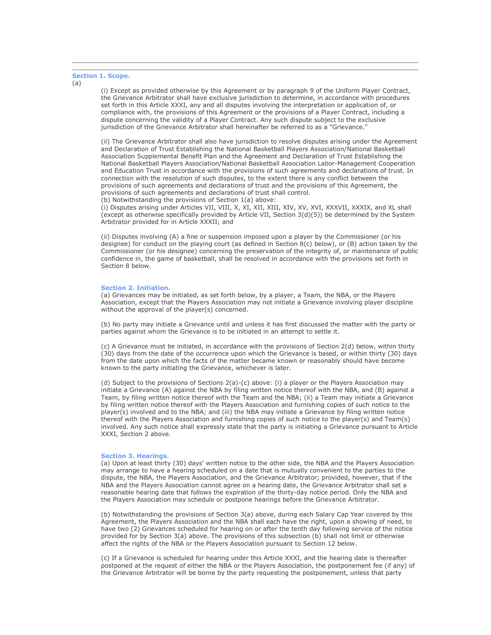# Section 1. Scope.

(a)

(i) Except as provided otherwise by this Agreement or by paragraph 9 of the Uniform Player Contract, the Grievance Arbitrator shall have exclusive jurisdiction to determine, in accordance with procedures set forth in this Article XXXI, any and all disputes involving the interpretation or application of, or compliance with, the provisions of this Agreement or the provisions of a Player Contract, including a dispute concerning the validity of a Player Contract. Any such dispute subject to the exclusive jurisdiction of the Grievance Arbitrator shall hereinafter be referred to as a "Grievance."

(ii) The Grievance Arbitrator shall also have jurisdiction to resolve disputes arising under the Agreement and Declaration of Trust Establishing the National Basketball Players Association/National Basketball Association Supplemental Benefit Plan and the Agreement and Declaration of Trust Establishing the National Basketball Players Association/National Basketball Association Labor-Management Cooperation and Education Trust in accordance with the provisions of such agreements and declarations of trust. In connection with the resolution of such disputes, to the extent there is any conflict between the provisions of such agreements and declarations of trust and the provisions of this Agreement, the provisions of such agreements and declarations of trust shall control.

(b) Notwithstanding the provisions of Section 1(a) above:

(i) Disputes arising under Articles VII, VIII, X, XI, XII, XIII, XIV, XV, XVI, XXXVII, XXXIX, and XL shall (except as otherwise specifically provided by Article VII, Section 3(d)(5)) be determined by the System Arbitrator provided for in Article XXXII; and

(ii) Disputes involving (A) a fine or suspension imposed upon a player by the Commissioner (or his designee) for conduct on the playing court (as defined in Section 8(c) below), or (B) action taken by the Commissioner (or his designee) concerning the preservation of the integrity of, or maintenance of public confidence in, the game of basketball, shall be resolved in accordance with the provisions set forth in Section 8 below.

#### Section 2. Initiation.

(a) Grievances may be initiated, as set forth below, by a player, a Team, the NBA, or the Players Association, except that the Players Association may not initiate a Grievance involving player discipline without the approval of the player(s) concerned.

(b) No party may initiate a Grievance until and unless it has first discussed the matter with the party or parties against whom the Grievance is to be initiated in an attempt to settle it.

(c) A Grievance must be initiated, in accordance with the provisions of Section 2(d) below, within thirty (30) days from the date of the occurrence upon which the Grievance is based, or within thirty (30) days from the date upon which the facts of the matter became known or reasonably should have become known to the party initiating the Grievance, whichever is later.

(d) Subject to the provisions of Sections 2(a)-(c) above: (i) a player or the Players Association may initiate a Grievance (A) against the NBA by filing written notice thereof with the NBA, and (B) against a Team, by filing written notice thereof with the Team and the NBA; (ii) a Team may initiate a Grievance by filing written notice thereof with the Players Association and furnishing copies of such notice to the player(s) involved and to the NBA; and (iii) the NBA may initiate a Grievance by filing written notice thereof with the Players Association and furnishing copies of such notice to the player(s) and Team(s) involved. Any such notice shall expressly state that the party is initiating a Grievance pursuant to Article XXXI, Section 2 above.

#### Section 3. Hearings.

(a) Upon at least thirty (30) days' written notice to the other side, the NBA and the Players Association may arrange to have a hearing scheduled on a date that is mutually convenient to the parties to the dispute, the NBA, the Players Association, and the Grievance Arbitrator; provided, however, that if the NBA and the Players Association cannot agree on a hearing date, the Grievance Arbitrator shall set a reasonable hearing date that follows the expiration of the thirty-day notice period. Only the NBA and the Players Association may schedule or postpone hearings before the Grievance Arbitrator.

(b) Notwithstanding the provisions of Section 3(a) above, during each Salary Cap Year covered by this Agreement, the Players Association and the NBA shall each have the right, upon a showing of need, to have two (2) Grievances scheduled for hearing on or after the tenth day following service of the notice provided for by Section 3(a) above. The provisions of this subsection (b) shall not limit or otherwise affect the rights of the NBA or the Players Association pursuant to Section 12 below.

(c) If a Grievance is scheduled for hearing under this Article XXXI, and the hearing date is thereafter postponed at the request of either the NBA or the Players Association, the postponement fee (if any) of the Grievance Arbitrator will be borne by the party requesting the postponement, unless that party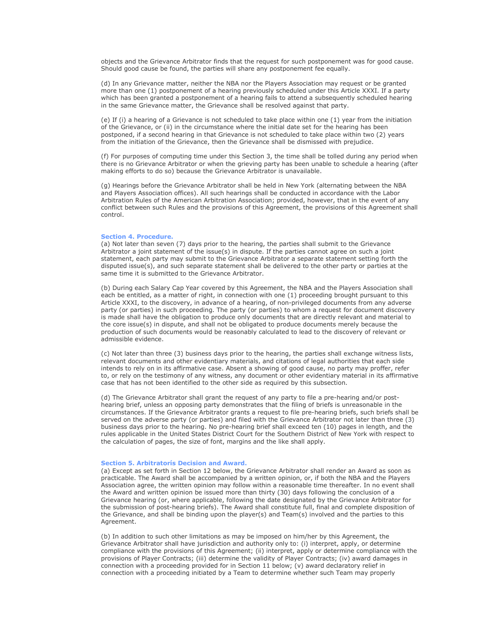objects and the Grievance Arbitrator finds that the request for such postponement was for good cause. Should good cause be found, the parties will share any postponement fee equally.

(d) In any Grievance matter, neither the NBA nor the Players Association may request or be granted more than one (1) postponement of a hearing previously scheduled under this Article XXXI. If a party which has been granted a postponement of a hearing fails to attend a subsequently scheduled hearing in the same Grievance matter, the Grievance shall be resolved against that party.

(e) If (i) a hearing of a Grievance is not scheduled to take place within one (1) year from the initiation of the Grievance, or (ii) in the circumstance where the initial date set for the hearing has been postponed, if a second hearing in that Grievance is not scheduled to take place within two (2) years from the initiation of the Grievance, then the Grievance shall be dismissed with prejudice.

(f) For purposes of computing time under this Section 3, the time shall be tolled during any period when there is no Grievance Arbitrator or when the grieving party has been unable to schedule a hearing (after making efforts to do so) because the Grievance Arbitrator is unavailable.

(g) Hearings before the Grievance Arbitrator shall be held in New York (alternating between the NBA and Players Association offices). All such hearings shall be conducted in accordance with the Labor Arbitration Rules of the American Arbitration Association; provided, however, that in the event of any conflict between such Rules and the provisions of this Agreement, the provisions of this Agreement shall control.

# Section 4. Procedure.

(a) Not later than seven (7) days prior to the hearing, the parties shall submit to the Grievance Arbitrator a joint statement of the issue(s) in dispute. If the parties cannot agree on such a joint statement, each party may submit to the Grievance Arbitrator a separate statement setting forth the disputed issue(s), and such separate statement shall be delivered to the other party or parties at the same time it is submitted to the Grievance Arbitrator.

(b) During each Salary Cap Year covered by this Agreement, the NBA and the Players Association shall each be entitled, as a matter of right, in connection with one (1) proceeding brought pursuant to this Article XXXI, to the discovery, in advance of a hearing, of non-privileged documents from any adverse party (or parties) in such proceeding. The party (or parties) to whom a request for document discovery is made shall have the obligation to produce only documents that are directly relevant and material to the core issue(s) in dispute, and shall not be obligated to produce documents merely because the production of such documents would be reasonably calculated to lead to the discovery of relevant or admissible evidence.

(c) Not later than three (3) business days prior to the hearing, the parties shall exchange witness lists, relevant documents and other evidentiary materials, and citations of legal authorities that each side intends to rely on in its affirmative case. Absent a showing of good cause, no party may proffer, refer to, or rely on the testimony of any witness, any document or other evidentiary material in its affirmative case that has not been identified to the other side as required by this subsection.

(d) The Grievance Arbitrator shall grant the request of any party to file a pre-hearing and/or posthearing brief, unless an opposing party demonstrates that the filing of briefs is unreasonable in the circumstances. If the Grievance Arbitrator grants a request to file pre-hearing briefs, such briefs shall be served on the adverse party (or parties) and filed with the Grievance Arbitrator not later than three (3) business days prior to the hearing. No pre-hearing brief shall exceed ten (10) pages in length, and the rules applicable in the United States District Court for the Southern District of New York with respect to the calculation of pages, the size of font, margins and the like shall apply.

#### Section 5. Arbitratorís Decision and Award.

(a) Except as set forth in Section 12 below, the Grievance Arbitrator shall render an Award as soon as practicable. The Award shall be accompanied by a written opinion, or, if both the NBA and the Players Association agree, the written opinion may follow within a reasonable time thereafter. In no event shall the Award and written opinion be issued more than thirty (30) days following the conclusion of a Grievance hearing (or, where applicable, following the date designated by the Grievance Arbitrator for the submission of post-hearing briefs). The Award shall constitute full, final and complete disposition of the Grievance, and shall be binding upon the player(s) and Team(s) involved and the parties to this Agreement.

(b) In addition to such other limitations as may be imposed on him/her by this Agreement, the Grievance Arbitrator shall have jurisdiction and authority only to: (i) interpret, apply, or determine compliance with the provisions of this Agreement; (ii) interpret, apply or determine compliance with the provisions of Player Contracts; (iii) determine the validity of Player Contracts; (iv) award damages in connection with a proceeding provided for in Section 11 below; (v) award declaratory relief in connection with a proceeding initiated by a Team to determine whether such Team may properly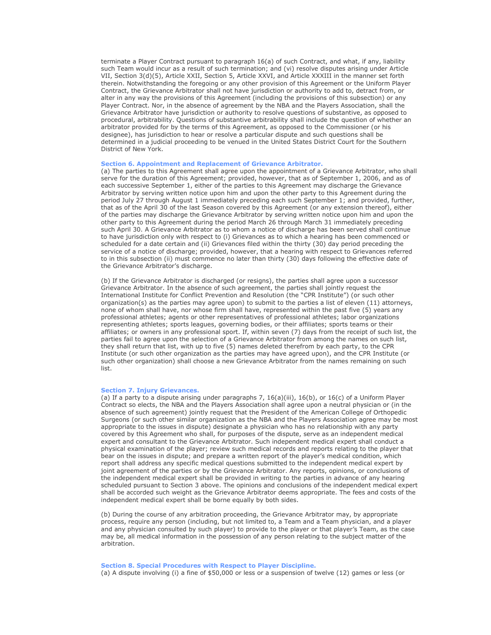terminate a Player Contract pursuant to paragraph 16(a) of such Contract, and what, if any, liability such Team would incur as a result of such termination; and (vi) resolve disputes arising under Article VII, Section 3(d)(5), Article XXII, Section 5, Article XXVI, and Article XXXIII in the manner set forth therein. Notwithstanding the foregoing or any other provision of this Agreement or the Uniform Player Contract, the Grievance Arbitrator shall not have jurisdiction or authority to add to, detract from, or alter in any way the provisions of this Agreement (including the provisions of this subsection) or any Player Contract. Nor, in the absence of agreement by the NBA and the Players Association, shall the Grievance Arbitrator have jurisdiction or authority to resolve questions of substantive, as opposed to procedural, arbitrability. Questions of substantive arbitrability shall include the question of whether an arbitrator provided for by the terms of this Agreement, as opposed to the Commissioner (or his designee), has jurisdiction to hear or resolve a particular dispute and such questions shall be determined in a judicial proceeding to be venued in the United States District Court for the Southern District of New York.

# Section 6. Appointment and Replacement of Grievance Arbitrator.

(a) The parties to this Agreement shall agree upon the appointment of a Grievance Arbitrator, who shall serve for the duration of this Agreement; provided, however, that as of September 1, 2006, and as of each successive September 1, either of the parties to this Agreement may discharge the Grievance Arbitrator by serving written notice upon him and upon the other party to this Agreement during the period July 27 through August 1 immediately preceding each such September 1; and provided, further, that as of the April 30 of the last Season covered by this Agreement (or any extension thereof), either of the parties may discharge the Grievance Arbitrator by serving written notice upon him and upon the other party to this Agreement during the period March 26 through March 31 immediately preceding such April 30. A Grievance Arbitrator as to whom a notice of discharge has been served shall continue to have jurisdiction only with respect to (i) Grievances as to which a hearing has been commenced or scheduled for a date certain and (ii) Grievances filed within the thirty (30) day period preceding the service of a notice of discharge; provided, however, that a hearing with respect to Grievances referred to in this subsection (ii) must commence no later than thirty (30) days following the effective date of the Grievance Arbitrator's discharge.

(b) If the Grievance Arbitrator is discharged (or resigns), the parties shall agree upon a successor Grievance Arbitrator. In the absence of such agreement, the parties shall jointly request the International Institute for Conflict Prevention and Resolution (the "CPR Institute") (or such other organization(s) as the parties may agree upon) to submit to the parties a list of eleven (11) attorneys, none of whom shall have, nor whose firm shall have, represented within the past five (5) years any professional athletes; agents or other representatives of professional athletes; labor organizations representing athletes; sports leagues, governing bodies, or their affiliates; sports teams or their affiliates; or owners in any professional sport. If, within seven (7) days from the receipt of such list, the parties fail to agree upon the selection of a Grievance Arbitrator from among the names on such list, they shall return that list, with up to five (5) names deleted therefrom by each party, to the CPR Institute (or such other organization as the parties may have agreed upon), and the CPR Institute (or such other organization) shall choose a new Grievance Arbitrator from the names remaining on such list.

# Section 7. Injury Grievances.

(a) If a party to a dispute arising under paragraphs 7, 16(a)(iii), 16(b), or 16(c) of a Uniform Player Contract so elects, the NBA and the Players Association shall agree upon a neutral physician or (in the absence of such agreement) jointly request that the President of the American College of Orthopedic Surgeons (or such other similar organization as the NBA and the Players Association agree may be most appropriate to the issues in dispute) designate a physician who has no relationship with any party covered by this Agreement who shall, for purposes of the dispute, serve as an independent medical expert and consultant to the Grievance Arbitrator. Such independent medical expert shall conduct a physical examination of the player; review such medical records and reports relating to the player that bear on the issues in dispute; and prepare a written report of the player's medical condition, which report shall address any specific medical questions submitted to the independent medical expert by joint agreement of the parties or by the Grievance Arbitrator. Any reports, opinions, or conclusions of the independent medical expert shall be provided in writing to the parties in advance of any hearing scheduled pursuant to Section 3 above. The opinions and conclusions of the independent medical expert shall be accorded such weight as the Grievance Arbitrator deems appropriate. The fees and costs of the independent medical expert shall be borne equally by both sides.

(b) During the course of any arbitration proceeding, the Grievance Arbitrator may, by appropriate process, require any person (including, but not limited to, a Team and a Team physician, and a player and any physician consulted by such player) to provide to the player or that player's Team, as the case may be, all medical information in the possession of any person relating to the subject matter of the arbitration.

#### Section 8. Special Procedures with Respect to Player Discipline.

(a) A dispute involving (i) a fine of \$50,000 or less or a suspension of twelve (12) games or less (or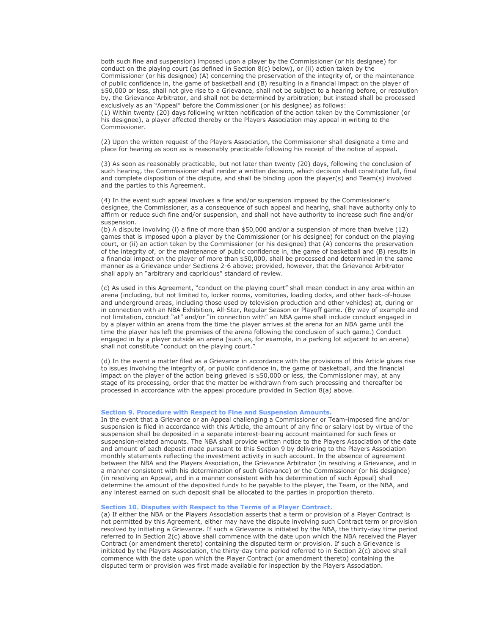both such fine and suspension) imposed upon a player by the Commissioner (or his designee) for conduct on the playing court (as defined in Section  $8(c)$  below), or (ii) action taken by the Commissioner (or his designee) (A) concerning the preservation of the integrity of, or the maintenance of public confidence in, the game of basketball and (B) resulting in a financial impact on the player of \$50,000 or less, shall not give rise to a Grievance, shall not be subject to a hearing before, or resolution by, the Grievance Arbitrator, and shall not be determined by arbitration; but instead shall be processed exclusively as an "Appeal" before the Commissioner (or his designee) as follows: (1) Within twenty (20) days following written notification of the action taken by the Commissioner (or his designee), a player affected thereby or the Players Association may appeal in writing to the Commissioner.

(2) Upon the written request of the Players Association, the Commissioner shall designate a time and place for hearing as soon as is reasonably practicable following his receipt of the notice of appeal.

(3) As soon as reasonably practicable, but not later than twenty (20) days, following the conclusion of such hearing, the Commissioner shall render a written decision, which decision shall constitute full, final and complete disposition of the dispute, and shall be binding upon the player(s) and Team(s) involved and the parties to this Agreement.

(4) In the event such appeal involves a fine and/or suspension imposed by the Commissioner's designee, the Commissioner, as a consequence of such appeal and hearing, shall have authority only to affirm or reduce such fine and/or suspension, and shall not have authority to increase such fine and/or suspension.

(b) A dispute involving (i) a fine of more than \$50,000 and/or a suspension of more than twelve (12) games that is imposed upon a player by the Commissioner (or his designee) for conduct on the playing court, or (ii) an action taken by the Commissioner (or his designee) that (A) concerns the preservation of the integrity of, or the maintenance of public confidence in, the game of basketball and (B) results in a financial impact on the player of more than \$50,000, shall be processed and determined in the same manner as a Grievance under Sections 2-6 above; provided, however, that the Grievance Arbitrator shall apply an "arbitrary and capricious" standard of review.

(c) As used in this Agreement, "conduct on the playing court" shall mean conduct in any area within an arena (including, but not limited to, locker rooms, vomitories, loading docks, and other back-of-house and underground areas, including those used by television production and other vehicles) at, during or in connection with an NBA Exhibition, All-Star, Regular Season or Playoff game. (By way of example and not limitation, conduct "at" and/or "in connection with" an NBA game shall include conduct engaged in by a player within an arena from the time the player arrives at the arena for an NBA game until the time the player has left the premises of the arena following the conclusion of such game.) Conduct engaged in by a player outside an arena (such as, for example, in a parking lot adjacent to an arena) shall not constitute "conduct on the playing court.'

(d) In the event a matter filed as a Grievance in accordance with the provisions of this Article gives rise to issues involving the integrity of, or public confidence in, the game of basketball, and the financial impact on the player of the action being grieved is \$50,000 or less, the Commissioner may, at any stage of its processing, order that the matter be withdrawn from such processing and thereafter be processed in accordance with the appeal procedure provided in Section 8(a) above.

#### Section 9. Procedure with Respect to Fine and Suspension Amounts.

In the event that a Grievance or an Appeal challenging a Commissioner or Team-imposed fine and/or suspension is filed in accordance with this Article, the amount of any fine or salary lost by virtue of the suspension shall be deposited in a separate interest-bearing account maintained for such fines or suspension-related amounts. The NBA shall provide written notice to the Players Association of the date and amount of each deposit made pursuant to this Section 9 by delivering to the Players Association monthly statements reflecting the investment activity in such account. In the absence of agreement between the NBA and the Players Association, the Grievance Arbitrator (in resolving a Grievance, and in a manner consistent with his determination of such Grievance) or the Commissioner (or his designee) (in resolving an Appeal, and in a manner consistent with his determination of such Appeal) shall determine the amount of the deposited funds to be payable to the player, the Team, or the NBA, and any interest earned on such deposit shall be allocated to the parties in proportion thereto.

# Section 10. Disputes with Respect to the Terms of a Player Contract.

(a) If either the NBA or the Players Association asserts that a term or provision of a Player Contract is not permitted by this Agreement, either may have the dispute involving such Contract term or provision resolved by initiating a Grievance. If such a Grievance is initiated by the NBA, the thirty-day time period referred to in Section 2(c) above shall commence with the date upon which the NBA received the Player Contract (or amendment thereto) containing the disputed term or provision. If such a Grievance is initiated by the Players Association, the thirty-day time period referred to in Section 2(c) above shall commence with the date upon which the Player Contract (or amendment thereto) containing the disputed term or provision was first made available for inspection by the Players Association.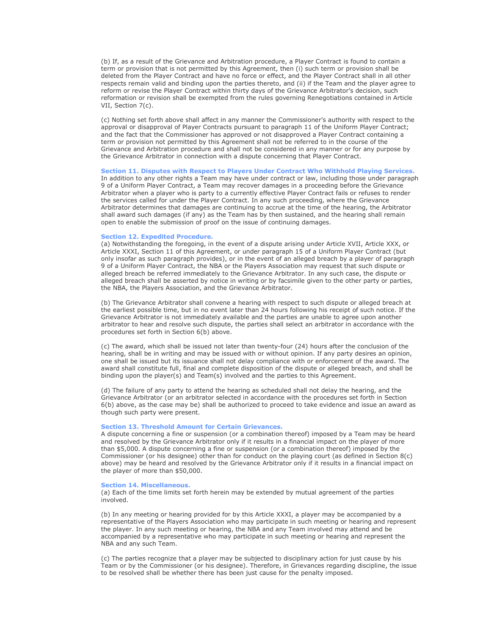(b) If, as a result of the Grievance and Arbitration procedure, a Player Contract is found to contain a term or provision that is not permitted by this Agreement, then (i) such term or provision shall be deleted from the Player Contract and have no force or effect, and the Player Contract shall in all other respects remain valid and binding upon the parties thereto, and (ii) if the Team and the player agree to reform or revise the Player Contract within thirty days of the Grievance Arbitrator's decision, such reformation or revision shall be exempted from the rules governing Renegotiations contained in Article VII, Section 7(c).

(c) Nothing set forth above shall affect in any manner the Commissioner's authority with respect to the approval or disapproval of Player Contracts pursuant to paragraph 11 of the Uniform Player Contract; and the fact that the Commissioner has approved or not disapproved a Player Contract containing a term or provision not permitted by this Agreement shall not be referred to in the course of the Grievance and Arbitration procedure and shall not be considered in any manner or for any purpose by the Grievance Arbitrator in connection with a dispute concerning that Player Contract.

# Section 11. Disputes with Respect to Players Under Contract Who Withhold Playing Services.

In addition to any other rights a Team may have under contract or law, including those under paragraph 9 of a Uniform Player Contract, a Team may recover damages in a proceeding before the Grievance Arbitrator when a player who is party to a currently effective Player Contract fails or refuses to render the services called for under the Player Contract. In any such proceeding, where the Grievance Arbitrator determines that damages are continuing to accrue at the time of the hearing, the Arbitrator shall award such damages (if any) as the Team has by then sustained, and the hearing shall remain open to enable the submission of proof on the issue of continuing damages.

# Section 12. Expedited Procedure.

(a) Notwithstanding the foregoing, in the event of a dispute arising under Article XVII, Article XXX, or Article XXXI, Section 11 of this Agreement, or under paragraph 15 of a Uniform Player Contract (but only insofar as such paragraph provides), or in the event of an alleged breach by a player of paragraph 9 of a Uniform Player Contract, the NBA or the Players Association may request that such dispute or alleged breach be referred immediately to the Grievance Arbitrator. In any such case, the dispute or alleged breach shall be asserted by notice in writing or by facsimile given to the other party or parties, the NBA, the Players Association, and the Grievance Arbitrator.

(b) The Grievance Arbitrator shall convene a hearing with respect to such dispute or alleged breach at the earliest possible time, but in no event later than 24 hours following his receipt of such notice. If the Grievance Arbitrator is not immediately available and the parties are unable to agree upon another arbitrator to hear and resolve such dispute, the parties shall select an arbitrator in accordance with the procedures set forth in Section 6(b) above.

(c) The award, which shall be issued not later than twenty-four (24) hours after the conclusion of the hearing, shall be in writing and may be issued with or without opinion. If any party desires an opinion, one shall be issued but its issuance shall not delay compliance with or enforcement of the award. The award shall constitute full, final and complete disposition of the dispute or alleged breach, and shall be binding upon the player(s) and Team(s) involved and the parties to this Agreement.

(d) The failure of any party to attend the hearing as scheduled shall not delay the hearing, and the Grievance Arbitrator (or an arbitrator selected in accordance with the procedures set forth in Section 6(b) above, as the case may be) shall be authorized to proceed to take evidence and issue an award as though such party were present.

# Section 13. Threshold Amount for Certain Grievances.

A dispute concerning a fine or suspension (or a combination thereof) imposed by a Team may be heard and resolved by the Grievance Arbitrator only if it results in a financial impact on the player of more than \$5,000. A dispute concerning a fine or suspension (or a combination thereof) imposed by the Commissioner (or his designee) other than for conduct on the playing court (as defined in Section 8(c) above) may be heard and resolved by the Grievance Arbitrator only if it results in a financial impact on the player of more than \$50,000.

# Section 14. Miscellaneous.

(a) Each of the time limits set forth herein may be extended by mutual agreement of the parties involved.

(b) In any meeting or hearing provided for by this Article XXXI, a player may be accompanied by a representative of the Players Association who may participate in such meeting or hearing and represent the player. In any such meeting or hearing, the NBA and any Team involved may attend and be accompanied by a representative who may participate in such meeting or hearing and represent the NBA and any such Team.

(c) The parties recognize that a player may be subjected to disciplinary action for just cause by his Team or by the Commissioner (or his designee). Therefore, in Grievances regarding discipline, the issue to be resolved shall be whether there has been just cause for the penalty imposed.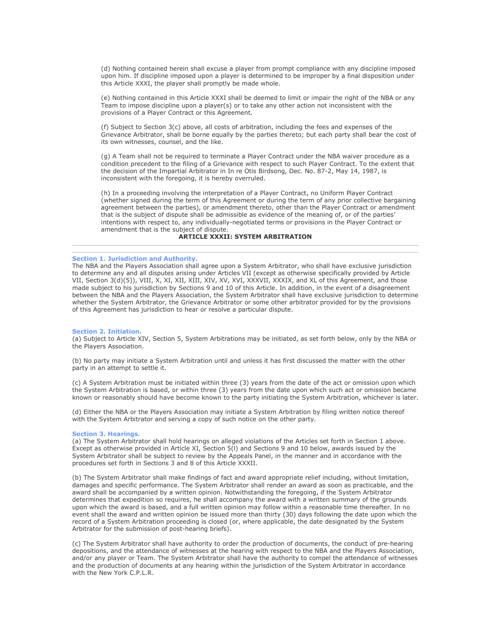(d) Nothing contained herein shall excuse a player from prompt compliance with any discipline imposed upon him. If discipline imposed upon a player is determined to be improper by a final disposition under this Article XXXI, the player shall promptly be made whole.

(e) Nothing contained in this Article XXXI shall be deemed to limit or impair the right of the NBA or any Team to impose discipline upon a player(s) or to take any other action not inconsistent with the provisions of a Player Contract or this Agreement.

(f) Subject to Section 3(c) above, all costs of arbitration, including the fees and expenses of the Grievance Arbitrator, shall be borne equally by the parties thereto; but each party shall bear the cost of its own witnesses, counsel, and the like.

(g) A Team shall not be required to terminate a Player Contract under the NBA waiver procedure as a condition precedent to the filing of a Grievance with respect to such Player Contract. To the extent that the decision of the Impartial Arbitrator in In re Otis Birdsong, Dec. No. 87-2, May 14, 1987, is inconsistent with the foregoing, it is hereby overruled.

(h) In a proceeding involving the interpretation of a Player Contract, no Uniform Player Contract (whether signed during the term of this Agreement or during the term of any prior collective bargaining agreement between the parties), or amendment thereto, other than the Player Contract or amendment that is the subject of dispute shall be admissible as evidence of the meaning of, or of the parties' intentions with respect to, any individually-negotiated terms or provisions in the Player Contract or amendment that is the subject of dispute.

# ARTICLE XXXII: SYSTEM ARBITRATION

# Section 1. Jurisdiction and Authority.

The NBA and the Players Association shall agree upon a System Arbitrator, who shall have exclusive jurisdiction to determine any and all disputes arising under Articles VII (except as otherwise specifically provided by Article VII, Section 3(d)(5)), VIII, X, XI, XII, XIII, XIV, XV, XVI, XXXVII, XXXIX, and XL of this Agreement, and those made subject to his jurisdiction by Sections 9 and 10 of this Article. In addition, in the event of a disagreement between the NBA and the Players Association, the System Arbitrator shall have exclusive jurisdiction to determine whether the System Arbitrator, the Grievance Arbitrator or some other arbitrator provided for by the provisions of this Agreement has jurisdiction to hear or resolve a particular dispute.

#### Section 2. Initiation.

(a) Subject to Article XIV, Section 5, System Arbitrations may be initiated, as set forth below, only by the NBA or the Players Association.

(b) No party may initiate a System Arbitration until and unless it has first discussed the matter with the other party in an attempt to settle it.

(c) A System Arbitration must be initiated within three (3) years from the date of the act or omission upon which the System Arbitration is based, or within three (3) years from the date upon which such act or omission became known or reasonably should have become known to the party initiating the System Arbitration, whichever is later.

(d) Either the NBA or the Players Association may initiate a System Arbitration by filing written notice thereof with the System Arbitrator and serving a copy of such notice on the other party.

# Section 3. Hearings.

(a) The System Arbitrator shall hold hearings on alleged violations of the Articles set forth in Section 1 above. Except as otherwise provided in Article XI, Section 5(l) and Sections 9 and 10 below, awards issued by the System Arbitrator shall be subject to review by the Appeals Panel, in the manner and in accordance with the procedures set forth in Sections 3 and 8 of this Article XXXII.

(b) The System Arbitrator shall make findings of fact and award appropriate relief including, without limitation, damages and specific performance. The System Arbitrator shall render an award as soon as practicable, and the award shall be accompanied by a written opinion. Notwithstanding the foregoing, if the System Arbitrator determines that expedition so requires, he shall accompany the award with a written summary of the grounds upon which the award is based, and a full written opinion may follow within a reasonable time thereafter. In no event shall the award and written opinion be issued more than thirty (30) days following the date upon which the record of a System Arbitration proceeding is closed (or, where applicable, the date designated by the System Arbitrator for the submission of post-hearing briefs).

(c) The System Arbitrator shall have authority to order the production of documents, the conduct of pre-hearing depositions, and the attendance of witnesses at the hearing with respect to the NBA and the Players Association, and/or any player or Team. The System Arbitrator shall have the authority to compel the attendance of witnesses and the production of documents at any hearing within the jurisdiction of the System Arbitrator in accordance with the New York C.P.L.R.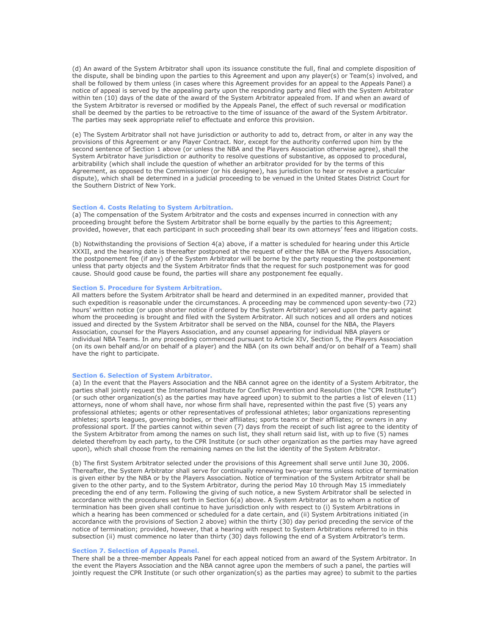(d) An award of the System Arbitrator shall upon its issuance constitute the full, final and complete disposition of the dispute, shall be binding upon the parties to this Agreement and upon any player(s) or Team(s) involved, and shall be followed by them unless (in cases where this Agreement provides for an appeal to the Appeals Panel) a notice of appeal is served by the appealing party upon the responding party and filed with the System Arbitrator within ten (10) days of the date of the award of the System Arbitrator appealed from. If and when an award of the System Arbitrator is reversed or modified by the Appeals Panel, the effect of such reversal or modification shall be deemed by the parties to be retroactive to the time of issuance of the award of the System Arbitrator. The parties may seek appropriate relief to effectuate and enforce this provision.

(e) The System Arbitrator shall not have jurisdiction or authority to add to, detract from, or alter in any way the provisions of this Agreement or any Player Contract. Nor, except for the authority conferred upon him by the second sentence of Section 1 above (or unless the NBA and the Players Association otherwise agree), shall the System Arbitrator have jurisdiction or authority to resolve questions of substantive, as opposed to procedural, arbitrability (which shall include the question of whether an arbitrator provided for by the terms of this Agreement, as opposed to the Commissioner (or his designee), has jurisdiction to hear or resolve a particular dispute), which shall be determined in a judicial proceeding to be venued in the United States District Court for the Southern District of New York.

### Section 4. Costs Relating to System Arbitration.

(a) The compensation of the System Arbitrator and the costs and expenses incurred in connection with any proceeding brought before the System Arbitrator shall be borne equally by the parties to this Agreement; provided, however, that each participant in such proceeding shall bear its own attorneys' fees and litigation costs.

(b) Notwithstanding the provisions of Section 4(a) above, if a matter is scheduled for hearing under this Article XXXII, and the hearing date is thereafter postponed at the request of either the NBA or the Players Association, the postponement fee (if any) of the System Arbitrator will be borne by the party requesting the postponement unless that party objects and the System Arbitrator finds that the request for such postponement was for good cause. Should good cause be found, the parties will share any postponement fee equally.

#### Section 5. Procedure for System Arbitration.

All matters before the System Arbitrator shall be heard and determined in an expedited manner, provided that such expedition is reasonable under the circumstances. A proceeding may be commenced upon seventy-two (72) hours' written notice (or upon shorter notice if ordered by the System Arbitrator) served upon the party against whom the proceeding is brought and filed with the System Arbitrator. All such notices and all orders and notices issued and directed by the System Arbitrator shall be served on the NBA, counsel for the NBA, the Players Association, counsel for the Players Association, and any counsel appearing for individual NBA players or individual NBA Teams. In any proceeding commenced pursuant to Article XIV, Section 5, the Players Association (on its own behalf and/or on behalf of a player) and the NBA (on its own behalf and/or on behalf of a Team) shall have the right to participate.

# Section 6. Selection of System Arbitrator.

(a) In the event that the Players Association and the NBA cannot agree on the identity of a System Arbitrator, the parties shall jointly request the International Institute for Conflict Prevention and Resolution (the "CPR Institute") (or such other organization(s) as the parties may have agreed upon) to submit to the parties a list of eleven (11) attorneys, none of whom shall have, nor whose firm shall have, represented within the past five (5) years any professional athletes; agents or other representatives of professional athletes; labor organizations representing athletes; sports leagues, governing bodies, or their affiliates; sports teams or their affiliates; or owners in any professional sport. If the parties cannot within seven (7) days from the receipt of such list agree to the identity of the System Arbitrator from among the names on such list, they shall return said list, with up to five (5) names deleted therefrom by each party, to the CPR Institute (or such other organization as the parties may have agreed upon), which shall choose from the remaining names on the list the identity of the System Arbitrator.

(b) The first System Arbitrator selected under the provisions of this Agreement shall serve until June 30, 2006. Thereafter, the System Arbitrator shall serve for continually renewing two-year terms unless notice of termination is given either by the NBA or by the Players Association. Notice of termination of the System Arbitrator shall be given to the other party, and to the System Arbitrator, during the period May 10 through May 15 immediately preceding the end of any term. Following the giving of such notice, a new System Arbitrator shall be selected in accordance with the procedures set forth in Section 6(a) above. A System Arbitrator as to whom a notice of termination has been given shall continue to have jurisdiction only with respect to (i) System Arbitrations in which a hearing has been commenced or scheduled for a date certain, and (ii) System Arbitrations initiated (in accordance with the provisions of Section 2 above) within the thirty (30) day period preceding the service of the notice of termination; provided, however, that a hearing with respect to System Arbitrations referred to in this subsection (ii) must commence no later than thirty (30) days following the end of a System Arbitrator's term.

# Section 7. Selection of Appeals Panel.

There shall be a three-member Appeals Panel for each appeal noticed from an award of the System Arbitrator. In the event the Players Association and the NBA cannot agree upon the members of such a panel, the parties will jointly request the CPR Institute (or such other organization(s) as the parties may agree) to submit to the parties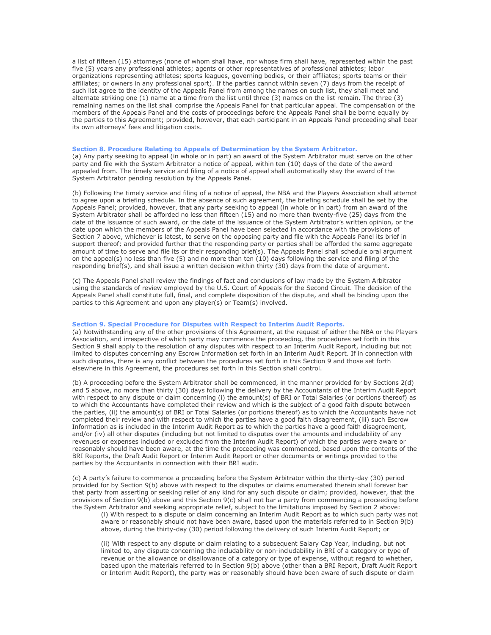a list of fifteen (15) attorneys (none of whom shall have, nor whose firm shall have, represented within the past five (5) years any professional athletes; agents or other representatives of professional athletes; labor organizations representing athletes; sports leagues, governing bodies, or their affiliates; sports teams or their affiliates; or owners in any professional sport). If the parties cannot within seven (7) days from the receipt of such list agree to the identity of the Appeals Panel from among the names on such list, they shall meet and alternate striking one (1) name at a time from the list until three (3) names on the list remain. The three (3) remaining names on the list shall comprise the Appeals Panel for that particular appeal. The compensation of the members of the Appeals Panel and the costs of proceedings before the Appeals Panel shall be borne equally by the parties to this Agreement; provided, however, that each participant in an Appeals Panel proceeding shall bear its own attorneys' fees and litigation costs.

### Section 8. Procedure Relating to Appeals of Determination by the System Arbitrator.

(a) Any party seeking to appeal (in whole or in part) an award of the System Arbitrator must serve on the other party and file with the System Arbitrator a notice of appeal, within ten (10) days of the date of the award appealed from. The timely service and filing of a notice of appeal shall automatically stay the award of the System Arbitrator pending resolution by the Appeals Panel.

(b) Following the timely service and filing of a notice of appeal, the NBA and the Players Association shall attempt to agree upon a briefing schedule. In the absence of such agreement, the briefing schedule shall be set by the Appeals Panel; provided, however, that any party seeking to appeal (in whole or in part) from an award of the System Arbitrator shall be afforded no less than fifteen (15) and no more than twenty-five (25) days from the date of the issuance of such award, or the date of the issuance of the System Arbitrator's written opinion, or the date upon which the members of the Appeals Panel have been selected in accordance with the provisions of Section 7 above, whichever is latest, to serve on the opposing party and file with the Appeals Panel its brief in support thereof; and provided further that the responding party or parties shall be afforded the same aggregate amount of time to serve and file its or their responding brief(s). The Appeals Panel shall schedule oral argument on the appeal(s) no less than five (5) and no more than ten (10) days following the service and filing of the responding brief(s), and shall issue a written decision within thirty (30) days from the date of argument.

(c) The Appeals Panel shall review the findings of fact and conclusions of law made by the System Arbitrator using the standards of review employed by the U.S. Court of Appeals for the Second Circuit. The decision of the Appeals Panel shall constitute full, final, and complete disposition of the dispute, and shall be binding upon the parties to this Agreement and upon any player(s) or Team(s) involved.

### Section 9. Special Procedure for Disputes with Respect to Interim Audit Reports.

(a) Notwithstanding any of the other provisions of this Agreement, at the request of either the NBA or the Players Association, and irrespective of which party may commence the proceeding, the procedures set forth in this Section 9 shall apply to the resolution of any disputes with respect to an Interim Audit Report, including but not limited to disputes concerning any Escrow Information set forth in an Interim Audit Report. If in connection with such disputes, there is any conflict between the procedures set forth in this Section 9 and those set forth elsewhere in this Agreement, the procedures set forth in this Section shall control.

(b) A proceeding before the System Arbitrator shall be commenced, in the manner provided for by Sections 2(d) and 5 above, no more than thirty (30) days following the delivery by the Accountants of the Interim Audit Report with respect to any dispute or claim concerning (i) the amount(s) of BRI or Total Salaries (or portions thereof) as to which the Accountants have completed their review and which is the subject of a good faith dispute between the parties, (ii) the amount(s) of BRI or Total Salaries (or portions thereof) as to which the Accountants have not completed their review and with respect to which the parties have a good faith disagreement, (iii) such Escrow Information as is included in the Interim Audit Report as to which the parties have a good faith disagreement, and/or (iv) all other disputes (including but not limited to disputes over the amounts and includability of any revenues or expenses included or excluded from the Interim Audit Report) of which the parties were aware or reasonably should have been aware, at the time the proceeding was commenced, based upon the contents of the BRI Reports, the Draft Audit Report or Interim Audit Report or other documents or writings provided to the parties by the Accountants in connection with their BRI audit.

(c) A party's failure to commence a proceeding before the System Arbitrator within the thirty-day (30) period provided for by Section 9(b) above with respect to the disputes or claims enumerated therein shall forever bar that party from asserting or seeking relief of any kind for any such dispute or claim; provided, however, that the provisions of Section 9(b) above and this Section 9(c) shall not bar a party from commencing a proceeding before the System Arbitrator and seeking appropriate relief, subject to the limitations imposed by Section 2 above:

(i) With respect to a dispute or claim concerning an Interim Audit Report as to which such party was not aware or reasonably should not have been aware, based upon the materials referred to in Section 9(b) above, during the thirty-day (30) period following the delivery of such Interim Audit Report; or

(ii) With respect to any dispute or claim relating to a subsequent Salary Cap Year, including, but not limited to, any dispute concerning the includability or non-includability in BRI of a category or type of revenue or the allowance or disallowance of a category or type of expense, without regard to whether, based upon the materials referred to in Section 9(b) above (other than a BRI Report, Draft Audit Report or Interim Audit Report), the party was or reasonably should have been aware of such dispute or claim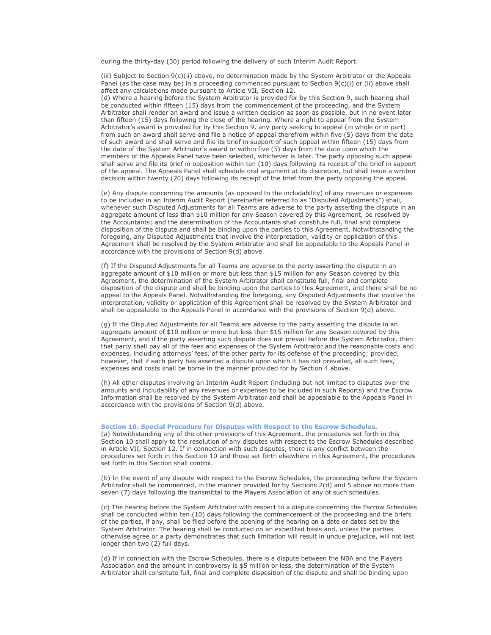during the thirty-day (30) period following the delivery of such Interim Audit Report.

(iii) Subject to Section 9(c)(ii) above, no determination made by the System Arbitrator or the Appeals Panel (as the case may be) in a proceeding commenced pursuant to Section 9(c)(i) or (ii) above shall affect any calculations made pursuant to Article VII, Section 12.

(d) Where a hearing before the System Arbitrator is provided for by this Section 9, such hearing shall be conducted within fifteen (15) days from the commencement of the proceeding, and the System Arbitrator shall render an award and issue a written decision as soon as possible, but in no event later than fifteen (15) days following the close of the hearing. Where a right to appeal from the System Arbitrator's award is provided for by this Section 9, any party seeking to appeal (in whole or in part) from such an award shall serve and file a notice of appeal therefrom within five (5) days from the date of such award and shall serve and file its brief in support of such appeal within fifteen (15) days from the date of the System Arbitrator's award or within five (5) days from the date upon which the members of the Appeals Panel have been selected, whichever is later. The party opposing such appeal shall serve and file its brief in opposition within ten (10) days following its receipt of the brief in support of the appeal. The Appeals Panel shall schedule oral argument at its discretion, but shall issue a written decision within twenty (20) days following its receipt of the brief from the party opposing the appeal.

(e) Any dispute concerning the amounts (as opposed to the includability) of any revenues or expenses to be included in an Interim Audit Report (hereinafter referred to as "Disputed Adjustments") shall, whenever such Disputed Adjustments for all Teams are adverse to the party asserting the dispute in an aggregate amount of less than \$10 million for any Season covered by this Agreement, be resolved by the Accountants; and the determination of the Accountants shall constitute full, final and complete disposition of the dispute and shall be binding upon the parties to this Agreement. Notwithstanding the foregoing, any Disputed Adjustments that involve the interpretation, validity or application of this Agreement shall be resolved by the System Arbitrator and shall be appealable to the Appeals Panel in accordance with the provisions of Section 9(d) above.

(f) If the Disputed Adjustments for all Teams are adverse to the party asserting the dispute in an aggregate amount of \$10 million or more but less than \$15 million for any Season covered by this Agreement, the determination of the System Arbitrator shall constitute full, final and complete disposition of the dispute and shall be binding upon the parties to this Agreement, and there shall be no appeal to the Appeals Panel. Notwithstanding the foregoing, any Disputed Adjustments that involve the interpretation, validity or application of this Agreement shall be resolved by the System Arbitrator and shall be appealable to the Appeals Panel in accordance with the provisions of Section 9(d) above.

(g) If the Disputed Adjustments for all Teams are adverse to the party asserting the dispute in an aggregate amount of \$10 million or more but less than \$15 million for any Season covered by this Agreement, and if the party asserting such dispute does not prevail before the System Arbitrator, then that party shall pay all of the fees and expenses of the System Arbitrator and the reasonable costs and expenses, including attorneys' fees, of the other party for its defense of the proceeding; provided, however, that if each party has asserted a dispute upon which it has not prevailed, all such fees, expenses and costs shall be borne in the manner provided for by Section 4 above.

(h) All other disputes involving an Interim Audit Report (including but not limited to disputes over the amounts and includability of any revenues or expenses to be included in such Reports) and the Escrow Information shall be resolved by the System Arbitrator and shall be appealable to the Appeals Panel in accordance with the provisions of Section 9(d) above.

# Section 10. Special Procedure for Disputes with Respect to the Escrow Schedules.

(a) Notwithstanding any of the other provisions of this Agreement, the procedures set forth in this Section 10 shall apply to the resolution of any disputes with respect to the Escrow Schedules described in Article VII, Section 12. If in connection with such disputes, there is any conflict between the procedures set forth in this Section 10 and those set forth elsewhere in this Agreement, the procedures set forth in this Section shall control.

(b) In the event of any dispute with respect to the Escrow Schedules, the proceeding before the System Arbitrator shall be commenced, in the manner provided for by Sections 2(d) and 5 above no more than seven (7) days following the transmittal to the Players Association of any of such schedules.

(c) The hearing before the System Arbitrator with respect to a dispute concerning the Escrow Schedules shall be conducted within ten (10) days following the commencement of the proceeding and the briefs of the parties, if any, shall be filed before the opening of the hearing on a date or dates set by the System Arbitrator. The hearing shall be conducted on an expedited basis and, unless the parties otherwise agree or a party demonstrates that such limitation will result in undue prejudice, will not last longer than two (2) full days.

(d) If in connection with the Escrow Schedules, there is a dispute between the NBA and the Players Association and the amount in controversy is \$5 million or less, the determination of the System Arbitrator shall constitute full, final and complete disposition of the dispute and shall be binding upon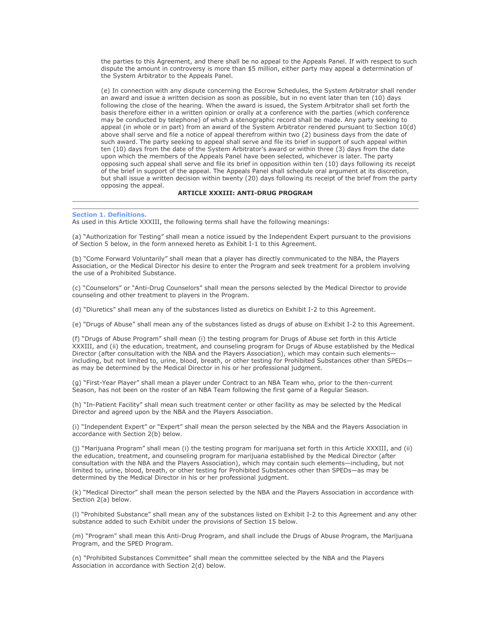the parties to this Agreement, and there shall be no appeal to the Appeals Panel. If with respect to such dispute the amount in controversy is more than \$5 million, either party may appeal a determination of the System Arbitrator to the Appeals Panel.

(e) In connection with any dispute concerning the Escrow Schedules, the System Arbitrator shall render an award and issue a written decision as soon as possible, but in no event later than ten (10) days following the close of the hearing. When the award is issued, the System Arbitrator shall set forth the basis therefore either in a written opinion or orally at a conference with the parties (which conference may be conducted by telephone) of which a stenographic record shall be made. Any party seeking to appeal (in whole or in part) from an award of the System Arbitrator rendered pursuant to Section 10(d) above shall serve and file a notice of appeal therefrom within two (2) business days from the date of such award. The party seeking to appeal shall serve and file its brief in support of such appeal within ten (10) days from the date of the System Arbitrator's award or within three (3) days from the date upon which the members of the Appeals Panel have been selected, whichever is later. The party opposing such appeal shall serve and file its brief in opposition within ten (10) days following its receipt of the brief in support of the appeal. The Appeals Panel shall schedule oral argument at its discretion, but shall issue a written decision within twenty (20) days following its receipt of the brief from the party opposing the appeal.

### ARTICLE XXXIII: ANTI-DRUG PROGRAM

#### Section 1. Definitions.

As used in this Article XXXIII, the following terms shall have the following meanings:

(a) "Authorization for Testing" shall mean a notice issued by the Independent Expert pursuant to the provisions of Section 5 below, in the form annexed hereto as Exhibit I-1 to this Agreement.

(b) "Come Forward Voluntarily" shall mean that a player has directly communicated to the NBA, the Players Association, or the Medical Director his desire to enter the Program and seek treatment for a problem involving the use of a Prohibited Substance.

(c) "Counselors" or "Anti-Drug Counselors" shall mean the persons selected by the Medical Director to provide counseling and other treatment to players in the Program.

(d) "Diuretics" shall mean any of the substances listed as diuretics on Exhibit I-2 to this Agreement.

(e) "Drugs of Abuse" shall mean any of the substances listed as drugs of abuse on Exhibit I-2 to this Agreement.

(f) "Drugs of Abuse Program" shall mean (i) the testing program for Drugs of Abuse set forth in this Article XXXIII, and (ii) the education, treatment, and counseling program for Drugs of Abuse established by the Medical Director (after consultation with the NBA and the Players Association), which may contain such elements including, but not limited to, urine, blood, breath, or other testing for Prohibited Substances other than SPEDs as may be determined by the Medical Director in his or her professional judgment.

(g) "First-Year Player" shall mean a player under Contract to an NBA Team who, prior to the then-current Season, has not been on the roster of an NBA Team following the first game of a Regular Season.

(h) "In-Patient Facility" shall mean such treatment center or other facility as may be selected by the Medical Director and agreed upon by the NBA and the Players Association.

(i) "Independent Expert" or "Expert" shall mean the person selected by the NBA and the Players Association in accordance with Section 2(b) below.

(j) "Marijuana Program" shall mean (i) the testing program for marijuana set forth in this Article XXXIII, and (ii) the education, treatment, and counseling program for marijuana established by the Medical Director (after consultation with the NBA and the Players Association), which may contain such elements—including, but not limited to, urine, blood, breath, or other testing for Prohibited Substances other than SPEDs—as may be determined by the Medical Director in his or her professional judgment.

(k) "Medical Director" shall mean the person selected by the NBA and the Players Association in accordance with Section 2(a) below.

(l) "Prohibited Substance" shall mean any of the substances listed on Exhibit I-2 to this Agreement and any other substance added to such Exhibit under the provisions of Section 15 below.

(m) "Program" shall mean this Anti-Drug Program, and shall include the Drugs of Abuse Program, the Marijuana Program, and the SPED Program.

(n) "Prohibited Substances Committee" shall mean the committee selected by the NBA and the Players Association in accordance with Section 2(d) below.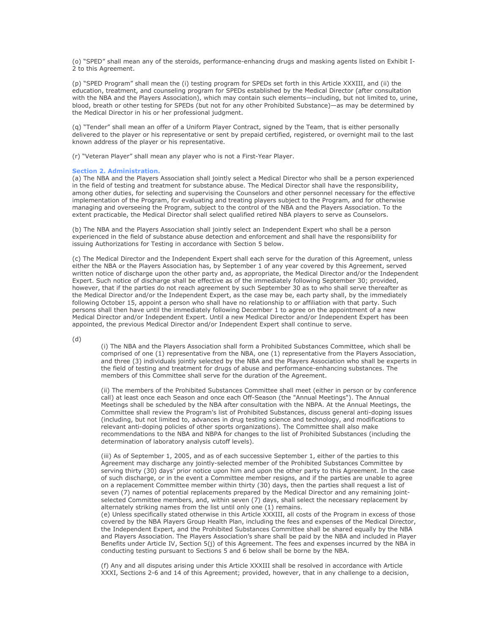(o) "SPED" shall mean any of the steroids, performance-enhancing drugs and masking agents listed on Exhibit I-2 to this Agreement.

(p) "SPED Program" shall mean the (i) testing program for SPEDs set forth in this Article XXXIII, and (ii) the education, treatment, and counseling program for SPEDs established by the Medical Director (after consultation with the NBA and the Players Association), which may contain such elements—including, but not limited to, urine, blood, breath or other testing for SPEDs (but not for any other Prohibited Substance)—as may be determined by the Medical Director in his or her professional judgment.

(q) "Tender" shall mean an offer of a Uniform Player Contract, signed by the Team, that is either personally delivered to the player or his representative or sent by prepaid certified, registered, or overnight mail to the last known address of the player or his representative.

(r) "Veteran Player" shall mean any player who is not a First-Year Player.

#### Section 2. Administration.

(a) The NBA and the Players Association shall jointly select a Medical Director who shall be a person experienced in the field of testing and treatment for substance abuse. The Medical Director shall have the responsibility, among other duties, for selecting and supervising the Counselors and other personnel necessary for the effective implementation of the Program, for evaluating and treating players subject to the Program, and for otherwise managing and overseeing the Program, subject to the control of the NBA and the Players Association. To the extent practicable, the Medical Director shall select qualified retired NBA players to serve as Counselors.

(b) The NBA and the Players Association shall jointly select an Independent Expert who shall be a person experienced in the field of substance abuse detection and enforcement and shall have the responsibility for issuing Authorizations for Testing in accordance with Section 5 below.

(c) The Medical Director and the Independent Expert shall each serve for the duration of this Agreement, unless either the NBA or the Players Association has, by September 1 of any year covered by this Agreement, served written notice of discharge upon the other party and, as appropriate, the Medical Director and/or the Independent Expert. Such notice of discharge shall be effective as of the immediately following September 30; provided, however, that if the parties do not reach agreement by such September 30 as to who shall serve thereafter as the Medical Director and/or the Independent Expert, as the case may be, each party shall, by the immediately following October 15, appoint a person who shall have no relationship to or affiliation with that party. Such persons shall then have until the immediately following December 1 to agree on the appointment of a new Medical Director and/or Independent Expert. Until a new Medical Director and/or Independent Expert has been appointed, the previous Medical Director and/or Independent Expert shall continue to serve.

(d)

(i) The NBA and the Players Association shall form a Prohibited Substances Committee, which shall be comprised of one (1) representative from the NBA, one (1) representative from the Players Association, and three (3) individuals jointly selected by the NBA and the Players Association who shall be experts in the field of testing and treatment for drugs of abuse and performance-enhancing substances. The members of this Committee shall serve for the duration of the Agreement.

(ii) The members of the Prohibited Substances Committee shall meet (either in person or by conference call) at least once each Season and once each Off-Season (the "Annual Meetings"). The Annual Meetings shall be scheduled by the NBA after consultation with the NBPA. At the Annual Meetings, the Committee shall review the Program's list of Prohibited Substances, discuss general anti-doping issues (including, but not limited to, advances in drug testing science and technology, and modifications to relevant anti-doping policies of other sports organizations). The Committee shall also make recommendations to the NBA and NBPA for changes to the list of Prohibited Substances (including the determination of laboratory analysis cutoff levels).

(iii) As of September 1, 2005, and as of each successive September 1, either of the parties to this Agreement may discharge any jointly-selected member of the Prohibited Substances Committee by serving thirty (30) days' prior notice upon him and upon the other party to this Agreement. In the case of such discharge, or in the event a Committee member resigns, and if the parties are unable to agree on a replacement Committee member within thirty (30) days, then the parties shall request a list of seven (7) names of potential replacements prepared by the Medical Director and any remaining jointselected Committee members, and, within seven (7) days, shall select the necessary replacement by alternately striking names from the list until only one (1) remains.

(e) Unless specifically stated otherwise in this Article XXXIII, all costs of the Program in excess of those covered by the NBA Players Group Health Plan, including the fees and expenses of the Medical Director, the Independent Expert, and the Prohibited Substances Committee shall be shared equally by the NBA and Players Association. The Players Association's share shall be paid by the NBA and included in Player Benefits under Article IV, Section 5(j) of this Agreement. The fees and expenses incurred by the NBA in conducting testing pursuant to Sections 5 and 6 below shall be borne by the NBA.

(f) Any and all disputes arising under this Article XXXIII shall be resolved in accordance with Article XXXI, Sections 2-6 and 14 of this Agreement; provided, however, that in any challenge to a decision,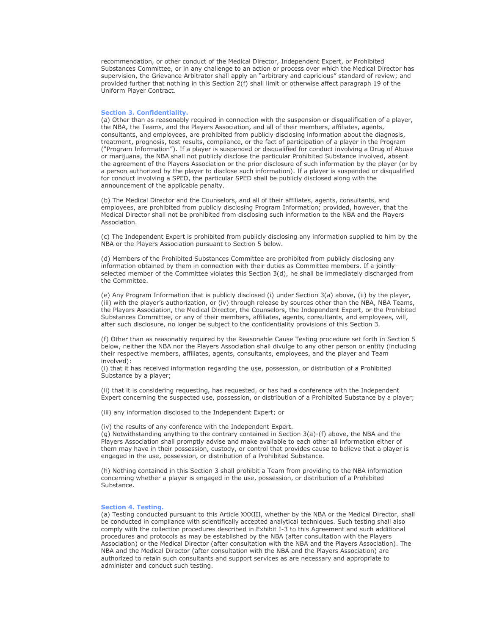recommendation, or other conduct of the Medical Director, Independent Expert, or Prohibited Substances Committee, or in any challenge to an action or process over which the Medical Director has supervision, the Grievance Arbitrator shall apply an "arbitrary and capricious" standard of review; and provided further that nothing in this Section 2(f) shall limit or otherwise affect paragraph 19 of the Uniform Player Contract.

#### Section 3. Confidentiality.

(a) Other than as reasonably required in connection with the suspension or disqualification of a player, the NBA, the Teams, and the Players Association, and all of their members, affiliates, agents, consultants, and employees, are prohibited from publicly disclosing information about the diagnosis, treatment, prognosis, test results, compliance, or the fact of participation of a player in the Program ("Program Information"). If a player is suspended or disqualified for conduct involving a Drug of Abuse or marijuana, the NBA shall not publicly disclose the particular Prohibited Substance involved, absent the agreement of the Players Association or the prior disclosure of such information by the player (or by a person authorized by the player to disclose such information). If a player is suspended or disqualified for conduct involving a SPED, the particular SPED shall be publicly disclosed along with the announcement of the applicable penalty.

(b) The Medical Director and the Counselors, and all of their affiliates, agents, consultants, and employees, are prohibited from publicly disclosing Program Information; provided, however, that the Medical Director shall not be prohibited from disclosing such information to the NBA and the Players Association.

(c) The Independent Expert is prohibited from publicly disclosing any information supplied to him by the NBA or the Players Association pursuant to Section 5 below.

(d) Members of the Prohibited Substances Committee are prohibited from publicly disclosing any information obtained by them in connection with their duties as Committee members. If a jointlyselected member of the Committee violates this Section 3(d), he shall be immediately discharged from the Committee.

(e) Any Program Information that is publicly disclosed (i) under Section 3(a) above, (ii) by the player, (iii) with the player's authorization, or (iv) through release by sources other than the NBA, NBA Teams, the Players Association, the Medical Director, the Counselors, the Independent Expert, or the Prohibited Substances Committee, or any of their members, affiliates, agents, consultants, and employees, will, after such disclosure, no longer be subject to the confidentiality provisions of this Section 3.

(f) Other than as reasonably required by the Reasonable Cause Testing procedure set forth in Section 5 below, neither the NBA nor the Players Association shall divulge to any other person or entity (including their respective members, affiliates, agents, consultants, employees, and the player and Team involved):

(i) that it has received information regarding the use, possession, or distribution of a Prohibited Substance by a player;

(ii) that it is considering requesting, has requested, or has had a conference with the Independent Expert concerning the suspected use, possession, or distribution of a Prohibited Substance by a player;

(iii) any information disclosed to the Independent Expert; or

(iv) the results of any conference with the Independent Expert.

(g) Notwithstanding anything to the contrary contained in Section 3(a)-(f) above, the NBA and the Players Association shall promptly advise and make available to each other all information either of them may have in their possession, custody, or control that provides cause to believe that a player is engaged in the use, possession, or distribution of a Prohibited Substance.

(h) Nothing contained in this Section 3 shall prohibit a Team from providing to the NBA information concerning whether a player is engaged in the use, possession, or distribution of a Prohibited Substance.

#### Section 4. Testing.

(a) Testing conducted pursuant to this Article XXXIII, whether by the NBA or the Medical Director, shall be conducted in compliance with scientifically accepted analytical techniques. Such testing shall also comply with the collection procedures described in Exhibit I-3 to this Agreement and such additional procedures and protocols as may be established by the NBA (after consultation with the Players Association) or the Medical Director (after consultation with the NBA and the Players Association). The NBA and the Medical Director (after consultation with the NBA and the Players Association) are authorized to retain such consultants and support services as are necessary and appropriate to administer and conduct such testing.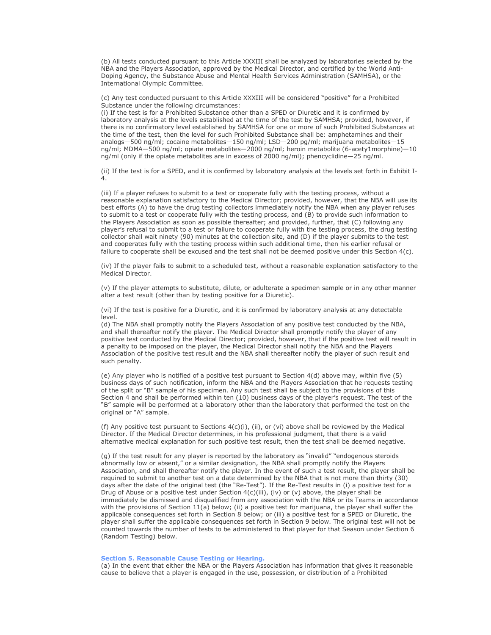(b) All tests conducted pursuant to this Article XXXIII shall be analyzed by laboratories selected by the NBA and the Players Association, approved by the Medical Director, and certified by the World Anti-Doping Agency, the Substance Abuse and Mental Health Services Administration (SAMHSA), or the International Olympic Committee.

(c) Any test conducted pursuant to this Article XXXIII will be considered "positive" for a Prohibited Substance under the following circumstances:

(i) If the test is for a Prohibited Substance other than a SPED or Diuretic and it is confirmed by laboratory analysis at the levels established at the time of the test by SAMHSA; provided, however, if there is no confirmatory level established by SAMHSA for one or more of such Prohibited Substances at the time of the test, then the level for such Prohibited Substance shall be: amphetamines and their analogs—500 ng/ml; cocaine metabolites—150 ng/ml; LSD—200 pg/ml; marijuana metabolites—15 ng/ml; MDMA—500 ng/ml; opiate metabolites—2000 ng/ml; heroin metabolite (6-acety1morphine)—10 ng/ml (only if the opiate metabolites are in excess of 2000 ng/ml); phencyclidine—25 ng/ml.

(ii) If the test is for a SPED, and it is confirmed by laboratory analysis at the levels set forth in Exhibit I-4.

(iii) If a player refuses to submit to a test or cooperate fully with the testing process, without a reasonable explanation satisfactory to the Medical Director; provided, however, that the NBA will use its best efforts (A) to have the drug testing collectors immediately notify the NBA when any player refuses to submit to a test or cooperate fully with the testing process, and (B) to provide such information to the Players Association as soon as possible thereafter; and provided, further, that (C) following any player's refusal to submit to a test or failure to cooperate fully with the testing process, the drug testing collector shall wait ninety (90) minutes at the collection site, and (D) if the player submits to the test and cooperates fully with the testing process within such additional time, then his earlier refusal or failure to cooperate shall be excused and the test shall not be deemed positive under this Section 4(c).

(iv) If the player fails to submit to a scheduled test, without a reasonable explanation satisfactory to the Medical Director.

(v) If the player attempts to substitute, dilute, or adulterate a specimen sample or in any other manner alter a test result (other than by testing positive for a Diuretic).

(vi) If the test is positive for a Diuretic, and it is confirmed by laboratory analysis at any detectable level.

(d) The NBA shall promptly notify the Players Association of any positive test conducted by the NBA, and shall thereafter notify the player. The Medical Director shall promptly notify the player of any positive test conducted by the Medical Director; provided, however, that if the positive test will result in a penalty to be imposed on the player, the Medical Director shall notify the NBA and the Players Association of the positive test result and the NBA shall thereafter notify the player of such result and such penalty.

(e) Any player who is notified of a positive test pursuant to Section 4(d) above may, within five (5) business days of such notification, inform the NBA and the Players Association that he requests testing of the split or "B" sample of his specimen. Any such test shall be subject to the provisions of this Section 4 and shall be performed within ten (10) business days of the player's request. The test of the "B" sample will be performed at a laboratory other than the laboratory that performed the test on the original or "A" sample.

(f) Any positive test pursuant to Sections 4(c)(i), (ii), or (vi) above shall be reviewed by the Medical Director. If the Medical Director determines, in his professional judgment, that there is a valid alternative medical explanation for such positive test result, then the test shall be deemed negative.

(g) If the test result for any player is reported by the laboratory as "invalid" "endogenous steroids abnormally low or absent," or a similar designation, the NBA shall promptly notify the Players Association, and shall thereafter notify the player. In the event of such a test result, the player shall be required to submit to another test on a date determined by the NBA that is not more than thirty (30) days after the date of the original test (the "Re-Test"). If the Re-Test results in (i) a positive test for a Drug of Abuse or a positive test under Section 4(c)(iii), (iv) or (v) above, the player shall be immediately be dismissed and disqualified from any association with the NBA or its Teams in accordance with the provisions of Section 11(a) below; (ii) a positive test for marijuana, the player shall suffer the applicable consequences set forth in Section 8 below; or (iii) a positive test for a SPED or Diuretic, the player shall suffer the applicable consequences set forth in Section 9 below. The original test will not be counted towards the number of tests to be administered to that player for that Season under Section 6 (Random Testing) below.

#### Section 5. Reasonable Cause Testing or Hearing.

(a) In the event that either the NBA or the Players Association has information that gives it reasonable cause to believe that a player is engaged in the use, possession, or distribution of a Prohibited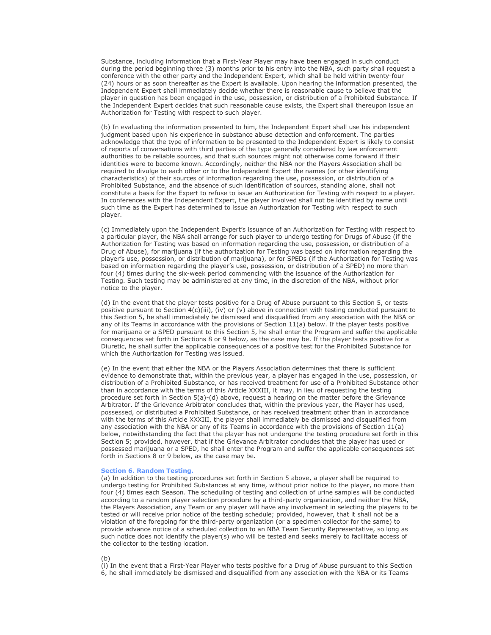Substance, including information that a First-Year Player may have been engaged in such conduct during the period beginning three (3) months prior to his entry into the NBA, such party shall request a conference with the other party and the Independent Expert, which shall be held within twenty-four (24) hours or as soon thereafter as the Expert is available. Upon hearing the information presented, the Independent Expert shall immediately decide whether there is reasonable cause to believe that the player in question has been engaged in the use, possession, or distribution of a Prohibited Substance. If the Independent Expert decides that such reasonable cause exists, the Expert shall thereupon issue an Authorization for Testing with respect to such player.

(b) In evaluating the information presented to him, the Independent Expert shall use his independent judgment based upon his experience in substance abuse detection and enforcement. The parties acknowledge that the type of information to be presented to the Independent Expert is likely to consist of reports of conversations with third parties of the type generally considered by law enforcement authorities to be reliable sources, and that such sources might not otherwise come forward if their identities were to become known. Accordingly, neither the NBA nor the Players Association shall be required to divulge to each other or to the Independent Expert the names (or other identifying characteristics) of their sources of information regarding the use, possession, or distribution of a Prohibited Substance, and the absence of such identification of sources, standing alone, shall not constitute a basis for the Expert to refuse to issue an Authorization for Testing with respect to a player. In conferences with the Independent Expert, the player involved shall not be identified by name until such time as the Expert has determined to issue an Authorization for Testing with respect to such player.

(c) Immediately upon the Independent Expert's issuance of an Authorization for Testing with respect to a particular player, the NBA shall arrange for such player to undergo testing for Drugs of Abuse (if the Authorization for Testing was based on information regarding the use, possession, or distribution of a Drug of Abuse), for marijuana (if the authorization for Testing was based on information regarding the player's use, possession, or distribution of marijuana), or for SPEDs (if the Authorization for Testing was based on information regarding the player's use, possession, or distribution of a SPED) no more than four (4) times during the six-week period commencing with the issuance of the Authorization for Testing. Such testing may be administered at any time, in the discretion of the NBA, without prior notice to the player.

(d) In the event that the player tests positive for a Drug of Abuse pursuant to this Section 5, or tests positive pursuant to Section 4(c)(iii), (iv) or (v) above in connection with testing conducted pursuant to this Section 5, he shall immediately be dismissed and disqualified from any association with the NBA or any of its Teams in accordance with the provisions of Section 11(a) below. If the player tests positive for marijuana or a SPED pursuant to this Section 5, he shall enter the Program and suffer the applicable consequences set forth in Sections 8 or 9 below, as the case may be. If the player tests positive for a Diuretic, he shall suffer the applicable consequences of a positive test for the Prohibited Substance for which the Authorization for Testing was issued.

(e) In the event that either the NBA or the Players Association determines that there is sufficient evidence to demonstrate that, within the previous year, a player has engaged in the use, possession, or distribution of a Prohibited Substance, or has received treatment for use of a Prohibited Substance other than in accordance with the terms of this Article XXXIII, it may, in lieu of requesting the testing procedure set forth in Section 5(a)-(d) above, request a hearing on the matter before the Grievance Arbitrator. If the Grievance Arbitrator concludes that, within the previous year, the Player has used, possessed, or distributed a Prohibited Substance, or has received treatment other than in accordance with the terms of this Article XXXIII, the player shall immediately be dismissed and disqualified from any association with the NBA or any of its Teams in accordance with the provisions of Section 11(a) below, notwithstanding the fact that the player has not undergone the testing procedure set forth in this Section 5; provided, however, that if the Grievance Arbitrator concludes that the player has used or possessed marijuana or a SPED, he shall enter the Program and suffer the applicable consequences set forth in Sections 8 or 9 below, as the case may be.

### Section 6. Random Testing.

(a) In addition to the testing procedures set forth in Section 5 above, a player shall be required to undergo testing for Prohibited Substances at any time, without prior notice to the player, no more than four (4) times each Season. The scheduling of testing and collection of urine samples will be conducted according to a random player selection procedure by a third-party organization, and neither the NBA, the Players Association, any Team or any player will have any involvement in selecting the players to be tested or will receive prior notice of the testing schedule; provided, however, that it shall not be a violation of the foregoing for the third-party organization (or a specimen collector for the same) to provide advance notice of a scheduled collection to an NBA Team Security Representative, so long as such notice does not identify the player(s) who will be tested and seeks merely to facilitate access of the collector to the testing location.

(b)

(i) In the event that a First-Year Player who tests positive for a Drug of Abuse pursuant to this Section 6, he shall immediately be dismissed and disqualified from any association with the NBA or its Teams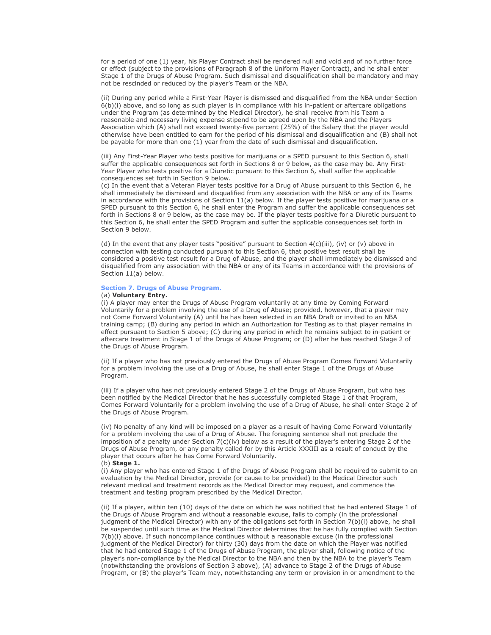for a period of one (1) year, his Player Contract shall be rendered null and void and of no further force or effect (subject to the provisions of Paragraph 8 of the Uniform Player Contract), and he shall enter Stage 1 of the Drugs of Abuse Program. Such dismissal and disqualification shall be mandatory and may not be rescinded or reduced by the player's Team or the NBA.

(ii) During any period while a First-Year Player is dismissed and disqualified from the NBA under Section 6(b)(i) above, and so long as such player is in compliance with his in-patient or aftercare obligations under the Program (as determined by the Medical Director), he shall receive from his Team a reasonable and necessary living expense stipend to be agreed upon by the NBA and the Players Association which (A) shall not exceed twenty-five percent (25%) of the Salary that the player would otherwise have been entitled to earn for the period of his dismissal and disqualification and (B) shall not be payable for more than one (1) year from the date of such dismissal and disqualification.

(iii) Any First-Year Player who tests positive for marijuana or a SPED pursuant to this Section 6, shall suffer the applicable consequences set forth in Sections 8 or 9 below, as the case may be. Any First-Year Player who tests positive for a Diuretic pursuant to this Section 6, shall suffer the applicable consequences set forth in Section 9 below.

(c) In the event that a Veteran Player tests positive for a Drug of Abuse pursuant to this Section 6, he shall immediately be dismissed and disqualified from any association with the NBA or any of its Teams in accordance with the provisions of Section 11(a) below. If the player tests positive for marijuana or a SPED pursuant to this Section 6, he shall enter the Program and suffer the applicable consequences set forth in Sections 8 or 9 below, as the case may be. If the player tests positive for a Diuretic pursuant to this Section 6, he shall enter the SPED Program and suffer the applicable consequences set forth in Section 9 below.

(d) In the event that any player tests "positive" pursuant to Section  $4(c)$ (iii), (iv) or (v) above in connection with testing conducted pursuant to this Section 6, that positive test result shall be considered a positive test result for a Drug of Abuse, and the player shall immediately be dismissed and disqualified from any association with the NBA or any of its Teams in accordance with the provisions of Section 11(a) below.

# Section 7. Drugs of Abuse Program.

## (a) Voluntary Entry.

(i) A player may enter the Drugs of Abuse Program voluntarily at any time by Coming Forward Voluntarily for a problem involving the use of a Drug of Abuse; provided, however, that a player may not Come Forward Voluntarily (A) until he has been selected in an NBA Draft or invited to an NBA training camp; (B) during any period in which an Authorization for Testing as to that player remains in effect pursuant to Section 5 above; (C) during any period in which he remains subject to in-patient or aftercare treatment in Stage 1 of the Drugs of Abuse Program; or (D) after he has reached Stage 2 of the Drugs of Abuse Program.

(ii) If a player who has not previously entered the Drugs of Abuse Program Comes Forward Voluntarily for a problem involving the use of a Drug of Abuse, he shall enter Stage 1 of the Drugs of Abuse Program.

(iii) If a player who has not previously entered Stage 2 of the Drugs of Abuse Program, but who has been notified by the Medical Director that he has successfully completed Stage 1 of that Program, Comes Forward Voluntarily for a problem involving the use of a Drug of Abuse, he shall enter Stage 2 of the Drugs of Abuse Program.

(iv) No penalty of any kind will be imposed on a player as a result of having Come Forward Voluntarily for a problem involving the use of a Drug of Abuse. The foregoing sentence shall not preclude the imposition of a penalty under Section  $7(c)(iv)$  below as a result of the player's entering Stage 2 of the Drugs of Abuse Program, or any penalty called for by this Article XXXIII as a result of conduct by the player that occurs after he has Come Forward Voluntarily. (b) Stage 1.

#### (i) Any player who has entered Stage 1 of the Drugs of Abuse Program shall be required to submit to an evaluation by the Medical Director, provide (or cause to be provided) to the Medical Director such relevant medical and treatment records as the Medical Director may request, and commence the treatment and testing program prescribed by the Medical Director.

(ii) If a player, within ten (10) days of the date on which he was notified that he had entered Stage 1 of the Drugs of Abuse Program and without a reasonable excuse, fails to comply (in the professional judgment of the Medical Director) with any of the obligations set forth in Section 7(b)(i) above, he shall be suspended until such time as the Medical Director determines that he has fully complied with Section 7(b)(i) above. If such noncompliance continues without a reasonable excuse (in the professional judgment of the Medical Director) for thirty (30) days from the date on which the Player was notified that he had entered Stage 1 of the Drugs of Abuse Program, the player shall, following notice of the player's non-compliance by the Medical Director to the NBA and then by the NBA to the player's Team (notwithstanding the provisions of Section 3 above), (A) advance to Stage 2 of the Drugs of Abuse Program, or (B) the player's Team may, notwithstanding any term or provision in or amendment to the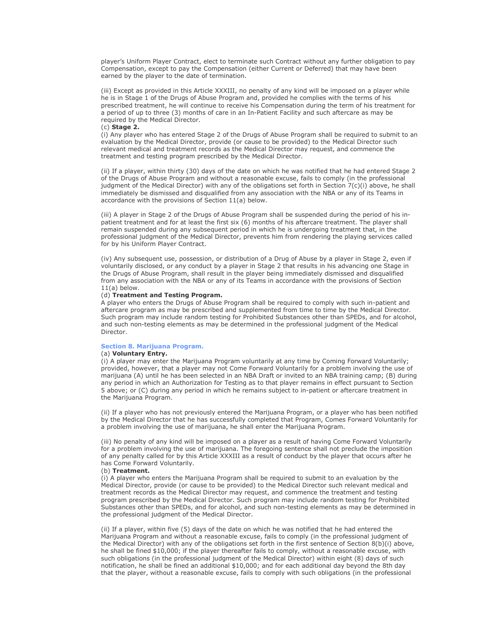player's Uniform Player Contract, elect to terminate such Contract without any further obligation to pay Compensation, except to pay the Compensation (either Current or Deferred) that may have been earned by the player to the date of termination.

(iii) Except as provided in this Article XXXIII, no penalty of any kind will be imposed on a player while he is in Stage 1 of the Drugs of Abuse Program and, provided he complies with the terms of his prescribed treatment, he will continue to receive his Compensation during the term of his treatment for a period of up to three (3) months of care in an In-Patient Facility and such aftercare as may be required by the Medical Director.

# $(c)$  Stage 2.

(i) Any player who has entered Stage 2 of the Drugs of Abuse Program shall be required to submit to an evaluation by the Medical Director, provide (or cause to be provided) to the Medical Director such relevant medical and treatment records as the Medical Director may request, and commence the treatment and testing program prescribed by the Medical Director.

(ii) If a player, within thirty (30) days of the date on which he was notified that he had entered Stage 2 of the Drugs of Abuse Program and without a reasonable excuse, fails to comply (in the professional judgment of the Medical Director) with any of the obligations set forth in Section 7(c)(i) above, he shall immediately be dismissed and disqualified from any association with the NBA or any of its Teams in accordance with the provisions of Section 11(a) below.

(iii) A player in Stage 2 of the Drugs of Abuse Program shall be suspended during the period of his inpatient treatment and for at least the first six (6) months of his aftercare treatment. The player shall remain suspended during any subsequent period in which he is undergoing treatment that, in the professional judgment of the Medical Director, prevents him from rendering the playing services called for by his Uniform Player Contract.

(iv) Any subsequent use, possession, or distribution of a Drug of Abuse by a player in Stage 2, even if voluntarily disclosed, or any conduct by a player in Stage 2 that results in his advancing one Stage in the Drugs of Abuse Program, shall result in the player being immediately dismissed and disqualified from any association with the NBA or any of its Teams in accordance with the provisions of Section 11(a) below.

### (d) Treatment and Testing Program.

A player who enters the Drugs of Abuse Program shall be required to comply with such in-patient and aftercare program as may be prescribed and supplemented from time to time by the Medical Director. Such program may include random testing for Prohibited Substances other than SPEDs, and for alcohol, and such non-testing elements as may be determined in the professional judgment of the Medical Director.

#### Section 8. Marijuana Program.

# (a) Voluntary Entry.

(i) A player may enter the Marijuana Program voluntarily at any time by Coming Forward Voluntarily; provided, however, that a player may not Come Forward Voluntarily for a problem involving the use of marijuana (A) until he has been selected in an NBA Draft or invited to an NBA training camp; (B) during any period in which an Authorization for Testing as to that player remains in effect pursuant to Section 5 above; or (C) during any period in which he remains subject to in-patient or aftercare treatment in the Marijuana Program.

(ii) If a player who has not previously entered the Marijuana Program, or a player who has been notified by the Medical Director that he has successfully completed that Program, Comes Forward Voluntarily for a problem involving the use of marijuana, he shall enter the Marijuana Program.

(iii) No penalty of any kind will be imposed on a player as a result of having Come Forward Voluntarily for a problem involving the use of marijuana. The foregoing sentence shall not preclude the imposition of any penalty called for by this Article XXXIII as a result of conduct by the player that occurs after he has Come Forward Voluntarily.

#### (b) Treatment.

(i) A player who enters the Marijuana Program shall be required to submit to an evaluation by the Medical Director, provide (or cause to be provided) to the Medical Director such relevant medical and treatment records as the Medical Director may request, and commence the treatment and testing program prescribed by the Medical Director. Such program may include random testing for Prohibited Substances other than SPEDs, and for alcohol, and such non-testing elements as may be determined in the professional judgment of the Medical Director.

(ii) If a player, within five (5) days of the date on which he was notified that he had entered the Marijuana Program and without a reasonable excuse, fails to comply (in the professional judgment of the Medical Director) with any of the obligations set forth in the first sentence of Section 8(b)(i) above, he shall be fined \$10,000; if the player thereafter fails to comply, without a reasonable excuse, with such obligations (in the professional judgment of the Medical Director) within eight (8) days of such notification, he shall be fined an additional \$10,000; and for each additional day beyond the 8th day that the player, without a reasonable excuse, fails to comply with such obligations (in the professional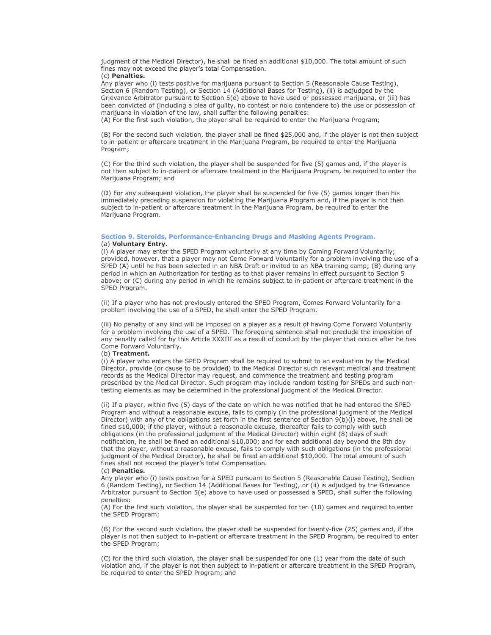judgment of the Medical Director), he shall be fined an additional \$10,000. The total amount of such fines may not exceed the player's total Compensation.

### (c) Penalties.

Any player who (i) tests positive for marijuana pursuant to Section 5 (Reasonable Cause Testing), Section 6 (Random Testing), or Section 14 (Additional Bases for Testing), (ii) is adjudged by the Grievance Arbitrator pursuant to Section 5(e) above to have used or possessed marijuana, or (iii) has been convicted of (including a plea of guilty, no contest or nolo contendere to) the use or possession of marijuana in violation of the law, shall suffer the following penalties:

(A) For the first such violation, the player shall be required to enter the Marijuana Program;

(B) For the second such violation, the player shall be fined \$25,000 and, if the player is not then subject to in-patient or aftercare treatment in the Marijuana Program, be required to enter the Marijuana Program;

(C) For the third such violation, the player shall be suspended for five (5) games and, if the player is not then subject to in-patient or aftercare treatment in the Marijuana Program, be required to enter the Marijuana Program; and

(D) For any subsequent violation, the player shall be suspended for five (5) games longer than his immediately preceding suspension for violating the Marijuana Program and, if the player is not then subject to in-patient or aftercare treatment in the Marijuana Program, be required to enter the Marijuana Program.

#### Section 9. Steroids, Performance-Enhancing Drugs and Masking Agents Program. (a) Voluntary Entry.

(i) A player may enter the SPED Program voluntarily at any time by Coming Forward Voluntarily; provided, however, that a player may not Come Forward Voluntarily for a problem involving the use of a SPED (A) until he has been selected in an NBA Draft or invited to an NBA training camp; (B) during any period in which an Authorization for testing as to that player remains in effect pursuant to Section 5 above; or (C) during any period in which he remains subject to in-patient or aftercare treatment in the SPED Program.

(ii) If a player who has not previously entered the SPED Program, Comes Forward Voluntarily for a problem involving the use of a SPED, he shall enter the SPED Program.

(iii) No penalty of any kind will be imposed on a player as a result of having Come Forward Voluntarily for a problem involving the use of a SPED. The foregoing sentence shall not preclude the imposition of any penalty called for by this Article XXXIII as a result of conduct by the player that occurs after he has Come Forward Voluntarily.

#### (b) Treatment.

(i) A player who enters the SPED Program shall be required to submit to an evaluation by the Medical Director, provide (or cause to be provided) to the Medical Director such relevant medical and treatment records as the Medical Director may request, and commence the treatment and testing program prescribed by the Medical Director. Such program may include random testing for SPEDs and such nontesting elements as may be determined in the professional judgment of the Medical Director.

(ii) If a player, within five (5) days of the date on which he was notified that he had entered the SPED Program and without a reasonable excuse, fails to comply (in the professional judgment of the Medical Director) with any of the obligations set forth in the first sentence of Section 9(b)(i) above, he shall be fined \$10,000; if the player, without a reasonable excuse, thereafter fails to comply with such obligations (in the professional judgment of the Medical Director) within eight (8) days of such notification, he shall be fined an additional \$10,000; and for each additional day beyond the 8th day that the player, without a reasonable excuse, fails to comply with such obligations (in the professional judgment of the Medical Director), he shall be fined an additional \$10,000. The total amount of such fines shall not exceed the player's total Compensation.

### (c) Penalties.

Any player who (i) tests positive for a SPED pursuant to Section 5 (Reasonable Cause Testing), Section 6 (Random Testing), or Section 14 (Additional Bases for Testing), or (ii) is adjudged by the Grievance Arbitrator pursuant to Section 5(e) above to have used or possessed a SPED, shall suffer the following penalties:

(A) For the first such violation, the player shall be suspended for ten (10) games and required to enter the SPED Program;

(B) For the second such violation, the player shall be suspended for twenty-five (25) games and, if the player is not then subject to in-patient or aftercare treatment in the SPED Program, be required to enter the SPED Program;

(C) for the third such violation, the player shall be suspended for one (1) year from the date of such violation and, if the player is not then subject to in-patient or aftercare treatment in the SPED Program, be required to enter the SPED Program; and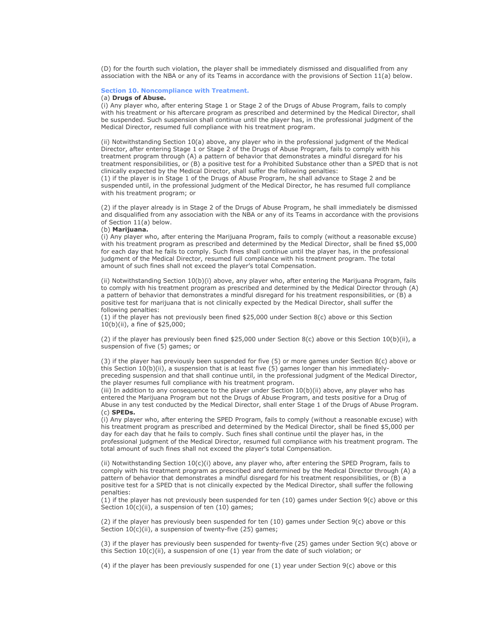(D) for the fourth such violation, the player shall be immediately dismissed and disqualified from any association with the NBA or any of its Teams in accordance with the provisions of Section 11(a) below.

# Section 10. Noncompliance with Treatment.

# (a) Drugs of Abuse.

(i) Any player who, after entering Stage 1 or Stage 2 of the Drugs of Abuse Program, fails to comply with his treatment or his aftercare program as prescribed and determined by the Medical Director, shall be suspended. Such suspension shall continue until the player has, in the professional judgment of the Medical Director, resumed full compliance with his treatment program.

(ii) Notwithstanding Section 10(a) above, any player who in the professional judgment of the Medical Director, after entering Stage 1 or Stage 2 of the Drugs of Abuse Program, fails to comply with his treatment program through (A) a pattern of behavior that demonstrates a mindful disregard for his treatment responsibilities, or (B) a positive test for a Prohibited Substance other than a SPED that is not clinically expected by the Medical Director, shall suffer the following penalties:

(1) if the player is in Stage 1 of the Drugs of Abuse Program, he shall advance to Stage 2 and be suspended until, in the professional judgment of the Medical Director, he has resumed full compliance with his treatment program; or

(2) if the player already is in Stage 2 of the Drugs of Abuse Program, he shall immediately be dismissed and disqualified from any association with the NBA or any of its Teams in accordance with the provisions of Section 11(a) below.

# (b) Marijuana.

(i) Any player who, after entering the Marijuana Program, fails to comply (without a reasonable excuse) with his treatment program as prescribed and determined by the Medical Director, shall be fined \$5,000 for each day that he fails to comply. Such fines shall continue until the player has, in the professional judgment of the Medical Director, resumed full compliance with his treatment program. The total amount of such fines shall not exceed the player's total Compensation.

(ii) Notwithstanding Section 10(b)(i) above, any player who, after entering the Marijuana Program, fails to comply with his treatment program as prescribed and determined by the Medical Director through (A) a pattern of behavior that demonstrates a mindful disregard for his treatment responsibilities, or (B) a positive test for marijuana that is not clinically expected by the Medical Director, shall suffer the following penalties:

(1) if the player has not previously been fined  $$25,000$  under Section 8(c) above or this Section 10(b)(ii), a fine of \$25,000;

(2) if the player has previously been fined \$25,000 under Section 8(c) above or this Section 10(b)(ii), a suspension of five (5) games; or

(3) if the player has previously been suspended for five (5) or more games under Section 8(c) above or this Section 10(b)(ii), a suspension that is at least five (5) games longer than his immediatelypreceding suspension and that shall continue until, in the professional judgment of the Medical Director, the player resumes full compliance with his treatment program.

(iii) In addition to any consequence to the player under Section  $10(b)(ii)$  above, any player who has entered the Marijuana Program but not the Drugs of Abuse Program, and tests positive for a Drug of Abuse in any test conducted by the Medical Director, shall enter Stage 1 of the Drugs of Abuse Program. (c) SPEDs.

(i) Any player who, after entering the SPED Program, fails to comply (without a reasonable excuse) with his treatment program as prescribed and determined by the Medical Director, shall be fined \$5,000 per day for each day that he fails to comply. Such fines shall continue until the player has, in the professional judgment of the Medical Director, resumed full compliance with his treatment program. The total amount of such fines shall not exceed the player's total Compensation.

(ii) Notwithstanding Section 10(c)(i) above, any player who, after entering the SPED Program, fails to comply with his treatment program as prescribed and determined by the Medical Director through (A) a pattern of behavior that demonstrates a mindful disregard for his treatment responsibilities, or (B) a positive test for a SPED that is not clinically expected by the Medical Director, shall suffer the following penalties:

(1) if the player has not previously been suspended for ten (10) games under Section 9(c) above or this Section  $10(c)(ii)$ , a suspension of ten (10) games;

(2) if the player has previously been suspended for ten  $(10)$  games under Section  $9(c)$  above or this Section  $10(c)(ii)$ , a suspension of twenty-five (25) games;

(3) if the player has previously been suspended for twenty-five (25) games under Section 9(c) above or this Section 10(c)(ii), a suspension of one (1) year from the date of such violation; or

(4) if the player has been previously suspended for one (1) year under Section 9(c) above or this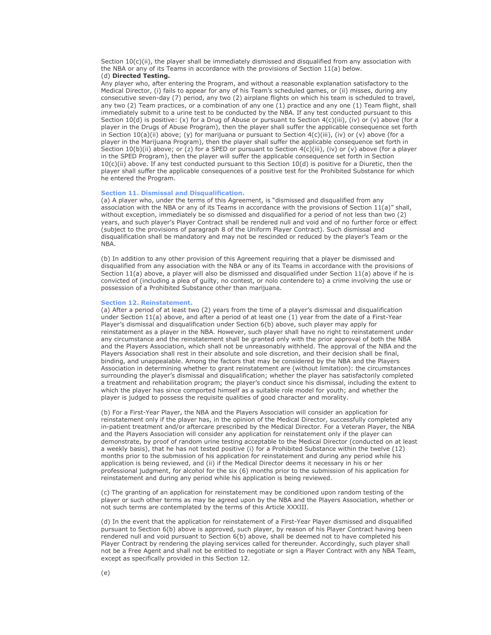Section  $10(c)$ (ii), the player shall be immediately dismissed and disqualified from any association with the NBA or any of its Teams in accordance with the provisions of Section 11(a) below. (d) Directed Testing.

Any player who, after entering the Program, and without a reasonable explanation satisfactory to the Medical Director, (i) fails to appear for any of his Team's scheduled games, or (ii) misses, during any consecutive seven-day (7) period, any two (2) airplane flights on which his team is scheduled to travel, any two (2) Team practices, or a combination of any one (1) practice and any one (1) Team flight, shall immediately submit to a urine test to be conducted by the NBA. If any test conducted pursuant to this Section 10(d) is positive: (x) for a Drug of Abuse or pursuant to Section 4(c)(iii), (iv) or (v) above (for a player in the Drugs of Abuse Program), then the player shall suffer the applicable consequence set forth in Section 10(a)(ii) above; (y) for marijuana or pursuant to Section  $4(c)$ (iii), (iv) or (v) above (for a player in the Marijuana Program), then the player shall suffer the applicable consequence set forth in Section 10(b)(ii) above; or (z) for a SPED or pursuant to Section 4(c)(iii), (iv) or (v) above (for a player in the SPED Program), then the player will suffer the applicable consequence set forth in Section  $10(c)(ii)$  above. If any test conducted pursuant to this Section  $10(d)$  is positive for a Diuretic, then the player shall suffer the applicable consequences of a positive test for the Prohibited Substance for which he entered the Program.

### Section 11. Dismissal and Disqualification.

(a) A player who, under the terms of this Agreement, is "dismissed and disqualified from any association with the NBA or any of its Teams in accordance with the provisions of Section 11(a)" shall, without exception, immediately be so dismissed and disqualified for a period of not less than two (2) years, and such player's Player Contract shall be rendered null and void and of no further force or effect (subject to the provisions of paragraph 8 of the Uniform Player Contract). Such dismissal and disqualification shall be mandatory and may not be rescinded or reduced by the player's Team or the NBA.

(b) In addition to any other provision of this Agreement requiring that a player be dismissed and disqualified from any association with the NBA or any of its Teams in accordance with the provisions of Section 11(a) above, a player will also be dismissed and disqualified under Section 11(a) above if he is convicted of (including a plea of guilty, no contest, or nolo contendere to) a crime involving the use or possession of a Prohibited Substance other than marijuana.

#### Section 12. Reinstatement.

(a) After a period of at least two (2) years from the time of a player's dismissal and disqualification under Section 11(a) above, and after a period of at least one (1) year from the date of a First-Year Player's dismissal and disqualification under Section 6(b) above, such player may apply for reinstatement as a player in the NBA. However, such player shall have no right to reinstatement under any circumstance and the reinstatement shall be granted only with the prior approval of both the NBA and the Players Association, which shall not be unreasonably withheld. The approval of the NBA and the Players Association shall rest in their absolute and sole discretion, and their decision shall be final, binding, and unappealable. Among the factors that may be considered by the NBA and the Players Association in determining whether to grant reinstatement are (without limitation): the circumstances surrounding the player's dismissal and disqualification; whether the player has satisfactorily completed a treatment and rehabilitation program; the player's conduct since his dismissal, including the extent to which the player has since comported himself as a suitable role model for youth; and whether the player is judged to possess the requisite qualities of good character and morality.

(b) For a First-Year Player, the NBA and the Players Association will consider an application for reinstatement only if the player has, in the opinion of the Medical Director, successfully completed any in-patient treatment and/or aftercare prescribed by the Medical Director. For a Veteran Player, the NBA and the Players Association will consider any application for reinstatement only if the player can demonstrate, by proof of random urine testing acceptable to the Medical Director (conducted on at least a weekly basis), that he has not tested positive (i) for a Prohibited Substance within the twelve (12) months prior to the submission of his application for reinstatement and during any period while his application is being reviewed, and (ii) if the Medical Director deems it necessary in his or her professional judgment, for alcohol for the six (6) months prior to the submission of his application for reinstatement and during any period while his application is being reviewed.

(c) The granting of an application for reinstatement may be conditioned upon random testing of the player or such other terms as may be agreed upon by the NBA and the Players Association, whether or not such terms are contemplated by the terms of this Article XXXIII.

(d) In the event that the application for reinstatement of a First-Year Player dismissed and disqualified pursuant to Section 6(b) above is approved, such player, by reason of his Player Contract having been rendered null and void pursuant to Section 6(b) above, shall be deemed not to have completed his Player Contract by rendering the playing services called for thereunder. Accordingly, such player shall not be a Free Agent and shall not be entitled to negotiate or sign a Player Contract with any NBA Team, except as specifically provided in this Section 12.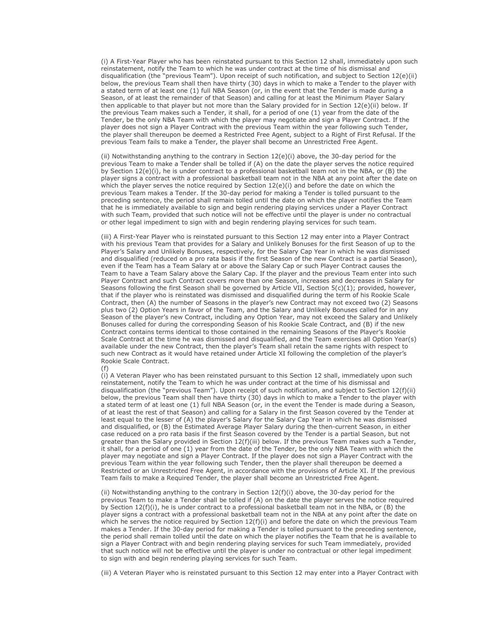(i) A First-Year Player who has been reinstated pursuant to this Section 12 shall, immediately upon such reinstatement, notify the Team to which he was under contract at the time of his dismissal and disqualification (the "previous Team"). Upon receipt of such notification, and subject to Section 12(e)(ii) below, the previous Team shall then have thirty (30) days in which to make a Tender to the player with a stated term of at least one (1) full NBA Season (or, in the event that the Tender is made during a Season, of at least the remainder of that Season) and calling for at least the Minimum Player Salary then applicable to that player but not more than the Salary provided for in Section 12(e)(ii) below. If the previous Team makes such a Tender, it shall, for a period of one (1) year from the date of the Tender, be the only NBA Team with which the player may negotiate and sign a Player Contract. If the player does not sign a Player Contract with the previous Team within the year following such Tender, the player shall thereupon be deemed a Restricted Free Agent, subject to a Right of First Refusal. If the previous Team fails to make a Tender, the player shall become an Unrestricted Free Agent.

(ii) Notwithstanding anything to the contrary in Section 12(e)(i) above, the 30-day period for the previous Team to make a Tender shall be tolled if (A) on the date the player serves the notice required by Section 12(e)(i), he is under contract to a professional basketball team not in the NBA, or (B) the player signs a contract with a professional basketball team not in the NBA at any point after the date on which the player serves the notice required by Section  $12(e)(i)$  and before the date on which the previous Team makes a Tender. If the 30-day period for making a Tender is tolled pursuant to the preceding sentence, the period shall remain tolled until the date on which the player notifies the Team that he is immediately available to sign and begin rendering playing services under a Player Contract with such Team, provided that such notice will not be effective until the player is under no contractual or other legal impediment to sign with and begin rendering playing services for such team.

(iii) A First-Year Player who is reinstated pursuant to this Section 12 may enter into a Player Contract with his previous Team that provides for a Salary and Unlikely Bonuses for the first Season of up to the Player's Salary and Unlikely Bonuses, respectively, for the Salary Cap Year in which he was dismissed and disqualified (reduced on a pro rata basis if the first Season of the new Contract is a partial Season), even if the Team has a Team Salary at or above the Salary Cap or such Player Contract causes the Team to have a Team Salary above the Salary Cap. If the player and the previous Team enter into such Player Contract and such Contract covers more than one Season, increases and decreases in Salary for Seasons following the first Season shall be governed by Article VII, Section 5(c)(1); provided, however, that if the player who is reinstated was dismissed and disqualified during the term of his Rookie Scale Contract, then (A) the number of Seasons in the player's new Contract may not exceed two (2) Seasons plus two (2) Option Years in favor of the Team, and the Salary and Unlikely Bonuses called for in any Season of the player's new Contract, including any Option Year, may not exceed the Salary and Unlikely Bonuses called for during the corresponding Season of his Rookie Scale Contract, and (B) if the new Contract contains terms identical to those contained in the remaining Seasons of the Player's Rookie Scale Contract at the time he was dismissed and disqualified, and the Team exercises all Option Year(s) available under the new Contract, then the player's Team shall retain the same rights with respect to such new Contract as it would have retained under Article XI following the completion of the player's Rookie Scale Contract.

(f)

 $(i)$  A Veteran Player who has been reinstated pursuant to this Section 12 shall, immediately upon such reinstatement, notify the Team to which he was under contract at the time of his dismissal and disqualification (the "previous Team"). Upon receipt of such notification, and subject to Section 12(f)(ii) below, the previous Team shall then have thirty (30) days in which to make a Tender to the player with a stated term of at least one (1) full NBA Season (or, in the event the Tender is made during a Season, of at least the rest of that Season) and calling for a Salary in the first Season covered by the Tender at least equal to the lesser of (A) the player's Salary for the Salary Cap Year in which he was dismissed and disqualified, or (B) the Estimated Average Player Salary during the then-current Season, in either case reduced on a pro rata basis if the first Season covered by the Tender is a partial Season, but not greater than the Salary provided in Section 12(f)(iii) below. If the previous Team makes such a Tender, it shall, for a period of one (1) year from the date of the Tender, be the only NBA Team with which the player may negotiate and sign a Player Contract. If the player does not sign a Player Contract with the previous Team within the year following such Tender, then the player shall thereupon be deemed a Restricted or an Unrestricted Free Agent, in accordance with the provisions of Article XI. If the previous Team fails to make a Required Tender, the player shall become an Unrestricted Free Agent.

(ii) Notwithstanding anything to the contrary in Section 12(f)(i) above, the 30-day period for the previous Team to make a Tender shall be tolled if (A) on the date the player serves the notice required by Section 12(f)(i), he is under contract to a professional basketball team not in the NBA, or (B) the player signs a contract with a professional basketball team not in the NBA at any point after the date on which he serves the notice required by Section  $12(f)(i)$  and before the date on which the previous Team makes a Tender. If the 30-day period for making a Tender is tolled pursuant to the preceding sentence, the period shall remain tolled until the date on which the player notifies the Team that he is available to sign a Player Contract with and begin rendering playing services for such Team immediately, provided that such notice will not be effective until the player is under no contractual or other legal impediment to sign with and begin rendering playing services for such Team.

(iii) A Veteran Player who is reinstated pursuant to this Section 12 may enter into a Player Contract with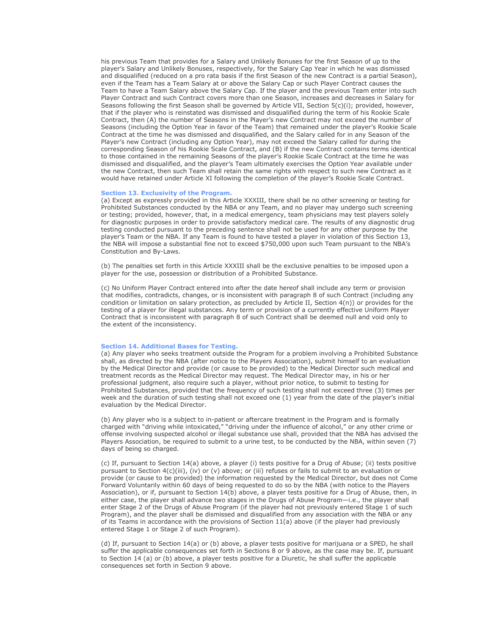his previous Team that provides for a Salary and Unlikely Bonuses for the first Season of up to the player's Salary and Unlikely Bonuses, respectively, for the Salary Cap Year in which he was dismissed and disqualified (reduced on a pro rata basis if the first Season of the new Contract is a partial Season), even if the Team has a Team Salary at or above the Salary Cap or such Player Contract causes the Team to have a Team Salary above the Salary Cap. If the player and the previous Team enter into such Player Contract and such Contract covers more than one Season, increases and decreases in Salary for Seasons following the first Season shall be governed by Article VII, Section 5(c)(i); provided, however, that if the player who is reinstated was dismissed and disqualified during the term of his Rookie Scale Contract, then (A) the number of Seasons in the Player's new Contract may not exceed the number of Seasons (including the Option Year in favor of the Team) that remained under the player's Rookie Scale Contract at the time he was dismissed and disqualified, and the Salary called for in any Season of the Player's new Contract (including any Option Year), may not exceed the Salary called for during the corresponding Season of his Rookie Scale Contract, and (B) if the new Contract contains terms identical to those contained in the remaining Seasons of the player's Rookie Scale Contract at the time he was dismissed and disqualified, and the player's Team ultimately exercises the Option Year available under the new Contract, then such Team shall retain the same rights with respect to such new Contract as it would have retained under Article XI following the completion of the player's Rookie Scale Contract.

### Section 13. Exclusivity of the Program.

(a) Except as expressly provided in this Article XXXIII, there shall be no other screening or testing for Prohibited Substances conducted by the NBA or any Team, and no player may undergo such screening or testing; provided, however, that, in a medical emergency, team physicians may test players solely for diagnostic purposes in order to provide satisfactory medical care. The results of any diagnostic drug testing conducted pursuant to the preceding sentence shall not be used for any other purpose by the player's Team or the NBA. If any Team is found to have tested a player in violation of this Section 13, the NBA will impose a substantial fine not to exceed \$750,000 upon such Team pursuant to the NBA's Constitution and By-Laws.

(b) The penalties set forth in this Article XXXIII shall be the exclusive penalties to be imposed upon a player for the use, possession or distribution of a Prohibited Substance.

(c) No Uniform Player Contract entered into after the date hereof shall include any term or provision that modifies, contradicts, changes, or is inconsistent with paragraph 8 of such Contract (including any condition or limitation on salary protection, as precluded by Article II, Section  $4(n)$ ) or provides for the testing of a player for illegal substances. Any term or provision of a currently effective Uniform Player Contract that is inconsistent with paragraph 8 of such Contract shall be deemed null and void only to the extent of the inconsistency.

#### Section 14. Additional Bases for Testing.

(a) Any player who seeks treatment outside the Program for a problem involving a Prohibited Substance shall, as directed by the NBA (after notice to the Players Association), submit himself to an evaluation by the Medical Director and provide (or cause to be provided) to the Medical Director such medical and treatment records as the Medical Director may request. The Medical Director may, in his or her professional judgment, also require such a player, without prior notice, to submit to testing for Prohibited Substances, provided that the frequency of such testing shall not exceed three (3) times per week and the duration of such testing shall not exceed one (1) year from the date of the player's initial evaluation by the Medical Director.

(b) Any player who is a subject to in-patient or aftercare treatment in the Program and is formally charged with "driving while intoxicated," "driving under the influence of alcohol," or any other crime or offense involving suspected alcohol or illegal substance use shall, provided that the NBA has advised the Players Association, be required to submit to a urine test, to be conducted by the NBA, within seven (7) days of being so charged.

(c) If, pursuant to Section 14(a) above, a player (i) tests positive for a Drug of Abuse; (ii) tests positive pursuant to Section 4(c)(iii), (iv) or (v) above; or (iii) refuses or fails to submit to an evaluation or provide (or cause to be provided) the information requested by the Medical Director, but does not Come Forward Voluntarily within 60 days of being requested to do so by the NBA (with notice to the Players Association), or if, pursuant to Section 14(b) above, a player tests positive for a Drug of Abuse, then, in either case, the player shall advance two stages in the Drugs of Abuse Program—i.e., the player shall enter Stage 2 of the Drugs of Abuse Program (if the player had not previously entered Stage 1 of such Program), and the player shall be dismissed and disqualified from any association with the NBA or any of its Teams in accordance with the provisions of Section 11(a) above (if the player had previously entered Stage 1 or Stage 2 of such Program).

(d) If, pursuant to Section 14(a) or (b) above, a player tests positive for marijuana or a SPED, he shall suffer the applicable consequences set forth in Sections 8 or 9 above, as the case may be. If, pursuant to Section 14 (a) or (b) above, a player tests positive for a Diuretic, he shall suffer the applicable consequences set forth in Section 9 above.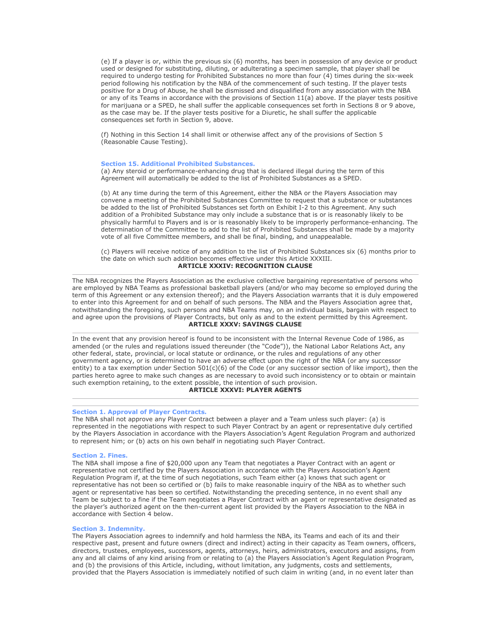(e) If a player is or, within the previous six (6) months, has been in possession of any device or product used or designed for substituting, diluting, or adulterating a specimen sample, that player shall be required to undergo testing for Prohibited Substances no more than four (4) times during the six-week period following his notification by the NBA of the commencement of such testing. If the player tests positive for a Drug of Abuse, he shall be dismissed and disqualified from any association with the NBA or any of its Teams in accordance with the provisions of Section 11(a) above. If the player tests positive for marijuana or a SPED, he shall suffer the applicable consequences set forth in Sections 8 or 9 above, as the case may be. If the player tests positive for a Diuretic, he shall suffer the applicable consequences set forth in Section 9, above.

(f) Nothing in this Section 14 shall limit or otherwise affect any of the provisions of Section 5 (Reasonable Cause Testing).

### Section 15. Additional Prohibited Substances.

(a) Any steroid or performance-enhancing drug that is declared illegal during the term of this Agreement will automatically be added to the list of Prohibited Substances as a SPED.

(b) At any time during the term of this Agreement, either the NBA or the Players Association may convene a meeting of the Prohibited Substances Committee to request that a substance or substances be added to the list of Prohibited Substances set forth on Exhibit I-2 to this Agreement. Any such addition of a Prohibited Substance may only include a substance that is or is reasonably likely to be physically harmful to Players and is or is reasonably likely to be improperly performance-enhancing. The determination of the Committee to add to the list of Prohibited Substances shall be made by a majority vote of all five Committee members, and shall be final, binding, and unappealable.

(c) Players will receive notice of any addition to the list of Prohibited Substances six (6) months prior to the date on which such addition becomes effective under this Article XXXIII. ARTICLE XXXIV: RECOGNITION CLAUSE

#### The NBA recognizes the Players Association as the exclusive collective bargaining representative of persons who are employed by NBA Teams as professional basketball players (and/or who may become so employed during the term of this Agreement or any extension thereof); and the Players Association warrants that it is duly empowered to enter into this Agreement for and on behalf of such persons. The NBA and the Players Association agree that, notwithstanding the foregoing, such persons and NBA Teams may, on an individual basis, bargain with respect to and agree upon the provisions of Player Contracts, but only as and to the extent permitted by this Agreement. ARTICLE XXXV: SAVINGS CLAUSE

In the event that any provision hereof is found to be inconsistent with the Internal Revenue Code of 1986, as amended (or the rules and regulations issued thereunder (the "Code")), the National Labor Relations Act, any other federal, state, provincial, or local statute or ordinance, or the rules and regulations of any other government agency, or is determined to have an adverse effect upon the right of the NBA (or any successor entity) to a tax exemption under Section 501(c)(6) of the Code (or any successor section of like import), then the parties hereto agree to make such changes as are necessary to avoid such inconsistency or to obtain or maintain such exemption retaining, to the extent possible, the intention of such provision. ARTICLE XXXVI: PLAYER AGENTS

#### Section 1. Approval of Player Contracts.

The NBA shall not approve any Player Contract between a player and a Team unless such player: (a) is represented in the negotiations with respect to such Player Contract by an agent or representative duly certified by the Players Association in accordance with the Players Association's Agent Regulation Program and authorized to represent him; or (b) acts on his own behalf in negotiating such Player Contract.

#### Section 2. Fines.

The NBA shall impose a fine of \$20,000 upon any Team that negotiates a Player Contract with an agent or representative not certified by the Players Association in accordance with the Players Association's Agent Regulation Program if, at the time of such negotiations, such Team either (a) knows that such agent or representative has not been so certified or (b) fails to make reasonable inquiry of the NBA as to whether such agent or representative has been so certified. Notwithstanding the preceding sentence, in no event shall any Team be subject to a fine if the Team negotiates a Player Contract with an agent or representative designated as the player's authorized agent on the then-current agent list provided by the Players Association to the NBA in accordance with Section 4 below.

#### Section 3. Indemnity.

The Players Association agrees to indemnify and hold harmless the NBA, its Teams and each of its and their respective past, present and future owners (direct and indirect) acting in their capacity as Team owners, officers, directors, trustees, employees, successors, agents, attorneys, heirs, administrators, executors and assigns, from any and all claims of any kind arising from or relating to (a) the Players Association's Agent Regulation Program, and (b) the provisions of this Article, including, without limitation, any judgments, costs and settlements, provided that the Players Association is immediately notified of such claim in writing (and, in no event later than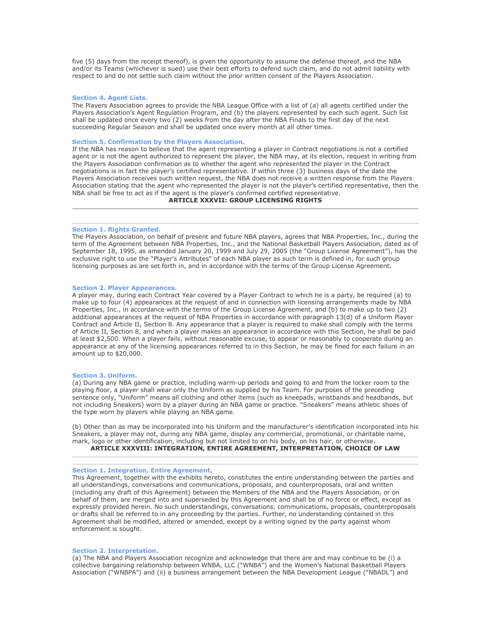five (5) days from the receipt thereof), is given the opportunity to assume the defense thereof, and the NBA and/or its Teams (whichever is sued) use their best efforts to defend such claim, and do not admit liability with respect to and do not settle such claim without the prior written consent of the Players Association.

#### Section 4. Agent Lists.

The Players Association agrees to provide the NBA League Office with a list of (a) all agents certified under the Players Association's Agent Regulation Program, and (b) the players represented by each such agent. Such list shall be updated once every two (2) weeks from the day after the NBA Finals to the first day of the next succeeding Regular Season and shall be updated once every month at all other times.

### Section 5. Confirmation by the Players Association.

If the NBA has reason to believe that the agent representing a player in Contract negotiations is not a certified agent or is not the agent authorized to represent the player, the NBA may, at its election, request in writing from the Players Association confirmation as to whether the agent who represented the player in the Contract negotiations is in fact the player's certified representative. If within three (3) business days of the date the Players Association receives such written request, the NBA does not receive a written response from the Players Association stating that the agent who represented the player is not the player's certified representative, then the NBA shall be free to act as if the agent is the player's confirmed certified representative.

# ARTICLE XXXVII: GROUP LICENSING RIGHTS

### Section 1. Rights Granted.

The Players Association, on behalf of present and future NBA players, agrees that NBA Properties, Inc., during the term of the Agreement between NBA Properties, Inc., and the National Basketball Players Association, dated as of September 18, 1995, as amended January 20, 1999 and July 29, 2005 (the "Group License Agreement"), has the exclusive right to use the "Player's Attributes" of each NBA player as such term is defined in, for such group licensing purposes as are set forth in, and in accordance with the terms of the Group License Agreement.

#### Section 2. Player Appearances.

A player may, during each Contract Year covered by a Player Contract to which he is a party, be required (a) to make up to four (4) appearances at the request of and in connection with licensing arrangements made by NBA Properties, Inc., in accordance with the terms of the Group License Agreement, and (b) to make up to two (2) additional appearances at the request of NBA Properties in accordance with paragraph 13(d) of a Uniform Player Contract and Article II, Section 8. Any appearance that a player is required to make shall comply with the terms of Article II, Section 8, and when a player makes an appearance in accordance with this Section, he shall be paid at least \$2,500. When a player fails, without reasonable excuse, to appear or reasonably to cooperate during an appearance at any of the licensing appearances referred to in this Section, he may be fined for each failure in an amount up to \$20,000.

#### Section 3. Uniform.

(a) During any NBA game or practice, including warm-up periods and going to and from the locker room to the playing floor, a player shall wear only the Uniform as supplied by his Team. For purposes of the preceding sentence only, "Uniform" means all clothing and other items (such as kneepads, wristbands and headbands, but not including Sneakers) worn by a player during an NBA game or practice. "Sneakers" means athletic shoes of the type worn by players while playing an NBA game.

(b) Other than as may be incorporated into his Uniform and the manufacturer's identification incorporated into his Sneakers, a player may not, during any NBA game, display any commercial, promotional, or charitable name, mark, logo or other identification, including but not limited to on his body, on his hair, or otherwise. ARTICLE XXXVIII: INTEGRATION, ENTIRE AGREEMENT, INTERPRETATION, CHOICE OF LAW

#### Section 1. Integration, Entire Agreement.

This Agreement, together with the exhibits hereto, constitutes the entire understanding between the parties and all understandings, conversations and communications, proposals, and counterproposals, oral and written (including any draft of this Agreement) between the Members of the NBA and the Players Association, or on behalf of them, are merged into and superseded by this Agreement and shall be of no force or effect, except as expressly provided herein. No such understandings, conversations, communications, proposals, counterproposals or drafts shall be referred to in any proceeding by the parties. Further, no understanding contained in this Agreement shall be modified, altered or amended, except by a writing signed by the party against whom enforcement is sought.

### Section 2. Interpretation.

(a) The NBA and Players Association recognize and acknowledge that there are and may continue to be (i) a collective bargaining relationship between WNBA, LLC ("WNBA") and the Women's National Basketball Players Association ("WNBPA") and (ii) a business arrangement between the NBA Development League ("NBADL") and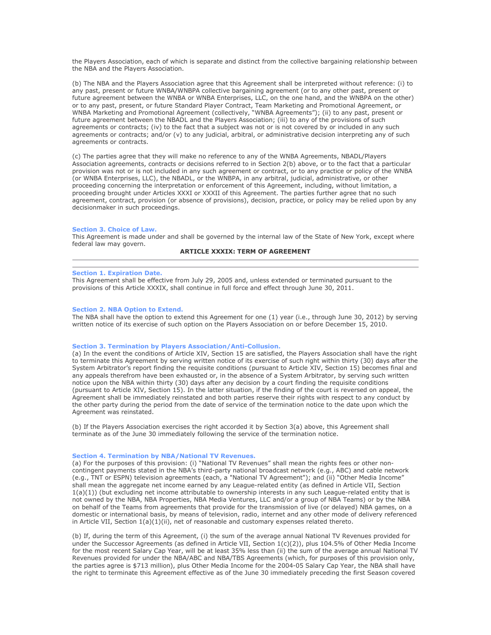the Players Association, each of which is separate and distinct from the collective bargaining relationship between the NBA and the Players Association.

(b) The NBA and the Players Association agree that this Agreement shall be interpreted without reference: (i) to any past, present or future WNBA/WNBPA collective bargaining agreement (or to any other past, present or future agreement between the WNBA or WNBA Enterprises, LLC, on the one hand, and the WNBPA on the other) or to any past, present, or future Standard Player Contract, Team Marketing and Promotional Agreement, or WNBA Marketing and Promotional Agreement (collectively, "WNBA Agreements"); (ii) to any past, present or future agreement between the NBADL and the Players Association; (iii) to any of the provisions of such agreements or contracts; (iv) to the fact that a subject was not or is not covered by or included in any such agreements or contracts; and/or (v) to any judicial, arbitral, or administrative decision interpreting any of such agreements or contracts.

(c) The parties agree that they will make no reference to any of the WNBA Agreements, NBADL/Players Association agreements, contracts or decisions referred to in Section 2(b) above, or to the fact that a particular provision was not or is not included in any such agreement or contract, or to any practice or policy of the WNBA (or WNBA Enterprises, LLC), the NBADL, or the WNBPA, in any arbitral, judicial, administrative, or other proceeding concerning the interpretation or enforcement of this Agreement, including, without limitation, a proceeding brought under Articles XXXI or XXXII of this Agreement. The parties further agree that no such agreement, contract, provision (or absence of provisions), decision, practice, or policy may be relied upon by any decisionmaker in such proceedings.

### Section 3. Choice of Law.

This Agreement is made under and shall be governed by the internal law of the State of New York, except where federal law may govern.

#### ARTICLE XXXIX: TERM OF AGREEMENT

### Section 1. Expiration Date.

This Agreement shall be effective from July 29, 2005 and, unless extended or terminated pursuant to the provisions of this Article XXXIX, shall continue in full force and effect through June 30, 2011.

### Section 2. NBA Option to Extend.

The NBA shall have the option to extend this Agreement for one (1) year (i.e., through June 30, 2012) by serving written notice of its exercise of such option on the Players Association on or before December 15, 2010.

# Section 3. Termination by Players Association/Anti-Collusion.

(a) In the event the conditions of Article XIV, Section 15 are satisfied, the Players Association shall have the right to terminate this Agreement by serving written notice of its exercise of such right within thirty (30) days after the System Arbitrator's report finding the requisite conditions (pursuant to Article XIV, Section 15) becomes final and any appeals therefrom have been exhausted or, in the absence of a System Arbitrator, by serving such written notice upon the NBA within thirty (30) days after any decision by a court finding the requisite conditions (pursuant to Article XIV, Section 15). In the latter situation, if the finding of the court is reversed on appeal, the Agreement shall be immediately reinstated and both parties reserve their rights with respect to any conduct by the other party during the period from the date of service of the termination notice to the date upon which the Agreement was reinstated.

(b) If the Players Association exercises the right accorded it by Section 3(a) above, this Agreement shall terminate as of the June 30 immediately following the service of the termination notice.

#### Section 4. Termination by NBA/National TV Revenues.

(a) For the purposes of this provision: (i) "National TV Revenues" shall mean the rights fees or other noncontingent payments stated in the NBA's third-party national broadcast network (e.g., ABC) and cable network (e.g., TNT or ESPN) television agreements (each, a "National TV Agreement"); and (ii) "Other Media Income" shall mean the aggregate net income earned by any League-related entity (as defined in Article VII, Section 1(a)(1)) (but excluding net income attributable to ownership interests in any such League-related entity that is not owned by the NBA, NBA Properties, NBA Media Ventures, LLC and/or a group of NBA Teams) or by the NBA on behalf of the Teams from agreements that provide for the transmission of live (or delayed) NBA games, on a domestic or international basis, by means of television, radio, internet and any other mode of delivery referenced in Article VII, Section 1(a)(1)(ii), net of reasonable and customary expenses related thereto.

(b) If, during the term of this Agreement, (i) the sum of the average annual National TV Revenues provided for under the Successor Agreements (as defined in Article VII, Section 1(c)(2)), plus 104.5% of Other Media Income for the most recent Salary Cap Year, will be at least 35% less than (ii) the sum of the average annual National TV Revenues provided for under the NBA/ABC and NBA/TBS Agreements (which, for purposes of this provision only, the parties agree is \$713 million), plus Other Media Income for the 2004-05 Salary Cap Year, the NBA shall have the right to terminate this Agreement effective as of the June 30 immediately preceding the first Season covered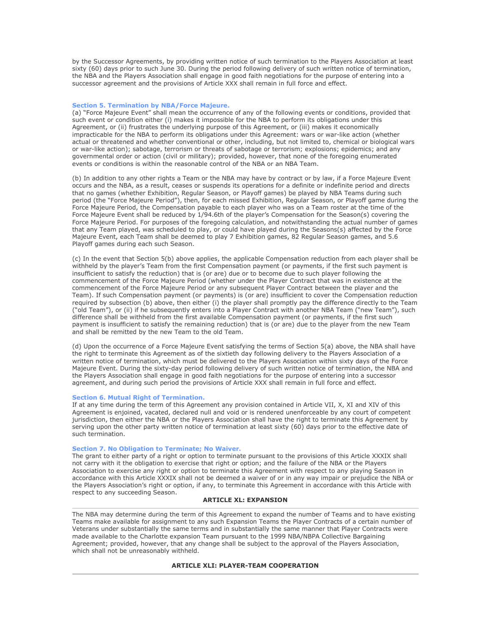by the Successor Agreements, by providing written notice of such termination to the Players Association at least sixty (60) days prior to such June 30. During the period following delivery of such written notice of termination, the NBA and the Players Association shall engage in good faith negotiations for the purpose of entering into a successor agreement and the provisions of Article XXX shall remain in full force and effect.

### Section 5. Termination by NBA/Force Majeure.

(a) "Force Majeure Event" shall mean the occurrence of any of the following events or conditions, provided that such event or condition either (i) makes it impossible for the NBA to perform its obligations under this Agreement, or (ii) frustrates the underlying purpose of this Agreement, or (iii) makes it economically impracticable for the NBA to perform its obligations under this Agreement: wars or war-like action (whether actual or threatened and whether conventional or other, including, but not limited to, chemical or biological wars or war-like action); sabotage, terrorism or threats of sabotage or terrorism; explosions; epidemics; and any governmental order or action (civil or military); provided, however, that none of the foregoing enumerated events or conditions is within the reasonable control of the NBA or an NBA Team.

(b) In addition to any other rights a Team or the NBA may have by contract or by law, if a Force Majeure Event occurs and the NBA, as a result, ceases or suspends its operations for a definite or indefinite period and directs that no games (whether Exhibition, Regular Season, or Playoff games) be played by NBA Teams during such period (the "Force Majeure Period"), then, for each missed Exhibition, Regular Season, or Playoff game during the Force Majeure Period, the Compensation payable to each player who was on a Team roster at the time of the Force Majeure Event shall be reduced by 1/94.6th of the player's Compensation for the Season(s) covering the Force Majeure Period. For purposes of the foregoing calculation, and notwithstanding the actual number of games that any Team played, was scheduled to play, or could have played during the Seasons(s) affected by the Force Majeure Event, each Team shall be deemed to play 7 Exhibition games, 82 Regular Season games, and 5.6 Playoff games during each such Season.

(c) In the event that Section 5(b) above applies, the applicable Compensation reduction from each player shall be withheld by the player's Team from the first Compensation payment (or payments, if the first such payment is insufficient to satisfy the reduction) that is (or are) due or to become due to such player following the commencement of the Force Majeure Period (whether under the Player Contract that was in existence at the commencement of the Force Majeure Period or any subsequent Player Contract between the player and the Team). If such Compensation payment (or payments) is (or are) insufficient to cover the Compensation reduction required by subsection (b) above, then either (i) the player shall promptly pay the difference directly to the Team ("old Team"), or (ii) if he subsequently enters into a Player Contract with another NBA Team ("new Team"), such difference shall be withheld from the first available Compensation payment (or payments, if the first such payment is insufficient to satisfy the remaining reduction) that is (or are) due to the player from the new Team and shall be remitted by the new Team to the old Team.

(d) Upon the occurrence of a Force Majeure Event satisfying the terms of Section 5(a) above, the NBA shall have the right to terminate this Agreement as of the sixtieth day following delivery to the Players Association of a written notice of termination, which must be delivered to the Players Association within sixty days of the Force Majeure Event. During the sixty-day period following delivery of such written notice of termination, the NBA and the Players Association shall engage in good faith negotiations for the purpose of entering into a successor agreement, and during such period the provisions of Article XXX shall remain in full force and effect.

#### Section 6. Mutual Right of Termination.

If at any time during the term of this Agreement any provision contained in Article VII, X, XI and XIV of this Agreement is enjoined, vacated, declared null and void or is rendered unenforceable by any court of competent jurisdiction, then either the NBA or the Players Association shall have the right to terminate this Agreement by serving upon the other party written notice of termination at least sixty (60) days prior to the effective date of such termination.

### Section 7. No Obligation to Terminate; No Waiver.

The grant to either party of a right or option to terminate pursuant to the provisions of this Article XXXIX shall not carry with it the obligation to exercise that right or option; and the failure of the NBA or the Players Association to exercise any right or option to terminate this Agreement with respect to any playing Season in accordance with this Article XXXIX shall not be deemed a waiver of or in any way impair or prejudice the NBA or the Players Association's right or option, if any, to terminate this Agreement in accordance with this Article with respect to any succeeding Season.

#### ARTICLE XL: EXPANSION

The NBA may determine during the term of this Agreement to expand the number of Teams and to have existing Teams make available for assignment to any such Expansion Teams the Player Contracts of a certain number of Veterans under substantially the same terms and in substantially the same manner that Player Contracts were made available to the Charlotte expansion Team pursuant to the 1999 NBA/NBPA Collective Bargaining Agreement; provided, however, that any change shall be subject to the approval of the Players Association, which shall not be unreasonably withheld.

# ARTICLE XLI: PLAYER-TEAM COOPERATION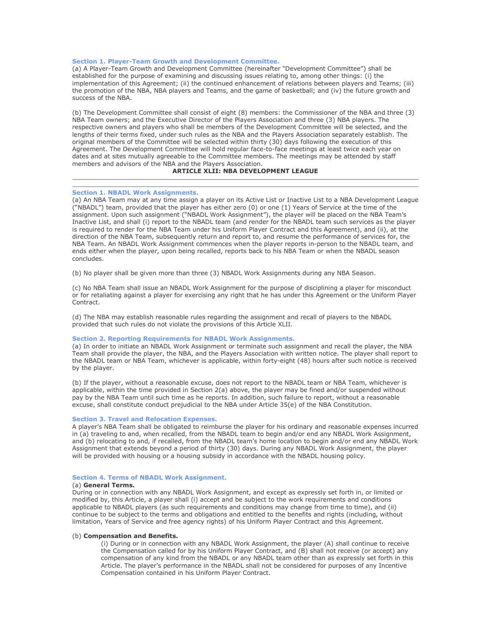### Section 1. Player-Team Growth and Development Committee.

(a) A Player-Team Growth and Development Committee (hereinafter "Development Committee") shall be established for the purpose of examining and discussing issues relating to, among other things: (i) the implementation of this Agreement; (ii) the continued enhancement of relations between players and Teams; (iii) the promotion of the NBA, NBA players and Teams, and the game of basketball; and (iv) the future growth and success of the NBA.

(b) The Development Committee shall consist of eight (8) members: the Commissioner of the NBA and three (3) NBA Team owners; and the Executive Director of the Players Association and three (3) NBA players. The respective owners and players who shall be members of the Development Committee will be selected, and the lengths of their terms fixed, under such rules as the NBA and the Players Association separately establish. The original members of the Committee will be selected within thirty (30) days following the execution of this Agreement. The Development Committee will hold regular face-to-face meetings at least twice each year on dates and at sites mutually agreeable to the Committee members. The meetings may be attended by staff members and advisors of the NBA and the Players Association.

## ARTICLE XLII: NBA DEVELOPMENT LEAGUE

### Section 1. NBADL Work Assignments.

(a) An NBA Team may at any time assign a player on its Active List or Inactive List to a NBA Development League ("NBADL") team, provided that the player has either zero (0) or one (1) Years of Service at the time of the assignment. Upon such assignment ("NBADL Work Assignment"), the player will be placed on the NBA Team's Inactive List, and shall (i) report to the NBADL team (and render for the NBADL team such services as the player is required to render for the NBA Team under his Uniform Player Contract and this Agreement), and (ii), at the direction of the NBA Team, subsequently return and report to, and resume the performance of services for, the NBA Team. An NBADL Work Assignment commences when the player reports in-person to the NBADL team, and ends either when the player, upon being recalled, reports back to his NBA Team or when the NBADL season concludes.

(b) No player shall be given more than three (3) NBADL Work Assignments during any NBA Season.

(c) No NBA Team shall issue an NBADL Work Assignment for the purpose of disciplining a player for misconduct or for retaliating against a player for exercising any right that he has under this Agreement or the Uniform Player Contract.

(d) The NBA may establish reasonable rules regarding the assignment and recall of players to the NBADL provided that such rules do not violate the provisions of this Article XLII.

### Section 2. Reporting Requirements for NBADL Work Assignments.

(a) In order to initiate an NBADL Work Assignment or terminate such assignment and recall the player, the NBA Team shall provide the player, the NBA, and the Players Association with written notice. The player shall report to the NBADL team or NBA Team, whichever is applicable, within forty-eight (48) hours after such notice is received by the player.

(b) If the player, without a reasonable excuse, does not report to the NBADL team or NBA Team, whichever is applicable, within the time provided in Section 2(a) above, the player may be fined and/or suspended without pay by the NBA Team until such time as he reports. In addition, such failure to report, without a reasonable excuse, shall constitute conduct prejudicial to the NBA under Article 35(e) of the NBA Constitution.

### Section 3. Travel and Relocation Expenses.

A player's NBA Team shall be obligated to reimburse the player for his ordinary and reasonable expenses incurred in (a) traveling to and, when recalled, from the NBADL team to begin and/or end any NBADL Work Assignment, and (b) relocating to and, if recalled, from the NBADL team's home location to begin and/or end any NBADL Work Assignment that extends beyond a period of thirty (30) days. During any NBADL Work Assignment, the player will be provided with housing or a housing subsidy in accordance with the NBADL housing policy.

# Section 4. Terms of NBADL Work Assignment.

# (a) General Terms.

During or in connection with any NBADL Work Assignment, and except as expressly set forth in, or limited or modified by, this Article, a player shall (i) accept and be subject to the work requirements and conditions applicable to NBADL players (as such requirements and conditions may change from time to time), and (ii) continue to be subject to the terms and obligations and entitled to the benefits and rights (including, without limitation, Years of Service and free agency rights) of his Uniform Player Contract and this Agreement.

#### (b) Compensation and Benefits.

(i) During or in connection with any NBADL Work Assignment, the player (A) shall continue to receive the Compensation called for by his Uniform Player Contract, and (B) shall not receive (or accept) any compensation of any kind from the NBADL or any NBADL team other than as expressly set forth in this Article. The player's performance in the NBADL shall not be considered for purposes of any Incentive Compensation contained in his Uniform Player Contract.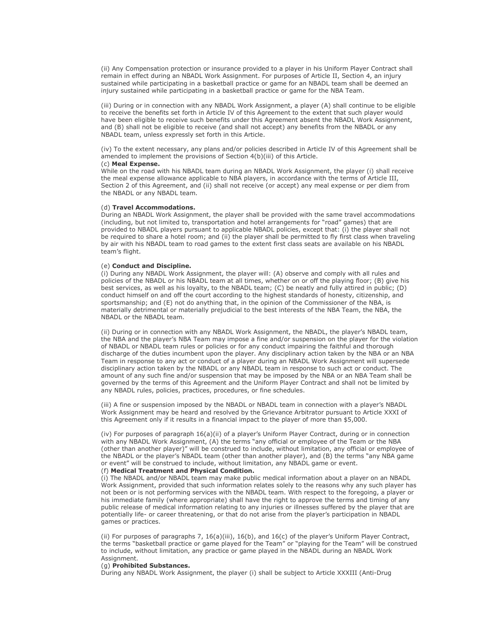(ii) Any Compensation protection or insurance provided to a player in his Uniform Player Contract shall remain in effect during an NBADL Work Assignment. For purposes of Article II, Section 4, an injury sustained while participating in a basketball practice or game for an NBADL team shall be deemed an injury sustained while participating in a basketball practice or game for the NBA Team.

(iii) During or in connection with any NBADL Work Assignment, a player (A) shall continue to be eligible to receive the benefits set forth in Article IV of this Agreement to the extent that such player would have been eligible to receive such benefits under this Agreement absent the NBADL Work Assignment, and (B) shall not be eligible to receive (and shall not accept) any benefits from the NBADL or any NBADL team, unless expressly set forth in this Article.

(iv) To the extent necessary, any plans and/or policies described in Article IV of this Agreement shall be amended to implement the provisions of Section 4(b)(iii) of this Article.

### (c) Meal Expense.

While on the road with his NBADL team during an NBADL Work Assignment, the player (i) shall receive the meal expense allowance applicable to NBA players, in accordance with the terms of Article III, Section 2 of this Agreement, and (ii) shall not receive (or accept) any meal expense or per diem from the NBADL or any NBADL team.

### (d) Travel Accommodations.

During an NBADL Work Assignment, the player shall be provided with the same travel accommodations (including, but not limited to, transportation and hotel arrangements for "road" games) that are provided to NBADL players pursuant to applicable NBADL policies, except that: (i) the player shall not be required to share a hotel room; and (ii) the player shall be permitted to fly first class when traveling by air with his NBADL team to road games to the extent first class seats are available on his NBADL team's flight.

#### (e) Conduct and Discipline.

(i) During any NBADL Work Assignment, the player will: (A) observe and comply with all rules and policies of the NBADL or his NBADL team at all times, whether on or off the playing floor; (B) give his best services, as well as his loyalty, to the NBADL team; (C) be neatly and fully attired in public; (D) conduct himself on and off the court according to the highest standards of honesty, citizenship, and sportsmanship; and (E) not do anything that, in the opinion of the Commissioner of the NBA, is materially detrimental or materially prejudicial to the best interests of the NBA Team, the NBA, the NBADL or the NBADL team.

(ii) During or in connection with any NBADL Work Assignment, the NBADL, the player's NBADL team, the NBA and the player's NBA Team may impose a fine and/or suspension on the player for the violation of NBADL or NBADL team rules or policies or for any conduct impairing the faithful and thorough discharge of the duties incumbent upon the player. Any disciplinary action taken by the NBA or an NBA Team in response to any act or conduct of a player during an NBADL Work Assignment will supersede disciplinary action taken by the NBADL or any NBADL team in response to such act or conduct. The amount of any such fine and/or suspension that may be imposed by the NBA or an NBA Team shall be governed by the terms of this Agreement and the Uniform Player Contract and shall not be limited by any NBADL rules, policies, practices, procedures, or fine schedules.

(iii) A fine or suspension imposed by the NBADL or NBADL team in connection with a player's NBADL Work Assignment may be heard and resolved by the Grievance Arbitrator pursuant to Article XXXI of this Agreement only if it results in a financial impact to the player of more than \$5,000.

(iv) For purposes of paragraph 16(a)(ii) of a player's Uniform Player Contract, during or in connection with any NBADL Work Assignment, (A) the terms "any official or employee of the Team or the NBA (other than another player)" will be construed to include, without limitation, any official or employee of the NBADL or the player's NBADL team (other than another player), and (B) the terms "any NBA game or event" will be construed to include, without limitation, any NBADL game or event.

### (f) Medical Treatment and Physical Condition.

(i) The NBADL and/or NBADL team may make public medical information about a player on an NBADL Work Assignment, provided that such information relates solely to the reasons why any such player has not been or is not performing services with the NBADL team. With respect to the foregoing, a player or his immediate family (where appropriate) shall have the right to approve the terms and timing of any public release of medical information relating to any injuries or illnesses suffered by the player that are potentially life- or career threatening, or that do not arise from the player's participation in NBADL games or practices.

(ii) For purposes of paragraphs 7, 16(a)(iii), 16(b), and 16(c) of the player's Uniform Player Contract, the terms "basketball practice or game played for the Team" or "playing for the Team" will be construed to include, without limitation, any practice or game played in the NBADL during an NBADL Work Assignment.

#### (g) Prohibited Substances.

During any NBADL Work Assignment, the player (i) shall be subject to Article XXXIII (Anti-Drug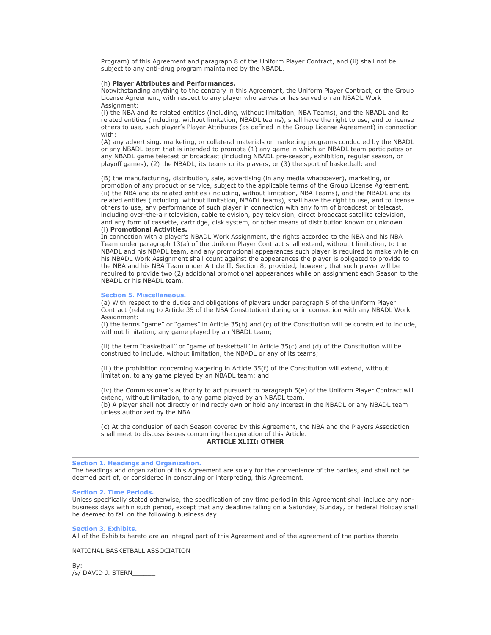Program) of this Agreement and paragraph 8 of the Uniform Player Contract, and (ii) shall not be subject to any anti-drug program maintained by the NBADL.

# (h) Player Attributes and Performances.

Notwithstanding anything to the contrary in this Agreement, the Uniform Player Contract, or the Group License Agreement, with respect to any player who serves or has served on an NBADL Work Assignment:

(i) the NBA and its related entities (including, without limitation, NBA Teams), and the NBADL and its related entities (including, without limitation, NBADL teams), shall have the right to use, and to license others to use, such player's Player Attributes (as defined in the Group License Agreement) in connection with:

(A) any advertising, marketing, or collateral materials or marketing programs conducted by the NBADL or any NBADL team that is intended to promote (1) any game in which an NBADL team participates or any NBADL game telecast or broadcast (including NBADL pre-season, exhibition, regular season, or playoff games), (2) the NBADL, its teams or its players, or (3) the sport of basketball; and

(B) the manufacturing, distribution, sale, advertising (in any media whatsoever), marketing, or promotion of any product or service, subject to the applicable terms of the Group License Agreement. (ii) the NBA and its related entities (including, without limitation, NBA Teams), and the NBADL and its related entities (including, without limitation, NBADL teams), shall have the right to use, and to license others to use, any performance of such player in connection with any form of broadcast or telecast, including over-the-air television, cable television, pay television, direct broadcast satellite television, and any form of cassette, cartridge, disk system, or other means of distribution known or unknown. (i) Promotional Activities.

In connection with a player's NBADL Work Assignment, the rights accorded to the NBA and his NBA Team under paragraph 13(a) of the Uniform Player Contract shall extend, without t limitation, to the NBADL and his NBADL team, and any promotional appearances such player is required to make while on his NBADL Work Assignment shall count against the appearances the player is obligated to provide to the NBA and his NBA Team under Article II, Section 8; provided, however, that such player will be required to provide two (2) additional promotional appearances while on assignment each Season to the NBADL or his NBADL team.

#### Section 5. Miscellaneous.

(a) With respect to the duties and obligations of players under paragraph 5 of the Uniform Player Contract (relating to Article 35 of the NBA Constitution) during or in connection with any NBADL Work Assignment:

(i) the terms "game" or "games" in Article 35(b) and (c) of the Constitution will be construed to include, without limitation, any game played by an NBADL team;

(ii) the term "basketball" or "game of basketball" in Article 35(c) and (d) of the Constitution will be construed to include, without limitation, the NBADL or any of its teams;

(iii) the prohibition concerning wagering in Article 35(f) of the Constitution will extend, without limitation, to any game played by an NBADL team; and

(iv) the Commissioner's authority to act pursuant to paragraph 5(e) of the Uniform Player Contract will extend, without limitation, to any game played by an NBADL team. (b) A player shall not directly or indirectly own or hold any interest in the NBADL or any NBADL team unless authorized by the NBA.

(c) At the conclusion of each Season covered by this Agreement, the NBA and the Players Association shall meet to discuss issues concerning the operation of this Article. ARTICLE XLIII: OTHER

#### Section 1. Headings and Organization.

The headings and organization of this Agreement are solely for the convenience of the parties, and shall not be deemed part of, or considered in construing or interpreting, this Agreement.

#### Section 2. Time Periods.

Unless specifically stated otherwise, the specification of any time period in this Agreement shall include any nonbusiness days within such period, except that any deadline falling on a Saturday, Sunday, or Federal Holiday shall be deemed to fall on the following business day.

#### Section 3. Exhibits.

All of the Exhibits hereto are an integral part of this Agreement and of the agreement of the parties thereto

NATIONAL BASKETBALL ASSOCIATION

By: /s/ DAVID J. STERN\_\_\_\_\_\_